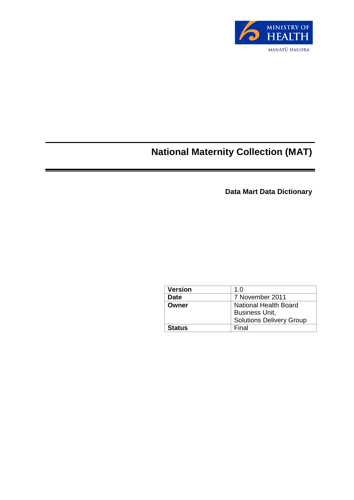

# **National Maternity Collection (MAT)**

**Data Mart Data Dictionary** 

| <b>Version</b> | 1.0                             |
|----------------|---------------------------------|
| Date           | 7 November 2011                 |
| Owner          | <b>National Health Board</b>    |
|                | <b>Business Unit,</b>           |
|                | <b>Solutions Delivery Group</b> |
| Status         | Final                           |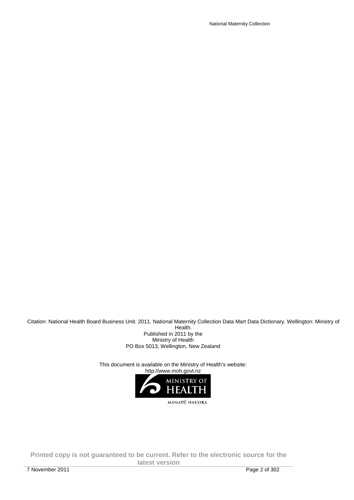National Maternity Collection

Citation: National Health Board Business Unit. 2011. National Maternity Collection Data Mart Data Dictionary. Wellington: Ministry of Health.

Published in 2011 by the Ministry of Health PO Box 5013, Wellington, New Zealand

This document is available on the Ministry of Health's website:

http://www.moh.govt.nz

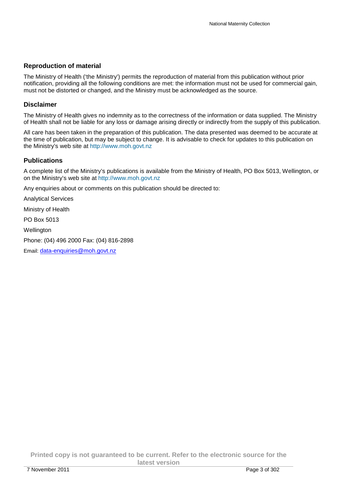#### **Reproduction of material**

The Ministry of Health ('the Ministry') permits the reproduction of material from this publication without prior notification, providing all the following conditions are met: the information must not be used for commercial gain, must not be distorted or changed, and the Ministry must be acknowledged as the source.

#### **Disclaimer**

The Ministry of Health gives no indemnity as to the correctness of the information or data supplied. The Ministry of Health shall not be liable for any loss or damage arising directly or indirectly from the supply of this publication.

All care has been taken in the preparation of this publication. The data presented was deemed to be accurate at the time of publication, but may be subject to change. It is advisable to check for updates to this publication on the Ministry's web site at http://www.moh.govt.nz

#### **Publications**

A complete list of the Ministry's publications is available from the Ministry of Health, PO Box 5013, Wellington, or on the Ministry's web site at http://www.moh.govt.nz

Any enquiries about or comments on this publication should be directed to:

Analytical Services

Ministry of Health

PO Box 5013

**Wellington** 

Phone: (04) 496 2000 Fax: (04) 816-2898

Email: data-enquiries@moh.govt.nz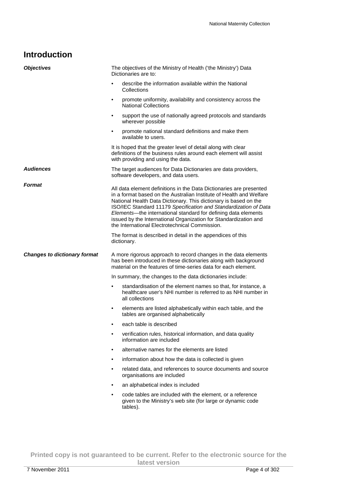## **Introduction**

| <b>Objectives</b>                   | The objectives of the Ministry of Health ('the Ministry') Data<br>Dictionaries are to:                                                                                                                                                                                                                                                                                                                                                                                     |
|-------------------------------------|----------------------------------------------------------------------------------------------------------------------------------------------------------------------------------------------------------------------------------------------------------------------------------------------------------------------------------------------------------------------------------------------------------------------------------------------------------------------------|
|                                     | describe the information available within the National<br>$\bullet$<br>Collections                                                                                                                                                                                                                                                                                                                                                                                         |
|                                     | promote uniformity, availability and consistency across the<br>٠<br><b>National Collections</b>                                                                                                                                                                                                                                                                                                                                                                            |
|                                     | support the use of nationally agreed protocols and standards<br>$\bullet$<br>wherever possible                                                                                                                                                                                                                                                                                                                                                                             |
|                                     | promote national standard definitions and make them<br>$\bullet$<br>available to users.                                                                                                                                                                                                                                                                                                                                                                                    |
|                                     | It is hoped that the greater level of detail along with clear<br>definitions of the business rules around each element will assist<br>with providing and using the data.                                                                                                                                                                                                                                                                                                   |
| <b>Audiences</b>                    | The target audiences for Data Dictionaries are data providers,<br>software developers, and data users.                                                                                                                                                                                                                                                                                                                                                                     |
| <b>Format</b>                       | All data element definitions in the Data Dictionaries are presented<br>in a format based on the Australian Institute of Health and Welfare<br>National Health Data Dictionary. This dictionary is based on the<br>ISO/IEC Standard 11179 Specification and Standardization of Data<br>Elements-the international standard for defining data elements<br>issued by the International Organization for Standardization and<br>the International Electrotechnical Commission. |
|                                     | The format is described in detail in the appendices of this<br>dictionary.                                                                                                                                                                                                                                                                                                                                                                                                 |
| <b>Changes to dictionary format</b> | A more rigorous approach to record changes in the data elements<br>has been introduced in these dictionaries along with background<br>material on the features of time-series data for each element.                                                                                                                                                                                                                                                                       |
|                                     | In summary, the changes to the data dictionaries include:                                                                                                                                                                                                                                                                                                                                                                                                                  |
|                                     | standardisation of the element names so that, for instance, a<br>$\bullet$<br>healthcare user's NHI number is referred to as NHI number in<br>all collections                                                                                                                                                                                                                                                                                                              |
|                                     | elements are listed alphabetically within each table, and the<br>٠<br>tables are organised alphabetically                                                                                                                                                                                                                                                                                                                                                                  |
|                                     | each table is described<br>٠                                                                                                                                                                                                                                                                                                                                                                                                                                               |
|                                     |                                                                                                                                                                                                                                                                                                                                                                                                                                                                            |
|                                     | verification rules, historical information, and data quality<br>٠<br>information are included                                                                                                                                                                                                                                                                                                                                                                              |
|                                     | alternative names for the elements are listed<br>$\bullet$                                                                                                                                                                                                                                                                                                                                                                                                                 |
|                                     | information about how the data is collected is given<br>٠                                                                                                                                                                                                                                                                                                                                                                                                                  |
|                                     | related data, and references to source documents and source<br>٠<br>organisations are included                                                                                                                                                                                                                                                                                                                                                                             |
|                                     | an alphabetical index is included<br>$\bullet$                                                                                                                                                                                                                                                                                                                                                                                                                             |
|                                     | code tables are included with the element, or a reference<br>٠<br>given to the Ministry's web site (for large or dynamic code<br>tables).                                                                                                                                                                                                                                                                                                                                  |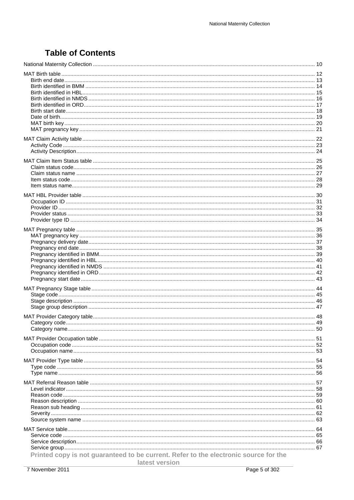# **Table of Contents**

| Printed copy is not guaranteed to be current. Refer to the electronic source for the<br>latest version |  |
|--------------------------------------------------------------------------------------------------------|--|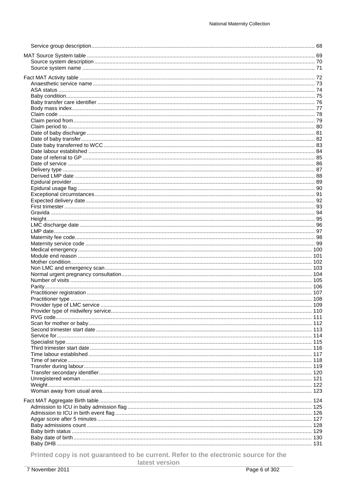Printed copy is not guaranteed to be current. Refer to the electronic source for the

latest version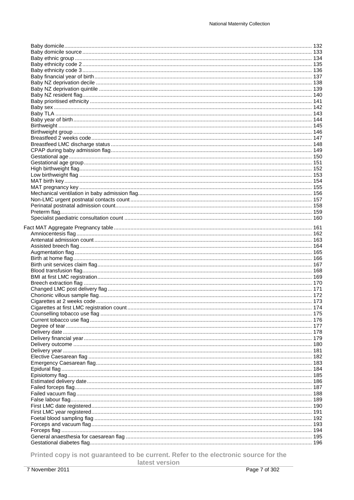Printed copy is not guaranteed to be current. Refer to the electronic source for the

latest version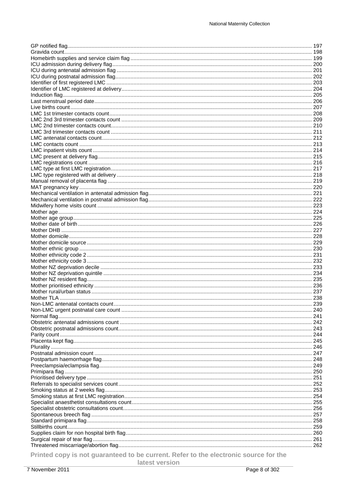Printed copy is not guaranteed to be current. Refer to the electronic source for the

latest version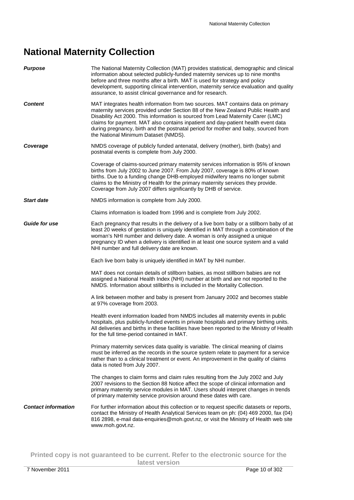# **National Maternity Collection**

| <b>Purpose</b>             | The National Maternity Collection (MAT) provides statistical, demographic and clinical<br>information about selected publicly-funded maternity services up to nine months<br>before and three months after a birth. MAT is used for strategy and policy<br>development, supporting clinical intervention, maternity service evaluation and quality<br>assurance, to assist clinical governance and for research.                                                             |
|----------------------------|------------------------------------------------------------------------------------------------------------------------------------------------------------------------------------------------------------------------------------------------------------------------------------------------------------------------------------------------------------------------------------------------------------------------------------------------------------------------------|
| <b>Content</b>             | MAT integrates health information from two sources. MAT contains data on primary<br>maternity services provided under Section 88 of the New Zealand Public Health and<br>Disability Act 2000. This information is sourced from Lead Maternity Carer (LMC)<br>claims for payment. MAT also contains inpatient and day-patient health event data<br>during pregnancy, birth and the postnatal period for mother and baby, sourced from<br>the National Minimum Dataset (NMDS). |
| Coverage                   | NMDS coverage of publicly funded antenatal, delivery (mother), birth (baby) and<br>postnatal events is complete from July 2000.                                                                                                                                                                                                                                                                                                                                              |
|                            | Coverage of claims-sourced primary maternity services information is 95% of known<br>births from July 2002 to June 2007. From July 2007, coverage is 80% of known<br>births. Due to a funding change DHB-employed midwifery teams no longer submit<br>claims to the Ministry of Health for the primary maternity services they provide.<br>Coverage from July 2007 differs significantly by DHB of service.                                                                  |
| <b>Start date</b>          | NMDS information is complete from July 2000.                                                                                                                                                                                                                                                                                                                                                                                                                                 |
|                            | Claims information is loaded from 1996 and is complete from July 2002.                                                                                                                                                                                                                                                                                                                                                                                                       |
| <b>Guide for use</b>       | Each pregnancy that results in the delivery of a live born baby or a stillborn baby of at<br>least 20 weeks of gestation is uniquely identified in MAT through a combination of the<br>woman's NHI number and delivery date. A woman is only assigned a unique<br>pregnancy ID when a delivery is identified in at least one source system and a valid<br>NHI number and full delivery date are known.                                                                       |
|                            | Each live born baby is uniquely identified in MAT by NHI number.                                                                                                                                                                                                                                                                                                                                                                                                             |
|                            | MAT does not contain details of stillborn babies, as most stillborn babies are not<br>assigned a National Health Index (NHI) number at birth and are not reported to the<br>NMDS. Information about stillbirths is included in the Mortality Collection.                                                                                                                                                                                                                     |
|                            | A link between mother and baby is present from January 2002 and becomes stable<br>at 97% coverage from 2003.                                                                                                                                                                                                                                                                                                                                                                 |
|                            | Health event information loaded from NMDS includes all maternity events in public<br>hospitals, plus publicly-funded events in private hospitals and primary birthing units.<br>All deliveries and births in these facilities have been reported to the Ministry of Health<br>for the full time-period contained in MAT.                                                                                                                                                     |
|                            | Primary maternity services data quality is variable. The clinical meaning of claims<br>must be inferred as the records in the source system relate to payment for a service<br>rather than to a clinical treatment or event. An improvement in the quality of claims<br>data is noted from July 2007.                                                                                                                                                                        |
|                            | The changes to claim forms and claim rules resulting from the July 2002 and July<br>2007 revisions to the Section 88 Notice affect the scope of clinical information and<br>primary maternity service modules in MAT. Users should interpret changes in trends<br>of primary maternity service provision around these dates with care.                                                                                                                                       |
| <b>Contact information</b> | For further information about this collection or to request specific datasets or reports,<br>contact the Ministry of Health Analytical Services team on ph: (04) 469 2000, fax (04)<br>816 2898, e-mail data-enquiries@moh.govt.nz, or visit the Ministry of Health web site<br>www.moh.govt.nz.                                                                                                                                                                             |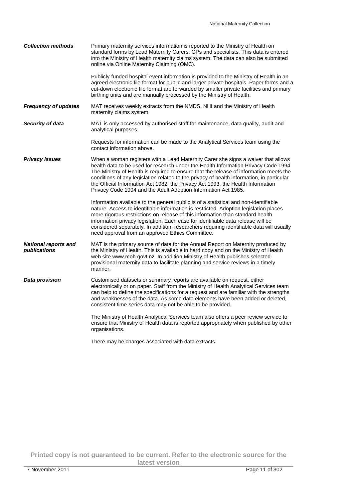| <b>Collection methods</b>                   | Primary maternity services information is reported to the Ministry of Health on<br>standard forms by Lead Maternity Carers, GPs and specialists. This data is entered<br>into the Ministry of Health maternity claims system. The data can also be submitted<br>online via Online Maternity Claiming (OMC).                                                                                                                                                                                                          |
|---------------------------------------------|----------------------------------------------------------------------------------------------------------------------------------------------------------------------------------------------------------------------------------------------------------------------------------------------------------------------------------------------------------------------------------------------------------------------------------------------------------------------------------------------------------------------|
|                                             | Publicly-funded hospital event information is provided to the Ministry of Health in an<br>agreed electronic file format for public and larger private hospitals. Paper forms and a<br>cut-down electronic file format are forwarded by smaller private facilities and primary<br>birthing units and are manually processed by the Ministry of Health.                                                                                                                                                                |
| <b>Frequency of updates</b>                 | MAT receives weekly extracts from the NMDS, NHI and the Ministry of Health<br>maternity claims system.                                                                                                                                                                                                                                                                                                                                                                                                               |
| Security of data                            | MAT is only accessed by authorised staff for maintenance, data quality, audit and<br>analytical purposes.                                                                                                                                                                                                                                                                                                                                                                                                            |
|                                             | Requests for information can be made to the Analytical Services team using the<br>contact information above.                                                                                                                                                                                                                                                                                                                                                                                                         |
| <b>Privacy issues</b>                       | When a woman registers with a Lead Maternity Carer she signs a waiver that allows<br>health data to be used for research under the Health Information Privacy Code 1994.<br>The Ministry of Health is required to ensure that the release of information meets the<br>conditions of any legislation related to the privacy of health information, in particular<br>the Official Information Act 1982, the Privacy Act 1993, the Health Information<br>Privacy Code 1994 and the Adult Adoption Information Act 1985. |
|                                             | Information available to the general public is of a statistical and non-identifiable<br>nature. Access to identifiable information is restricted. Adoption legislation places<br>more rigorous restrictions on release of this information than standard health<br>information privacy legislation. Each case for identifiable data release will be<br>considered separately. In addition, researchers requiring identifiable data will usually<br>need approval from an approved Ethics Committee.                  |
| <b>National reports and</b><br>publications | MAT is the primary source of data for the Annual Report on Maternity produced by<br>the Ministry of Health. This is available in hard copy and on the Ministry of Health<br>web site www.moh.govt.nz. In addition Ministry of Health publishes selected<br>provisional maternity data to facilitate planning and service reviews in a timely<br>manner.                                                                                                                                                              |
| Data provision                              | Customised datasets or summary reports are available on request, either<br>electronically or on paper. Staff from the Ministry of Health Analytical Services team<br>can help to define the specifications for a request and are familiar with the strengths<br>and weaknesses of the data. As some data elements have been added or deleted,<br>consistent time-series data may not be able to be provided.                                                                                                         |
|                                             | The Ministry of Health Analytical Services team also offers a peer review service to<br>ensure that Ministry of Health data is reported appropriately when published by other<br>organisations.                                                                                                                                                                                                                                                                                                                      |
|                                             | There may be charges associated with data extracts.                                                                                                                                                                                                                                                                                                                                                                                                                                                                  |

**Printed copy is not guaranteed to be current. Refer to the electronic source for the latest version**  7 November 2011 Page 11 of 302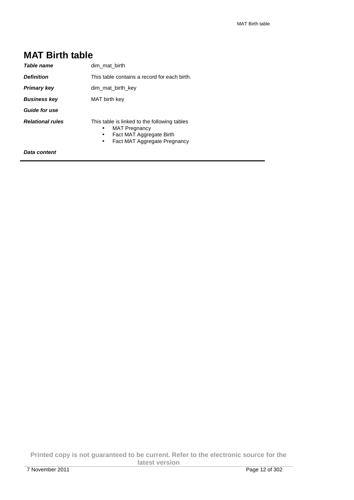#### **MAT Birth table**  Table name **dim\_mat\_birth Definition** This table contains a record for each birth. **Primary key dim\_mat\_birth\_key Business key** MAT birth key **Guide for use Relational rules** This table is linked to the following tables • MAT Pregnancy

- Fact MAT Aggregate Birth
- Fact MAT Aggregate Pregnancy

**Data content**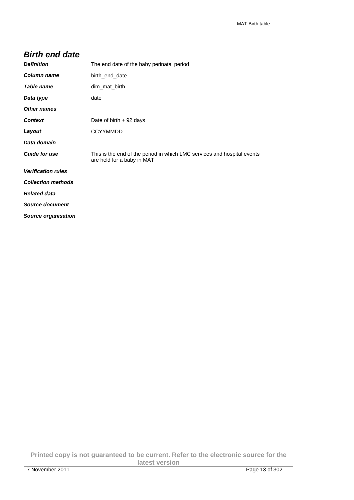#### **Birth end date**

| <b>Definition</b>          | The end date of the baby perinatal period                                                             |
|----------------------------|-------------------------------------------------------------------------------------------------------|
| Column name                | birth end date                                                                                        |
| Table name                 | dim mat birth                                                                                         |
| Data type                  | date                                                                                                  |
| <b>Other names</b>         |                                                                                                       |
| <b>Context</b>             | Date of birth $+92$ days                                                                              |
| Layout                     | <b>CCYYMMDD</b>                                                                                       |
| Data domain                |                                                                                                       |
| <b>Guide for use</b>       | This is the end of the period in which LMC services and hospital events<br>are held for a baby in MAT |
| <b>Verification rules</b>  |                                                                                                       |
| <b>Collection methods</b>  |                                                                                                       |
| <b>Related data</b>        |                                                                                                       |
| <b>Source document</b>     |                                                                                                       |
| <b>Source organisation</b> |                                                                                                       |

**Printed copy is not guaranteed to be current. Refer to the electronic source for the latest version**  7 November 2011 Page 13 of 302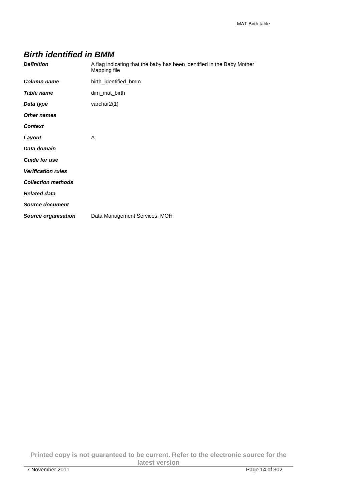### **Birth identified in BMM**

| <b>Definition</b>          | A flag indicating that the baby has been identified in the Baby Mother<br>Mapping file |
|----------------------------|----------------------------------------------------------------------------------------|
| <b>Column name</b>         | birth_identified_bmm                                                                   |
| <b>Table name</b>          | dim_mat_birth                                                                          |
| Data type                  | varchar2(1)                                                                            |
| <b>Other names</b>         |                                                                                        |
| <b>Context</b>             |                                                                                        |
| Layout                     | A                                                                                      |
| Data domain                |                                                                                        |
| <b>Guide for use</b>       |                                                                                        |
| <b>Verification rules</b>  |                                                                                        |
| <b>Collection methods</b>  |                                                                                        |
| <b>Related data</b>        |                                                                                        |
| <b>Source document</b>     |                                                                                        |
| <b>Source organisation</b> | Data Management Services, MOH                                                          |

**Printed copy is not guaranteed to be current. Refer to the electronic source for the latest version**  7 November 2011 Page 14 of 302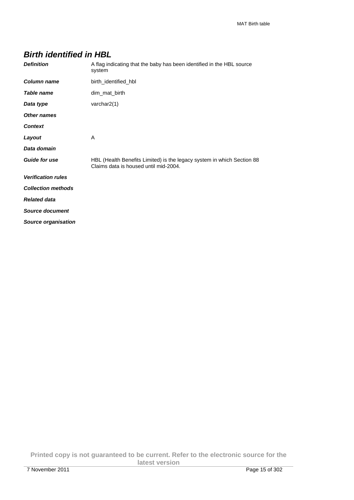## **Birth identified in HBL**

| <b>Definition</b>          | A flag indicating that the baby has been identified in the HBL source<br>system                                 |
|----------------------------|-----------------------------------------------------------------------------------------------------------------|
| <b>Column name</b>         | birth_identified_hbl                                                                                            |
| Table name                 | dim_mat_birth                                                                                                   |
| Data type                  | varchar $2(1)$                                                                                                  |
| <b>Other names</b>         |                                                                                                                 |
| <b>Context</b>             |                                                                                                                 |
| Layout                     | A                                                                                                               |
| Data domain                |                                                                                                                 |
| <b>Guide for use</b>       | HBL (Health Benefits Limited) is the legacy system in which Section 88<br>Claims data is housed until mid-2004. |
| <b>Verification rules</b>  |                                                                                                                 |
| <b>Collection methods</b>  |                                                                                                                 |
| <b>Related data</b>        |                                                                                                                 |
| Source document            |                                                                                                                 |
| <b>Source organisation</b> |                                                                                                                 |

**Printed copy is not guaranteed to be current. Refer to the electronic source for the latest version**  7 November 2011 Page 15 of 302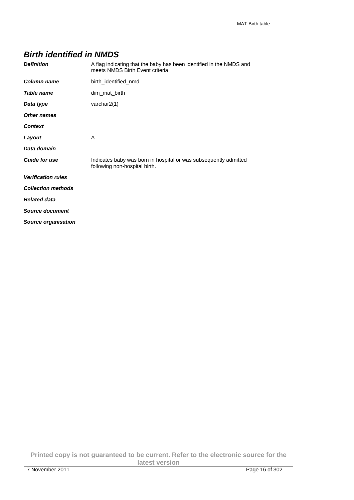### **Birth identified in NMDS**

| <b>Definition</b>          | A flag indicating that the baby has been identified in the NMDS and<br>meets NMDS Birth Event criteria |  |
|----------------------------|--------------------------------------------------------------------------------------------------------|--|
| <b>Column name</b>         | birth_identified_nmd                                                                                   |  |
| <b>Table name</b>          | dim mat birth                                                                                          |  |
| Data type                  | varchar $2(1)$                                                                                         |  |
| Other names                |                                                                                                        |  |
| <b>Context</b>             |                                                                                                        |  |
| Layout                     | A                                                                                                      |  |
| Data domain                |                                                                                                        |  |
| <b>Guide for use</b>       | Indicates baby was born in hospital or was subsequently admitted<br>following non-hospital birth.      |  |
| <b>Verification rules</b>  |                                                                                                        |  |
| <b>Collection methods</b>  |                                                                                                        |  |
| <b>Related data</b>        |                                                                                                        |  |
| <b>Source document</b>     |                                                                                                        |  |
| <b>Source organisation</b> |                                                                                                        |  |

**Printed copy is not guaranteed to be current. Refer to the electronic source for the latest version**  7 November 2011 Page 16 of 302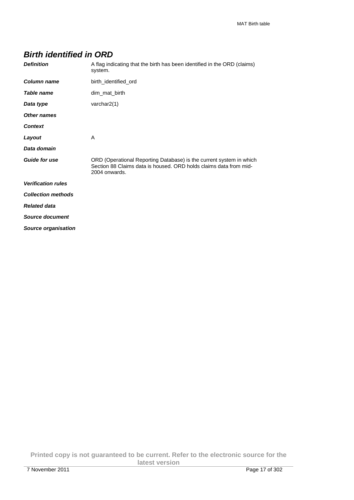### **Birth identified in ORD**

| <b>Definition</b>          | A flag indicating that the birth has been identified in the ORD (claims)<br>system.                                                                       |  |
|----------------------------|-----------------------------------------------------------------------------------------------------------------------------------------------------------|--|
| <b>Column name</b>         | birth_identified_ord                                                                                                                                      |  |
| Table name                 | dim_mat_birth                                                                                                                                             |  |
| Data type                  | varchar2(1)                                                                                                                                               |  |
| <b>Other names</b>         |                                                                                                                                                           |  |
| <b>Context</b>             |                                                                                                                                                           |  |
| Layout                     | A                                                                                                                                                         |  |
| Data domain                |                                                                                                                                                           |  |
| <b>Guide for use</b>       | ORD (Operational Reporting Database) is the current system in which<br>Section 88 Claims data is housed. ORD holds claims data from mid-<br>2004 onwards. |  |
| <b>Verification rules</b>  |                                                                                                                                                           |  |
| <b>Collection methods</b>  |                                                                                                                                                           |  |
| <b>Related data</b>        |                                                                                                                                                           |  |
| Source document            |                                                                                                                                                           |  |
| <b>Source organisation</b> |                                                                                                                                                           |  |

**Printed copy is not guaranteed to be current. Refer to the electronic source for the latest version**  7 November 2011 Page 17 of 302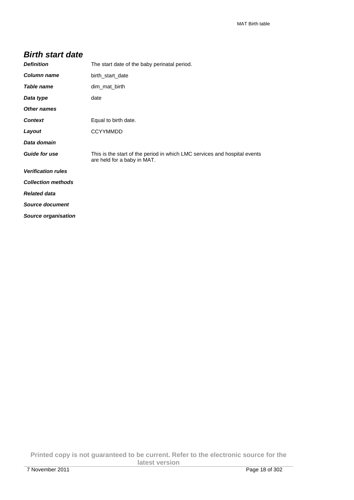#### **Birth start date**

| <b>Definition</b>         | The start date of the baby perinatal period.                                                             |  |
|---------------------------|----------------------------------------------------------------------------------------------------------|--|
| Column name               | birth_start_date                                                                                         |  |
| Table name                | dim_mat_birth                                                                                            |  |
| Data type                 | date                                                                                                     |  |
| <b>Other names</b>        |                                                                                                          |  |
| <b>Context</b>            | Equal to birth date.                                                                                     |  |
| Layout                    | <b>CCYYMMDD</b>                                                                                          |  |
| Data domain               |                                                                                                          |  |
| <b>Guide for use</b>      | This is the start of the period in which LMC services and hospital events<br>are held for a baby in MAT. |  |
| <b>Verification rules</b> |                                                                                                          |  |
| <b>Collection methods</b> |                                                                                                          |  |
| <b>Related data</b>       |                                                                                                          |  |
| <b>Source document</b>    |                                                                                                          |  |
| Source organisation       |                                                                                                          |  |

**Printed copy is not guaranteed to be current. Refer to the electronic source for the latest version**  7 November 2011 Page 18 of 302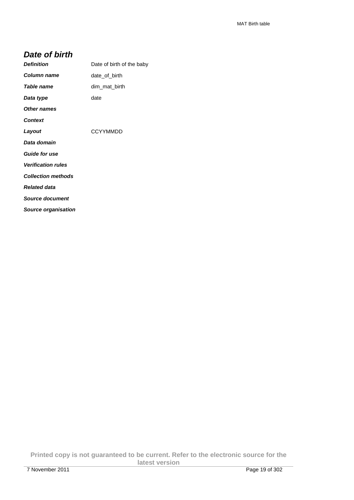#### **Date of birth**

| <b>Definition</b>          | Date of birth of the baby |
|----------------------------|---------------------------|
| Column name                | date of birth             |
| Table name                 | dim mat birth             |
| Data type                  | date                      |
| Other names                |                           |
| <b>Context</b>             |                           |
| Layout                     | <b>CCYYMMDD</b>           |
| Data domain                |                           |
| <b>Guide for use</b>       |                           |
| <b>Verification rules</b>  |                           |
| <b>Collection methods</b>  |                           |
| <b>Related data</b>        |                           |
| Source document            |                           |
| <b>Source organisation</b> |                           |

**Printed copy is not guaranteed to be current. Refer to the electronic source for the latest version**  7 November 2011 Page 19 of 302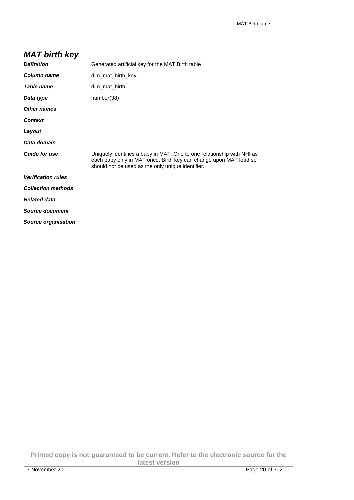## **MAT birth key**

| <b>Definition</b>         | Generated artificial key for the MAT Birth table                                                                                                                                                 |  |
|---------------------------|--------------------------------------------------------------------------------------------------------------------------------------------------------------------------------------------------|--|
| Column name               | dim_mat_birth_key                                                                                                                                                                                |  |
| Table name                | dim_mat_birth                                                                                                                                                                                    |  |
| Data type                 | number(38)                                                                                                                                                                                       |  |
| <b>Other names</b>        |                                                                                                                                                                                                  |  |
| <b>Context</b>            |                                                                                                                                                                                                  |  |
| Layout                    |                                                                                                                                                                                                  |  |
| Data domain               |                                                                                                                                                                                                  |  |
| <b>Guide for use</b>      | Uniquely identifies a baby in MAT. One to one relationship with NHI as<br>each baby only in MAT once. Birth key can change upon MAT load so<br>should not be used as the only unique identifier. |  |
| <b>Verification rules</b> |                                                                                                                                                                                                  |  |
| <b>Collection methods</b> |                                                                                                                                                                                                  |  |
| <b>Related data</b>       |                                                                                                                                                                                                  |  |
| <b>Source document</b>    |                                                                                                                                                                                                  |  |
| Source organisation       |                                                                                                                                                                                                  |  |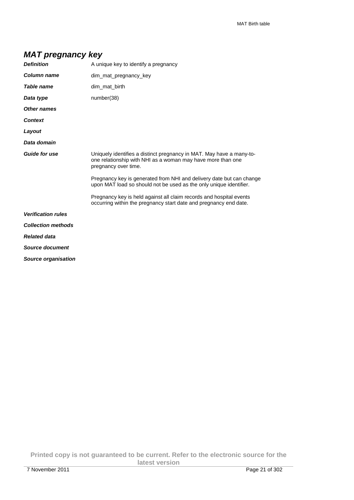## **MAT pregnancy key**

| <b>Definition</b>         | A unique key to identify a pregnancy                                                                                                                        |  |
|---------------------------|-------------------------------------------------------------------------------------------------------------------------------------------------------------|--|
| Column name               | dim mat pregnancy key                                                                                                                                       |  |
| Table name                | dim_mat_birth                                                                                                                                               |  |
| Data type                 | number(38)                                                                                                                                                  |  |
| <b>Other names</b>        |                                                                                                                                                             |  |
| <b>Context</b>            |                                                                                                                                                             |  |
| Layout                    |                                                                                                                                                             |  |
| Data domain               |                                                                                                                                                             |  |
| <b>Guide for use</b>      | Uniquely identifies a distinct pregnancy in MAT. May have a many-to-<br>one relationship with NHI as a woman may have more than one<br>pregnancy over time. |  |
|                           | Pregnancy key is generated from NHI and delivery date but can change<br>upon MAT load so should not be used as the only unique identifier.                  |  |
|                           | Pregnancy key is held against all claim records and hospital events<br>occurring within the pregnancy start date and pregnancy end date.                    |  |
| <b>Verification rules</b> |                                                                                                                                                             |  |
| <b>Collection methods</b> |                                                                                                                                                             |  |
| <b>Related data</b>       |                                                                                                                                                             |  |
| Source document           |                                                                                                                                                             |  |
| Source organisation       |                                                                                                                                                             |  |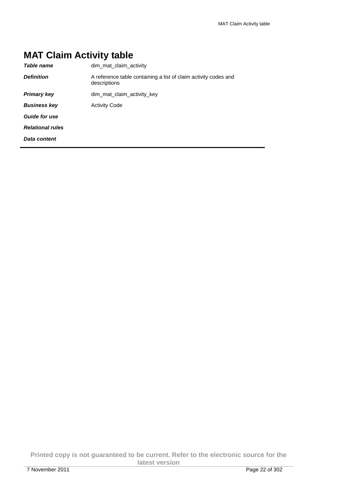# **MAT Claim Activity table**

| Table name              | dim_mat_claim_activity                                                          |
|-------------------------|---------------------------------------------------------------------------------|
| <b>Definition</b>       | A reference table containing a list of claim activity codes and<br>descriptions |
| <b>Primary key</b>      | dim mat claim activity key                                                      |
| <b>Business key</b>     | <b>Activity Code</b>                                                            |
| <b>Guide for use</b>    |                                                                                 |
| <b>Relational rules</b> |                                                                                 |
| Data content            |                                                                                 |
|                         |                                                                                 |

**Printed copy is not guaranteed to be current. Refer to the electronic source for the latest version**  7 November 2011 Page 22 of 302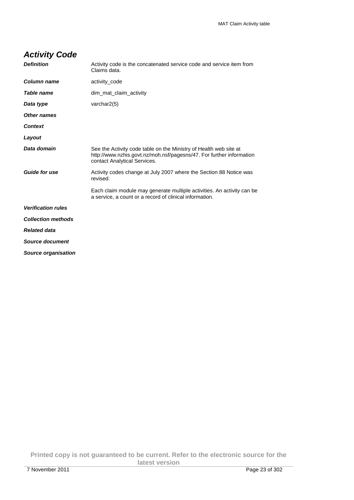## **Activity Code**

| <b>Definition</b>          | Activity code is the concatenated service code and service item from<br>Claims data.                                                                                      |  |
|----------------------------|---------------------------------------------------------------------------------------------------------------------------------------------------------------------------|--|
| Column name                | activity_code                                                                                                                                                             |  |
| <b>Table name</b>          | dim mat claim activity                                                                                                                                                    |  |
| Data type                  | varchar $2(5)$                                                                                                                                                            |  |
| Other names                |                                                                                                                                                                           |  |
| <b>Context</b>             |                                                                                                                                                                           |  |
| Layout                     |                                                                                                                                                                           |  |
| Data domain                | See the Activity code table on the Ministry of Health web site at<br>http://www.nzhis.govt.nz/moh.nsf/pagesns/47. For further information<br>contact Analytical Services. |  |
| <b>Guide for use</b>       | Activity codes change at July 2007 where the Section 88 Notice was<br>revised.                                                                                            |  |
|                            | Each claim module may generate multiple activities. An activity can be<br>a service, a count or a record of clinical information.                                         |  |
| <b>Verification rules</b>  |                                                                                                                                                                           |  |
| <b>Collection methods</b>  |                                                                                                                                                                           |  |
| <b>Related data</b>        |                                                                                                                                                                           |  |
| Source document            |                                                                                                                                                                           |  |
| <b>Source organisation</b> |                                                                                                                                                                           |  |
|                            |                                                                                                                                                                           |  |

**Printed copy is not guaranteed to be current. Refer to the electronic source for the latest version**  7 November 2011 Page 23 of 302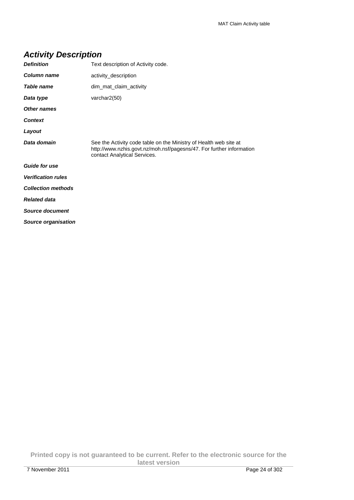|  | <b>Activity Description</b> |
|--|-----------------------------|
|--|-----------------------------|

| <b>Definition</b>         | Text description of Activity code.                                                                                                                                        |  |
|---------------------------|---------------------------------------------------------------------------------------------------------------------------------------------------------------------------|--|
| Column name               | activity_description                                                                                                                                                      |  |
| Table name                | dim_mat_claim_activity                                                                                                                                                    |  |
| Data type                 | varchar2(50)                                                                                                                                                              |  |
| Other names               |                                                                                                                                                                           |  |
| <b>Context</b>            |                                                                                                                                                                           |  |
| Layout                    |                                                                                                                                                                           |  |
| Data domain               | See the Activity code table on the Ministry of Health web site at<br>http://www.nzhis.govt.nz/moh.nsf/pagesns/47. For further information<br>contact Analytical Services. |  |
| <b>Guide for use</b>      |                                                                                                                                                                           |  |
| <b>Verification rules</b> |                                                                                                                                                                           |  |
| <b>Collection methods</b> |                                                                                                                                                                           |  |
| <b>Related data</b>       |                                                                                                                                                                           |  |
| Source document           |                                                                                                                                                                           |  |
| Source organisation       |                                                                                                                                                                           |  |

**Printed copy is not guaranteed to be current. Refer to the electronic source for the latest version**  7 November 2011 Page 24 of 302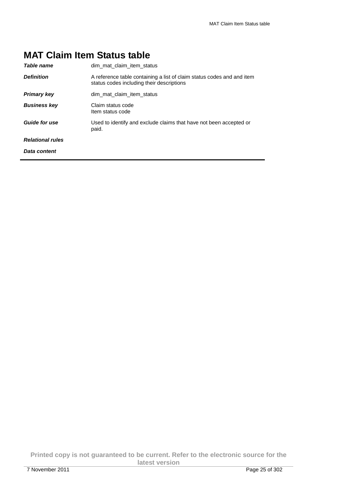# **MAT Claim Item Status table**

| <b>Table name</b>       | dim mat claim item status                                                                                           |  |
|-------------------------|---------------------------------------------------------------------------------------------------------------------|--|
| <b>Definition</b>       | A reference table containing a list of claim status codes and and item<br>status codes including their descriptions |  |
| <b>Primary key</b>      | dim mat claim item status                                                                                           |  |
| <b>Business key</b>     | Claim status code<br>Item status code                                                                               |  |
| <b>Guide for use</b>    | Used to identify and exclude claims that have not been accepted or<br>paid.                                         |  |
| <b>Relational rules</b> |                                                                                                                     |  |
| Data content            |                                                                                                                     |  |

**Printed copy is not guaranteed to be current. Refer to the electronic source for the latest version**  7 November 2011 Page 25 of 302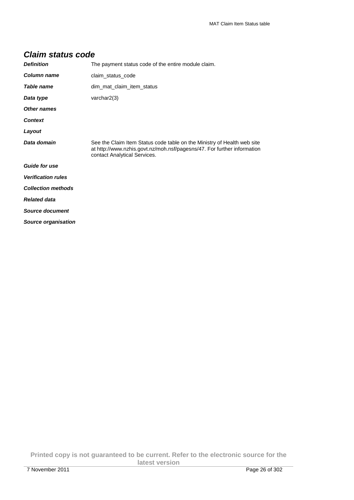| <b>Claim status code</b> |  |  |
|--------------------------|--|--|
|--------------------------|--|--|

| <b>Definition</b>         | The payment status code of the entire module claim.                                                                                                                                |  |
|---------------------------|------------------------------------------------------------------------------------------------------------------------------------------------------------------------------------|--|
| Column name               | claim_status_code                                                                                                                                                                  |  |
| <b>Table name</b>         | dim_mat_claim_item_status                                                                                                                                                          |  |
| Data type                 | varchar $2(3)$                                                                                                                                                                     |  |
| <b>Other names</b>        |                                                                                                                                                                                    |  |
| <b>Context</b>            |                                                                                                                                                                                    |  |
| Layout                    |                                                                                                                                                                                    |  |
| Data domain               | See the Claim Item Status code table on the Ministry of Health web site<br>at http://www.nzhis.govt.nz/moh.nsf/pagesns/47. For further information<br>contact Analytical Services. |  |
| <b>Guide for use</b>      |                                                                                                                                                                                    |  |
| <b>Verification rules</b> |                                                                                                                                                                                    |  |
| <b>Collection methods</b> |                                                                                                                                                                                    |  |
| <b>Related data</b>       |                                                                                                                                                                                    |  |
| <b>Source document</b>    |                                                                                                                                                                                    |  |
| Source organisation       |                                                                                                                                                                                    |  |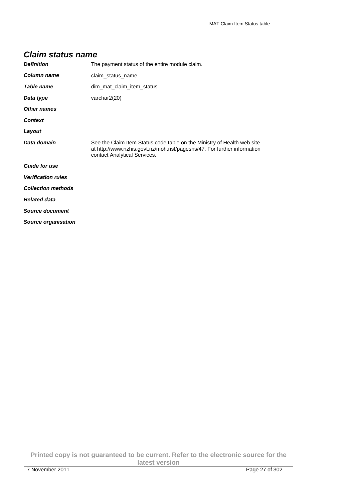| Claim status name         |                                                                                                                                                                                    |
|---------------------------|------------------------------------------------------------------------------------------------------------------------------------------------------------------------------------|
| <b>Definition</b>         | The payment status of the entire module claim.                                                                                                                                     |
| Column name               | claim_status_name                                                                                                                                                                  |
| <b>Table name</b>         | dim mat claim item status                                                                                                                                                          |
| Data type                 | varchar $2(20)$                                                                                                                                                                    |
| Other names               |                                                                                                                                                                                    |
| <b>Context</b>            |                                                                                                                                                                                    |
| Layout                    |                                                                                                                                                                                    |
| Data domain               | See the Claim Item Status code table on the Ministry of Health web site<br>at http://www.nzhis.govt.nz/moh.nsf/pagesns/47. For further information<br>contact Analytical Services. |
| <b>Guide for use</b>      |                                                                                                                                                                                    |
| <b>Verification rules</b> |                                                                                                                                                                                    |
| <b>Collection methods</b> |                                                                                                                                                                                    |
| <b>Related data</b>       |                                                                                                                                                                                    |

## **Claim status name**

**Source document** 

**Source organisation**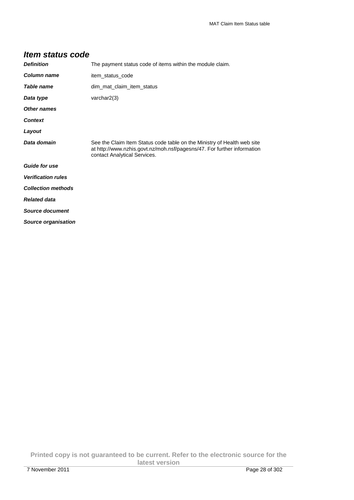| <b>Definition</b>         | The payment status code of items within the module claim.                                                                                                                          |
|---------------------------|------------------------------------------------------------------------------------------------------------------------------------------------------------------------------------|
| Column name               | item_status_code                                                                                                                                                                   |
| Table name                | dim mat claim item status                                                                                                                                                          |
| Data type                 | varchar $2(3)$                                                                                                                                                                     |
| <b>Other names</b>        |                                                                                                                                                                                    |
| <b>Context</b>            |                                                                                                                                                                                    |
| Layout                    |                                                                                                                                                                                    |
| Data domain               | See the Claim Item Status code table on the Ministry of Health web site<br>at http://www.nzhis.govt.nz/moh.nsf/pagesns/47. For further information<br>contact Analytical Services. |
| <b>Guide for use</b>      |                                                                                                                                                                                    |
| <b>Verification rules</b> |                                                                                                                                                                                    |
| <b>Collection methods</b> |                                                                                                                                                                                    |
| <b>Related data</b>       |                                                                                                                                                                                    |
| <b>Source document</b>    |                                                                                                                                                                                    |
| Source organisation       |                                                                                                                                                                                    |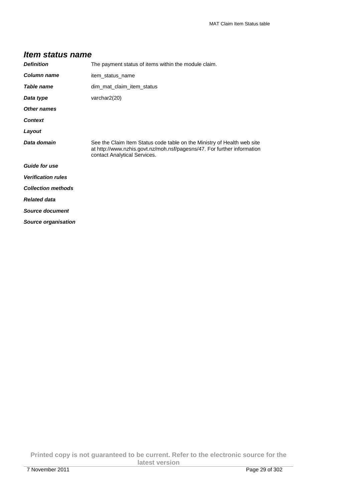| <b>Definition</b>         | The payment status of items within the module claim.                                                                                                                               |  |
|---------------------------|------------------------------------------------------------------------------------------------------------------------------------------------------------------------------------|--|
| Column name               | item_status_name                                                                                                                                                                   |  |
| Table name                | dim mat claim item status                                                                                                                                                          |  |
| Data type                 | varchar $2(20)$                                                                                                                                                                    |  |
| Other names               |                                                                                                                                                                                    |  |
| <b>Context</b>            |                                                                                                                                                                                    |  |
| Layout                    |                                                                                                                                                                                    |  |
| Data domain               | See the Claim Item Status code table on the Ministry of Health web site<br>at http://www.nzhis.govt.nz/moh.nsf/pagesns/47. For further information<br>contact Analytical Services. |  |
| <b>Guide for use</b>      |                                                                                                                                                                                    |  |
| <b>Verification rules</b> |                                                                                                                                                                                    |  |
| <b>Collection methods</b> |                                                                                                                                                                                    |  |
| <b>Related data</b>       |                                                                                                                                                                                    |  |
| <b>Source document</b>    |                                                                                                                                                                                    |  |
| Source organisation       |                                                                                                                                                                                    |  |

#### **Printed copy is not guaranteed to be current. Refer to the electronic source for the latest version**  7 November 2011 Page 29 of 302

**Item status name**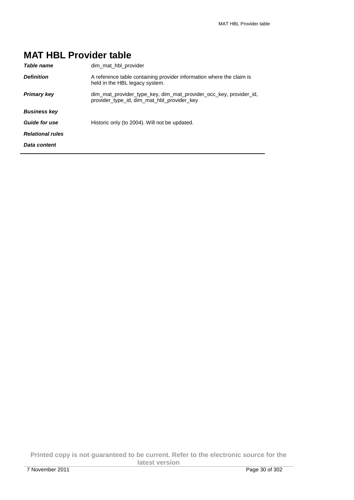# **MAT HBL Provider table**

| Table name              | dim mat hbl provider                                                                                            |
|-------------------------|-----------------------------------------------------------------------------------------------------------------|
| <b>Definition</b>       | A reference table containing provider information where the claim is<br>held in the HBL legacy system.          |
| <b>Primary key</b>      | dim mat provider type key, dim mat provider occ key, provider id,<br>provider_type_id, dim_mat_hbl_provider_key |
| <b>Business kev</b>     |                                                                                                                 |
| Guide for use           | Historic only (to 2004). Will not be updated.                                                                   |
| <b>Relational rules</b> |                                                                                                                 |
| Data content            |                                                                                                                 |
|                         |                                                                                                                 |

**Printed copy is not guaranteed to be current. Refer to the electronic source for the latest version**  7 November 2011 Page 30 of 302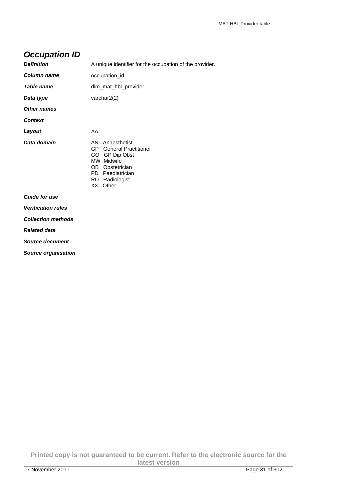## **Occupation ID**

| <b>Definition</b>         | A unique identifier for the occupation of the provider.                                                                                                                    |  |
|---------------------------|----------------------------------------------------------------------------------------------------------------------------------------------------------------------------|--|
| <b>Column name</b>        | occupation_id                                                                                                                                                              |  |
| Table name                | dim_mat_hbl_provider                                                                                                                                                       |  |
| Data type                 | varchar2(2)                                                                                                                                                                |  |
| <b>Other names</b>        |                                                                                                                                                                            |  |
| <b>Context</b>            |                                                                                                                                                                            |  |
| Layout                    | AA                                                                                                                                                                         |  |
| Data domain               | Anaesthetist<br>AN.<br><b>General Practitioner</b><br>GP -<br>GO GP Dip Obst<br>MW Midwife<br>Obstetrician<br>OB<br>Paediatrician<br>PD.<br>Radiologist<br>RD.<br>XX Other |  |
| <b>Guide for use</b>      |                                                                                                                                                                            |  |
| <b>Verification rules</b> |                                                                                                                                                                            |  |
| <b>Collection methods</b> |                                                                                                                                                                            |  |

**Related data** 

**Source document** 

**Source organisation** 

**Printed copy is not guaranteed to be current. Refer to the electronic source for the latest version**  7 November 2011 Page 31 of 302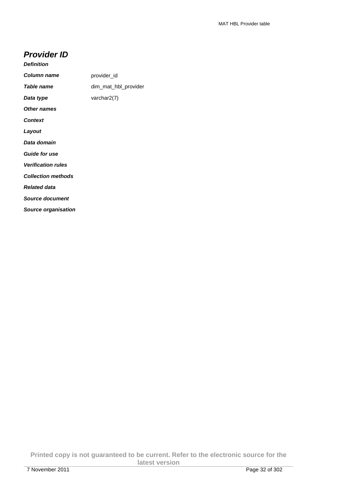#### **Provider ID**

**Source organisation** 

| Column name               | provider id          |
|---------------------------|----------------------|
| Table name                | dim_mat_hbl_provider |
| Data type                 | varchar2(7)          |
| <b>Other names</b>        |                      |
| <b>Context</b>            |                      |
| Layout                    |                      |
| Data domain               |                      |
| <b>Guide for use</b>      |                      |
| <b>Verification rules</b> |                      |
| <b>Collection methods</b> |                      |
| <b>Related data</b>       |                      |
| <b>Source document</b>    |                      |

**Printed copy is not guaranteed to be current. Refer to the electronic source for the latest version**  7 November 2011 Page 32 of 302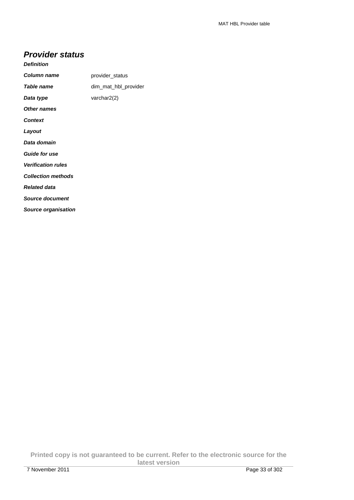#### **Provider status**

**Source organisation** 

|  | <b>Definition</b> |  |
|--|-------------------|--|
|  |                   |  |

| Column name               | provider_status      |
|---------------------------|----------------------|
| Table name                | dim mat hbl provider |
| Data type                 | varchar2(2)          |
| Other names               |                      |
| <b>Context</b>            |                      |
| Layout                    |                      |
| Data domain               |                      |
| <b>Guide for use</b>      |                      |
| <b>Verification rules</b> |                      |
| <b>Collection methods</b> |                      |
| <b>Related data</b>       |                      |
| Source document           |                      |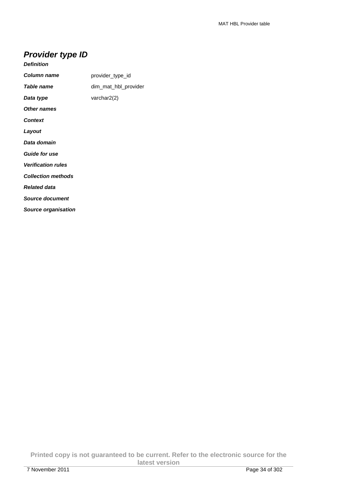## **Provider type ID**

**Source organisation** 

| Table name<br>dim_mat_hbl_provider<br>varchar2(2)<br><b>Context</b><br><b>Guide for use</b><br><b>Verification rules</b> | Column name               | provider_type_id |
|--------------------------------------------------------------------------------------------------------------------------|---------------------------|------------------|
|                                                                                                                          |                           |                  |
|                                                                                                                          | Data type                 |                  |
|                                                                                                                          | Other names               |                  |
|                                                                                                                          |                           |                  |
|                                                                                                                          | Layout                    |                  |
|                                                                                                                          | Data domain               |                  |
|                                                                                                                          |                           |                  |
|                                                                                                                          |                           |                  |
|                                                                                                                          | <b>Collection methods</b> |                  |
|                                                                                                                          | <b>Related data</b>       |                  |
|                                                                                                                          | Source document           |                  |

**Printed copy is not guaranteed to be current. Refer to the electronic source for the latest version**  7 November 2011 Page 34 of 302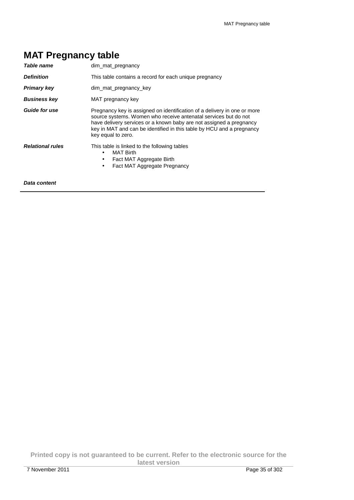|  | <b>MAT Pregnancy table</b> |  |
|--|----------------------------|--|
|--|----------------------------|--|

| Table name              | dim mat pregnancy                                                                                                                                                                                                                                                                                                 |
|-------------------------|-------------------------------------------------------------------------------------------------------------------------------------------------------------------------------------------------------------------------------------------------------------------------------------------------------------------|
| <b>Definition</b>       | This table contains a record for each unique pregnancy                                                                                                                                                                                                                                                            |
| <b>Primary key</b>      | dim mat pregnancy key                                                                                                                                                                                                                                                                                             |
| <b>Business key</b>     | MAT pregnancy key                                                                                                                                                                                                                                                                                                 |
| <b>Guide for use</b>    | Pregnancy key is assigned on identification of a delivery in one or more<br>source systems. Women who receive antenatal services but do not<br>have delivery services or a known baby are not assigned a pregnancy<br>key in MAT and can be identified in this table by HCU and a pregnancy<br>key equal to zero. |
| <b>Relational rules</b> | This table is linked to the following tables<br><b>MAT Birth</b><br>Fact MAT Aggregate Birth<br>Fact MAT Aggregate Pregnancy<br>$\bullet$                                                                                                                                                                         |
| Data content            |                                                                                                                                                                                                                                                                                                                   |

**Printed copy is not guaranteed to be current. Refer to the electronic source for the latest version**  7 November 2011 Page 35 of 302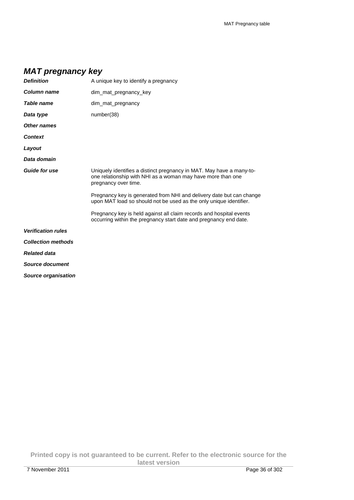# **MAT pregnancy key**

| <b>Definition</b>         | A unique key to identify a pregnancy                                                                                                                        |
|---------------------------|-------------------------------------------------------------------------------------------------------------------------------------------------------------|
| Column name               | dim_mat_pregnancy_key                                                                                                                                       |
| Table name                | dim mat pregnancy                                                                                                                                           |
| Data type                 | number(38)                                                                                                                                                  |
| <b>Other names</b>        |                                                                                                                                                             |
| <b>Context</b>            |                                                                                                                                                             |
| Layout                    |                                                                                                                                                             |
| Data domain               |                                                                                                                                                             |
| <b>Guide for use</b>      | Uniquely identifies a distinct pregnancy in MAT. May have a many-to-<br>one relationship with NHI as a woman may have more than one<br>pregnancy over time. |
|                           | Pregnancy key is generated from NHI and delivery date but can change<br>upon MAT load so should not be used as the only unique identifier.                  |
|                           | Pregnancy key is held against all claim records and hospital events<br>occurring within the pregnancy start date and pregnancy end date.                    |
| <b>Verification rules</b> |                                                                                                                                                             |
| <b>Collection methods</b> |                                                                                                                                                             |
| <b>Related data</b>       |                                                                                                                                                             |
| Source document           |                                                                                                                                                             |
| Source organisation       |                                                                                                                                                             |
|                           |                                                                                                                                                             |

**Printed copy is not guaranteed to be current. Refer to the electronic source for the latest version**  7 November 2011 Page 36 of 302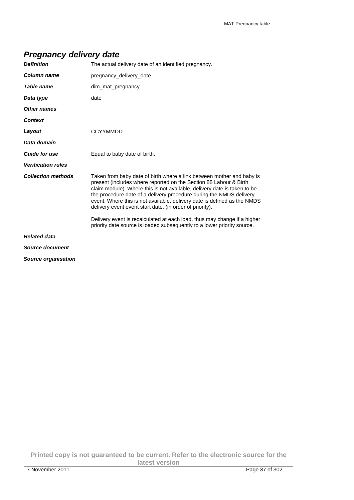## **Pregnancy delivery date**

| <b>Definition</b>          | The actual delivery date of an identified pregnancy.                                                                                                                                                                                                                                                                                                                                                                                  |
|----------------------------|---------------------------------------------------------------------------------------------------------------------------------------------------------------------------------------------------------------------------------------------------------------------------------------------------------------------------------------------------------------------------------------------------------------------------------------|
| Column name                | pregnancy_delivery_date                                                                                                                                                                                                                                                                                                                                                                                                               |
| Table name                 | dim mat pregnancy                                                                                                                                                                                                                                                                                                                                                                                                                     |
| Data type                  | date                                                                                                                                                                                                                                                                                                                                                                                                                                  |
| Other names                |                                                                                                                                                                                                                                                                                                                                                                                                                                       |
| <b>Context</b>             |                                                                                                                                                                                                                                                                                                                                                                                                                                       |
| Layout                     | <b>CCYYMMDD</b>                                                                                                                                                                                                                                                                                                                                                                                                                       |
| Data domain                |                                                                                                                                                                                                                                                                                                                                                                                                                                       |
| <b>Guide for use</b>       | Equal to baby date of birth.                                                                                                                                                                                                                                                                                                                                                                                                          |
| <b>Verification rules</b>  |                                                                                                                                                                                                                                                                                                                                                                                                                                       |
| <b>Collection methods</b>  | Taken from baby date of birth where a link between mother and baby is<br>present (includes where reported on the Section 88 Labour & Birth<br>claim module). Where this is not available, delivery date is taken to be<br>the procedure date of a delivery procedure during the NMDS delivery<br>event. Where this is not available, delivery date is defined as the NMDS<br>delivery event event start date. (in order of priority). |
|                            | Delivery event is recalculated at each load, thus may change if a higher<br>priority date source is loaded subsequently to a lower priority source.                                                                                                                                                                                                                                                                                   |
| <b>Related data</b>        |                                                                                                                                                                                                                                                                                                                                                                                                                                       |
| Source document            |                                                                                                                                                                                                                                                                                                                                                                                                                                       |
| <b>Source organisation</b> |                                                                                                                                                                                                                                                                                                                                                                                                                                       |

**Printed copy is not guaranteed to be current. Refer to the electronic source for the latest version**  7 November 2011 Page 37 of 302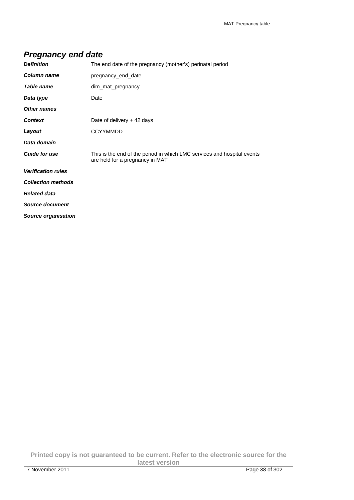## **Pregnancy end date**

| <b>Definition</b>          | The end date of the pregnancy (mother's) perinatal period                                                  |
|----------------------------|------------------------------------------------------------------------------------------------------------|
| Column name                | pregnancy end date                                                                                         |
| Table name                 | dim_mat_pregnancy                                                                                          |
| Data type                  | Date                                                                                                       |
| <b>Other names</b>         |                                                                                                            |
| <b>Context</b>             | Date of delivery + 42 days                                                                                 |
| Layout                     | <b>CCYYMMDD</b>                                                                                            |
| Data domain                |                                                                                                            |
| <b>Guide for use</b>       | This is the end of the period in which LMC services and hospital events<br>are held for a pregnancy in MAT |
| <b>Verification rules</b>  |                                                                                                            |
| <b>Collection methods</b>  |                                                                                                            |
| <b>Related data</b>        |                                                                                                            |
| <b>Source document</b>     |                                                                                                            |
| <b>Source organisation</b> |                                                                                                            |

**Printed copy is not guaranteed to be current. Refer to the electronic source for the latest version**  7 November 2011 Page 38 of 302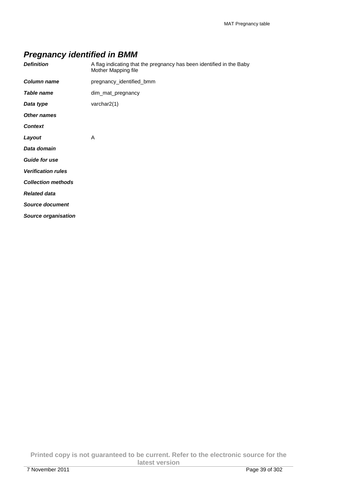# **Pregnancy identified in BMM**

| <b>Definition</b>          | A flag indicating that the pregnancy has been identified in the Baby<br>Mother Mapping file |
|----------------------------|---------------------------------------------------------------------------------------------|
| Column name                | pregnancy_identified_bmm                                                                    |
| <b>Table name</b>          | dim_mat_pregnancy                                                                           |
| Data type                  | varchar2(1)                                                                                 |
| <b>Other names</b>         |                                                                                             |
| <b>Context</b>             |                                                                                             |
| Layout                     | A                                                                                           |
| Data domain                |                                                                                             |
| <b>Guide for use</b>       |                                                                                             |
| <b>Verification rules</b>  |                                                                                             |
| <b>Collection methods</b>  |                                                                                             |
| <b>Related data</b>        |                                                                                             |
| <b>Source document</b>     |                                                                                             |
| <b>Source organisation</b> |                                                                                             |

**Printed copy is not guaranteed to be current. Refer to the electronic source for the latest version**  7 November 2011 Page 39 of 302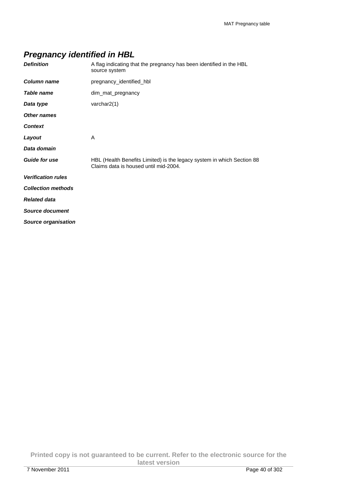# **Pregnancy identified in HBL**

| <b>Definition</b>          | A flag indicating that the pregnancy has been identified in the HBL<br>source system                            |
|----------------------------|-----------------------------------------------------------------------------------------------------------------|
| Column name                | pregnancy identified hbl                                                                                        |
| <b>Table name</b>          | dim_mat_pregnancy                                                                                               |
| Data type                  | varchar $2(1)$                                                                                                  |
| <b>Other names</b>         |                                                                                                                 |
| <b>Context</b>             |                                                                                                                 |
| Layout                     | A                                                                                                               |
| Data domain                |                                                                                                                 |
| <b>Guide for use</b>       | HBL (Health Benefits Limited) is the legacy system in which Section 88<br>Claims data is housed until mid-2004. |
| <b>Verification rules</b>  |                                                                                                                 |
| <b>Collection methods</b>  |                                                                                                                 |
| <b>Related data</b>        |                                                                                                                 |
| Source document            |                                                                                                                 |
| <b>Source organisation</b> |                                                                                                                 |

**Printed copy is not guaranteed to be current. Refer to the electronic source for the latest version**  7 November 2011 Page 40 of 302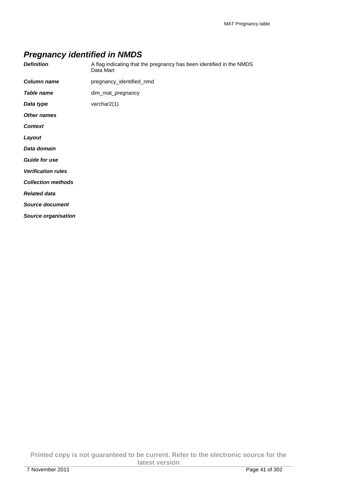## **Pregnancy identified in NMDS**

| <b>Definition</b>          | A flag indicating that the pregnancy has been identified in the NMDS<br>Data Mart |
|----------------------------|-----------------------------------------------------------------------------------|
| <b>Column name</b>         | pregnancy_identified_nmd                                                          |
| Table name                 | dim_mat_pregnancy                                                                 |
| Data type                  | varchar $2(1)$                                                                    |
| <b>Other names</b>         |                                                                                   |
| <b>Context</b>             |                                                                                   |
| Layout                     |                                                                                   |
| Data domain                |                                                                                   |
| <b>Guide for use</b>       |                                                                                   |
| <b>Verification rules</b>  |                                                                                   |
| <b>Collection methods</b>  |                                                                                   |
| <b>Related data</b>        |                                                                                   |
| <b>Source document</b>     |                                                                                   |
| <b>Source organisation</b> |                                                                                   |

**Printed copy is not guaranteed to be current. Refer to the electronic source for the latest version**  7 November 2011 Page 41 of 302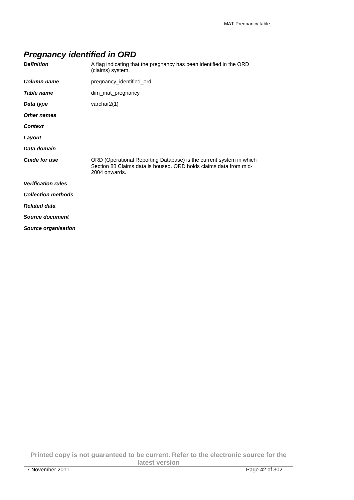# **Pregnancy identified in ORD**

| <b>Definition</b>          | A flag indicating that the pregnancy has been identified in the ORD<br>(claims) system.                                                                   |
|----------------------------|-----------------------------------------------------------------------------------------------------------------------------------------------------------|
| Column name                | pregnancy_identified_ord                                                                                                                                  |
| <b>Table name</b>          | dim_mat_pregnancy                                                                                                                                         |
| Data type                  | varchar $2(1)$                                                                                                                                            |
| <b>Other names</b>         |                                                                                                                                                           |
| <b>Context</b>             |                                                                                                                                                           |
| Layout                     |                                                                                                                                                           |
| Data domain                |                                                                                                                                                           |
| <b>Guide for use</b>       | ORD (Operational Reporting Database) is the current system in which<br>Section 88 Claims data is housed. ORD holds claims data from mid-<br>2004 onwards. |
| <b>Verification rules</b>  |                                                                                                                                                           |
| <b>Collection methods</b>  |                                                                                                                                                           |
| <b>Related data</b>        |                                                                                                                                                           |
| Source document            |                                                                                                                                                           |
| <b>Source organisation</b> |                                                                                                                                                           |

**Printed copy is not guaranteed to be current. Refer to the electronic source for the latest version**  7 November 2011 Page 42 of 302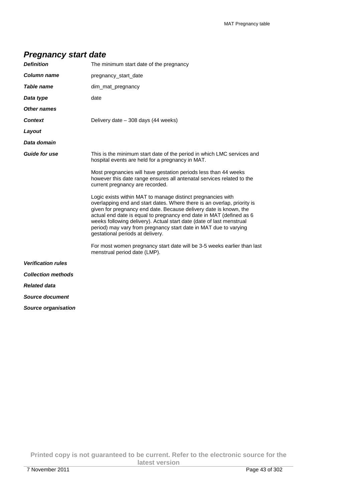## **Pregnancy start date**

| <b>Definition</b>          | The minimum start date of the pregnancy                                                                                                                                                                                                                                                                                                                                                                                                                            |
|----------------------------|--------------------------------------------------------------------------------------------------------------------------------------------------------------------------------------------------------------------------------------------------------------------------------------------------------------------------------------------------------------------------------------------------------------------------------------------------------------------|
| Column name                | pregnancy start date                                                                                                                                                                                                                                                                                                                                                                                                                                               |
| Table name                 | dim_mat_pregnancy                                                                                                                                                                                                                                                                                                                                                                                                                                                  |
| Data type                  | date                                                                                                                                                                                                                                                                                                                                                                                                                                                               |
| Other names                |                                                                                                                                                                                                                                                                                                                                                                                                                                                                    |
| <b>Context</b>             | Delivery date - 308 days (44 weeks)                                                                                                                                                                                                                                                                                                                                                                                                                                |
| Layout                     |                                                                                                                                                                                                                                                                                                                                                                                                                                                                    |
| Data domain                |                                                                                                                                                                                                                                                                                                                                                                                                                                                                    |
| <b>Guide for use</b>       | This is the minimum start date of the period in which LMC services and<br>hospital events are held for a pregnancy in MAT.                                                                                                                                                                                                                                                                                                                                         |
|                            | Most pregnancies will have gestation periods less than 44 weeks<br>however this date range ensures all antenatal services related to the<br>current pregnancy are recorded.                                                                                                                                                                                                                                                                                        |
|                            | Logic exists within MAT to manage distinct pregnancies with<br>overlapping end and start dates. Where there is an overlap, priority is<br>given for pregnancy end date. Because delivery date is known, the<br>actual end date is equal to pregnancy end date in MAT (defined as 6<br>weeks following delivery). Actual start date (date of last menstrual<br>period) may vary from pregnancy start date in MAT due to varying<br>gestational periods at delivery. |
|                            | For most women pregnancy start date will be 3-5 weeks earlier than last<br>menstrual period date (LMP).                                                                                                                                                                                                                                                                                                                                                            |
| <b>Verification rules</b>  |                                                                                                                                                                                                                                                                                                                                                                                                                                                                    |
| <b>Collection methods</b>  |                                                                                                                                                                                                                                                                                                                                                                                                                                                                    |
| <b>Related data</b>        |                                                                                                                                                                                                                                                                                                                                                                                                                                                                    |
| <b>Source document</b>     |                                                                                                                                                                                                                                                                                                                                                                                                                                                                    |
| <b>Source organisation</b> |                                                                                                                                                                                                                                                                                                                                                                                                                                                                    |

**Printed copy is not guaranteed to be current. Refer to the electronic source for the latest version**  7 November 2011 Page 43 of 302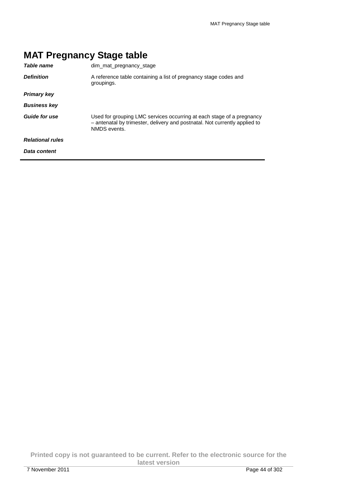| Table name              | dim mat pregnancy stage                                                                                                                                             |
|-------------------------|---------------------------------------------------------------------------------------------------------------------------------------------------------------------|
| <b>Definition</b>       | A reference table containing a list of pregnancy stage codes and<br>groupings.                                                                                      |
| <b>Primary key</b>      |                                                                                                                                                                     |
| <b>Business key</b>     |                                                                                                                                                                     |
| <b>Guide for use</b>    | Used for grouping LMC services occurring at each stage of a pregnancy<br>- antenatal by trimester, delivery and postnatal. Not currently applied to<br>NMDS events. |
| <b>Relational rules</b> |                                                                                                                                                                     |
| Data content            |                                                                                                                                                                     |

# **MAT Pregnancy Stage table**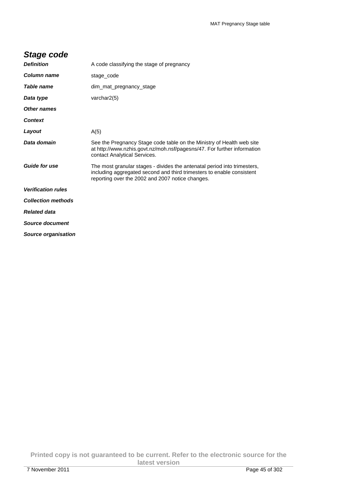# **Stage code**

| <b>Definition</b>         | A code classifying the stage of pregnancy                                                                                                                                                             |
|---------------------------|-------------------------------------------------------------------------------------------------------------------------------------------------------------------------------------------------------|
| Column name               | stage_code                                                                                                                                                                                            |
| Table name                | dim mat pregnancy stage                                                                                                                                                                               |
| Data type                 | varchar $2(5)$                                                                                                                                                                                        |
| Other names               |                                                                                                                                                                                                       |
| <b>Context</b>            |                                                                                                                                                                                                       |
| Layout                    | A(5)                                                                                                                                                                                                  |
| Data domain               | See the Pregnancy Stage code table on the Ministry of Health web site<br>at http://www.nzhis.govt.nz/moh.nsf/pagesns/47. For further information<br>contact Analytical Services.                      |
| <b>Guide for use</b>      | The most granular stages - divides the antenatal period into trimesters,<br>including aggregated second and third trimesters to enable consistent<br>reporting over the 2002 and 2007 notice changes. |
| <b>Verification rules</b> |                                                                                                                                                                                                       |
| <b>Collection methods</b> |                                                                                                                                                                                                       |
| <b>Related data</b>       |                                                                                                                                                                                                       |
| Source document           |                                                                                                                                                                                                       |
| Source organisation       |                                                                                                                                                                                                       |

**Printed copy is not guaranteed to be current. Refer to the electronic source for the latest version**  7 November 2011 Page 45 of 302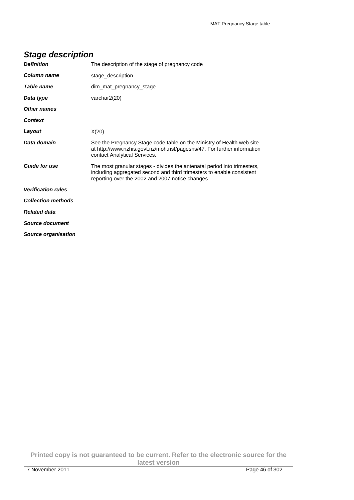| <b>Definition</b>          | The description of the stage of pregnancy code                                                                                                                                                        |
|----------------------------|-------------------------------------------------------------------------------------------------------------------------------------------------------------------------------------------------------|
| <b>Column name</b>         | stage_description                                                                                                                                                                                     |
| Table name                 | dim mat pregnancy stage                                                                                                                                                                               |
| Data type                  | varchar2(20)                                                                                                                                                                                          |
| <b>Other names</b>         |                                                                                                                                                                                                       |
| <b>Context</b>             |                                                                                                                                                                                                       |
| Layout                     | X(20)                                                                                                                                                                                                 |
| Data domain                | See the Pregnancy Stage code table on the Ministry of Health web site<br>at http://www.nzhis.govt.nz/moh.nsf/pagesns/47. For further information<br>contact Analytical Services.                      |
| <b>Guide for use</b>       | The most granular stages - divides the antenatal period into trimesters,<br>including aggregated second and third trimesters to enable consistent<br>reporting over the 2002 and 2007 notice changes. |
| <b>Verification rules</b>  |                                                                                                                                                                                                       |
| <b>Collection methods</b>  |                                                                                                                                                                                                       |
| <b>Related data</b>        |                                                                                                                                                                                                       |
| Source document            |                                                                                                                                                                                                       |
| <b>Source organisation</b> |                                                                                                                                                                                                       |

# **Stage description**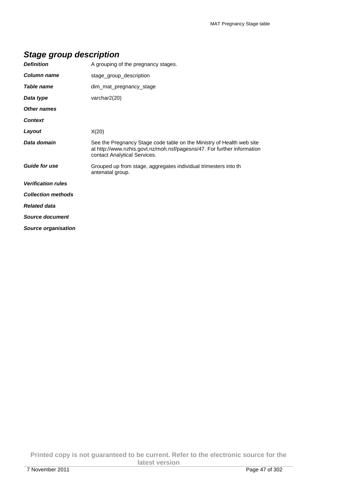## **Stage group description**

| <b>Definition</b>          | A grouping of the pregnancy stages.                                                                                                                                              |
|----------------------------|----------------------------------------------------------------------------------------------------------------------------------------------------------------------------------|
| Column name                | stage_group_description                                                                                                                                                          |
| <b>Table name</b>          | dim_mat_pregnancy_stage                                                                                                                                                          |
| Data type                  | varchar2(20)                                                                                                                                                                     |
| <b>Other names</b>         |                                                                                                                                                                                  |
| <b>Context</b>             |                                                                                                                                                                                  |
| Layout                     | X(20)                                                                                                                                                                            |
| Data domain                | See the Pregnancy Stage code table on the Ministry of Health web site<br>at http://www.nzhis.govt.nz/moh.nsf/pagesns/47. For further information<br>contact Analytical Services. |
| <b>Guide for use</b>       | Grouped up from stage, aggregates individual trimesters into th<br>antenatal group.                                                                                              |
| <b>Verification rules</b>  |                                                                                                                                                                                  |
| <b>Collection methods</b>  |                                                                                                                                                                                  |
| <b>Related data</b>        |                                                                                                                                                                                  |
| <b>Source document</b>     |                                                                                                                                                                                  |
| <b>Source organisation</b> |                                                                                                                                                                                  |

**Printed copy is not guaranteed to be current. Refer to the electronic source for the latest version**  7 November 2011 Page 47 of 302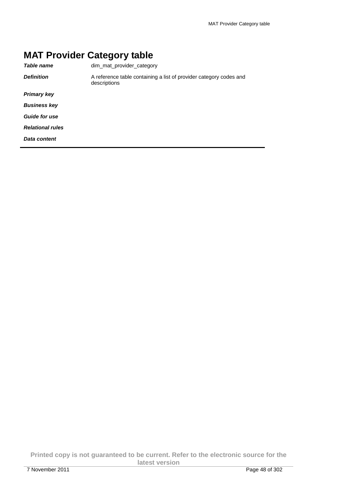# **MAT Provider Category table**

| dim mat provider category                                                          |
|------------------------------------------------------------------------------------|
| A reference table containing a list of provider category codes and<br>descriptions |
|                                                                                    |
|                                                                                    |
|                                                                                    |
|                                                                                    |
|                                                                                    |
|                                                                                    |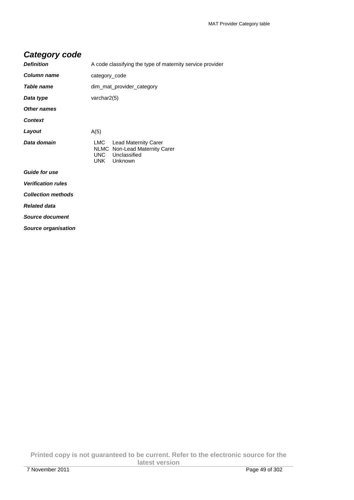## **Category code**

| <b>Definition</b>         | A code classifying the type of maternity service provider                                              |  |
|---------------------------|--------------------------------------------------------------------------------------------------------|--|
| Column name               | category_code                                                                                          |  |
| <b>Table name</b>         | dim mat provider category                                                                              |  |
| Data type                 | varchar2(5)                                                                                            |  |
| <b>Other names</b>        |                                                                                                        |  |
| <b>Context</b>            |                                                                                                        |  |
| Layout                    | A(5)                                                                                                   |  |
| Data domain               | LMC Lead Maternity Carer<br><b>NLMC</b> Non-Lead Maternity Carer<br>UNC Unclassified<br>UNK<br>Unknown |  |
| <b>Guide for use</b>      |                                                                                                        |  |
| <b>Verification rules</b> |                                                                                                        |  |
| <b>Collection methods</b> |                                                                                                        |  |
| <b>Related data</b>       |                                                                                                        |  |
| Source document           |                                                                                                        |  |
| Source organisation       |                                                                                                        |  |

**Printed copy is not guaranteed to be current. Refer to the electronic source for the latest version**  7 November 2011 Page 49 of 302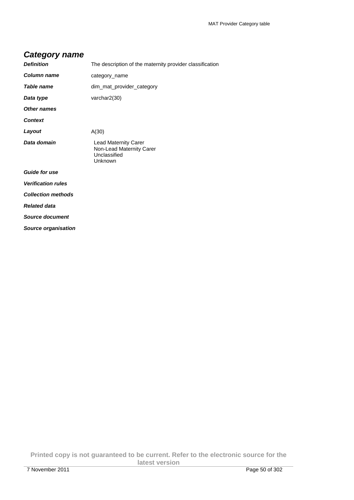#### **Category name**

| <b>Definition</b>         | The description of the maternity provider classification                           |
|---------------------------|------------------------------------------------------------------------------------|
| Column name               | category_name                                                                      |
| Table name                | dim_mat_provider_category                                                          |
| Data type                 | varchar2(30)                                                                       |
| Other names               |                                                                                    |
| Context                   |                                                                                    |
| Layout                    | A(30)                                                                              |
| Data domain               | <b>Lead Maternity Carer</b><br>Non-Lead Maternity Carer<br>Unclassified<br>Unknown |
| <b>Guide for use</b>      |                                                                                    |
| <b>Verification rules</b> |                                                                                    |
| <b>Collection methods</b> |                                                                                    |
| <b>Related data</b>       |                                                                                    |
| <b>Source document</b>    |                                                                                    |
| Source organisation       |                                                                                    |

**Printed copy is not guaranteed to be current. Refer to the electronic source for the latest version**  7 November 2011 Page 50 of 302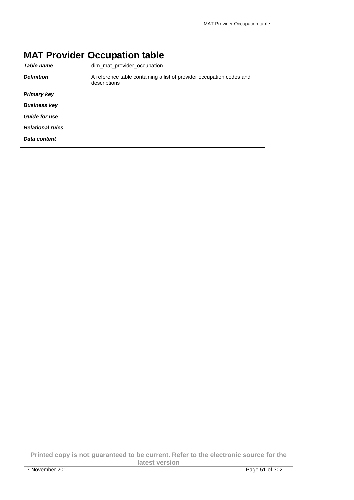# **MAT Provider Occupation table**

| dim mat provider occupation                                                          |
|--------------------------------------------------------------------------------------|
| A reference table containing a list of provider occupation codes and<br>descriptions |
|                                                                                      |
|                                                                                      |
|                                                                                      |
|                                                                                      |
|                                                                                      |
|                                                                                      |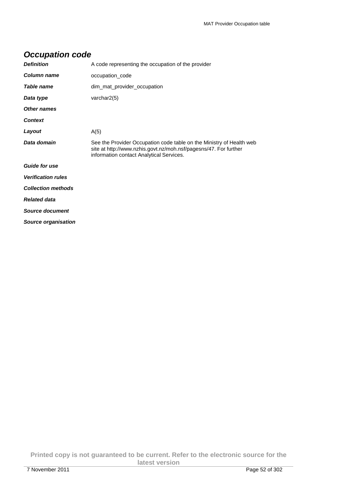| Occupation couc            |                                                                                                                                                                                      |
|----------------------------|--------------------------------------------------------------------------------------------------------------------------------------------------------------------------------------|
| <b>Definition</b>          | A code representing the occupation of the provider                                                                                                                                   |
| Column name                | occupation code                                                                                                                                                                      |
| Table name                 | dim_mat_provider_occupation                                                                                                                                                          |
| Data type                  | varchar2(5)                                                                                                                                                                          |
| Other names                |                                                                                                                                                                                      |
| <b>Context</b>             |                                                                                                                                                                                      |
| Layout                     | A(5)                                                                                                                                                                                 |
| Data domain                | See the Provider Occupation code table on the Ministry of Health web<br>site at http://www.nzhis.govt.nz/moh.nsf/pagesns/47. For further<br>information contact Analytical Services. |
| <b>Guide for use</b>       |                                                                                                                                                                                      |
| <b>Verification rules</b>  |                                                                                                                                                                                      |
| <b>Collection methods</b>  |                                                                                                                                                                                      |
| <b>Related data</b>        |                                                                                                                                                                                      |
| Source document            |                                                                                                                                                                                      |
| <b>Source organisation</b> |                                                                                                                                                                                      |

#### **Occupation code**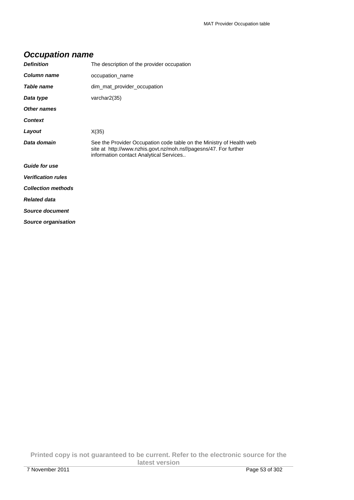| Occupation name           |                                                                                                                                                                                     |  |
|---------------------------|-------------------------------------------------------------------------------------------------------------------------------------------------------------------------------------|--|
| <b>Definition</b>         | The description of the provider occupation                                                                                                                                          |  |
| Column name               | occupation name                                                                                                                                                                     |  |
| Table name                | dim_mat_provider_occupation                                                                                                                                                         |  |
| Data type                 | varchar2(35)                                                                                                                                                                        |  |
| <b>Other names</b>        |                                                                                                                                                                                     |  |
| <b>Context</b>            |                                                                                                                                                                                     |  |
| Layout                    | X(35)                                                                                                                                                                               |  |
| Data domain               | See the Provider Occupation code table on the Ministry of Health web<br>site at http://www.nzhis.govt.nz/moh.nsf/pagesns/47. For further<br>information contact Analytical Services |  |
| <b>Guide for use</b>      |                                                                                                                                                                                     |  |
| <b>Verification rules</b> |                                                                                                                                                                                     |  |
| <b>Collection methods</b> |                                                                                                                                                                                     |  |
| <b>Related data</b>       |                                                                                                                                                                                     |  |
| Source document           |                                                                                                                                                                                     |  |
| Source organisation       |                                                                                                                                                                                     |  |

#### **Occupation name**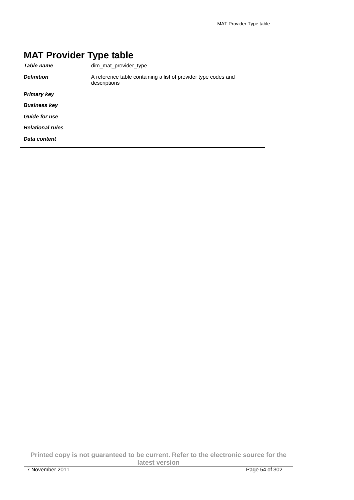# **MAT Provider Type table**

| Table name              | dim mat provider type                                                          |
|-------------------------|--------------------------------------------------------------------------------|
| <b>Definition</b>       | A reference table containing a list of provider type codes and<br>descriptions |
| <b>Primary key</b>      |                                                                                |
| <b>Business key</b>     |                                                                                |
| <b>Guide for use</b>    |                                                                                |
| <b>Relational rules</b> |                                                                                |
| Data content            |                                                                                |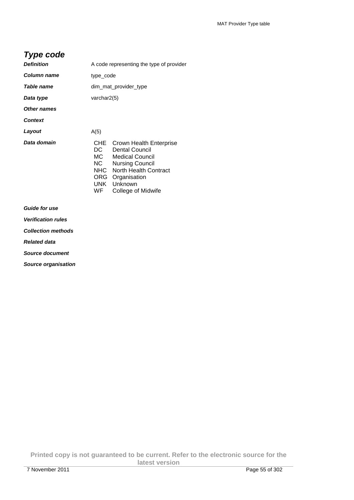#### **Type code**

| <b>Definition</b>  | A code representing the type of provider             |                                                                                                                                                                                |
|--------------------|------------------------------------------------------|--------------------------------------------------------------------------------------------------------------------------------------------------------------------------------|
| Column name        | type_code                                            |                                                                                                                                                                                |
| Table name         | dim_mat_provider_type                                |                                                                                                                                                                                |
| Data type          | varchar2(5)                                          |                                                                                                                                                                                |
| <b>Other names</b> |                                                      |                                                                                                                                                                                |
| <b>Context</b>     |                                                      |                                                                                                                                                                                |
| Layout             | A(5)                                                 |                                                                                                                                                                                |
| Data domain        | CHE<br>DC<br>MC<br>NC -<br>NHC .<br>ORG<br>UNK<br>WF | <b>Crown Health Enterprise</b><br>Dental Council<br><b>Medical Council</b><br><b>Nursing Council</b><br>North Health Contract<br>Organisation<br>Unknown<br>College of Midwife |

**Guide for use** 

**Verification rules** 

**Collection methods** 

**Related data** 

**Source document** 

**Source organisation**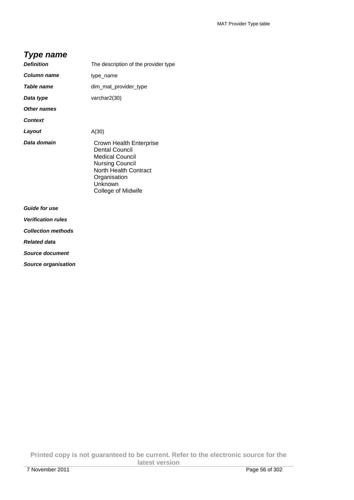#### **Type name**

| <b>Definition</b>         | The description of the provider type                                                                                                                                    |
|---------------------------|-------------------------------------------------------------------------------------------------------------------------------------------------------------------------|
| Column name               | type_name                                                                                                                                                               |
| <b>Table name</b>         | dim_mat_provider_type                                                                                                                                                   |
| Data type                 | varchar2(30)                                                                                                                                                            |
| Other names               |                                                                                                                                                                         |
| <b>Context</b>            |                                                                                                                                                                         |
| Layout                    | A(30)                                                                                                                                                                   |
| Data domain               | Crown Health Enterprise<br>Dental Council<br><b>Medical Council</b><br><b>Nursing Council</b><br>North Health Contract<br>Organisation<br>Unknown<br>College of Midwife |
| <b>Guide for use</b>      |                                                                                                                                                                         |
| <b>Verification rules</b> |                                                                                                                                                                         |

**Collection methods** 

**Related data** 

**Source document** 

**Source organisation**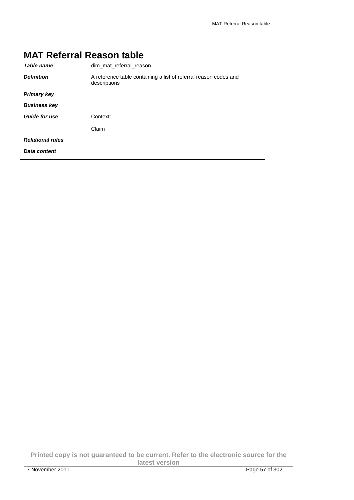| <b>MAT Referral Reason table</b> |                                                                                  |
|----------------------------------|----------------------------------------------------------------------------------|
| Table name                       | dim mat referral reason                                                          |
| <b>Definition</b>                | A reference table containing a list of referral reason codes and<br>descriptions |
| <b>Primary key</b>               |                                                                                  |
| <b>Business key</b>              |                                                                                  |
| <b>Guide for use</b>             | Context:                                                                         |
|                                  | Claim                                                                            |
| <b>Relational rules</b>          |                                                                                  |
| Data content                     |                                                                                  |

# **MAT Referral Reason table**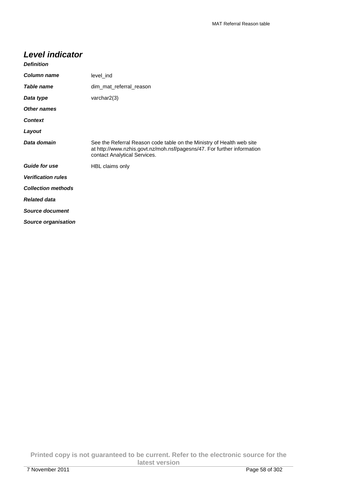### **Level indicator**

| <b>Definition</b>         |                                                                                                                                                                                  |
|---------------------------|----------------------------------------------------------------------------------------------------------------------------------------------------------------------------------|
| <b>Column name</b>        | level_ind                                                                                                                                                                        |
| Table name                | dim_mat_referral_reason                                                                                                                                                          |
| Data type                 | varchar2(3)                                                                                                                                                                      |
| Other names               |                                                                                                                                                                                  |
| <b>Context</b>            |                                                                                                                                                                                  |
| Layout                    |                                                                                                                                                                                  |
| Data domain               | See the Referral Reason code table on the Ministry of Health web site<br>at http://www.nzhis.govt.nz/moh.nsf/pagesns/47. For further information<br>contact Analytical Services. |
| <b>Guide for use</b>      | HBL claims only                                                                                                                                                                  |
| <b>Verification rules</b> |                                                                                                                                                                                  |
| <b>Collection methods</b> |                                                                                                                                                                                  |
| <b>Related data</b>       |                                                                                                                                                                                  |
| Source document           |                                                                                                                                                                                  |
| Source organisation       |                                                                                                                                                                                  |

**Printed copy is not guaranteed to be current. Refer to the electronic source for the latest version**  7 November 2011 Page 58 of 302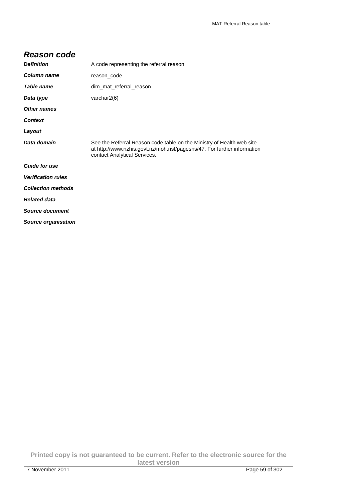#### **Reason code**

| <b>Definition</b>         | A code representing the referral reason                                                                                                                                          |
|---------------------------|----------------------------------------------------------------------------------------------------------------------------------------------------------------------------------|
| Column name               | reason code                                                                                                                                                                      |
| Table name                | dim mat referral reason                                                                                                                                                          |
| Data type                 | varchar $2(6)$                                                                                                                                                                   |
| <b>Other names</b>        |                                                                                                                                                                                  |
| <b>Context</b>            |                                                                                                                                                                                  |
| Layout                    |                                                                                                                                                                                  |
| Data domain               | See the Referral Reason code table on the Ministry of Health web site<br>at http://www.nzhis.govt.nz/moh.nsf/pagesns/47. For further information<br>contact Analytical Services. |
| <b>Guide for use</b>      |                                                                                                                                                                                  |
| <b>Verification rules</b> |                                                                                                                                                                                  |
| <b>Collection methods</b> |                                                                                                                                                                                  |
| <b>Related data</b>       |                                                                                                                                                                                  |
| <b>Source document</b>    |                                                                                                                                                                                  |
| Source organisation       |                                                                                                                                                                                  |

**Printed copy is not guaranteed to be current. Refer to the electronic source for the latest version**  7 November 2011 Page 59 of 302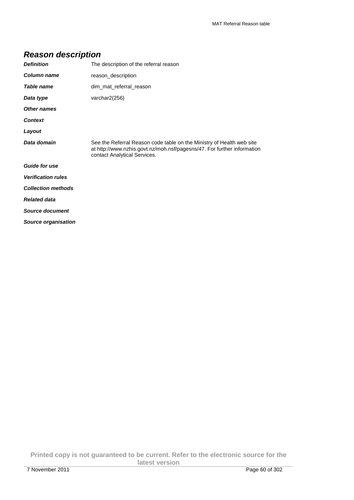## **Reason description**

| <b>Definition</b>         | The description of the referral reason                                                                                                                                           |
|---------------------------|----------------------------------------------------------------------------------------------------------------------------------------------------------------------------------|
| Column name               | reason_description                                                                                                                                                               |
| Table name                | dim mat referral reason                                                                                                                                                          |
| Data type                 | varchar2(256)                                                                                                                                                                    |
| <b>Other names</b>        |                                                                                                                                                                                  |
| <b>Context</b>            |                                                                                                                                                                                  |
| Layout                    |                                                                                                                                                                                  |
| Data domain               | See the Referral Reason code table on the Ministry of Health web site<br>at http://www.nzhis.govt.nz/moh.nsf/pagesns/47. For further information<br>contact Analytical Services. |
| <b>Guide for use</b>      |                                                                                                                                                                                  |
| <b>Verification rules</b> |                                                                                                                                                                                  |
| <b>Collection methods</b> |                                                                                                                                                                                  |
| <b>Related data</b>       |                                                                                                                                                                                  |
| <b>Source document</b>    |                                                                                                                                                                                  |
| Source organisation       |                                                                                                                                                                                  |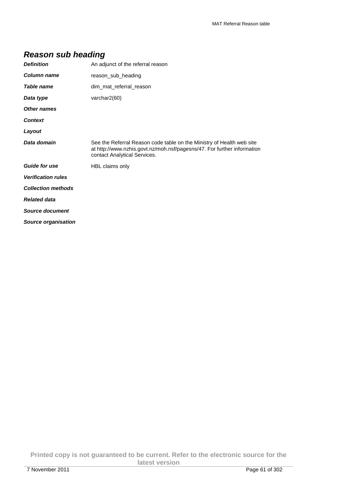| <b>Definition</b>         | An adjunct of the referral reason                                                                                                                                                |
|---------------------------|----------------------------------------------------------------------------------------------------------------------------------------------------------------------------------|
| Column name               | reason sub heading                                                                                                                                                               |
| Table name                | dim_mat_referral_reason                                                                                                                                                          |
| Data type                 | varchar2(60)                                                                                                                                                                     |
| <b>Other names</b>        |                                                                                                                                                                                  |
| <b>Context</b>            |                                                                                                                                                                                  |
| Layout                    |                                                                                                                                                                                  |
| Data domain               | See the Referral Reason code table on the Ministry of Health web site<br>at http://www.nzhis.govt.nz/moh.nsf/pagesns/47. For further information<br>contact Analytical Services. |
| <b>Guide for use</b>      | HBL claims only                                                                                                                                                                  |
| <b>Verification rules</b> |                                                                                                                                                                                  |
| <b>Collection methods</b> |                                                                                                                                                                                  |
| <b>Related data</b>       |                                                                                                                                                                                  |
| Source document           |                                                                                                                                                                                  |
| Source organisation       |                                                                                                                                                                                  |
|                           |                                                                                                                                                                                  |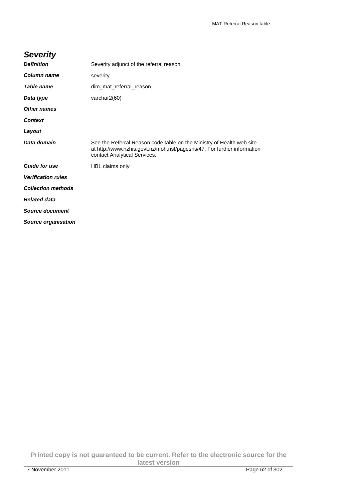## **Severity**

| <b>Definition</b>         | Severity adjunct of the referral reason                                                                                                                                          |
|---------------------------|----------------------------------------------------------------------------------------------------------------------------------------------------------------------------------|
| Column name               | severity                                                                                                                                                                         |
| Table name                | dim_mat_referral_reason                                                                                                                                                          |
| Data type                 | varchar2(60)                                                                                                                                                                     |
| <b>Other names</b>        |                                                                                                                                                                                  |
| <b>Context</b>            |                                                                                                                                                                                  |
| Layout                    |                                                                                                                                                                                  |
| Data domain               | See the Referral Reason code table on the Ministry of Health web site<br>at http://www.nzhis.govt.nz/moh.nsf/pagesns/47. For further information<br>contact Analytical Services. |
| <b>Guide for use</b>      | HBL claims only                                                                                                                                                                  |
| <b>Verification rules</b> |                                                                                                                                                                                  |
| <b>Collection methods</b> |                                                                                                                                                                                  |
| <b>Related data</b>       |                                                                                                                                                                                  |
| <b>Source document</b>    |                                                                                                                                                                                  |
| Source organisation       |                                                                                                                                                                                  |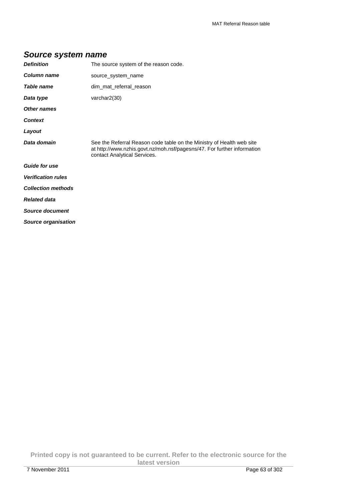#### **Source system name**

| <b>Definition</b>         | The source system of the reason code.                                                                                                                                            |  |
|---------------------------|----------------------------------------------------------------------------------------------------------------------------------------------------------------------------------|--|
| Column name               | source_system_name                                                                                                                                                               |  |
| Table name                | dim_mat_referral_reason                                                                                                                                                          |  |
| Data type                 | varchar2(30)                                                                                                                                                                     |  |
| <b>Other names</b>        |                                                                                                                                                                                  |  |
| <b>Context</b>            |                                                                                                                                                                                  |  |
| Layout                    |                                                                                                                                                                                  |  |
| Data domain               | See the Referral Reason code table on the Ministry of Health web site<br>at http://www.nzhis.govt.nz/moh.nsf/pagesns/47. For further information<br>contact Analytical Services. |  |
| <b>Guide for use</b>      |                                                                                                                                                                                  |  |
| <b>Verification rules</b> |                                                                                                                                                                                  |  |
| <b>Collection methods</b> |                                                                                                                                                                                  |  |
| <b>Related data</b>       |                                                                                                                                                                                  |  |
| <b>Source document</b>    |                                                                                                                                                                                  |  |
| Source organisation       |                                                                                                                                                                                  |  |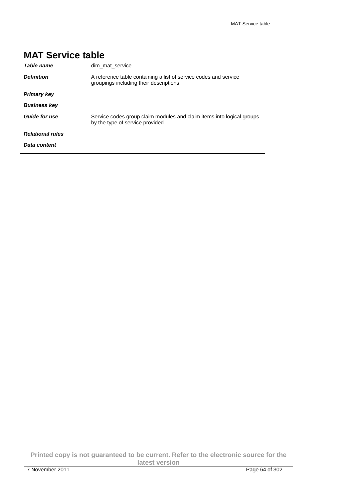| <b>MAI Service table</b> |                                                                                                            |
|--------------------------|------------------------------------------------------------------------------------------------------------|
| Table name               | dim mat service                                                                                            |
| <b>Definition</b>        | A reference table containing a list of service codes and service<br>groupings including their descriptions |
| <b>Primary key</b>       |                                                                                                            |
| <b>Business key</b>      |                                                                                                            |
| Guide for use            | Service codes group claim modules and claim items into logical groups<br>by the type of service provided.  |
| <b>Relational rules</b>  |                                                                                                            |
| Data content             |                                                                                                            |

# **MAT Service table**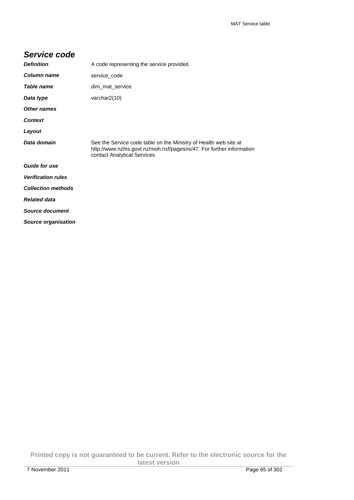#### **Service code**

| <b>Definition</b>          | A code representing the service provided                                                                                                                                 |  |
|----------------------------|--------------------------------------------------------------------------------------------------------------------------------------------------------------------------|--|
| Column name                | service_code                                                                                                                                                             |  |
| Table name                 | dim_mat_service                                                                                                                                                          |  |
| Data type                  | varchar $2(10)$                                                                                                                                                          |  |
| Other names                |                                                                                                                                                                          |  |
| <b>Context</b>             |                                                                                                                                                                          |  |
| Layout                     |                                                                                                                                                                          |  |
| Data domain                | See the Service code table on the Ministry of Health web site at<br>http://www.nzhis.govt.nz/moh.nsf/pagesns/47. For further information<br>contact Analytical Services. |  |
| <b>Guide for use</b>       |                                                                                                                                                                          |  |
| <b>Verification rules</b>  |                                                                                                                                                                          |  |
| <b>Collection methods</b>  |                                                                                                                                                                          |  |
| <b>Related data</b>        |                                                                                                                                                                          |  |
| <b>Source document</b>     |                                                                                                                                                                          |  |
| <b>Source organisation</b> |                                                                                                                                                                          |  |

**Printed copy is not guaranteed to be current. Refer to the electronic source for the latest version**  7 November 2011 Page 65 of 302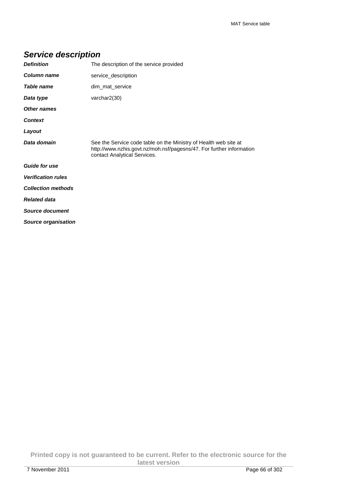# **Service description**

| <b>Definition</b>          | The description of the service provided                                                                                                                                  |  |
|----------------------------|--------------------------------------------------------------------------------------------------------------------------------------------------------------------------|--|
| Column name                | service_description                                                                                                                                                      |  |
| Table name                 | dim_mat_service                                                                                                                                                          |  |
| Data type                  | varchar2(30)                                                                                                                                                             |  |
| <b>Other names</b>         |                                                                                                                                                                          |  |
| <b>Context</b>             |                                                                                                                                                                          |  |
| Layout                     |                                                                                                                                                                          |  |
| Data domain                | See the Service code table on the Ministry of Health web site at<br>http://www.nzhis.govt.nz/moh.nsf/pagesns/47. For further information<br>contact Analytical Services. |  |
| <b>Guide for use</b>       |                                                                                                                                                                          |  |
| <b>Verification rules</b>  |                                                                                                                                                                          |  |
| <b>Collection methods</b>  |                                                                                                                                                                          |  |
| <b>Related data</b>        |                                                                                                                                                                          |  |
| <b>Source document</b>     |                                                                                                                                                                          |  |
| <b>Source organisation</b> |                                                                                                                                                                          |  |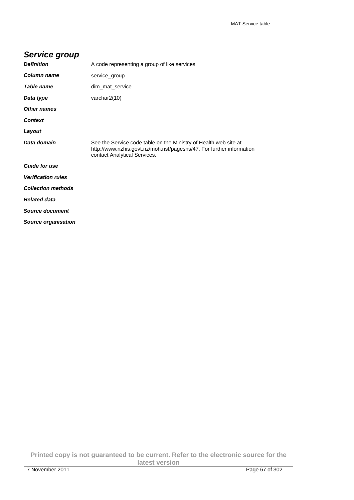| Service group             |                                                                                                                                                                          |
|---------------------------|--------------------------------------------------------------------------------------------------------------------------------------------------------------------------|
| <b>Definition</b>         | A code representing a group of like services                                                                                                                             |
| Column name               | service group                                                                                                                                                            |
| Table name                | dim_mat_service                                                                                                                                                          |
| Data type                 | varchar $2(10)$                                                                                                                                                          |
| Other names               |                                                                                                                                                                          |
| <b>Context</b>            |                                                                                                                                                                          |
| Layout                    |                                                                                                                                                                          |
| Data domain               | See the Service code table on the Ministry of Health web site at<br>http://www.nzhis.govt.nz/moh.nsf/pagesns/47. For further information<br>contact Analytical Services. |
| <b>Guide for use</b>      |                                                                                                                                                                          |
| <b>Verification rules</b> |                                                                                                                                                                          |
| <b>Collection methods</b> |                                                                                                                                                                          |
| <b>Related data</b>       |                                                                                                                                                                          |
| <b>Source document</b>    |                                                                                                                                                                          |

**Printed copy is not guaranteed to be current. Refer to the electronic source for the latest version** 

**Source organisation**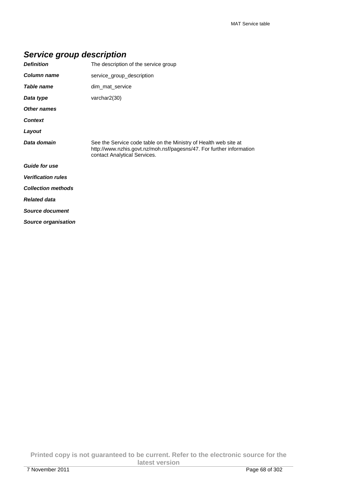# **Service group description**

| <b>Definition</b>         | The description of the service group                                                                                                                                     |  |
|---------------------------|--------------------------------------------------------------------------------------------------------------------------------------------------------------------------|--|
| Column name               | service_group_description                                                                                                                                                |  |
| Table name                | dim_mat_service                                                                                                                                                          |  |
| Data type                 | varchar2(30)                                                                                                                                                             |  |
| <b>Other names</b>        |                                                                                                                                                                          |  |
| <b>Context</b>            |                                                                                                                                                                          |  |
| Layout                    |                                                                                                                                                                          |  |
| Data domain               | See the Service code table on the Ministry of Health web site at<br>http://www.nzhis.govt.nz/moh.nsf/pagesns/47. For further information<br>contact Analytical Services. |  |
| <b>Guide for use</b>      |                                                                                                                                                                          |  |
| <b>Verification rules</b> |                                                                                                                                                                          |  |
| <b>Collection methods</b> |                                                                                                                                                                          |  |
| <b>Related data</b>       |                                                                                                                                                                          |  |
| <b>Source document</b>    |                                                                                                                                                                          |  |
| Source organisation       |                                                                                                                                                                          |  |

**Printed copy is not guaranteed to be current. Refer to the electronic source for the latest version**  7 November 2011 Page 68 of 302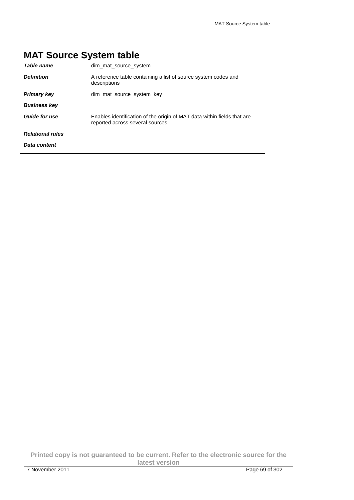# **MAT Source System table**

| Table name              | dim mat source system                                                                                       |
|-------------------------|-------------------------------------------------------------------------------------------------------------|
| <b>Definition</b>       | A reference table containing a list of source system codes and<br>descriptions                              |
| <b>Primary key</b>      | dim_mat_source_system_key                                                                                   |
| <b>Business key</b>     |                                                                                                             |
| <b>Guide for use</b>    | Enables identification of the origin of MAT data within fields that are<br>reported across several sources, |
| <b>Relational rules</b> |                                                                                                             |
| Data content            |                                                                                                             |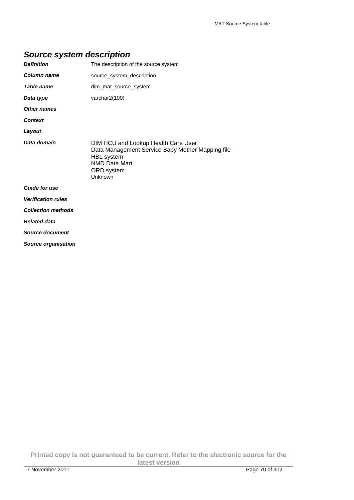## **Source system description**

| <b>Definition</b>          | The description of the source system                                                                                                                          |
|----------------------------|---------------------------------------------------------------------------------------------------------------------------------------------------------------|
| Column name                | source_system_description                                                                                                                                     |
| <b>Table name</b>          | dim mat source system                                                                                                                                         |
| Data type                  | varchar2(100)                                                                                                                                                 |
| <b>Other names</b>         |                                                                                                                                                               |
| <b>Context</b>             |                                                                                                                                                               |
| Layout                     |                                                                                                                                                               |
| Data domain                | DIM HCU and Lookup Health Care User<br>Data Management Service Baby Mother Mapping file<br><b>HBL</b> system<br><b>NMD Data Mart</b><br>ORD system<br>Unknown |
| <b>Guide for use</b>       |                                                                                                                                                               |
| <b>Verification rules</b>  |                                                                                                                                                               |
| <b>Collection methods</b>  |                                                                                                                                                               |
| <b>Related data</b>        |                                                                                                                                                               |
| <b>Source document</b>     |                                                                                                                                                               |
| <b>Source organisation</b> |                                                                                                                                                               |

**Printed copy is not guaranteed to be current. Refer to the electronic source for the latest version**  7 November 2011 Page 70 of 302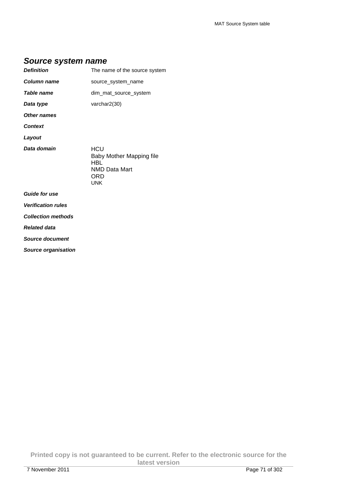#### **Source system name**

| <b>Definition</b>         | The name of the source system                 |
|---------------------------|-----------------------------------------------|
| Column name               | source_system_name                            |
| Table name                | dim mat source system                         |
| Data type                 | varchar2(30)                                  |
| Other names               |                                               |
| <b>Context</b>            |                                               |
| Layout                    |                                               |
| Data domain               | HCU<br>Baby Mother Mapping file<br><b>HBL</b> |
|                           | <b>NMD Data Mart</b><br>ORD<br><b>UNK</b>     |
| <b>Guide for use</b>      |                                               |
| <b>Verification rules</b> |                                               |

**Related data** 

**Source document** 

**Source organisation** 

**Printed copy is not guaranteed to be current. Refer to the electronic source for the latest version**  7 November 2011 Page 71 of 302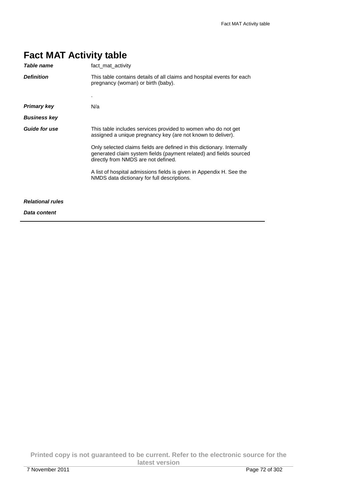| Table name              | fact mat activity                                                                                                                                                                   |
|-------------------------|-------------------------------------------------------------------------------------------------------------------------------------------------------------------------------------|
| <b>Definition</b>       | This table contains details of all claims and hospital events for each<br>pregnancy (woman) or birth (baby).                                                                        |
|                         |                                                                                                                                                                                     |
| <b>Primary key</b>      | N/a                                                                                                                                                                                 |
| <b>Business key</b>     |                                                                                                                                                                                     |
| <b>Guide for use</b>    | This table includes services provided to women who do not get<br>assigned a unique pregnancy key (are not known to deliver).                                                        |
|                         | Only selected claims fields are defined in this dictionary. Internally<br>generated claim system fields (payment related) and fields sourced<br>directly from NMDS are not defined. |
|                         | A list of hospital admissions fields is given in Appendix H. See the<br>NMDS data dictionary for full descriptions.                                                                 |
| <b>Relational rules</b> |                                                                                                                                                                                     |
| Data content            |                                                                                                                                                                                     |

**Printed copy is not guaranteed to be current. Refer to the electronic source for the latest version**  7 November 2011 Page 72 of 302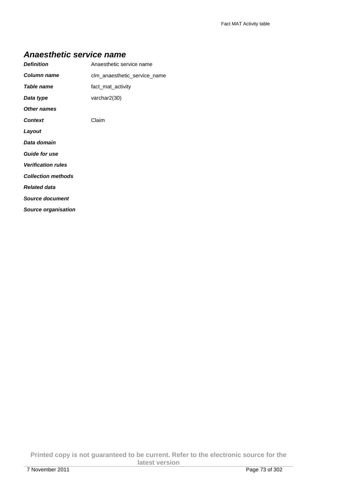#### **Anaesthetic service name**

| <b>Definition</b>          | Anaesthetic service name     |
|----------------------------|------------------------------|
| Column name                | clm_anaesthetic_service_name |
| <b>Table name</b>          | fact mat activity            |
| Data type                  | varchar $2(30)$              |
| <b>Other names</b>         |                              |
| <b>Context</b>             | Claim                        |
| Layout                     |                              |
| Data domain                |                              |
| <b>Guide for use</b>       |                              |
| <b>Verification rules</b>  |                              |
| <b>Collection methods</b>  |                              |
| <b>Related data</b>        |                              |
| Source document            |                              |
| <b>Source organisation</b> |                              |

**Printed copy is not guaranteed to be current. Refer to the electronic source for the latest version**  7 November 2011 Page 73 of 302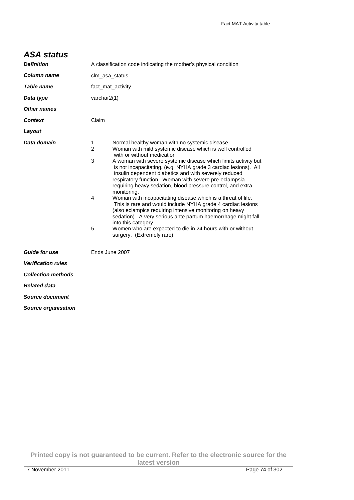## **ASA status**

| <b>Definition</b>          | A classification code indicating the mother's physical condition                                                                                                                                                                                                                                                                                                                                                                                                                                                                                                                                                                                                                                                                                                                                                                                                                                |  |
|----------------------------|-------------------------------------------------------------------------------------------------------------------------------------------------------------------------------------------------------------------------------------------------------------------------------------------------------------------------------------------------------------------------------------------------------------------------------------------------------------------------------------------------------------------------------------------------------------------------------------------------------------------------------------------------------------------------------------------------------------------------------------------------------------------------------------------------------------------------------------------------------------------------------------------------|--|
| <b>Column name</b>         | clm_asa_status                                                                                                                                                                                                                                                                                                                                                                                                                                                                                                                                                                                                                                                                                                                                                                                                                                                                                  |  |
| Table name                 | fact_mat_activity                                                                                                                                                                                                                                                                                                                                                                                                                                                                                                                                                                                                                                                                                                                                                                                                                                                                               |  |
| Data type                  | varchar2(1)                                                                                                                                                                                                                                                                                                                                                                                                                                                                                                                                                                                                                                                                                                                                                                                                                                                                                     |  |
| <b>Other names</b>         |                                                                                                                                                                                                                                                                                                                                                                                                                                                                                                                                                                                                                                                                                                                                                                                                                                                                                                 |  |
| <b>Context</b>             | Claim                                                                                                                                                                                                                                                                                                                                                                                                                                                                                                                                                                                                                                                                                                                                                                                                                                                                                           |  |
| Layout                     |                                                                                                                                                                                                                                                                                                                                                                                                                                                                                                                                                                                                                                                                                                                                                                                                                                                                                                 |  |
| Data domain                | 1<br>Normal healthy woman with no systemic disease<br>$\overline{2}$<br>Woman with mild systemic disease which is well controlled<br>with or without medication<br>3<br>A woman with severe systemic disease which limits activity but<br>is not incapacitating. (e.g. NYHA grade 3 cardiac lesions). All<br>insulin dependent diabetics and with severely reduced<br>respiratory function. Woman with severe pre-eclampsia<br>requiring heavy sedation, blood pressure control, and extra<br>monitoring.<br>Woman with incapacitating disease which is a threat of life.<br>4<br>This is rare and would include NYHA grade 4 cardiac lesions<br>(also eclampics requiring intensive monitoring on heavy<br>sedation). A very serious ante partum haemorrhage might fall<br>into this category.<br>5<br>Women who are expected to die in 24 hours with or without<br>surgery. (Extremely rare). |  |
| <b>Guide for use</b>       | Ends June 2007                                                                                                                                                                                                                                                                                                                                                                                                                                                                                                                                                                                                                                                                                                                                                                                                                                                                                  |  |
| <b>Verification rules</b>  |                                                                                                                                                                                                                                                                                                                                                                                                                                                                                                                                                                                                                                                                                                                                                                                                                                                                                                 |  |
| <b>Collection methods</b>  |                                                                                                                                                                                                                                                                                                                                                                                                                                                                                                                                                                                                                                                                                                                                                                                                                                                                                                 |  |
| <b>Related data</b>        |                                                                                                                                                                                                                                                                                                                                                                                                                                                                                                                                                                                                                                                                                                                                                                                                                                                                                                 |  |
| Source document            |                                                                                                                                                                                                                                                                                                                                                                                                                                                                                                                                                                                                                                                                                                                                                                                                                                                                                                 |  |
| <b>Source organisation</b> |                                                                                                                                                                                                                                                                                                                                                                                                                                                                                                                                                                                                                                                                                                                                                                                                                                                                                                 |  |

**Printed copy is not guaranteed to be current. Refer to the electronic source for the latest version**  7 November 2011 Page 74 of 302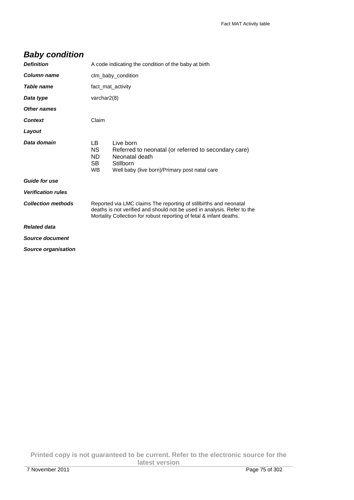# **Baby condition**

| <b>Definition</b>          | A code indicating the condition of the baby at birth                                                                                                                                                                |                                                                                                                                                   |
|----------------------------|---------------------------------------------------------------------------------------------------------------------------------------------------------------------------------------------------------------------|---------------------------------------------------------------------------------------------------------------------------------------------------|
| Column name                | clm_baby_condition                                                                                                                                                                                                  |                                                                                                                                                   |
| Table name                 | fact_mat_activity                                                                                                                                                                                                   |                                                                                                                                                   |
| Data type                  | varchar $2(8)$                                                                                                                                                                                                      |                                                                                                                                                   |
| Other names                |                                                                                                                                                                                                                     |                                                                                                                                                   |
| <b>Context</b>             | Claim                                                                                                                                                                                                               |                                                                                                                                                   |
| Layout                     |                                                                                                                                                                                                                     |                                                                                                                                                   |
| Data domain                | LB.<br><b>NS</b><br>ND.<br>SB<br><b>WB</b>                                                                                                                                                                          | Live born<br>Referred to neonatal (or referred to secondary care)<br>Neonatal death<br>Stillborn<br>Well baby (live born)/Primary post natal care |
| <b>Guide for use</b>       |                                                                                                                                                                                                                     |                                                                                                                                                   |
| <b>Verification rules</b>  |                                                                                                                                                                                                                     |                                                                                                                                                   |
| <b>Collection methods</b>  | Reported via LMC claims The reporting of stillbirths and neonatal<br>deaths is not verified and should not be used in analysis. Refer to the<br>Mortality Collection for robust reporting of fetal & infant deaths. |                                                                                                                                                   |
| <b>Related data</b>        |                                                                                                                                                                                                                     |                                                                                                                                                   |
| Source document            |                                                                                                                                                                                                                     |                                                                                                                                                   |
| <b>Source organisation</b> |                                                                                                                                                                                                                     |                                                                                                                                                   |
|                            |                                                                                                                                                                                                                     |                                                                                                                                                   |

**Printed copy is not guaranteed to be current. Refer to the electronic source for the latest version**  7 November 2011 Page 75 of 302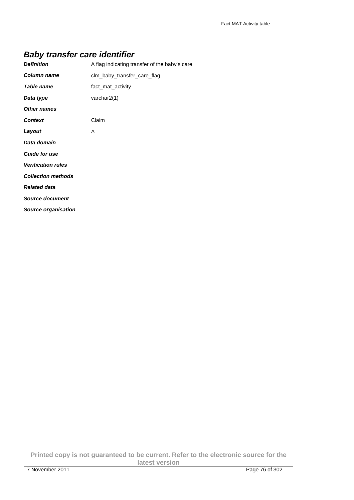# **Baby transfer care identifier**

| <b>Definition</b>          | A flag indicating transfer of the baby's care |
|----------------------------|-----------------------------------------------|
| Column name                | clm_baby_transfer_care_flag                   |
| Table name                 | fact_mat_activity                             |
| Data type                  | varchar $2(1)$                                |
| <b>Other names</b>         |                                               |
| <b>Context</b>             | Claim                                         |
| Layout                     | A                                             |
| Data domain                |                                               |
| <b>Guide for use</b>       |                                               |
| <b>Verification rules</b>  |                                               |
| <b>Collection methods</b>  |                                               |
| <b>Related data</b>        |                                               |
| <b>Source document</b>     |                                               |
| <b>Source organisation</b> |                                               |

**Printed copy is not guaranteed to be current. Refer to the electronic source for the latest version**  7 November 2011 Page 76 of 302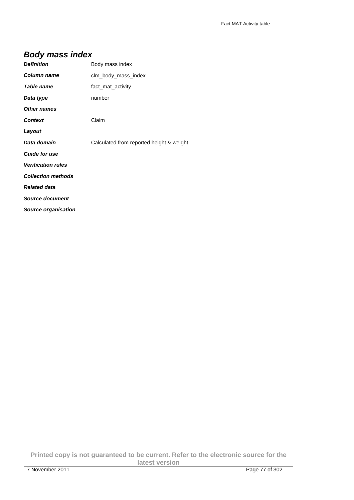# **Body mass index**

| <b>Definition</b>          | Body mass index                           |
|----------------------------|-------------------------------------------|
| <b>Column name</b>         | clm body mass index                       |
| <b>Table name</b>          | fact_mat_activity                         |
| Data type                  | number                                    |
| Other names                |                                           |
| <b>Context</b>             | Claim                                     |
| Layout                     |                                           |
| Data domain                | Calculated from reported height & weight. |
| <b>Guide for use</b>       |                                           |
| <b>Verification rules</b>  |                                           |
| <b>Collection methods</b>  |                                           |
| <b>Related data</b>        |                                           |
| <b>Source document</b>     |                                           |
| <b>Source organisation</b> |                                           |

**Printed copy is not guaranteed to be current. Refer to the electronic source for the latest version**  7 November 2011 Page 77 of 302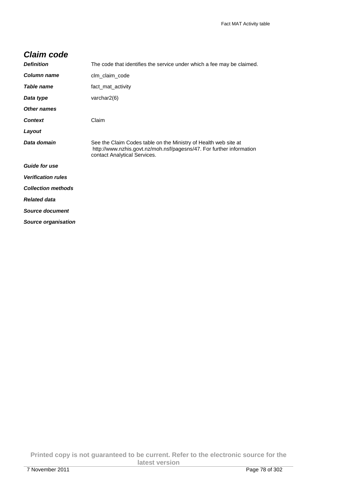## **Claim code**

| <b>Definition</b>          | The code that identifies the service under which a fee may be claimed.                                                                                                  |
|----------------------------|-------------------------------------------------------------------------------------------------------------------------------------------------------------------------|
| <b>Column name</b>         | clm_claim_code                                                                                                                                                          |
| Table name                 | fact mat activity                                                                                                                                                       |
| Data type                  | varchar $2(6)$                                                                                                                                                          |
| Other names                |                                                                                                                                                                         |
| <b>Context</b>             | Claim                                                                                                                                                                   |
| Layout                     |                                                                                                                                                                         |
| Data domain                | See the Claim Codes table on the Ministry of Health web site at<br>http://www.nzhis.govt.nz/moh.nsf/pagesns/47. For further information<br>contact Analytical Services. |
| <b>Guide for use</b>       |                                                                                                                                                                         |
| <b>Verification rules</b>  |                                                                                                                                                                         |
| <b>Collection methods</b>  |                                                                                                                                                                         |
| <b>Related data</b>        |                                                                                                                                                                         |
| <b>Source document</b>     |                                                                                                                                                                         |
| <b>Source organisation</b> |                                                                                                                                                                         |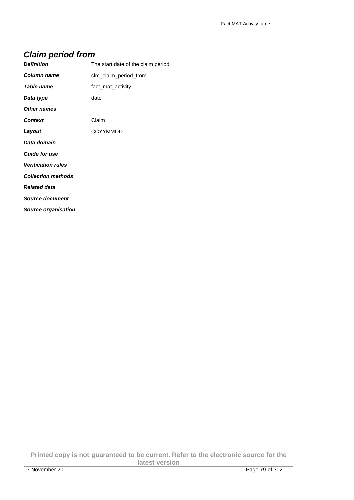# **Claim period from**

| <b>Definition</b>         | The start date of the claim period |
|---------------------------|------------------------------------|
| Column name               | clm_claim_period_from              |
| Table name                | fact_mat_activity                  |
| Data type                 | date                               |
| <b>Other names</b>        |                                    |
| <b>Context</b>            | Claim                              |
| Layout                    | <b>CCYYMMDD</b>                    |
| Data domain               |                                    |
| <b>Guide for use</b>      |                                    |
| <b>Verification rules</b> |                                    |
| <b>Collection methods</b> |                                    |
| <b>Related data</b>       |                                    |
| Source document           |                                    |
| Source organisation       |                                    |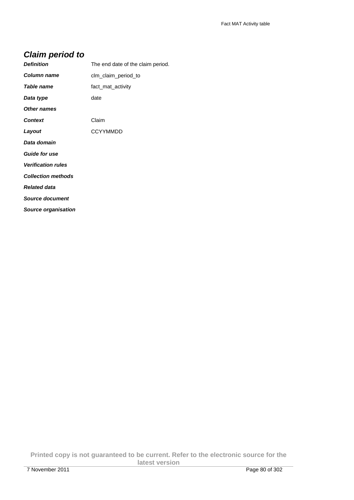# **Claim period to**

| <b>Definition</b>          | The end date of the claim period. |
|----------------------------|-----------------------------------|
| Column name                | clm_claim_period_to               |
| Table name                 | fact_mat_activity                 |
| Data type                  | date                              |
| Other names                |                                   |
| <b>Context</b>             | Claim                             |
| Layout                     | <b>CCYYMMDD</b>                   |
| Data domain                |                                   |
| <b>Guide for use</b>       |                                   |
| <b>Verification rules</b>  |                                   |
| <b>Collection methods</b>  |                                   |
| <b>Related data</b>        |                                   |
| <b>Source document</b>     |                                   |
| <b>Source organisation</b> |                                   |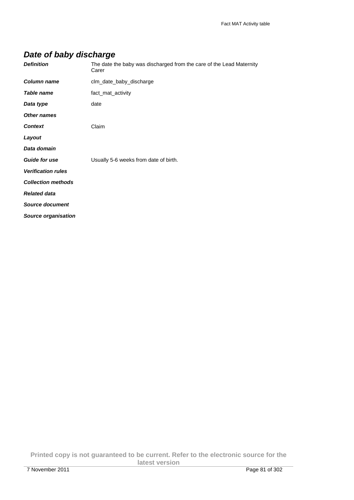# **Date of baby discharge**

| <b>Definition</b>          | The date the baby was discharged from the care of the Lead Maternity<br>Carer |
|----------------------------|-------------------------------------------------------------------------------|
| <b>Column name</b>         | clm_date_baby_discharge                                                       |
| Table name                 | fact_mat_activity                                                             |
| Data type                  | date                                                                          |
| <b>Other names</b>         |                                                                               |
| <b>Context</b>             | Claim                                                                         |
| Layout                     |                                                                               |
| Data domain                |                                                                               |
| <b>Guide for use</b>       | Usually 5-6 weeks from date of birth.                                         |
| <b>Verification rules</b>  |                                                                               |
| <b>Collection methods</b>  |                                                                               |
| <b>Related data</b>        |                                                                               |
| <b>Source document</b>     |                                                                               |
| <b>Source organisation</b> |                                                                               |

**Printed copy is not guaranteed to be current. Refer to the electronic source for the latest version**  7 November 2011 Page 81 of 302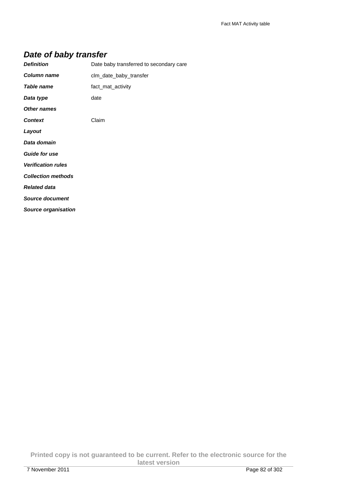# **Date of baby transfer**

| <b>Definition</b>          | Date baby transferred to secondary care |
|----------------------------|-----------------------------------------|
| Column name                | clm_date_baby_transfer                  |
| Table name                 | fact_mat_activity                       |
| Data type                  | date                                    |
| <b>Other names</b>         |                                         |
| <b>Context</b>             | Claim                                   |
| Layout                     |                                         |
| Data domain                |                                         |
| <b>Guide for use</b>       |                                         |
| <b>Verification rules</b>  |                                         |
| <b>Collection methods</b>  |                                         |
| <b>Related data</b>        |                                         |
| <b>Source document</b>     |                                         |
| <b>Source organisation</b> |                                         |

**Printed copy is not guaranteed to be current. Refer to the electronic source for the latest version**  7 November 2011 Page 82 of 302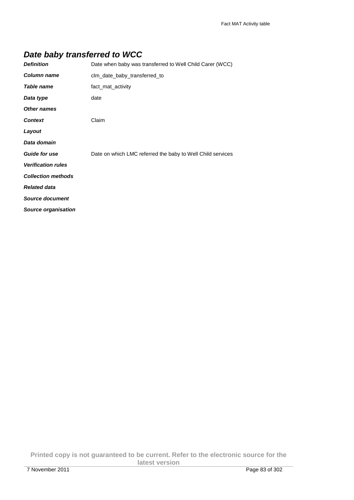# **Date baby transferred to WCC**

| <b>Definition</b>         | Date when baby was transferred to Well Child Carer (WCC)   |
|---------------------------|------------------------------------------------------------|
| Column name               | clm_date_baby_transferred_to                               |
| Table name                | fact_mat_activity                                          |
| Data type                 | date                                                       |
| <b>Other names</b>        |                                                            |
| <b>Context</b>            | Claim                                                      |
| Layout                    |                                                            |
| Data domain               |                                                            |
| <b>Guide for use</b>      | Date on which LMC referred the baby to Well Child services |
| <b>Verification rules</b> |                                                            |
| <b>Collection methods</b> |                                                            |
| <b>Related data</b>       |                                                            |
| <b>Source document</b>    |                                                            |
| Source organisation       |                                                            |

**Printed copy is not guaranteed to be current. Refer to the electronic source for the latest version**  7 November 2011 Page 83 of 302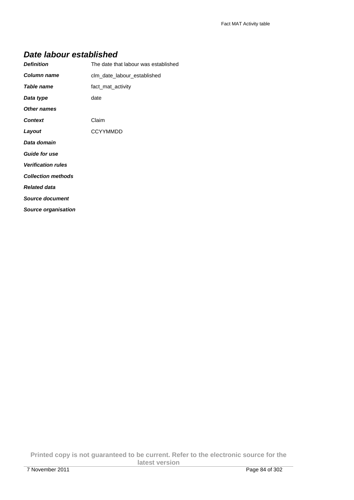#### **Date labour established**

| <b>Definition</b>          | The date that labour was established |
|----------------------------|--------------------------------------|
| Column name                | clm_date_labour_established          |
| Table name                 | fact_mat_activity                    |
| Data type                  | date                                 |
| <b>Other names</b>         |                                      |
| <b>Context</b>             | Claim                                |
| Layout                     | <b>CCYYMMDD</b>                      |
| Data domain                |                                      |
| <b>Guide for use</b>       |                                      |
| <b>Verification rules</b>  |                                      |
| <b>Collection methods</b>  |                                      |
| <b>Related data</b>        |                                      |
| <b>Source document</b>     |                                      |
| <b>Source organisation</b> |                                      |

**Printed copy is not guaranteed to be current. Refer to the electronic source for the latest version**  7 November 2011 Page 84 of 302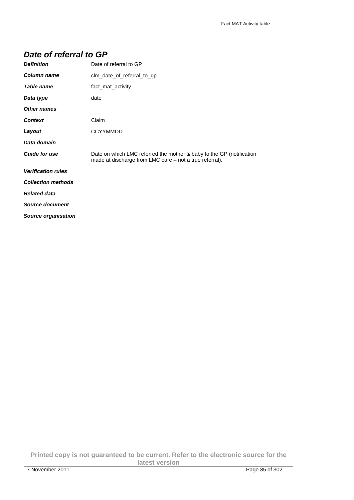## **Date of referral to GP**

| <b>Definition</b>          | Date of referral to GP                                                                                                          |
|----------------------------|---------------------------------------------------------------------------------------------------------------------------------|
| Column name                | clm_date_of_referral_to_gp                                                                                                      |
| Table name                 | fact_mat_activity                                                                                                               |
| Data type                  | date                                                                                                                            |
| <b>Other names</b>         |                                                                                                                                 |
| <b>Context</b>             | Claim                                                                                                                           |
| Layout                     | <b>CCYYMMDD</b>                                                                                                                 |
| Data domain                |                                                                                                                                 |
| <b>Guide for use</b>       | Date on which LMC referred the mother & baby to the GP (notification<br>made at discharge from LMC care – not a true referral). |
| <b>Verification rules</b>  |                                                                                                                                 |
| <b>Collection methods</b>  |                                                                                                                                 |
| <b>Related data</b>        |                                                                                                                                 |
| <b>Source document</b>     |                                                                                                                                 |
| <b>Source organisation</b> |                                                                                                                                 |

**Printed copy is not guaranteed to be current. Refer to the electronic source for the latest version**  7 November 2011 Page 85 of 302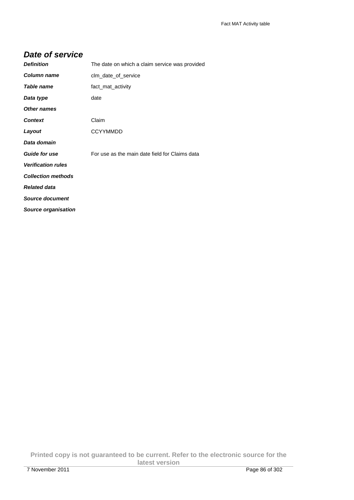## **Date of service**

| <b>Definition</b>          | The date on which a claim service was provided |
|----------------------------|------------------------------------------------|
| Column name                | clm date of service                            |
| Table name                 | fact mat activity                              |
| Data type                  | date                                           |
| <b>Other names</b>         |                                                |
| <b>Context</b>             | Claim                                          |
| Layout                     | <b>CCYYMMDD</b>                                |
| Data domain                |                                                |
| <b>Guide for use</b>       | For use as the main date field for Claims data |
| <b>Verification rules</b>  |                                                |
| <b>Collection methods</b>  |                                                |
| <b>Related data</b>        |                                                |
| <b>Source document</b>     |                                                |
| <b>Source organisation</b> |                                                |

**Printed copy is not guaranteed to be current. Refer to the electronic source for the latest version**  7 November 2011 Page 86 of 302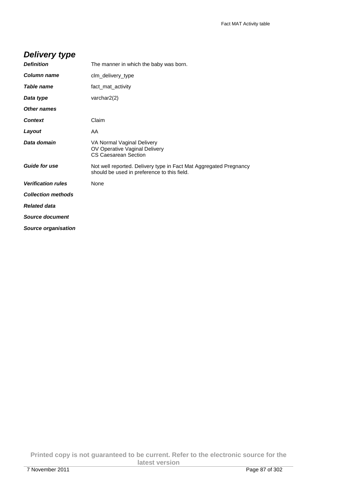# **Delivery type**

| <b>Definition</b>         | The manner in which the baby was born.                                                                           |
|---------------------------|------------------------------------------------------------------------------------------------------------------|
| Column name               | clm_delivery_type                                                                                                |
| Table name                | fact mat activity                                                                                                |
| Data type                 | varchar2(2)                                                                                                      |
| Other names               |                                                                                                                  |
| <b>Context</b>            | Claim                                                                                                            |
| Layout                    | AA                                                                                                               |
| Data domain               | VA Normal Vaginal Delivery<br>OV Operative Vaginal Delivery<br><b>CS Caesarean Section</b>                       |
| <b>Guide for use</b>      | Not well reported. Delivery type in Fact Mat Aggregated Pregnancy<br>should be used in preference to this field. |
| <b>Verification rules</b> | None                                                                                                             |
| <b>Collection methods</b> |                                                                                                                  |
| <b>Related data</b>       |                                                                                                                  |
| Source document           |                                                                                                                  |
| Source organisation       |                                                                                                                  |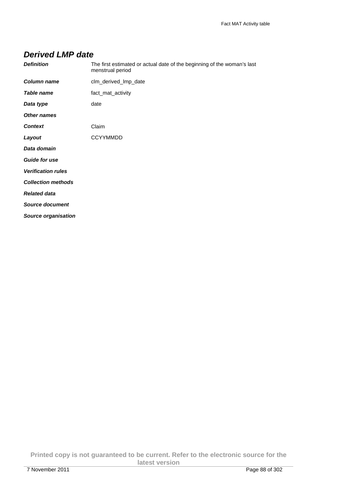## **Derived LMP date**

| <b>Definition</b>          | The first estimated or actual date of the beginning of the woman's last<br>menstrual period |
|----------------------------|---------------------------------------------------------------------------------------------|
| Column name                | clm_derived_lmp_date                                                                        |
| <b>Table name</b>          | fact_mat_activity                                                                           |
| Data type                  | date                                                                                        |
| <b>Other names</b>         |                                                                                             |
| <b>Context</b>             | Claim                                                                                       |
| Layout                     | <b>CCYYMMDD</b>                                                                             |
| Data domain                |                                                                                             |
| <b>Guide for use</b>       |                                                                                             |
| <b>Verification rules</b>  |                                                                                             |
| <b>Collection methods</b>  |                                                                                             |
| <b>Related data</b>        |                                                                                             |
| <b>Source document</b>     |                                                                                             |
| <b>Source organisation</b> |                                                                                             |

**Printed copy is not guaranteed to be current. Refer to the electronic source for the latest version**  7 November 2011 Page 88 of 302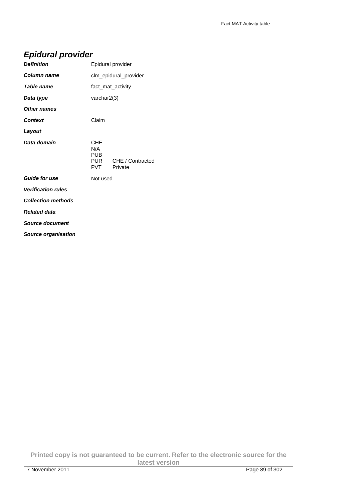# **Epidural provider**

|                                        | Epidural provider           |
|----------------------------------------|-----------------------------|
|                                        | clm_epidural_provider       |
|                                        | fact mat activity           |
| varchar $2(3)$                         |                             |
|                                        |                             |
| Claim                                  |                             |
|                                        |                             |
| CHE<br>N/A<br>PUB<br>PUR<br><b>PVT</b> | CHE / Contracted<br>Private |
| Not used.                              |                             |
|                                        |                             |
|                                        |                             |
|                                        |                             |
|                                        |                             |
|                                        |                             |

**Source organisation**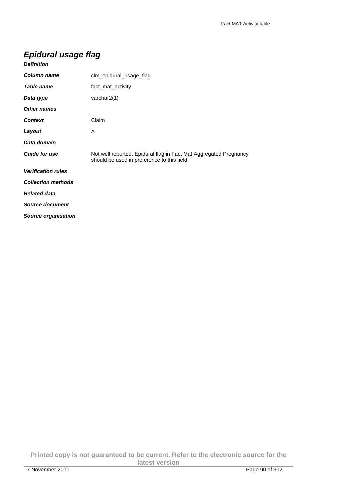## **Epidural usage flag**

| <b>Definition</b>         |                                                                                                                  |
|---------------------------|------------------------------------------------------------------------------------------------------------------|
| Column name               | clm_epidural_usage_flag                                                                                          |
| Table name                | fact_mat_activity                                                                                                |
| Data type                 | varchar $2(1)$                                                                                                   |
| <b>Other names</b>        |                                                                                                                  |
| <b>Context</b>            | Claim                                                                                                            |
| Layout                    | A                                                                                                                |
| Data domain               |                                                                                                                  |
| <b>Guide for use</b>      | Not well reported. Epidural flag in Fact Mat Aggregated Pregnancy<br>should be used in preference to this field. |
| <b>Verification rules</b> |                                                                                                                  |
| <b>Collection methods</b> |                                                                                                                  |
| <b>Related data</b>       |                                                                                                                  |
| <b>Source document</b>    |                                                                                                                  |
| Source organisation       |                                                                                                                  |

**Printed copy is not guaranteed to be current. Refer to the electronic source for the latest version**  7 November 2011 Page 90 of 302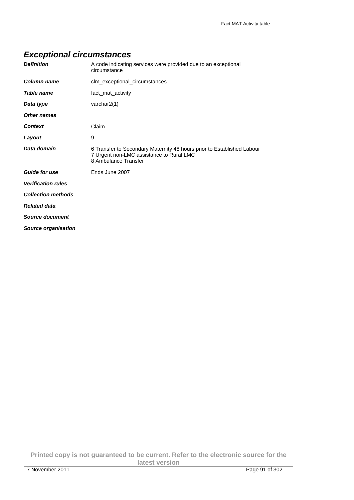# **Exceptional circumstances**

| <b>Definition</b>         | A code indicating services were provided due to an exceptional<br>circumstance                                                             |
|---------------------------|--------------------------------------------------------------------------------------------------------------------------------------------|
| <b>Column name</b>        | clm_exceptional_circumstances                                                                                                              |
| Table name                | fact_mat_activity                                                                                                                          |
| Data type                 | varchar2(1)                                                                                                                                |
| Other names               |                                                                                                                                            |
| <b>Context</b>            | Claim                                                                                                                                      |
| Layout                    | 9                                                                                                                                          |
| Data domain               | 6 Transfer to Secondary Maternity 48 hours prior to Established Labour<br>7 Urgent non-LMC assistance to Rural LMC<br>8 Ambulance Transfer |
| <b>Guide for use</b>      | Ends June 2007                                                                                                                             |
| <b>Verification rules</b> |                                                                                                                                            |
| <b>Collection methods</b> |                                                                                                                                            |
| <b>Related data</b>       |                                                                                                                                            |
| Source document           |                                                                                                                                            |
| Source organisation       |                                                                                                                                            |

**Printed copy is not guaranteed to be current. Refer to the electronic source for the latest version**  7 November 2011 Page 91 of 302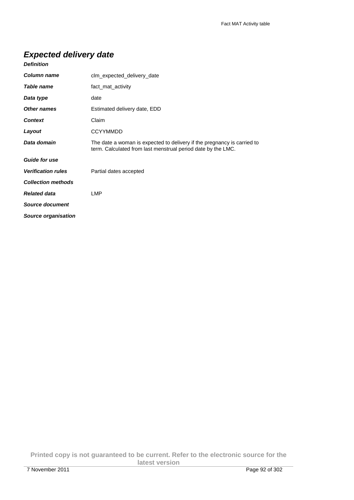# **Expected delivery date**

| <b>Column name</b>        | clm_expected_delivery_date                                                                                                              |
|---------------------------|-----------------------------------------------------------------------------------------------------------------------------------------|
| Table name                | fact mat activity                                                                                                                       |
| Data type                 | date                                                                                                                                    |
| <b>Other names</b>        | Estimated delivery date, EDD                                                                                                            |
| <b>Context</b>            | Claim                                                                                                                                   |
| Layout                    | <b>CCYYMMDD</b>                                                                                                                         |
| Data domain               | The date a woman is expected to delivery if the pregnancy is carried to<br>term. Calculated from last menstrual period date by the LMC. |
| <b>Guide for use</b>      |                                                                                                                                         |
| <b>Verification rules</b> | Partial dates accepted                                                                                                                  |
| <b>Collection methods</b> |                                                                                                                                         |
| <b>Related data</b>       | <b>LMP</b>                                                                                                                              |
| <b>Source document</b>    |                                                                                                                                         |
| Source organisation       |                                                                                                                                         |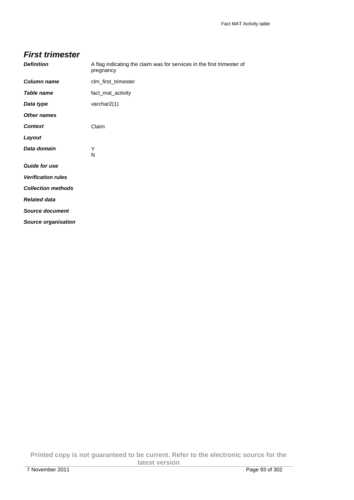| <b>First trimester</b>     |                                                                                     |
|----------------------------|-------------------------------------------------------------------------------------|
| <b>Definition</b>          | A flag indicating the claim was for services in the first trimester of<br>pregnancy |
| Column name                | clm_first_trimester                                                                 |
| <b>Table name</b>          | fact_mat_activity                                                                   |
| Data type                  | varchar2(1)                                                                         |
| <b>Other names</b>         |                                                                                     |
| <b>Context</b>             | Claim                                                                               |
| Layout                     |                                                                                     |
| Data domain                | Y<br>N                                                                              |
| <b>Guide for use</b>       |                                                                                     |
| <b>Verification rules</b>  |                                                                                     |
| <b>Collection methods</b>  |                                                                                     |
| <b>Related data</b>        |                                                                                     |
| <b>Source document</b>     |                                                                                     |
| <b>Source organisation</b> |                                                                                     |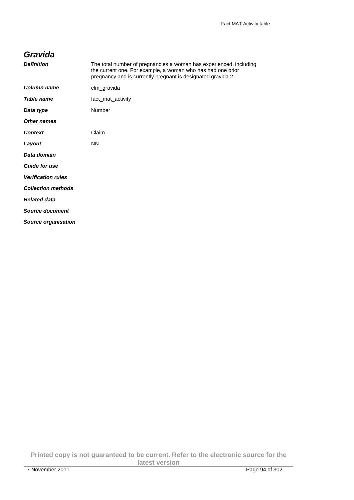## **Gravida**

| <b>Definition</b>          | The total number of pregnancies a woman has experienced, including<br>the current one. For example, a woman who has had one prior<br>pregnancy and is currently pregnant is designated gravida 2. |
|----------------------------|---------------------------------------------------------------------------------------------------------------------------------------------------------------------------------------------------|
| Column name                | clm_gravida                                                                                                                                                                                       |
| Table name                 | fact_mat_activity                                                                                                                                                                                 |
| Data type                  | Number                                                                                                                                                                                            |
| Other names                |                                                                                                                                                                                                   |
| <b>Context</b>             | Claim                                                                                                                                                                                             |
| Layout                     | <b>NN</b>                                                                                                                                                                                         |
| Data domain                |                                                                                                                                                                                                   |
| <b>Guide for use</b>       |                                                                                                                                                                                                   |
| <b>Verification rules</b>  |                                                                                                                                                                                                   |
| <b>Collection methods</b>  |                                                                                                                                                                                                   |
| <b>Related data</b>        |                                                                                                                                                                                                   |
| <b>Source document</b>     |                                                                                                                                                                                                   |
| <b>Source organisation</b> |                                                                                                                                                                                                   |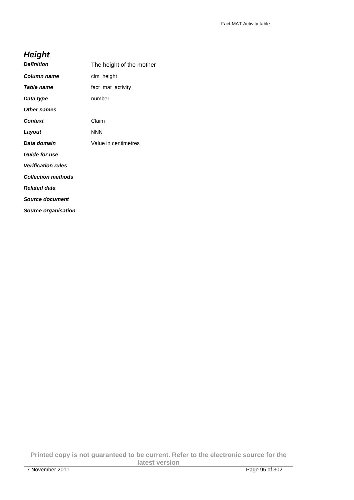# **Height**

| <b>Definition</b>          | The height of the mother |
|----------------------------|--------------------------|
| Column name                | clm_height               |
| Table name                 | fact mat activity        |
| Data type                  | number                   |
| Other names                |                          |
| <b>Context</b>             | Claim                    |
| Layout                     | <b>NNN</b>               |
| Data domain                | Value in centimetres     |
| <b>Guide for use</b>       |                          |
| <b>Verification rules</b>  |                          |
| <b>Collection methods</b>  |                          |
| <b>Related data</b>        |                          |
| Source document            |                          |
| <b>Source organisation</b> |                          |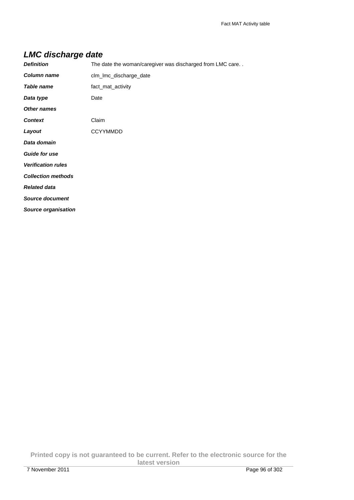# **LMC discharge date**

| <b>Definition</b>          | The date the woman/caregiver was discharged from LMC care |
|----------------------------|-----------------------------------------------------------|
| Column name                | clm_lmc_discharge_date                                    |
| <b>Table name</b>          | fact_mat_activity                                         |
| Data type                  | Date                                                      |
| <b>Other names</b>         |                                                           |
| <b>Context</b>             | Claim                                                     |
| Layout                     | <b>CCYYMMDD</b>                                           |
| Data domain                |                                                           |
| <b>Guide for use</b>       |                                                           |
| <b>Verification rules</b>  |                                                           |
| <b>Collection methods</b>  |                                                           |
| <b>Related data</b>        |                                                           |
| <b>Source document</b>     |                                                           |
| <b>Source organisation</b> |                                                           |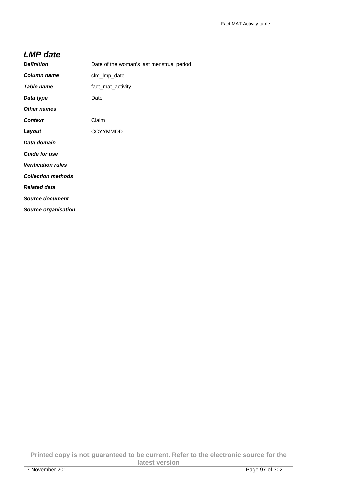#### **LMP date**

| <b>Definition</b>         | Date of the woman's last menstrual period |
|---------------------------|-------------------------------------------|
| Column name               | clm_lmp_date                              |
| Table name                | fact_mat_activity                         |
| Data type                 | Date                                      |
| <b>Other names</b>        |                                           |
| <b>Context</b>            | Claim                                     |
| Layout                    | <b>CCYYMMDD</b>                           |
| Data domain               |                                           |
| <b>Guide for use</b>      |                                           |
| <b>Verification rules</b> |                                           |
| <b>Collection methods</b> |                                           |
| <b>Related data</b>       |                                           |
| <b>Source document</b>    |                                           |
| Source organisation       |                                           |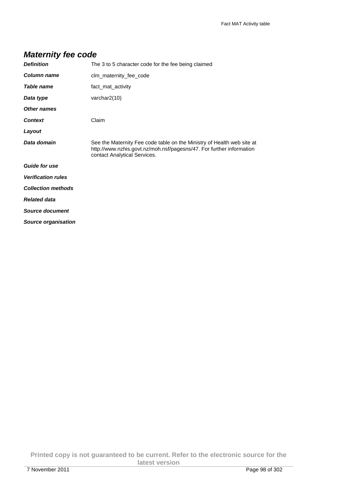| <b>Definition</b>          | The 3 to 5 character code for the fee being claimed                                                                                                                            |
|----------------------------|--------------------------------------------------------------------------------------------------------------------------------------------------------------------------------|
| Column name                | clm_maternity_fee_code                                                                                                                                                         |
| <b>Table name</b>          | fact_mat_activity                                                                                                                                                              |
| Data type                  | varchar $2(10)$                                                                                                                                                                |
| Other names                |                                                                                                                                                                                |
| <b>Context</b>             | Claim                                                                                                                                                                          |
| Layout                     |                                                                                                                                                                                |
| Data domain                | See the Maternity Fee code table on the Ministry of Health web site at<br>http://www.nzhis.govt.nz/moh.nsf/pagesns/47. For further information<br>contact Analytical Services. |
| <b>Guide for use</b>       |                                                                                                                                                                                |
| <b>Verification rules</b>  |                                                                                                                                                                                |
| <b>Collection methods</b>  |                                                                                                                                                                                |
| <b>Related data</b>        |                                                                                                                                                                                |
| <b>Source document</b>     |                                                                                                                                                                                |
| <b>Source organisation</b> |                                                                                                                                                                                |

**Printed copy is not guaranteed to be current. Refer to the electronic source for the latest version**  7 November 2011 Page 98 of 302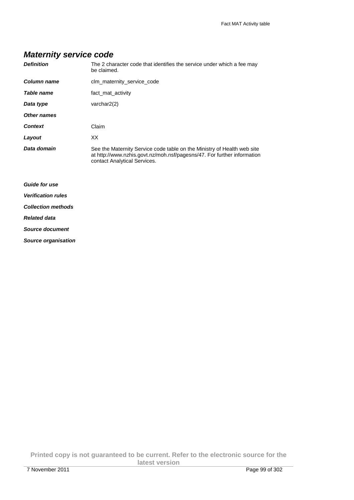# **Maternity service code**

| <b>Definition</b>         | The 2 character code that identifies the service under which a fee may<br>be claimed.                                                                                              |
|---------------------------|------------------------------------------------------------------------------------------------------------------------------------------------------------------------------------|
| Column name               | clm_maternity_service_code                                                                                                                                                         |
| Table name                | fact_mat_activity                                                                                                                                                                  |
| Data type                 | varchar $2(2)$                                                                                                                                                                     |
| Other names               |                                                                                                                                                                                    |
| <b>Context</b>            | Claim                                                                                                                                                                              |
| Layout                    | XX                                                                                                                                                                                 |
| Data domain               | See the Maternity Service code table on the Ministry of Health web site<br>at http://www.nzhis.govt.nz/moh.nsf/pagesns/47. For further information<br>contact Analytical Services. |
| <b>Guide for use</b>      |                                                                                                                                                                                    |
| <b>Verification rules</b> |                                                                                                                                                                                    |
| <b>Collection methods</b> |                                                                                                                                                                                    |
| <b>Related data</b>       |                                                                                                                                                                                    |
| Source document           |                                                                                                                                                                                    |
|                           |                                                                                                                                                                                    |

**Source organisation**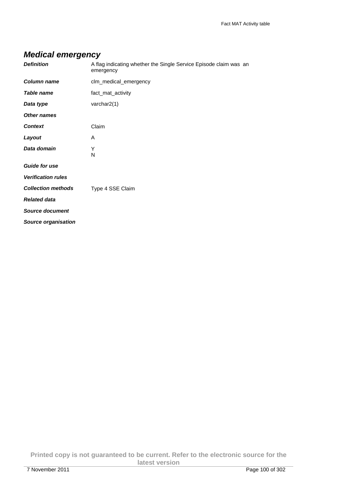# **Medical emergency**

| <b>Definition</b>          | A flag indicating whether the Single Service Episode claim was an<br>emergency |
|----------------------------|--------------------------------------------------------------------------------|
| <b>Column name</b>         | clm_medical_emergency                                                          |
| <b>Table name</b>          | fact_mat_activity                                                              |
| Data type                  | varchar2(1)                                                                    |
| Other names                |                                                                                |
| <b>Context</b>             | Claim                                                                          |
| Layout                     | A                                                                              |
| Data domain                | Υ<br>N                                                                         |
| <b>Guide for use</b>       |                                                                                |
| <b>Verification rules</b>  |                                                                                |
| <b>Collection methods</b>  | Type 4 SSE Claim                                                               |
| <b>Related data</b>        |                                                                                |
| <b>Source document</b>     |                                                                                |
| <b>Source organisation</b> |                                                                                |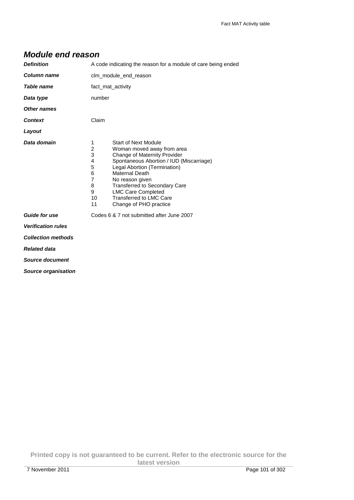## **Module end reason**

| <b>Definition</b>          | A code indicating the reason for a module of care being ended                                                                                                                                                                                                                                                                                                                                                                  |
|----------------------------|--------------------------------------------------------------------------------------------------------------------------------------------------------------------------------------------------------------------------------------------------------------------------------------------------------------------------------------------------------------------------------------------------------------------------------|
| Column name                | clm_module_end_reason                                                                                                                                                                                                                                                                                                                                                                                                          |
| Table name                 | fact_mat_activity                                                                                                                                                                                                                                                                                                                                                                                                              |
| Data type                  | number                                                                                                                                                                                                                                                                                                                                                                                                                         |
| Other names                |                                                                                                                                                                                                                                                                                                                                                                                                                                |
| <b>Context</b>             | Claim                                                                                                                                                                                                                                                                                                                                                                                                                          |
| Layout                     |                                                                                                                                                                                                                                                                                                                                                                                                                                |
| Data domain                | <b>Start of Next Module</b><br>1<br>$\overline{2}$<br>Woman moved away from area<br>3<br>Change of Maternity Provider<br>4<br>Spontaneous Abortion / IUD (Miscarriage)<br>5<br>Legal Abortion (Termination)<br>6<br>Maternal Death<br>$\overline{7}$<br>No reason given<br>8<br><b>Transferred to Secondary Care</b><br>9<br><b>LMC Care Completed</b><br><b>Transferred to LMC Care</b><br>10<br>11<br>Change of PHO practice |
| <b>Guide for use</b>       | Codes 6 & 7 not submitted after June 2007                                                                                                                                                                                                                                                                                                                                                                                      |
| <b>Verification rules</b>  |                                                                                                                                                                                                                                                                                                                                                                                                                                |
| <b>Collection methods</b>  |                                                                                                                                                                                                                                                                                                                                                                                                                                |
| <b>Related data</b>        |                                                                                                                                                                                                                                                                                                                                                                                                                                |
| Source document            |                                                                                                                                                                                                                                                                                                                                                                                                                                |
| <b>Source organisation</b> |                                                                                                                                                                                                                                                                                                                                                                                                                                |

**Printed copy is not guaranteed to be current. Refer to the electronic source for the latest version**  7 November 2011 Page 101 of 302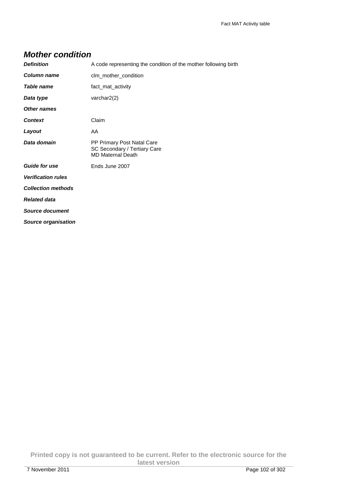## **Mother condition**

| <b>Definition</b>          | A code representing the condition of the mother following birth                        |
|----------------------------|----------------------------------------------------------------------------------------|
| Column name                | clm_mother_condition                                                                   |
| Table name                 | fact_mat_activity                                                                      |
| Data type                  | varchar $2(2)$                                                                         |
| <b>Other names</b>         |                                                                                        |
| <b>Context</b>             | Claim                                                                                  |
| Layout                     | AA                                                                                     |
| Data domain                | PP Primary Post Natal Care<br>SC Secondary / Tertiary Care<br><b>MD Maternal Death</b> |
| <b>Guide for use</b>       | Ends June 2007                                                                         |
| <b>Verification rules</b>  |                                                                                        |
| <b>Collection methods</b>  |                                                                                        |
| <b>Related data</b>        |                                                                                        |
| Source document            |                                                                                        |
| <b>Source organisation</b> |                                                                                        |

**Printed copy is not guaranteed to be current. Refer to the electronic source for the latest version**  7 November 2011 Page 102 of 302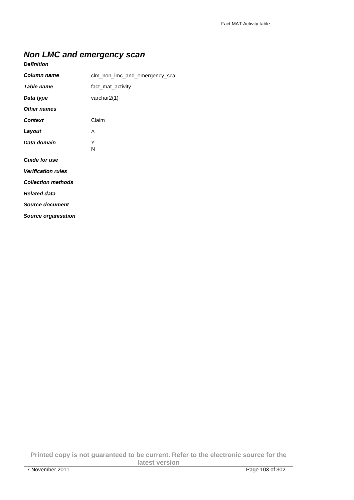# **Non LMC and emergency scan**

| <b>Column name</b>         | clm_non_lmc_and_emergency_sca |
|----------------------------|-------------------------------|
| <b>Table name</b>          | fact_mat_activity             |
| Data type                  | varchar $2(1)$                |
| <b>Other names</b>         |                               |
| <b>Context</b>             | Claim                         |
| Layout                     | Α                             |
| Data domain                | Υ<br>N                        |
| <b>Guide for use</b>       |                               |
| <b>Verification rules</b>  |                               |
| <b>Collection methods</b>  |                               |
| <b>Related data</b>        |                               |
| <b>Source document</b>     |                               |
| <b>Source organisation</b> |                               |

**Printed copy is not guaranteed to be current. Refer to the electronic source for the latest version**  7 November 2011 Page 103 of 302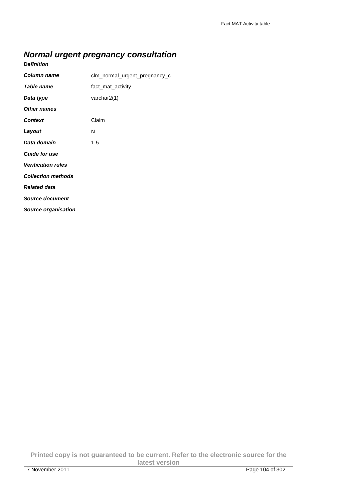# **Normal urgent pregnancy consultation**

#### **Definition**

| <b>Column name</b>         | clm_normal_urgent_pregnancy_c |
|----------------------------|-------------------------------|
| Table name                 | fact_mat_activity             |
| Data type                  | varchar2(1)                   |
| Other names                |                               |
| <b>Context</b>             | Claim                         |
| Layout                     | N                             |
| Data domain                | 1-5                           |
| <b>Guide for use</b>       |                               |
| <b>Verification rules</b>  |                               |
| <b>Collection methods</b>  |                               |
| <b>Related data</b>        |                               |
| <b>Source document</b>     |                               |
| <b>Source organisation</b> |                               |

**Printed copy is not guaranteed to be current. Refer to the electronic source for the latest version**  7 November 2011 Page 104 of 302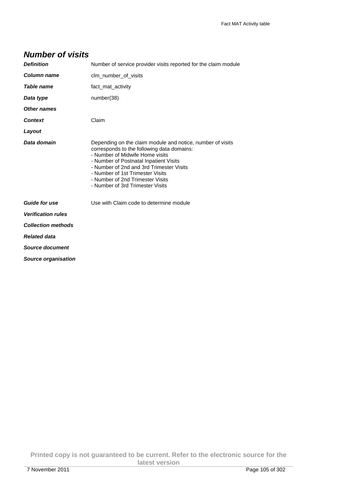| <b>Number of visits</b> |  |  |  |  |  |
|-------------------------|--|--|--|--|--|
|-------------------------|--|--|--|--|--|

| <b>Definition</b>         | Number of service provider visits reported for the claim module                                                                                                                                                                                                                                                                               |
|---------------------------|-----------------------------------------------------------------------------------------------------------------------------------------------------------------------------------------------------------------------------------------------------------------------------------------------------------------------------------------------|
| <b>Column name</b>        | clm number of visits                                                                                                                                                                                                                                                                                                                          |
| <b>Table name</b>         | fact_mat_activity                                                                                                                                                                                                                                                                                                                             |
| Data type                 | number(38)                                                                                                                                                                                                                                                                                                                                    |
| <b>Other names</b>        |                                                                                                                                                                                                                                                                                                                                               |
| <b>Context</b>            | Claim                                                                                                                                                                                                                                                                                                                                         |
| Layout                    |                                                                                                                                                                                                                                                                                                                                               |
| Data domain               | Depending on the claim module and notice, number of visits<br>corresponds to the following data domains:<br>- Number of Midwife Home visits<br>- Number of Postnatal Inpatient Visits<br>- Number of 2nd and 3rd Trimester Visits<br>- Number of 1st Trimester Visits<br>- Number of 2nd Trimester Visits<br>- Number of 3rd Trimester Visits |
| <b>Guide for use</b>      | Use with Claim code to determine module                                                                                                                                                                                                                                                                                                       |
| <b>Verification rules</b> |                                                                                                                                                                                                                                                                                                                                               |
| <b>Collection methods</b> |                                                                                                                                                                                                                                                                                                                                               |
| <b>Related data</b>       |                                                                                                                                                                                                                                                                                                                                               |
| <b>Source document</b>    |                                                                                                                                                                                                                                                                                                                                               |
| Source organisation       |                                                                                                                                                                                                                                                                                                                                               |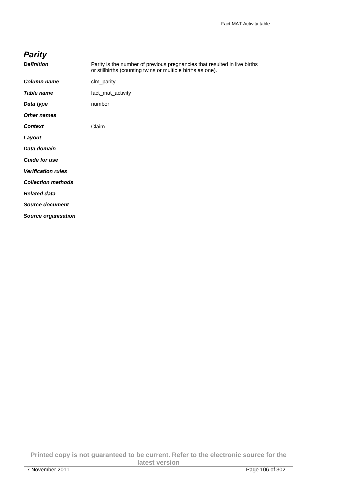| arıt |  |
|------|--|
|      |  |

| <b>Definition</b>          | Parity is the number of previous pregnancies that resulted in live births<br>or stillbirths (counting twins or multiple births as one). |
|----------------------------|-----------------------------------------------------------------------------------------------------------------------------------------|
| Column name                | clm_parity                                                                                                                              |
| Table name                 | fact_mat_activity                                                                                                                       |
| Data type                  | number                                                                                                                                  |
| <b>Other names</b>         |                                                                                                                                         |
| <b>Context</b>             | Claim                                                                                                                                   |
| Layout                     |                                                                                                                                         |
| Data domain                |                                                                                                                                         |
| <b>Guide for use</b>       |                                                                                                                                         |
| <b>Verification rules</b>  |                                                                                                                                         |
| <b>Collection methods</b>  |                                                                                                                                         |
| <b>Related data</b>        |                                                                                                                                         |
| <b>Source document</b>     |                                                                                                                                         |
| <b>Source organisation</b> |                                                                                                                                         |

**Printed copy is not guaranteed to be current. Refer to the electronic source for the latest version**  7 November 2011 Page 106 of 302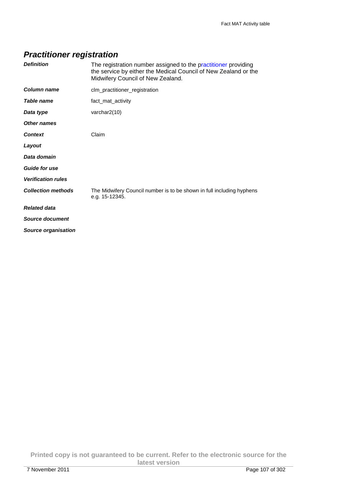# **Practitioner registration**

| <b>Definition</b>         | The registration number assigned to the practitioner providing<br>the service by either the Medical Council of New Zealand or the<br>Midwifery Council of New Zealand. |
|---------------------------|------------------------------------------------------------------------------------------------------------------------------------------------------------------------|
| Column name               | clm_practitioner_registration                                                                                                                                          |
| Table name                | fact_mat_activity                                                                                                                                                      |
| Data type                 | varchar2(10)                                                                                                                                                           |
| Other names               |                                                                                                                                                                        |
| <b>Context</b>            | Claim                                                                                                                                                                  |
| Layout                    |                                                                                                                                                                        |
| Data domain               |                                                                                                                                                                        |
| <b>Guide for use</b>      |                                                                                                                                                                        |
| <b>Verification rules</b> |                                                                                                                                                                        |
| <b>Collection methods</b> | The Midwifery Council number is to be shown in full including hyphens<br>e.g. 15-12345.                                                                                |
| <b>Related data</b>       |                                                                                                                                                                        |
| Source document           |                                                                                                                                                                        |
| Source organisation       |                                                                                                                                                                        |

**Printed copy is not guaranteed to be current. Refer to the electronic source for the latest version**  7 November 2011 Page 107 of 302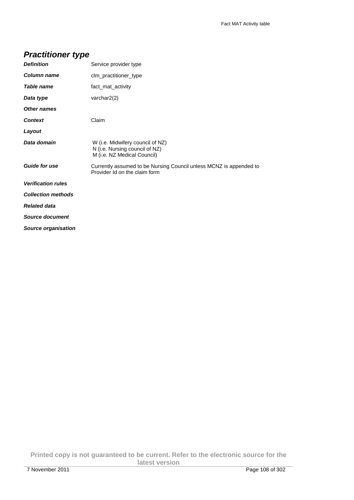# **Practitioner type**

| <b>Definition</b>         | Service provider type                                                                               |
|---------------------------|-----------------------------------------------------------------------------------------------------|
| Column name               | clm_practitioner_type                                                                               |
| Table name                | fact_mat_activity                                                                                   |
| Data type                 | varchar $2(2)$                                                                                      |
| Other names               |                                                                                                     |
| <b>Context</b>            | Claim                                                                                               |
| Layout                    |                                                                                                     |
| Data domain               | W (i.e. Midwifery council of NZ)<br>N (i.e. Nursing council of NZ)<br>M (i.e. NZ Medical Council)   |
| <b>Guide for use</b>      | Currently assumed to be Nursing Council unless MCNZ is appended to<br>Provider Id on the claim form |
| <b>Verification rules</b> |                                                                                                     |
| <b>Collection methods</b> |                                                                                                     |
| <b>Related data</b>       |                                                                                                     |
| Source document           |                                                                                                     |
| Source organisation       |                                                                                                     |

**Printed copy is not guaranteed to be current. Refer to the electronic source for the latest version**  7 November 2011 Page 108 of 302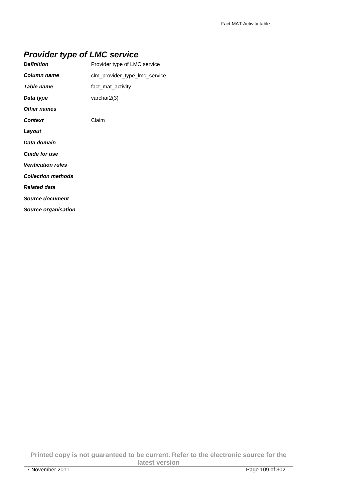## **Provider type of LMC service**

| <b>Definition</b>          | Provider type of LMC service  |
|----------------------------|-------------------------------|
| Column name                | clm provider type Imc service |
| Table name                 | fact_mat_activity             |
| Data type                  | varchar $2(3)$                |
| <b>Other names</b>         |                               |
| <b>Context</b>             | Claim                         |
| Layout                     |                               |
| Data domain                |                               |
| <b>Guide for use</b>       |                               |
| <b>Verification rules</b>  |                               |
| <b>Collection methods</b>  |                               |
| <b>Related data</b>        |                               |
| <b>Source document</b>     |                               |
| <b>Source organisation</b> |                               |

**Printed copy is not guaranteed to be current. Refer to the electronic source for the latest version**  7 November 2011 Page 109 of 302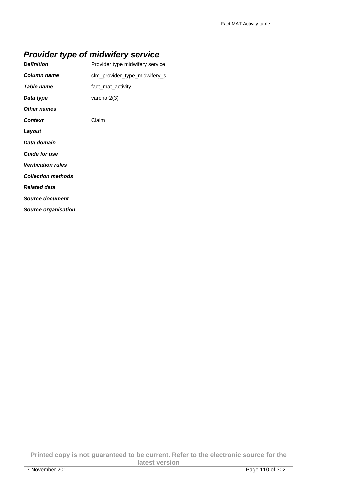## **Provider type of midwifery service**

| <b>Definition</b>         | Provider type midwifery service |
|---------------------------|---------------------------------|
| Column name               | clm_provider_type_midwifery_s   |
| Table name                | fact_mat_activity               |
| Data type                 | varchar $2(3)$                  |
| Other names               |                                 |
| <b>Context</b>            | Claim                           |
| Layout                    |                                 |
| Data domain               |                                 |
| <b>Guide for use</b>      |                                 |
| <b>Verification rules</b> |                                 |
| <b>Collection methods</b> |                                 |
| <b>Related data</b>       |                                 |
| Source document           |                                 |
| Source organisation       |                                 |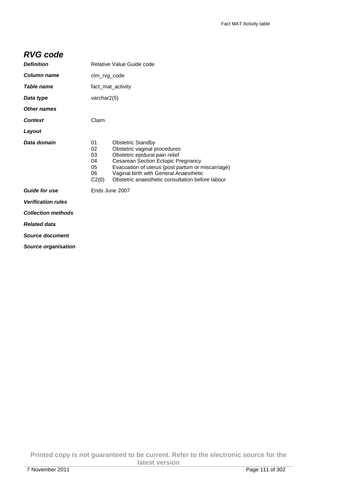#### **RVG code**

| <b>Definition</b>         |                                           | Relative Value Guide code                                                                                                                                                                                                                                                           |  |
|---------------------------|-------------------------------------------|-------------------------------------------------------------------------------------------------------------------------------------------------------------------------------------------------------------------------------------------------------------------------------------|--|
| <b>Column name</b>        |                                           | clm_rvg_code                                                                                                                                                                                                                                                                        |  |
| Table name                |                                           | fact mat activity                                                                                                                                                                                                                                                                   |  |
| Data type                 | varchar $2(5)$                            |                                                                                                                                                                                                                                                                                     |  |
| <b>Other names</b>        |                                           |                                                                                                                                                                                                                                                                                     |  |
| <b>Context</b>            | Claim                                     |                                                                                                                                                                                                                                                                                     |  |
| Layout                    |                                           |                                                                                                                                                                                                                                                                                     |  |
| Data domain               | 01<br>02<br>03<br>04<br>05<br>06<br>C2(0) | <b>Obstetric Standby</b><br>Obstetric vaginal procedures<br>Obstetric epidural pain relief<br>Cesarean Section Ectopic Pregnancy<br>Evacuation of uterus (post partum or miscarriage)<br>Vaginal birth with General Anaesthetic<br>Obstetric anaesthetic consultation before labour |  |
| <b>Guide for use</b>      |                                           | Ends June 2007                                                                                                                                                                                                                                                                      |  |
| <b>Verification rules</b> |                                           |                                                                                                                                                                                                                                                                                     |  |
| <b>Collection methods</b> |                                           |                                                                                                                                                                                                                                                                                     |  |
| <b>Related data</b>       |                                           |                                                                                                                                                                                                                                                                                     |  |
| Source document           |                                           |                                                                                                                                                                                                                                                                                     |  |
| Source organisation       |                                           |                                                                                                                                                                                                                                                                                     |  |

**Printed copy is not guaranteed to be current. Refer to the electronic source for the latest version**  7 November 2011 Page 111 of 302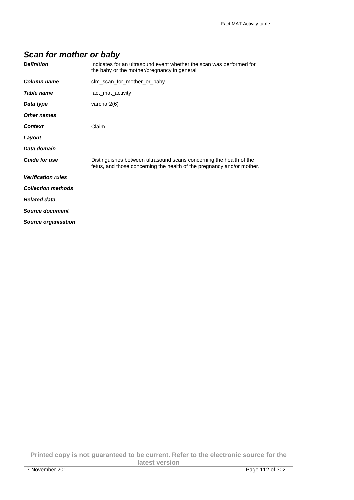# **Scan for mother or baby**

| <b>Definition</b>          | Indicates for an ultrasound event whether the scan was performed for<br>the baby or the mother/pregnancy in general                           |
|----------------------------|-----------------------------------------------------------------------------------------------------------------------------------------------|
| Column name                | clm_scan_for_mother_or_baby                                                                                                                   |
| Table name                 | fact mat activity                                                                                                                             |
| Data type                  | varchar2(6)                                                                                                                                   |
| Other names                |                                                                                                                                               |
| <b>Context</b>             | Claim                                                                                                                                         |
| Layout                     |                                                                                                                                               |
| Data domain                |                                                                                                                                               |
| <b>Guide for use</b>       | Distinguishes between ultrasound scans concerning the health of the<br>fetus, and those concerning the health of the pregnancy and/or mother. |
| <b>Verification rules</b>  |                                                                                                                                               |
| <b>Collection methods</b>  |                                                                                                                                               |
| <b>Related data</b>        |                                                                                                                                               |
| <b>Source document</b>     |                                                                                                                                               |
| <b>Source organisation</b> |                                                                                                                                               |

**Printed copy is not guaranteed to be current. Refer to the electronic source for the latest version**  7 November 2011 Page 112 of 302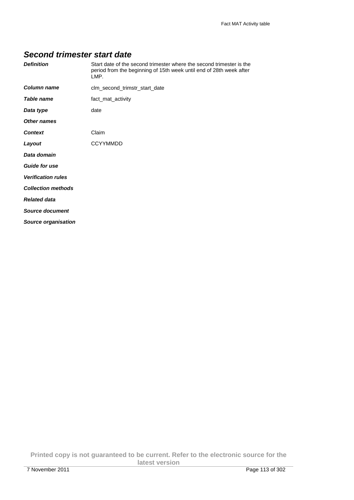#### **Second trimester start date**

| <b>Definition</b>         | Start date of the second trimester where the second trimester is the<br>period from the beginning of 15th week until end of 28th week after<br>LMP. |
|---------------------------|-----------------------------------------------------------------------------------------------------------------------------------------------------|
| Column name               | clm_second_trimstr_start_date                                                                                                                       |
| Table name                | fact mat activity                                                                                                                                   |
| Data type                 | date                                                                                                                                                |
| Other names               |                                                                                                                                                     |
| <b>Context</b>            | Claim                                                                                                                                               |
| Layout                    | <b>CCYYMMDD</b>                                                                                                                                     |
| Data domain               |                                                                                                                                                     |
| <b>Guide for use</b>      |                                                                                                                                                     |
| <b>Verification rules</b> |                                                                                                                                                     |
| <b>Collection methods</b> |                                                                                                                                                     |
| <b>Related data</b>       |                                                                                                                                                     |
| <b>Source document</b>    |                                                                                                                                                     |
| Source organisation       |                                                                                                                                                     |

**Printed copy is not guaranteed to be current. Refer to the electronic source for the latest version**  7 November 2011 Page 113 of 302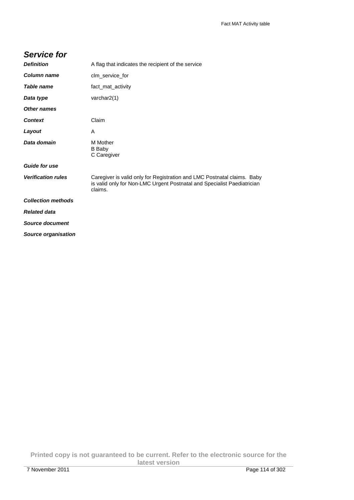#### **Service for**

| <b>Definition</b>          | A flag that indicates the recipient of the service                                                                                                            |
|----------------------------|---------------------------------------------------------------------------------------------------------------------------------------------------------------|
| Column name                | clm_service_for                                                                                                                                               |
| Table name                 | fact_mat_activity                                                                                                                                             |
| Data type                  | varchar2(1)                                                                                                                                                   |
| <b>Other names</b>         |                                                                                                                                                               |
| <b>Context</b>             | Claim                                                                                                                                                         |
| Layout                     | A                                                                                                                                                             |
| Data domain                | <b>M</b> Mother<br>B Baby<br>C Caregiver                                                                                                                      |
| <b>Guide for use</b>       |                                                                                                                                                               |
| <b>Verification rules</b>  | Caregiver is valid only for Registration and LMC Postnatal claims. Baby<br>is valid only for Non-LMC Urgent Postnatal and Specialist Paediatrician<br>claims. |
| <b>Collection methods</b>  |                                                                                                                                                               |
| <b>Related data</b>        |                                                                                                                                                               |
| Source document            |                                                                                                                                                               |
| <b>Source organisation</b> |                                                                                                                                                               |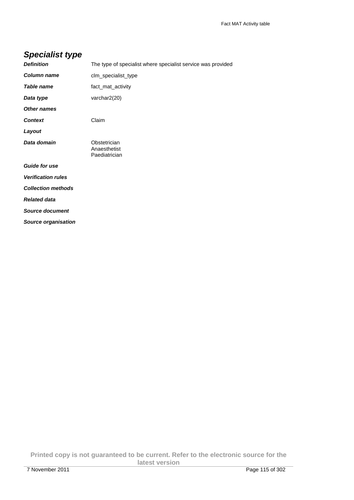# **Specialist type**

| <b>Definition</b>          | The type of specialist where specialist service was provided |
|----------------------------|--------------------------------------------------------------|
| Column name                | clm_specialist_type                                          |
| <b>Table name</b>          | fact_mat_activity                                            |
| Data type                  | varchar2(20)                                                 |
| Other names                |                                                              |
| <b>Context</b>             | Claim                                                        |
| Layout                     |                                                              |
| Data domain                | Obstetrician<br>Anaesthetist<br>Paediatrician                |
| <b>Guide for use</b>       |                                                              |
| <b>Verification rules</b>  |                                                              |
| <b>Collection methods</b>  |                                                              |
| <b>Related data</b>        |                                                              |
| <b>Source document</b>     |                                                              |
| <b>Source organisation</b> |                                                              |

**Printed copy is not guaranteed to be current. Refer to the electronic source for the latest version**  7 November 2011 Page 115 of 302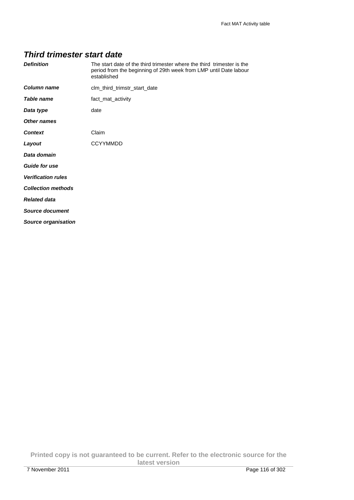#### **Third trimester start date**

| <b>Definition</b>         | The start date of the third trimester where the third trimester is the<br>period from the beginning of 29th week from LMP until Date labour<br>established |
|---------------------------|------------------------------------------------------------------------------------------------------------------------------------------------------------|
| Column name               | clm_third_trimstr_start_date                                                                                                                               |
| Table name                | fact_mat_activity                                                                                                                                          |
| Data type                 | date                                                                                                                                                       |
| Other names               |                                                                                                                                                            |
| <b>Context</b>            | Claim                                                                                                                                                      |
| Layout                    | <b>CCYYMMDD</b>                                                                                                                                            |
| Data domain               |                                                                                                                                                            |
| <b>Guide for use</b>      |                                                                                                                                                            |
| <b>Verification rules</b> |                                                                                                                                                            |
| <b>Collection methods</b> |                                                                                                                                                            |
| <b>Related data</b>       |                                                                                                                                                            |
| Source document           |                                                                                                                                                            |
| Source organisation       |                                                                                                                                                            |

**Printed copy is not guaranteed to be current. Refer to the electronic source for the latest version**  7 November 2011 Page 116 of 302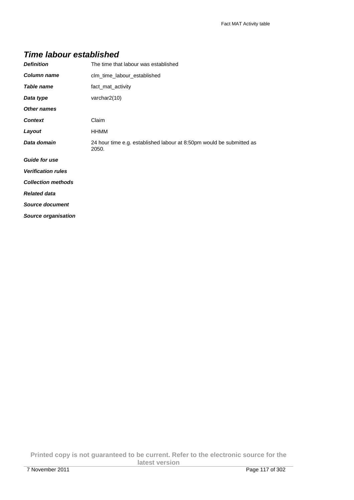#### **Time labour established**

| <b>Definition</b>          | The time that labour was established                                          |  |
|----------------------------|-------------------------------------------------------------------------------|--|
| <b>Column name</b>         | clm time labour established                                                   |  |
| Table name                 | fact mat activity                                                             |  |
| Data type                  | varchar2(10)                                                                  |  |
| <b>Other names</b>         |                                                                               |  |
| <b>Context</b>             | Claim                                                                         |  |
| Layout                     | <b>HHMM</b>                                                                   |  |
| Data domain                | 24 hour time e.g. established labour at 8:50pm would be submitted as<br>2050. |  |
| <b>Guide for use</b>       |                                                                               |  |
| <b>Verification rules</b>  |                                                                               |  |
| <b>Collection methods</b>  |                                                                               |  |
| <b>Related data</b>        |                                                                               |  |
| <b>Source document</b>     |                                                                               |  |
| <b>Source organisation</b> |                                                                               |  |

**Printed copy is not guaranteed to be current. Refer to the electronic source for the latest version**  7 November 2011 Page 117 of 302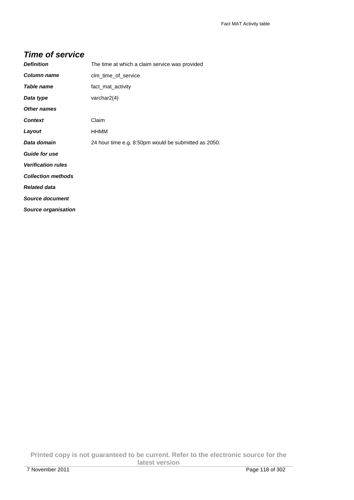#### **Time of service**

| <b>Definition</b>          | The time at which a claim service was provided       |
|----------------------------|------------------------------------------------------|
| <b>Column name</b>         | clm_time_of_service                                  |
| Table name                 | fact_mat_activity                                    |
| Data type                  | varchar $2(4)$                                       |
| <b>Other names</b>         |                                                      |
| <b>Context</b>             | Claim                                                |
| Layout                     | HHMM                                                 |
| Data domain                | 24 hour time e.g. 8:50pm would be submitted as 2050. |
| <b>Guide for use</b>       |                                                      |
| <b>Verification rules</b>  |                                                      |
| <b>Collection methods</b>  |                                                      |
| <b>Related data</b>        |                                                      |
| <b>Source document</b>     |                                                      |
| <b>Source organisation</b> |                                                      |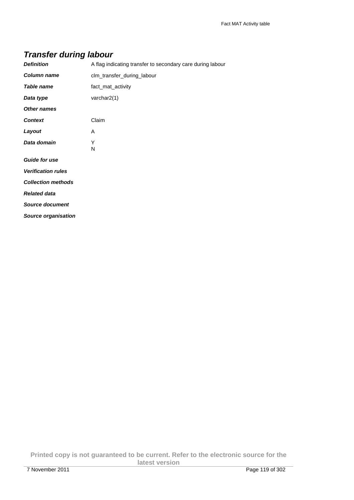| <b>Definition</b>  | A flag indicating transfer to secondary care during labour |
|--------------------|------------------------------------------------------------|
| Column name        | clm transfer during labour                                 |
| Table name         | fact mat activity                                          |
| Data type          | varchar $2(1)$                                             |
| <b>Other names</b> |                                                            |
| Context            | Claim                                                      |

N

#### **Transfer during labour**

**Layout** A **Data domain** Y

**Source document** 

**Guide for use** 

**Related data** 

**Verification rules Collection methods** 

**Source organisation** 

**Printed copy is not guaranteed to be current. Refer to the electronic source for the latest version**  7 November 2011 Page 119 of 302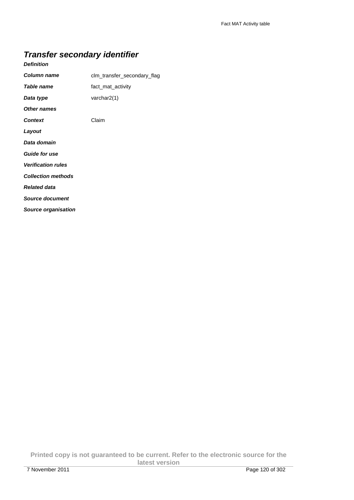## **Transfer secondary identifier**

#### **Definition**

| Column name               | clm_transfer_secondary_flag |
|---------------------------|-----------------------------|
| Table name                | fact_mat_activity           |
| Data type                 | varchar2(1)                 |
| <b>Other names</b>        |                             |
| <b>Context</b>            | Claim                       |
| Layout                    |                             |
| Data domain               |                             |
| <b>Guide for use</b>      |                             |
| <b>Verification rules</b> |                             |
| <b>Collection methods</b> |                             |
| <b>Related data</b>       |                             |
| <b>Source document</b>    |                             |
| Source organisation       |                             |

**Printed copy is not guaranteed to be current. Refer to the electronic source for the latest version**  7 November 2011 Page 120 of 302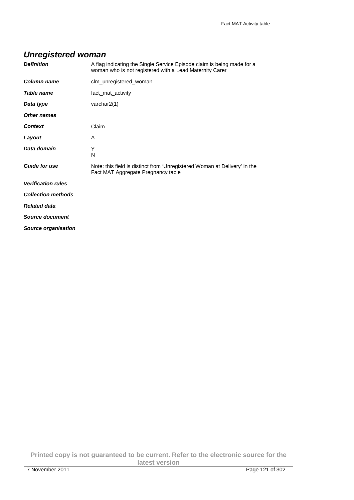## **Unregistered woman**

| <b>Definition</b>         | A flag indicating the Single Service Episode claim is being made for a<br>woman who is not registered with a Lead Maternity Carer |
|---------------------------|-----------------------------------------------------------------------------------------------------------------------------------|
| <b>Column name</b>        | clm_unregistered_woman                                                                                                            |
| Table name                | fact_mat_activity                                                                                                                 |
| Data type                 | varchar $2(1)$                                                                                                                    |
| <b>Other names</b>        |                                                                                                                                   |
| <b>Context</b>            | Claim                                                                                                                             |
| Layout                    | A                                                                                                                                 |
| Data domain               | Υ<br>N                                                                                                                            |
| <b>Guide for use</b>      | Note: this field is distinct from 'Unregistered Woman at Delivery' in the<br>Fact MAT Aggregate Pregnancy table                   |
| <b>Verification rules</b> |                                                                                                                                   |
| <b>Collection methods</b> |                                                                                                                                   |
| <b>Related data</b>       |                                                                                                                                   |
| Source document           |                                                                                                                                   |
| Source organisation       |                                                                                                                                   |

**Printed copy is not guaranteed to be current. Refer to the electronic source for the latest version**  7 November 2011 Page 121 of 302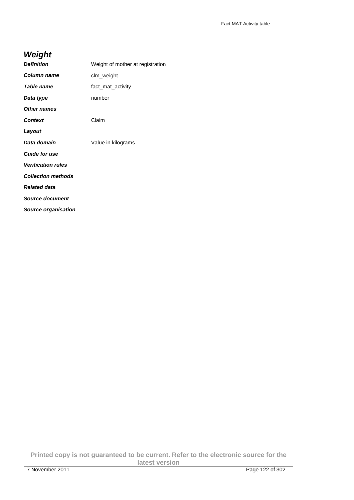## **Weight**

| <b>Definition</b>          | Weight of mother at registration |
|----------------------------|----------------------------------|
| Column name                | clm_weight                       |
| <b>Table name</b>          | fact_mat_activity                |
| Data type                  | number                           |
| <b>Other names</b>         |                                  |
| <b>Context</b>             | Claim                            |
| Layout                     |                                  |
| Data domain                | Value in kilograms               |
| <b>Guide for use</b>       |                                  |
| <b>Verification rules</b>  |                                  |
| <b>Collection methods</b>  |                                  |
| <b>Related data</b>        |                                  |
| <b>Source document</b>     |                                  |
| <b>Source organisation</b> |                                  |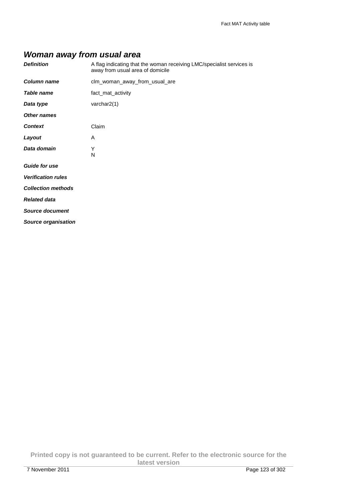## **Woman away from usual area**

| <b>Definition</b>          | A flag indicating that the woman receiving LMC/specialist services is<br>away from usual area of domicile |
|----------------------------|-----------------------------------------------------------------------------------------------------------|
| Column name                | clm_woman_away_from_usual_are                                                                             |
| Table name                 | fact_mat_activity                                                                                         |
| Data type                  | varchar2(1)                                                                                               |
| <b>Other names</b>         |                                                                                                           |
| <b>Context</b>             | Claim                                                                                                     |
| Layout                     | A                                                                                                         |
| Data domain                | Υ<br>N                                                                                                    |
| <b>Guide for use</b>       |                                                                                                           |
| <b>Verification rules</b>  |                                                                                                           |
| <b>Collection methods</b>  |                                                                                                           |
| <b>Related data</b>        |                                                                                                           |
| <b>Source document</b>     |                                                                                                           |
| <b>Source organisation</b> |                                                                                                           |

**Printed copy is not guaranteed to be current. Refer to the electronic source for the latest version**  7 November 2011 Page 123 of 302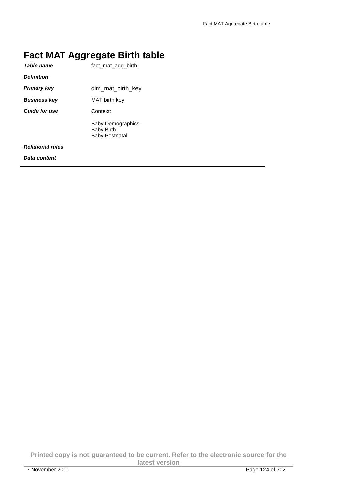# **Fact MAT Aggregate Birth table**

| Table name              | fact mat agg birth                                |
|-------------------------|---------------------------------------------------|
| <b>Definition</b>       |                                                   |
| <b>Primary key</b>      | dim_mat_birth_key                                 |
| <b>Business key</b>     | MAT birth key                                     |
| <b>Guide for use</b>    | Context:                                          |
|                         | Baby.Demographics<br>Baby.Birth<br>Baby.Postnatal |
| <b>Relational rules</b> |                                                   |
| Data content            |                                                   |

**Printed copy is not guaranteed to be current. Refer to the electronic source for the latest version**  7 November 2011 Page 124 of 302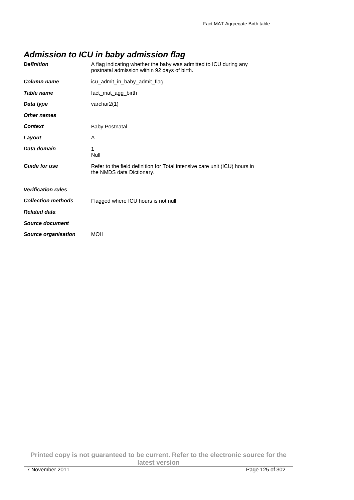## **Admission to ICU in baby admission flag**

| <b>Definition</b>         | A flag indicating whether the baby was admitted to ICU during any<br>postnatal admission within 92 days of birth. |
|---------------------------|-------------------------------------------------------------------------------------------------------------------|
| Column name               | icu_admit_in_baby_admit_flag                                                                                      |
| Table name                | fact_mat_agg_birth                                                                                                |
| Data type                 | varchar2(1)                                                                                                       |
| <b>Other names</b>        |                                                                                                                   |
| <b>Context</b>            | Baby.Postnatal                                                                                                    |
| Layout                    | A                                                                                                                 |
| Data domain               | 1<br>Null                                                                                                         |
| <b>Guide for use</b>      | Refer to the field definition for Total intensive care unit (ICU) hours in<br>the NMDS data Dictionary.           |
| <b>Verification rules</b> |                                                                                                                   |
| <b>Collection methods</b> | Flagged where ICU hours is not null.                                                                              |
| <b>Related data</b>       |                                                                                                                   |
| Source document           |                                                                                                                   |
| Source organisation       | <b>MOH</b>                                                                                                        |

**Printed copy is not guaranteed to be current. Refer to the electronic source for the latest version**  7 November 2011 Page 125 of 302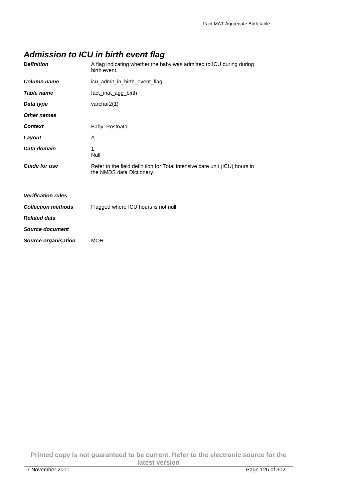## **Admission to ICU in birth event flag**

| <b>Definition</b>          | A flag indicating whether the baby was admitted to ICU during during<br>birth event.                    |
|----------------------------|---------------------------------------------------------------------------------------------------------|
| <b>Column name</b>         | icu_admit_in_birth_event_flag                                                                           |
| Table name                 | fact_mat_agg_birth                                                                                      |
| Data type                  | varchar2(1)                                                                                             |
| <b>Other names</b>         |                                                                                                         |
| <b>Context</b>             | Baby. Postnatal                                                                                         |
| Layout                     | A                                                                                                       |
| Data domain                | 1<br>Null                                                                                               |
| <b>Guide for use</b>       | Refer to the field definition for Total intensive care unit (ICU) hours in<br>the NMDS data Dictionary. |
| <b>Verification rules</b>  |                                                                                                         |
| <b>Collection methods</b>  | Flagged where ICU hours is not null.                                                                    |
| <b>Related data</b>        |                                                                                                         |
| <b>Source document</b>     |                                                                                                         |
| <b>Source organisation</b> | <b>MOH</b>                                                                                              |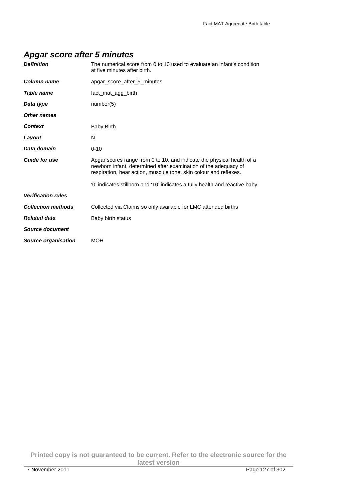## **Apgar score after 5 minutes**

| <b>Definition</b>         | The numerical score from 0 to 10 used to evaluate an infant's condition<br>at five minutes after birth.                                                                                                        |
|---------------------------|----------------------------------------------------------------------------------------------------------------------------------------------------------------------------------------------------------------|
| Column name               | apgar score after 5 minutes                                                                                                                                                                                    |
| <b>Table name</b>         | fact mat agg birth                                                                                                                                                                                             |
| Data type                 | number(5)                                                                                                                                                                                                      |
| Other names               |                                                                                                                                                                                                                |
| <b>Context</b>            | Baby.Birth                                                                                                                                                                                                     |
| Layout                    | N                                                                                                                                                                                                              |
| Data domain               | $0 - 10$                                                                                                                                                                                                       |
| <b>Guide for use</b>      | Apgar scores range from 0 to 10, and indicate the physical health of a<br>newborn infant, determined after examination of the adequacy of<br>respiration, hear action, muscule tone, skin colour and reflexes. |
|                           | '0' indicates stillborn and '10' indicates a fully health and reactive baby.                                                                                                                                   |
| <b>Verification rules</b> |                                                                                                                                                                                                                |
| <b>Collection methods</b> | Collected via Claims so only available for LMC attended births                                                                                                                                                 |
| <b>Related data</b>       | Baby birth status                                                                                                                                                                                              |
| Source document           |                                                                                                                                                                                                                |
| Source organisation       | <b>MOH</b>                                                                                                                                                                                                     |

**Printed copy is not guaranteed to be current. Refer to the electronic source for the latest version**  7 November 2011 Page 127 of 302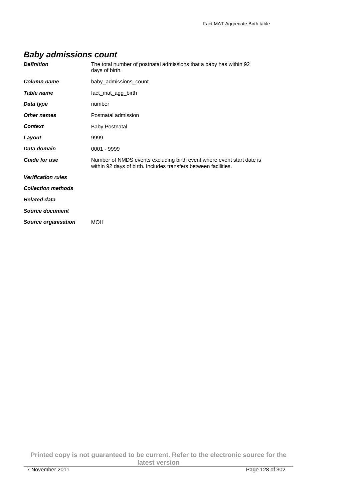# **Baby admissions count**

| <b>Definition</b>          | The total number of postnatal admissions that a baby has within 92<br>days of birth.                                                     |
|----------------------------|------------------------------------------------------------------------------------------------------------------------------------------|
| <b>Column name</b>         | baby_admissions_count                                                                                                                    |
| Table name                 | fact_mat_agg_birth                                                                                                                       |
| Data type                  | number                                                                                                                                   |
| Other names                | Postnatal admission                                                                                                                      |
| <b>Context</b>             | Baby.Postnatal                                                                                                                           |
| Layout                     | 9999                                                                                                                                     |
| Data domain                | $0001 - 9999$                                                                                                                            |
| <b>Guide for use</b>       | Number of NMDS events excluding birth event where event start date is<br>within 92 days of birth. Includes transfers between facilities. |
| <b>Verification rules</b>  |                                                                                                                                          |
| <b>Collection methods</b>  |                                                                                                                                          |
| <b>Related data</b>        |                                                                                                                                          |
| <b>Source document</b>     |                                                                                                                                          |
| <b>Source organisation</b> | <b>MOH</b>                                                                                                                               |

**Printed copy is not guaranteed to be current. Refer to the electronic source for the latest version**  7 November 2011 Page 128 of 302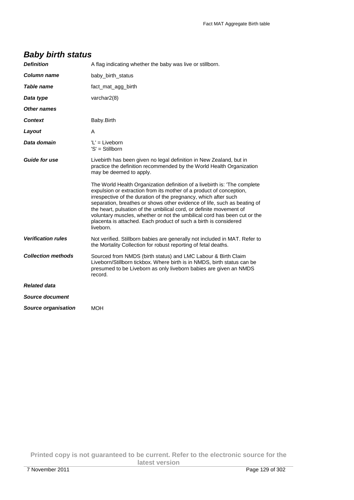| <b>Definition</b>          | A flag indicating whether the baby was live or stillborn.                                                                                                                                                                                                                                                                                                                                                                                                                                                                           |
|----------------------------|-------------------------------------------------------------------------------------------------------------------------------------------------------------------------------------------------------------------------------------------------------------------------------------------------------------------------------------------------------------------------------------------------------------------------------------------------------------------------------------------------------------------------------------|
| <b>Column name</b>         | baby_birth_status                                                                                                                                                                                                                                                                                                                                                                                                                                                                                                                   |
| Table name                 | fact_mat_agg_birth                                                                                                                                                                                                                                                                                                                                                                                                                                                                                                                  |
| Data type                  | varchar2(8)                                                                                                                                                                                                                                                                                                                                                                                                                                                                                                                         |
| Other names                |                                                                                                                                                                                                                                                                                                                                                                                                                                                                                                                                     |
| Context                    | Baby.Birth                                                                                                                                                                                                                                                                                                                                                                                                                                                                                                                          |
| Layout                     | A                                                                                                                                                                                                                                                                                                                                                                                                                                                                                                                                   |
| Data domain                | $'L' = Liveborn$<br>'S' = Stillborn                                                                                                                                                                                                                                                                                                                                                                                                                                                                                                 |
| <b>Guide for use</b>       | Livebirth has been given no legal definition in New Zealand, but in<br>practice the definition recommended by the World Health Organization<br>may be deemed to apply.                                                                                                                                                                                                                                                                                                                                                              |
|                            | The World Health Organization definition of a livebirth is: 'The complete<br>expulsion or extraction from its mother of a product of conception,<br>irrespective of the duration of the pregnancy, which after such<br>separation, breathes or shows other evidence of life, such as beating of<br>the heart, pulsation of the umbilical cord, or definite movement of<br>voluntary muscles, whether or not the umbilical cord has been cut or the<br>placenta is attached. Each product of such a birth is considered<br>liveborn. |
| <b>Verification rules</b>  | Not verified. Stillborn babies are generally not included in MAT. Refer to<br>the Mortality Collection for robust reporting of fetal deaths.                                                                                                                                                                                                                                                                                                                                                                                        |
| <b>Collection methods</b>  | Sourced from NMDS (birth status) and LMC Labour & Birth Claim<br>Liveborn/Stillborn tickbox. Where birth is in NMDS, birth status can be<br>presumed to be Liveborn as only liveborn babies are given an NMDS<br>record.                                                                                                                                                                                                                                                                                                            |
| <b>Related data</b>        |                                                                                                                                                                                                                                                                                                                                                                                                                                                                                                                                     |
| <b>Source document</b>     |                                                                                                                                                                                                                                                                                                                                                                                                                                                                                                                                     |
| <b>Source organisation</b> | <b>MOH</b>                                                                                                                                                                                                                                                                                                                                                                                                                                                                                                                          |

## **Baby birth status**

**Printed copy is not guaranteed to be current. Refer to the electronic source for the latest version**  7 November 2011 Page 129 of 302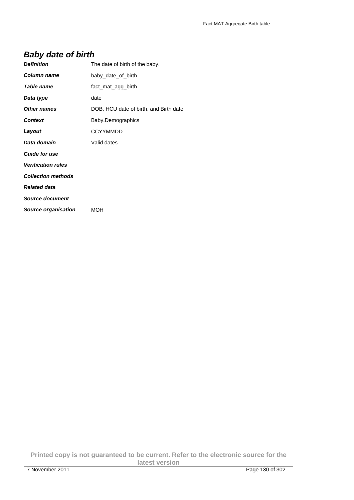## **Baby date of birth**

| <b>Definition</b>         | The date of birth of the baby.         |
|---------------------------|----------------------------------------|
| Column name               | baby_date_of_birth                     |
| <b>Table name</b>         | fact_mat_agg_birth                     |
| Data type                 | date                                   |
| Other names               | DOB, HCU date of birth, and Birth date |
| <b>Context</b>            | Baby.Demographics                      |
| Layout                    | <b>CCYYMMDD</b>                        |
| Data domain               | Valid dates                            |
| <b>Guide for use</b>      |                                        |
| <b>Verification rules</b> |                                        |
| <b>Collection methods</b> |                                        |
| <b>Related data</b>       |                                        |
| Source document           |                                        |
| Source organisation       | <b>MOH</b>                             |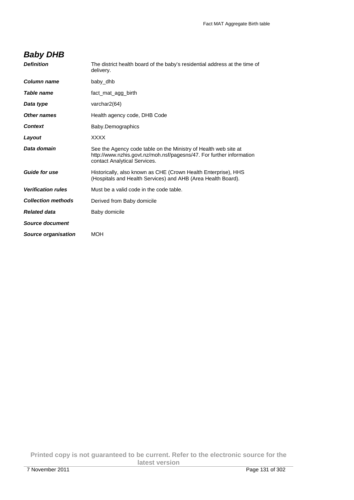## **Baby DHB**

| <b>Definition</b>          | The district health board of the baby's residential address at the time of<br>delivery.                                                                                 |
|----------------------------|-------------------------------------------------------------------------------------------------------------------------------------------------------------------------|
| Column name                | baby dhb                                                                                                                                                                |
| Table name                 | fact_mat_agg_birth                                                                                                                                                      |
| Data type                  | varchar2(64)                                                                                                                                                            |
| Other names                | Health agency code, DHB Code                                                                                                                                            |
| <b>Context</b>             | Baby.Demographics                                                                                                                                                       |
| Layout                     | <b>XXXX</b>                                                                                                                                                             |
| Data domain                | See the Agency code table on the Ministry of Health web site at<br>http://www.nzhis.govt.nz/moh.nsf/pagesns/47. For further information<br>contact Analytical Services. |
| <b>Guide for use</b>       | Historically, also known as CHE (Crown Health Enterprise), HHS<br>(Hospitals and Health Services) and AHB (Area Health Board).                                          |
| <b>Verification rules</b>  | Must be a valid code in the code table.                                                                                                                                 |
| <b>Collection methods</b>  | Derived from Baby domicile                                                                                                                                              |
| <b>Related data</b>        | Baby domicile                                                                                                                                                           |
| Source document            |                                                                                                                                                                         |
| <b>Source organisation</b> | <b>MOH</b>                                                                                                                                                              |

**Printed copy is not guaranteed to be current. Refer to the electronic source for the latest version**  7 November 2011 Page 131 of 302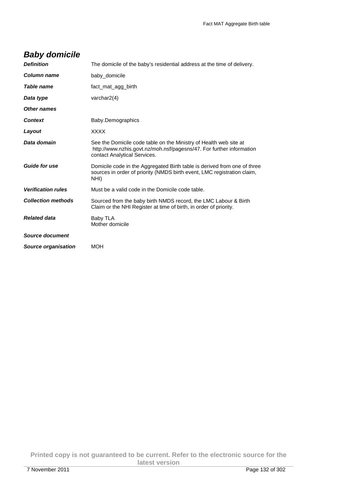| <b>Definition</b>          | The domicile of the baby's residential address at the time of delivery.                                                                                                   |
|----------------------------|---------------------------------------------------------------------------------------------------------------------------------------------------------------------------|
| Column name                | baby_domicile                                                                                                                                                             |
| Table name                 | fact mat agg birth                                                                                                                                                        |
| Data type                  | varchar $2(4)$                                                                                                                                                            |
| <b>Other names</b>         |                                                                                                                                                                           |
| <b>Context</b>             | Baby.Demographics                                                                                                                                                         |
| Layout                     | <b>XXXX</b>                                                                                                                                                               |
| Data domain                | See the Domicile code table on the Ministry of Health web site at<br>http://www.nzhis.govt.nz/moh.nsf/pagesns/47. For further information<br>contact Analytical Services. |
| <b>Guide for use</b>       | Domicile code in the Aggregated Birth table is derived from one of three<br>sources in order of priority (NMDS birth event, LMC registration claim,<br>NHI)               |
| <b>Verification rules</b>  | Must be a valid code in the Domicile code table.                                                                                                                          |
| <b>Collection methods</b>  | Sourced from the baby birth NMDS record, the LMC Labour & Birth<br>Claim or the NHI Register at time of birth, in order of priority.                                      |
| <b>Related data</b>        | Baby TLA<br>Mother domicile                                                                                                                                               |
| <b>Source document</b>     |                                                                                                                                                                           |
| <b>Source organisation</b> | <b>MOH</b>                                                                                                                                                                |

# **Baby domicile**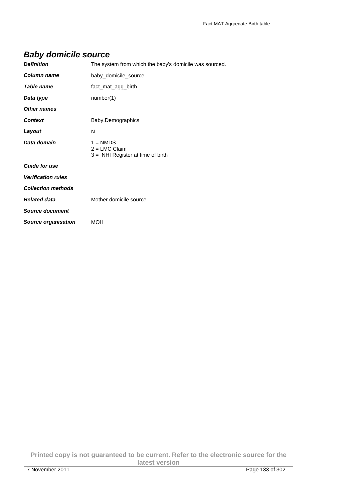## **Baby domicile source**

| <b>Definition</b>          | The system from which the baby's domicile was sourced.               |
|----------------------------|----------------------------------------------------------------------|
| Column name                | baby_domicile_source                                                 |
| <b>Table name</b>          | fact_mat_agg_birth                                                   |
| Data type                  | number(1)                                                            |
| Other names                |                                                                      |
| <b>Context</b>             | Baby.Demographics                                                    |
| Layout                     | N                                                                    |
| Data domain                | $1 = NMDS$<br>$2 = LMC$ Claim<br>$3 =$ NHI Register at time of birth |
| <b>Guide for use</b>       |                                                                      |
| <b>Verification rules</b>  |                                                                      |
| <b>Collection methods</b>  |                                                                      |
| <b>Related data</b>        | Mother domicile source                                               |
| <b>Source document</b>     |                                                                      |
| <b>Source organisation</b> | <b>MOH</b>                                                           |

**Printed copy is not guaranteed to be current. Refer to the electronic source for the latest version**  7 November 2011 Page 133 of 302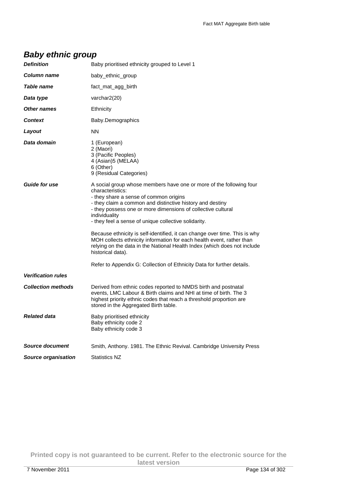## **Baby ethnic group**

| <b>Definition</b>          | Baby prioritised ethnicity grouped to Level 1                                                                                                                                                                                                                                                                                                                                                                                                                                                                                                                                                                                                                             |
|----------------------------|---------------------------------------------------------------------------------------------------------------------------------------------------------------------------------------------------------------------------------------------------------------------------------------------------------------------------------------------------------------------------------------------------------------------------------------------------------------------------------------------------------------------------------------------------------------------------------------------------------------------------------------------------------------------------|
| Column name                | baby_ethnic_group                                                                                                                                                                                                                                                                                                                                                                                                                                                                                                                                                                                                                                                         |
| Table name                 | fact mat agg birth                                                                                                                                                                                                                                                                                                                                                                                                                                                                                                                                                                                                                                                        |
| Data type                  | varchar2(20)                                                                                                                                                                                                                                                                                                                                                                                                                                                                                                                                                                                                                                                              |
| <b>Other names</b>         | Ethnicity                                                                                                                                                                                                                                                                                                                                                                                                                                                                                                                                                                                                                                                                 |
| <b>Context</b>             | Baby.Demographics                                                                                                                                                                                                                                                                                                                                                                                                                                                                                                                                                                                                                                                         |
| Layout                     | <b>NN</b>                                                                                                                                                                                                                                                                                                                                                                                                                                                                                                                                                                                                                                                                 |
| Data domain                | 1 (European)<br>2 (Maori)<br>3 (Pacific Peoples)<br>4 (Asian)5 (MELAA)<br>6 (Other)<br>9 (Residual Categories)                                                                                                                                                                                                                                                                                                                                                                                                                                                                                                                                                            |
| <b>Guide for use</b>       | A social group whose members have one or more of the following four<br>characteristics:<br>- they share a sense of common origins<br>- they claim a common and distinctive history and destiny<br>- they possess one or more dimensions of collective cultural<br>individuality<br>- they feel a sense of unique collective solidarity.<br>Because ethnicity is self-identified, it can change over time. This is why<br>MOH collects ethnicity information for each health event, rather than<br>relying on the data in the National Health Index (which does not include<br>historical data).<br>Refer to Appendix G: Collection of Ethnicity Data for further details. |
| <b>Verification rules</b>  |                                                                                                                                                                                                                                                                                                                                                                                                                                                                                                                                                                                                                                                                           |
| <b>Collection methods</b>  | Derived from ethnic codes reported to NMDS birth and postnatal<br>events, LMC Labour & Birth claims and NHI at time of birth. The 3<br>highest priority ethnic codes that reach a threshold proportion are<br>stored in the Aggregated Birth table.                                                                                                                                                                                                                                                                                                                                                                                                                       |
| <b>Related data</b>        | Baby prioritised ethnicity<br>Baby ethnicity code 2<br>Baby ethnicity code 3                                                                                                                                                                                                                                                                                                                                                                                                                                                                                                                                                                                              |
| <b>Source document</b>     | Smith, Anthony. 1981. The Ethnic Revival. Cambridge University Press                                                                                                                                                                                                                                                                                                                                                                                                                                                                                                                                                                                                      |
| <b>Source organisation</b> | <b>Statistics NZ</b>                                                                                                                                                                                                                                                                                                                                                                                                                                                                                                                                                                                                                                                      |

**Printed copy is not guaranteed to be current. Refer to the electronic source for the latest version**  7 November 2011 Page 134 of 302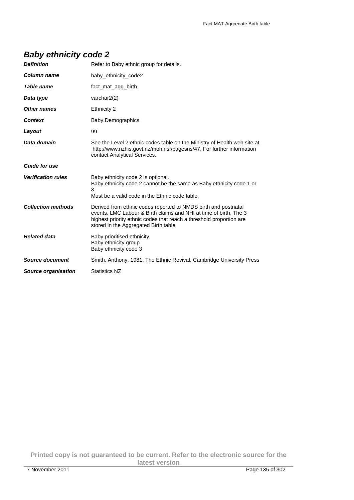## **Baby ethnicity code 2**

| <b>Definition</b>          | Refer to Baby ethnic group for details.                                                                                                                                                                                                             |
|----------------------------|-----------------------------------------------------------------------------------------------------------------------------------------------------------------------------------------------------------------------------------------------------|
| Column name                | baby_ethnicity_code2                                                                                                                                                                                                                                |
| Table name                 | fact mat agg birth                                                                                                                                                                                                                                  |
| Data type                  | varchar2(2)                                                                                                                                                                                                                                         |
| Other names                | Ethnicity 2                                                                                                                                                                                                                                         |
| <b>Context</b>             | Baby.Demographics                                                                                                                                                                                                                                   |
| Layout                     | 99                                                                                                                                                                                                                                                  |
| Data domain                | See the Level 2 ethnic codes table on the Ministry of Health web site at<br>http://www.nzhis.govt.nz/moh.nsf/pagesns/47. For further information<br>contact Analytical Services.                                                                    |
| <b>Guide for use</b>       |                                                                                                                                                                                                                                                     |
| <b>Verification rules</b>  | Baby ethnicity code 2 is optional.<br>Baby ethnicity code 2 cannot be the same as Baby ethnicity code 1 or<br>3.<br>Must be a valid code in the Ethnic code table.                                                                                  |
| <b>Collection methods</b>  | Derived from ethnic codes reported to NMDS birth and postnatal<br>events, LMC Labour & Birth claims and NHI at time of birth. The 3<br>highest priority ethnic codes that reach a threshold proportion are<br>stored in the Aggregated Birth table. |
| <b>Related data</b>        | Baby prioritised ethnicity<br>Baby ethnicity group<br>Baby ethnicity code 3                                                                                                                                                                         |
| <b>Source document</b>     | Smith, Anthony. 1981. The Ethnic Revival. Cambridge University Press                                                                                                                                                                                |
| <b>Source organisation</b> | <b>Statistics NZ</b>                                                                                                                                                                                                                                |

**Printed copy is not guaranteed to be current. Refer to the electronic source for the latest version**  7 November 2011 Page 135 of 302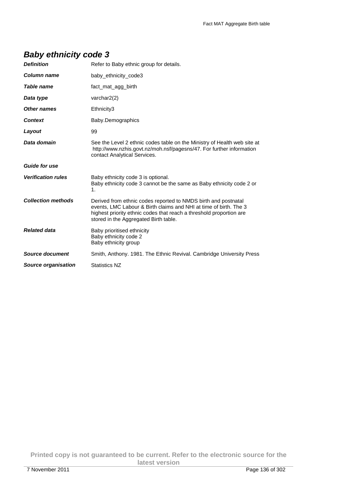## **Baby ethnicity code 3**

| <b>Definition</b>          | Refer to Baby ethnic group for details.                                                                                                                                                                                                             |
|----------------------------|-----------------------------------------------------------------------------------------------------------------------------------------------------------------------------------------------------------------------------------------------------|
| <b>Column name</b>         | baby ethnicity code3                                                                                                                                                                                                                                |
| Table name                 | fact mat agg birth                                                                                                                                                                                                                                  |
| Data type                  | varchar $2(2)$                                                                                                                                                                                                                                      |
| Other names                | Ethnicity3                                                                                                                                                                                                                                          |
| <b>Context</b>             | Baby.Demographics                                                                                                                                                                                                                                   |
| Layout                     | 99                                                                                                                                                                                                                                                  |
| Data domain                | See the Level 2 ethnic codes table on the Ministry of Health web site at<br>http://www.nzhis.govt.nz/moh.nsf/pagesns/47. For further information<br>contact Analytical Services.                                                                    |
| <b>Guide for use</b>       |                                                                                                                                                                                                                                                     |
| <b>Verification rules</b>  | Baby ethnicity code 3 is optional.<br>Baby ethnicity code 3 cannot be the same as Baby ethnicity code 2 or<br>1.                                                                                                                                    |
| <b>Collection methods</b>  | Derived from ethnic codes reported to NMDS birth and postnatal<br>events, LMC Labour & Birth claims and NHI at time of birth. The 3<br>highest priority ethnic codes that reach a threshold proportion are<br>stored in the Aggregated Birth table. |
| <b>Related data</b>        | Baby prioritised ethnicity<br>Baby ethnicity code 2<br>Baby ethnicity group                                                                                                                                                                         |
| Source document            | Smith, Anthony. 1981. The Ethnic Revival. Cambridge University Press                                                                                                                                                                                |
| <b>Source organisation</b> | <b>Statistics NZ</b>                                                                                                                                                                                                                                |

**Printed copy is not guaranteed to be current. Refer to the electronic source for the latest version**  7 November 2011 Page 136 of 302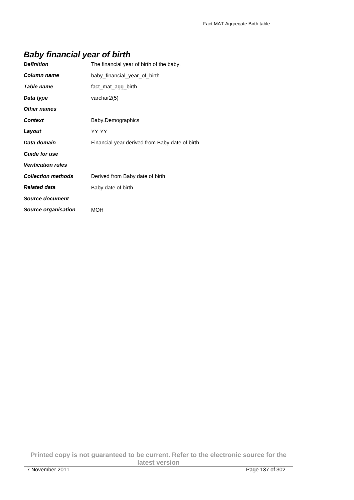## **Baby financial year of birth**

| <b>Definition</b>         | The financial year of birth of the baby.       |
|---------------------------|------------------------------------------------|
| Column name               | baby financial year of birth                   |
| Table name                | fact_mat_agg_birth                             |
| Data type                 | varchar $2(5)$                                 |
| <b>Other names</b>        |                                                |
| <b>Context</b>            | Baby.Demographics                              |
| Layout                    | YY-YY                                          |
| Data domain               | Financial year derived from Baby date of birth |
| <b>Guide for use</b>      |                                                |
| <b>Verification rules</b> |                                                |
| <b>Collection methods</b> | Derived from Baby date of birth                |
|                           |                                                |
| <b>Related data</b>       | Baby date of birth                             |
| <b>Source document</b>    |                                                |

**Printed copy is not guaranteed to be current. Refer to the electronic source for the latest version**  7 November 2011 Page 137 of 302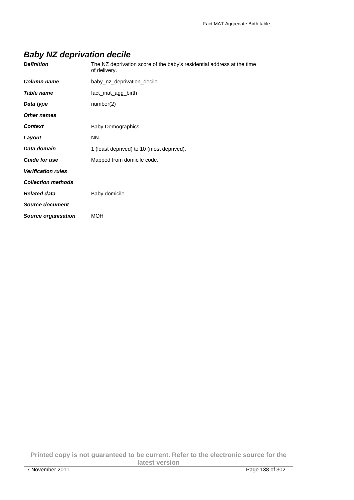# **Baby NZ deprivation decile**

| <b>Definition</b>          | The NZ deprivation score of the baby's residential address at the time<br>of delivery. |
|----------------------------|----------------------------------------------------------------------------------------|
| Column name                | baby_nz_deprivation_decile                                                             |
| Table name                 | fact_mat_agg_birth                                                                     |
| Data type                  | number(2)                                                                              |
| <b>Other names</b>         |                                                                                        |
| <b>Context</b>             | Baby.Demographics                                                                      |
| Layout                     | <b>NN</b>                                                                              |
| Data domain                | 1 (least deprived) to 10 (most deprived).                                              |
| <b>Guide for use</b>       | Mapped from domicile code.                                                             |
| <b>Verification rules</b>  |                                                                                        |
| <b>Collection methods</b>  |                                                                                        |
| <b>Related data</b>        | Baby domicile                                                                          |
| <b>Source document</b>     |                                                                                        |
| <b>Source organisation</b> | MOH                                                                                    |

**Printed copy is not guaranteed to be current. Refer to the electronic source for the latest version**  7 November 2011 Page 138 of 302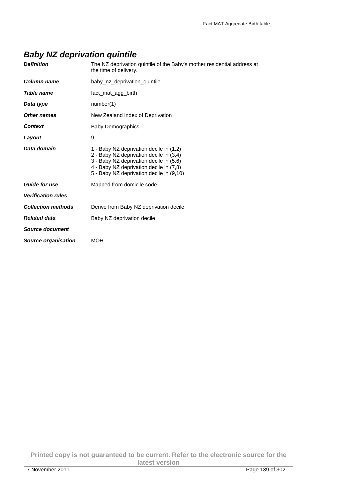## **Baby NZ deprivation quintile**

| The NZ deprivation quintile of the Baby's mother residential address at<br>the time of delivery.                                                                                                                     |
|----------------------------------------------------------------------------------------------------------------------------------------------------------------------------------------------------------------------|
| baby_nz_deprivation_quintile                                                                                                                                                                                         |
| fact mat agg birth                                                                                                                                                                                                   |
| number(1)                                                                                                                                                                                                            |
| New Zealand Index of Deprivation                                                                                                                                                                                     |
| Baby.Demographics                                                                                                                                                                                                    |
| 9                                                                                                                                                                                                                    |
| 1 - Baby NZ deprivation decile in (1,2)<br>2 - Baby NZ deprivation decile in (3,4)<br>3 - Baby NZ deprivation decile in (5,6)<br>4 - Baby NZ deprivation decile in (7,8)<br>5 - Baby NZ deprivation decile in (9,10) |
| Mapped from domicile code.                                                                                                                                                                                           |
|                                                                                                                                                                                                                      |
| Derive from Baby NZ deprivation decile                                                                                                                                                                               |
| Baby NZ deprivation decile                                                                                                                                                                                           |
|                                                                                                                                                                                                                      |
| <b>MOH</b>                                                                                                                                                                                                           |
|                                                                                                                                                                                                                      |

**Printed copy is not guaranteed to be current. Refer to the electronic source for the latest version**  7 November 2011 Page 139 of 302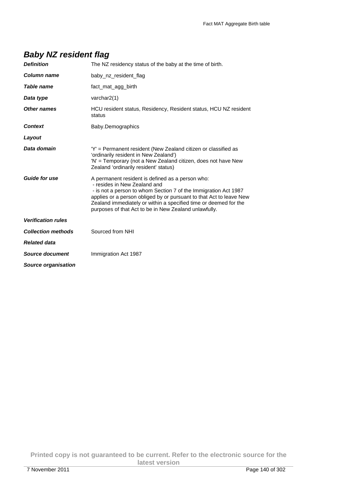| <b>Definition</b>         | The NZ residency status of the baby at the time of birth.                                                                                                                                                                                                                                                                                               |
|---------------------------|---------------------------------------------------------------------------------------------------------------------------------------------------------------------------------------------------------------------------------------------------------------------------------------------------------------------------------------------------------|
| Column name               | baby_nz_resident_flag                                                                                                                                                                                                                                                                                                                                   |
| Table name                | fact mat agg birth                                                                                                                                                                                                                                                                                                                                      |
| Data type                 | varchar2(1)                                                                                                                                                                                                                                                                                                                                             |
| <b>Other names</b>        | HCU resident status, Residency, Resident status, HCU NZ resident<br>status                                                                                                                                                                                                                                                                              |
| <b>Context</b>            | Baby.Demographics                                                                                                                                                                                                                                                                                                                                       |
| Layout                    |                                                                                                                                                                                                                                                                                                                                                         |
| Data domain               | 'Y' = Permanent resident (New Zealand citizen or classified as<br>'ordinarily resident in New Zealand')<br>'N' = Temporary (not a New Zealand citizen, does not have New<br>Zealand 'ordinarily resident' status)                                                                                                                                       |
| <b>Guide for use</b>      | A permanent resident is defined as a person who:<br>- resides in New Zealand and<br>- is not a person to whom Section 7 of the Immigration Act 1987<br>applies or a person obliged by or pursuant to that Act to leave New<br>Zealand immediately or within a specified time or deemed for the<br>purposes of that Act to be in New Zealand unlawfully. |
| <b>Verification rules</b> |                                                                                                                                                                                                                                                                                                                                                         |
| <b>Collection methods</b> | Sourced from NHI                                                                                                                                                                                                                                                                                                                                        |
| <b>Related data</b>       |                                                                                                                                                                                                                                                                                                                                                         |
| Source document           | Immigration Act 1987                                                                                                                                                                                                                                                                                                                                    |
| Source organisation       |                                                                                                                                                                                                                                                                                                                                                         |

**Printed copy is not guaranteed to be current. Refer to the electronic source for the latest version**  7 November 2011 Page 140 of 302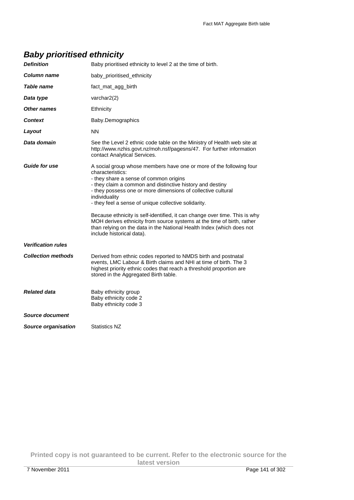## **Baby prioritised ethnicity**

| <b>Definition</b>          | Baby prioritised ethnicity to level 2 at the time of birth.                                                                                                                                                                                                                                                                                                                                                                                                                                                                                                                                           |
|----------------------------|-------------------------------------------------------------------------------------------------------------------------------------------------------------------------------------------------------------------------------------------------------------------------------------------------------------------------------------------------------------------------------------------------------------------------------------------------------------------------------------------------------------------------------------------------------------------------------------------------------|
| Column name                | baby_prioritised_ethnicity                                                                                                                                                                                                                                                                                                                                                                                                                                                                                                                                                                            |
| Table name                 | fact_mat_agg_birth                                                                                                                                                                                                                                                                                                                                                                                                                                                                                                                                                                                    |
| Data type                  | varchar2(2)                                                                                                                                                                                                                                                                                                                                                                                                                                                                                                                                                                                           |
| Other names                | Ethnicity                                                                                                                                                                                                                                                                                                                                                                                                                                                                                                                                                                                             |
| <b>Context</b>             | Baby.Demographics                                                                                                                                                                                                                                                                                                                                                                                                                                                                                                                                                                                     |
| Layout                     | <b>NN</b>                                                                                                                                                                                                                                                                                                                                                                                                                                                                                                                                                                                             |
| Data domain                | See the Level 2 ethnic code table on the Ministry of Health web site at<br>http://www.nzhis.govt.nz/moh.nsf/pagesns/47. For further information<br>contact Analytical Services.                                                                                                                                                                                                                                                                                                                                                                                                                       |
| <b>Guide for use</b>       | A social group whose members have one or more of the following four<br>characteristics:<br>- they share a sense of common origins<br>- they claim a common and distinctive history and destiny<br>- they possess one or more dimensions of collective cultural<br>individuality<br>- they feel a sense of unique collective solidarity.<br>Because ethnicity is self-identified, it can change over time. This is why<br>MOH derives ethnicity from source systems at the time of birth, rather<br>than relying on the data in the National Health Index (which does not<br>include historical data). |
| <b>Verification rules</b>  |                                                                                                                                                                                                                                                                                                                                                                                                                                                                                                                                                                                                       |
| <b>Collection methods</b>  | Derived from ethnic codes reported to NMDS birth and postnatal<br>events, LMC Labour & Birth claims and NHI at time of birth. The 3<br>highest priority ethnic codes that reach a threshold proportion are<br>stored in the Aggregated Birth table.                                                                                                                                                                                                                                                                                                                                                   |
| <b>Related data</b>        | Baby ethnicity group<br>Baby ethnicity code 2<br>Baby ethnicity code 3                                                                                                                                                                                                                                                                                                                                                                                                                                                                                                                                |
| Source document            |                                                                                                                                                                                                                                                                                                                                                                                                                                                                                                                                                                                                       |
| <b>Source organisation</b> | Statistics NZ                                                                                                                                                                                                                                                                                                                                                                                                                                                                                                                                                                                         |

**Printed copy is not guaranteed to be current. Refer to the electronic source for the latest version**  7 November 2011 Page 141 of 302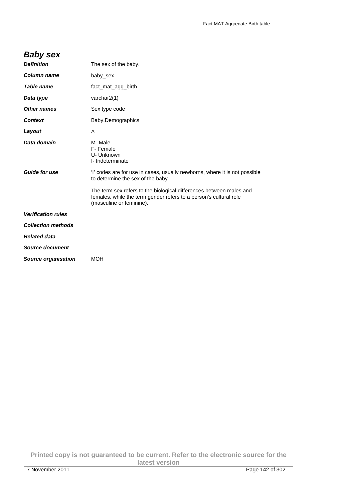## **Baby sex**

| <b>Definition</b>         | The sex of the baby.                                                                                                                                                 |
|---------------------------|----------------------------------------------------------------------------------------------------------------------------------------------------------------------|
| Column name               | baby_sex                                                                                                                                                             |
| <b>Table name</b>         | fact_mat_agg_birth                                                                                                                                                   |
| Data type                 | varchar2(1)                                                                                                                                                          |
| Other names               | Sex type code                                                                                                                                                        |
| <b>Context</b>            | Baby.Demographics                                                                                                                                                    |
| Layout                    | A                                                                                                                                                                    |
| Data domain               | M-Male<br>F-Female<br>U- Unknown<br>I- Indeterminate                                                                                                                 |
| <b>Guide for use</b>      | 'I' codes are for use in cases, usually newborns, where it is not possible<br>to determine the sex of the baby.                                                      |
|                           | The term sex refers to the biological differences between males and<br>females, while the term gender refers to a person's cultural role<br>(masculine or feminine). |
| <b>Verification rules</b> |                                                                                                                                                                      |
| <b>Collection methods</b> |                                                                                                                                                                      |
| <b>Related data</b>       |                                                                                                                                                                      |
| Source document           |                                                                                                                                                                      |
| Source organisation       | <b>MOH</b>                                                                                                                                                           |
|                           |                                                                                                                                                                      |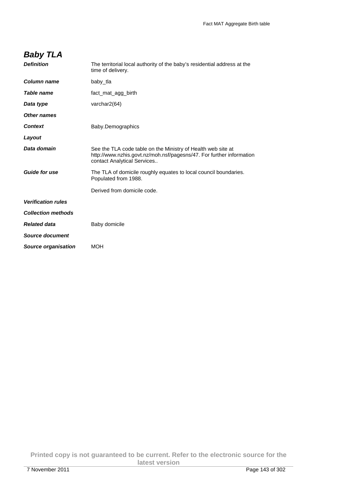# **Baby TLA**

| <b>Definition</b>          | The territorial local authority of the baby's residential address at the<br>time of delivery.                                                                       |
|----------------------------|---------------------------------------------------------------------------------------------------------------------------------------------------------------------|
| <b>Column name</b>         | baby_tla                                                                                                                                                            |
| <b>Table name</b>          | fact mat agg birth                                                                                                                                                  |
| Data type                  | varchar2(64)                                                                                                                                                        |
| <b>Other names</b>         |                                                                                                                                                                     |
| <b>Context</b>             | Baby.Demographics                                                                                                                                                   |
| Layout                     |                                                                                                                                                                     |
| Data domain                | See the TLA code table on the Ministry of Health web site at<br>http://www.nzhis.govt.nz/moh.nsf/pagesns/47. For further information<br>contact Analytical Services |
| <b>Guide for use</b>       | The TLA of domicile roughly equates to local council boundaries.<br>Populated from 1988.                                                                            |
|                            | Derived from domicile code.                                                                                                                                         |
| <b>Verification rules</b>  |                                                                                                                                                                     |
| <b>Collection methods</b>  |                                                                                                                                                                     |
| <b>Related data</b>        | Baby domicile                                                                                                                                                       |
| <b>Source document</b>     |                                                                                                                                                                     |
| <b>Source organisation</b> | <b>MOH</b>                                                                                                                                                          |
|                            |                                                                                                                                                                     |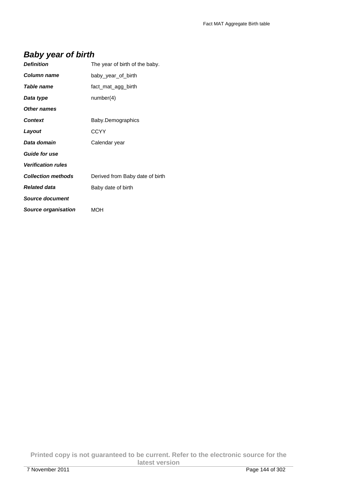## **Baby year of birth**

| <b>Definition</b>          | The year of birth of the baby.  |
|----------------------------|---------------------------------|
| Column name                | baby year of birth              |
| Table name                 | fact_mat_agg_birth              |
| Data type                  | number(4)                       |
| <b>Other names</b>         |                                 |
| <b>Context</b>             | Baby.Demographics               |
| Layout                     | <b>CCYY</b>                     |
| Data domain                | Calendar year                   |
| <b>Guide for use</b>       |                                 |
| <b>Verification rules</b>  |                                 |
| <b>Collection methods</b>  | Derived from Baby date of birth |
| <b>Related data</b>        | Baby date of birth              |
| <b>Source document</b>     |                                 |
| <b>Source organisation</b> | <b>MOH</b>                      |

**Printed copy is not guaranteed to be current. Refer to the electronic source for the latest version**  7 November 2011 Page 144 of 302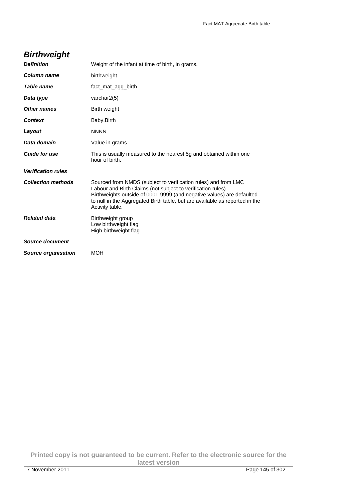## **Birthweight**

| <b>Definition</b>         | Weight of the infant at time of birth, in grams.                                                                                                                                                                                                                                                          |
|---------------------------|-----------------------------------------------------------------------------------------------------------------------------------------------------------------------------------------------------------------------------------------------------------------------------------------------------------|
| Column name               | birthweight                                                                                                                                                                                                                                                                                               |
| Table name                | fact mat agg birth                                                                                                                                                                                                                                                                                        |
| Data type                 | varchar2(5)                                                                                                                                                                                                                                                                                               |
| Other names               | Birth weight                                                                                                                                                                                                                                                                                              |
| Context                   | Baby.Birth                                                                                                                                                                                                                                                                                                |
| Layout                    | <b>NNNN</b>                                                                                                                                                                                                                                                                                               |
| Data domain               | Value in grams                                                                                                                                                                                                                                                                                            |
| <b>Guide for use</b>      | This is usually measured to the nearest 5g and obtained within one<br>hour of birth.                                                                                                                                                                                                                      |
| <b>Verification rules</b> |                                                                                                                                                                                                                                                                                                           |
| <b>Collection methods</b> | Sourced from NMDS (subject to verification rules) and from LMC<br>Labour and Birth Claims (not subject to verification rules).<br>Birthweights outside of 0001-9999 (and negative values) are defaulted<br>to null in the Aggregated Birth table, but are available as reported in the<br>Activity table. |
| <b>Related data</b>       | Birthweight group<br>Low birthweight flag<br>High birthweight flag                                                                                                                                                                                                                                        |
| Source document           |                                                                                                                                                                                                                                                                                                           |
| Source organisation       | <b>MOH</b>                                                                                                                                                                                                                                                                                                |

**Printed copy is not guaranteed to be current. Refer to the electronic source for the latest version**  7 November 2011 Page 145 of 302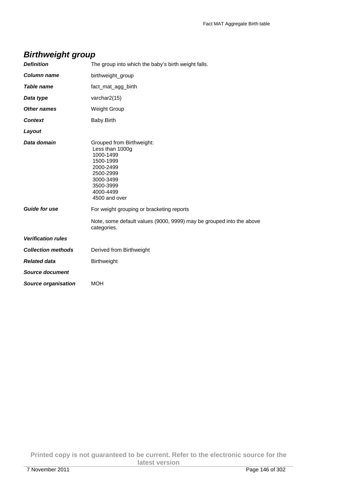## **Birthweight group**

| <b>Definition</b>          | The group into which the baby's birth weight falls.                                                                                                      |
|----------------------------|----------------------------------------------------------------------------------------------------------------------------------------------------------|
| <b>Column name</b>         | birthweight_group                                                                                                                                        |
| <b>Table name</b>          | fact_mat_agg_birth                                                                                                                                       |
| Data type                  | varchar2(15)                                                                                                                                             |
| Other names                | <b>Weight Group</b>                                                                                                                                      |
| <b>Context</b>             | Baby.Birth                                                                                                                                               |
| Layout                     |                                                                                                                                                          |
| Data domain                | Grouped from Birthweight:<br>Less than 1000g<br>1000-1499<br>1500-1999<br>2000-2499<br>2500-2999<br>3000-3499<br>3500-3999<br>4000-4499<br>4500 and over |
| <b>Guide for use</b>       | For weight grouping or bracketing reports                                                                                                                |
|                            | Note, some default values (9000, 9999) may be grouped into the above<br>categories.                                                                      |
| <b>Verification rules</b>  |                                                                                                                                                          |
| <b>Collection methods</b>  | Derived from Birthweight                                                                                                                                 |
| <b>Related data</b>        | <b>Birthweight</b>                                                                                                                                       |
| <b>Source document</b>     |                                                                                                                                                          |
| <b>Source organisation</b> | MOH                                                                                                                                                      |

**Printed copy is not guaranteed to be current. Refer to the electronic source for the latest version**  7 November 2011 Page 146 of 302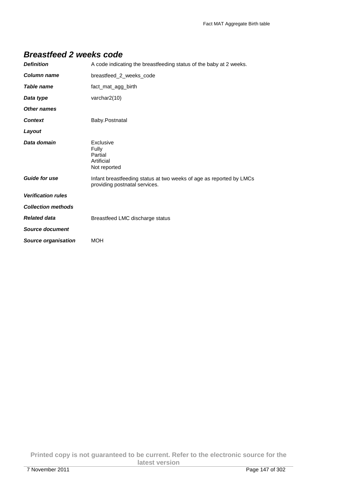| <b>Definition</b>          | A code indicating the breastfeeding status of the baby at 2 weeks.                                   |
|----------------------------|------------------------------------------------------------------------------------------------------|
| Column name                | breastfeed_2_weeks_code                                                                              |
| Table name                 | fact_mat_agg_birth                                                                                   |
| Data type                  | varchar2(10)                                                                                         |
| Other names                |                                                                                                      |
| <b>Context</b>             | Baby.Postnatal                                                                                       |
| Layout                     |                                                                                                      |
| Data domain                | Exclusive<br>Fully<br>Partial<br>Artificial<br>Not reported                                          |
| <b>Guide for use</b>       | Infant breastfeeding status at two weeks of age as reported by LMCs<br>providing postnatal services. |
| <b>Verification rules</b>  |                                                                                                      |
| <b>Collection methods</b>  |                                                                                                      |
| <b>Related data</b>        | Breastfeed LMC discharge status                                                                      |
| Source document            |                                                                                                      |
| <b>Source organisation</b> | <b>MOH</b>                                                                                           |

#### **Breastfeed 2 weeks code**

**Printed copy is not guaranteed to be current. Refer to the electronic source for the latest version**  7 November 2011 Page 147 of 302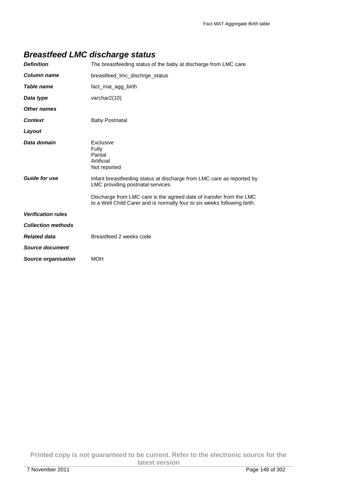| <b>Definition</b>          | The breastfeeding status of the baby at discharge from LMC care.                                                                                |
|----------------------------|-------------------------------------------------------------------------------------------------------------------------------------------------|
| <b>Column name</b>         | breastfeed_Imc_dischrge_status                                                                                                                  |
| Table name                 | fact_mat_agg_birth                                                                                                                              |
| Data type                  | varchar $2(10)$                                                                                                                                 |
| Other names                |                                                                                                                                                 |
| <b>Context</b>             | Baby.Postnatal                                                                                                                                  |
| Layout                     |                                                                                                                                                 |
| Data domain                | Exclusive<br>Fully<br>Partial<br>Artificial<br>Not reported                                                                                     |
| <b>Guide for use</b>       | Infant breastfeeding status at discharge from LMC care as reported by<br>LMC providing postnatal services.                                      |
|                            | Discharge from LMC care is the agreed date of transfer from the LMC<br>to a Well Child Carer and is normally four to six weeks following birth. |
| <b>Verification rules</b>  |                                                                                                                                                 |
| <b>Collection methods</b>  |                                                                                                                                                 |
| <b>Related data</b>        | Breastfeed 2 weeks code                                                                                                                         |
| <b>Source document</b>     |                                                                                                                                                 |
| <b>Source organisation</b> | <b>MOH</b>                                                                                                                                      |

## **Breastfeed LMC discharge status**

**Printed copy is not guaranteed to be current. Refer to the electronic source for the latest version**  7 November 2011 Page 148 of 302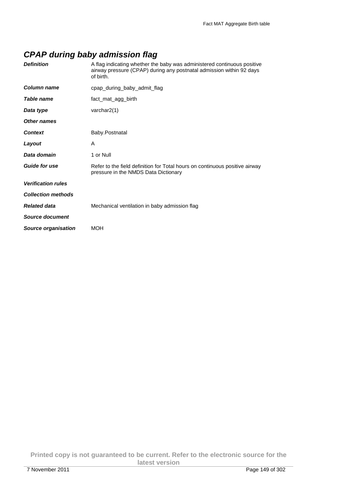## **CPAP during baby admission flag**

| <b>Definition</b>          | A flag indicating whether the baby was administered continuous positive<br>airway pressure (CPAP) during any postnatal admission within 92 days<br>of birth. |
|----------------------------|--------------------------------------------------------------------------------------------------------------------------------------------------------------|
| <b>Column name</b>         | cpap_during_baby_admit_flag                                                                                                                                  |
| Table name                 | fact_mat_agg_birth                                                                                                                                           |
| Data type                  | varchar $2(1)$                                                                                                                                               |
| <b>Other names</b>         |                                                                                                                                                              |
| <b>Context</b>             | Baby.Postnatal                                                                                                                                               |
| Layout                     | A                                                                                                                                                            |
| Data domain                | 1 or Null                                                                                                                                                    |
| <b>Guide for use</b>       | Refer to the field definition for Total hours on continuous positive airway<br>pressure in the NMDS Data Dictionary                                          |
| <b>Verification rules</b>  |                                                                                                                                                              |
| <b>Collection methods</b>  |                                                                                                                                                              |
| <b>Related data</b>        | Mechanical ventilation in baby admission flag                                                                                                                |
| Source document            |                                                                                                                                                              |
| <b>Source organisation</b> | <b>MOH</b>                                                                                                                                                   |
|                            |                                                                                                                                                              |

**Printed copy is not guaranteed to be current. Refer to the electronic source for the latest version**  7 November 2011 Page 149 of 302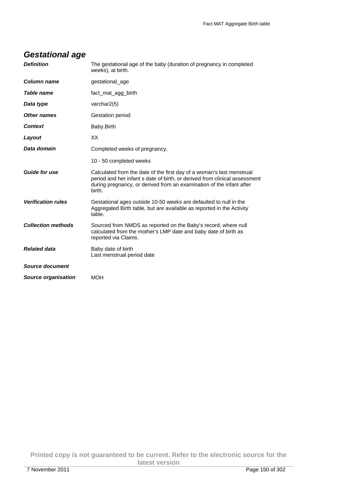| <b>Definition</b>          | The gestational age of the baby (duration of pregnancy in completed<br>weeks), at birth.                                                                                                                                              |
|----------------------------|---------------------------------------------------------------------------------------------------------------------------------------------------------------------------------------------------------------------------------------|
| <b>Column name</b>         | gestational_age                                                                                                                                                                                                                       |
| Table name                 | fact_mat_agg_birth                                                                                                                                                                                                                    |
| Data type                  | varchar $2(5)$                                                                                                                                                                                                                        |
| Other names                | Gestation period                                                                                                                                                                                                                      |
| <b>Context</b>             | Baby.Birth                                                                                                                                                                                                                            |
| Layout                     | XX                                                                                                                                                                                                                                    |
| Data domain                | Completed weeks of pregnancy.                                                                                                                                                                                                         |
|                            | 10 - 50 completed weeks                                                                                                                                                                                                               |
| <b>Guide for use</b>       | Calculated from the date of the first day of a woman's last menstrual<br>period and her infant s date of birth, or derived from clinical assessment<br>during pregnancy, or derived from an examination of the infant after<br>birth. |
| <b>Verification rules</b>  | Gestational ages outside 10-50 weeks are defaulted to null in the<br>Aggregated Birth table, but are available as reported in the Activity<br>table.                                                                                  |
| <b>Collection methods</b>  | Sourced from NMDS as reported on the Baby's record, where null<br>calculated from the mother's LMP date and baby date of birth as<br>reported via Claims.                                                                             |
| <b>Related data</b>        | Baby date of birth<br>Last menstrual period date                                                                                                                                                                                      |
| <b>Source document</b>     |                                                                                                                                                                                                                                       |
| <b>Source organisation</b> | <b>MOH</b>                                                                                                                                                                                                                            |

# **Gestational age**

**Printed copy is not guaranteed to be current. Refer to the electronic source for the latest version**  7 November 2011 Page 150 of 302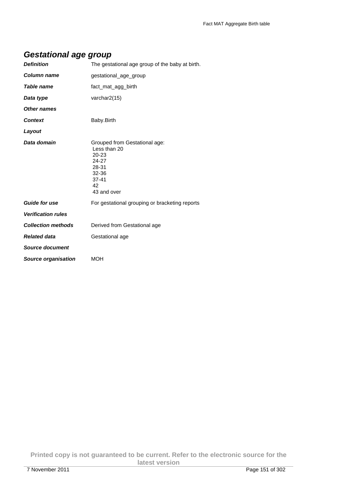## **Gestational age group**

| <b>Definition</b>          | The gestational age group of the baby at birth.                                                                         |
|----------------------------|-------------------------------------------------------------------------------------------------------------------------|
| <b>Column name</b>         | gestational_age_group                                                                                                   |
| Table name                 | fact_mat_agg_birth                                                                                                      |
| Data type                  | varchar2(15)                                                                                                            |
| <b>Other names</b>         |                                                                                                                         |
| <b>Context</b>             | Baby.Birth                                                                                                              |
| Layout                     |                                                                                                                         |
| Data domain                | Grouped from Gestational age:<br>Less than 20<br>$20 - 23$<br>24-27<br>28-31<br>32-36<br>$37 - 41$<br>42<br>43 and over |
| <b>Guide for use</b>       | For gestational grouping or bracketing reports                                                                          |
| <b>Verification rules</b>  |                                                                                                                         |
| <b>Collection methods</b>  | Derived from Gestational age                                                                                            |
| <b>Related data</b>        | Gestational age                                                                                                         |
| <b>Source document</b>     |                                                                                                                         |
| <b>Source organisation</b> | MOH                                                                                                                     |

**Printed copy is not guaranteed to be current. Refer to the electronic source for the latest version**  7 November 2011 Page 151 of 302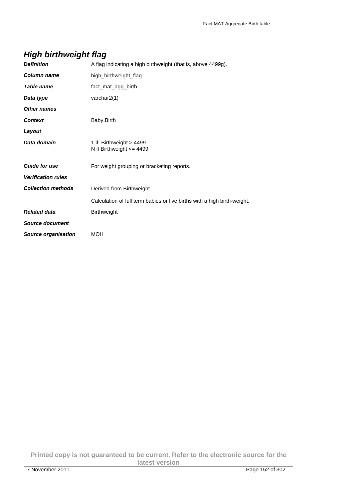# **High birthweight flag**

| <b>Definition</b>          | A flag indicating a high birthweight (that is, above 4499g).             |
|----------------------------|--------------------------------------------------------------------------|
| <b>Column name</b>         | high_birthweight_flag                                                    |
| Table name                 | fact_mat_agg_birth                                                       |
| Data type                  | varchar2(1)                                                              |
| <b>Other names</b>         |                                                                          |
| <b>Context</b>             | Baby.Birth                                                               |
| Layout                     |                                                                          |
| Data domain                | 1 if Birthweight > 4499<br>N if Birthweight $\leq$ 4499                  |
| <b>Guide for use</b>       | For weight grouping or bracketing reports.                               |
| <b>Verification rules</b>  |                                                                          |
| <b>Collection methods</b>  | Derived from Birthweight                                                 |
|                            | Calculation of full term babies or live births with a high birth-weight. |
| <b>Related data</b>        | Birthweight                                                              |
| <b>Source document</b>     |                                                                          |
| <b>Source organisation</b> | <b>MOH</b>                                                               |

**Printed copy is not guaranteed to be current. Refer to the electronic source for the latest version**  7 November 2011 Page 152 of 302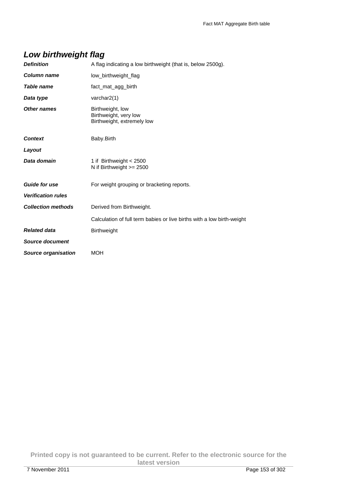## **Low birthweight flag**

| <b>Definition</b>         | A flag indicating a low birthweight (that is, below 2500g).             |
|---------------------------|-------------------------------------------------------------------------|
| <b>Column name</b>        | low_birthweight_flag                                                    |
| Table name                | fact_mat_agg_birth                                                      |
| Data type                 | varchar2(1)                                                             |
| Other names               | Birthweight, low<br>Birthweight, very low<br>Birthweight, extremely low |
| <b>Context</b>            | Baby.Birth                                                              |
| Layout                    |                                                                         |
| Data domain               | 1 if Birthweight < 2500<br>N if Birthweight $>= 2500$                   |
| <b>Guide for use</b>      | For weight grouping or bracketing reports.                              |
| <b>Verification rules</b> |                                                                         |
| <b>Collection methods</b> | Derived from Birthweight.                                               |
|                           | Calculation of full term babies or live births with a low birth-weight  |
| <b>Related data</b>       | <b>Birthweight</b>                                                      |
| <b>Source document</b>    |                                                                         |
| Source organisation       | MOH                                                                     |

**Printed copy is not guaranteed to be current. Refer to the electronic source for the latest version**  7 November 2011 Page 153 of 302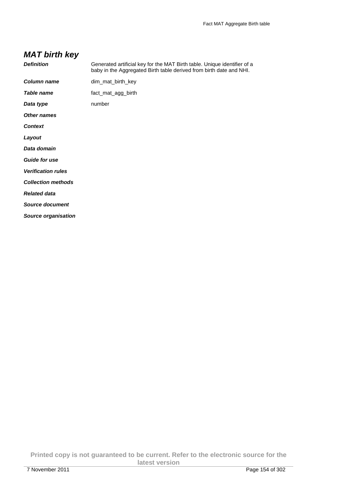# **MAT birth key**

| <b>Definition</b>          | Generated artificial key for the MAT Birth table. Unique identifier of a<br>baby in the Aggregated Birth table derived from birth date and NHI. |
|----------------------------|-------------------------------------------------------------------------------------------------------------------------------------------------|
| <b>Column name</b>         | dim_mat_birth_key                                                                                                                               |
| Table name                 | fact_mat_agg_birth                                                                                                                              |
| Data type                  | number                                                                                                                                          |
| <b>Other names</b>         |                                                                                                                                                 |
| <b>Context</b>             |                                                                                                                                                 |
| Layout                     |                                                                                                                                                 |
| Data domain                |                                                                                                                                                 |
| <b>Guide for use</b>       |                                                                                                                                                 |
| <b>Verification rules</b>  |                                                                                                                                                 |
| <b>Collection methods</b>  |                                                                                                                                                 |
| <b>Related data</b>        |                                                                                                                                                 |
| <b>Source document</b>     |                                                                                                                                                 |
| <b>Source organisation</b> |                                                                                                                                                 |

**Printed copy is not guaranteed to be current. Refer to the electronic source for the latest version**  7 November 2011 Page 154 of 302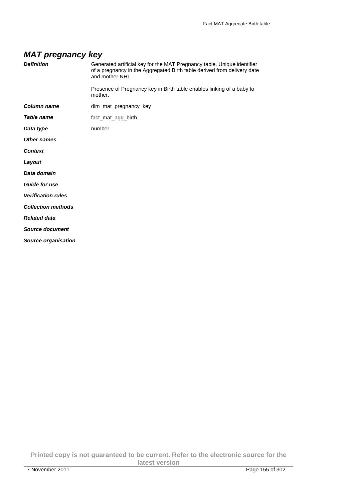#### **MAT pregnancy key**

| <b>Definition</b>          | Generated artificial key for the MAT Pregnancy table. Unique identifier<br>of a pregnancy in the Aggregated Birth table derived from delivery date<br>and mother NHI. |
|----------------------------|-----------------------------------------------------------------------------------------------------------------------------------------------------------------------|
|                            | Presence of Pregnancy key in Birth table enables linking of a baby to<br>mother.                                                                                      |
| <b>Column name</b>         | dim_mat_pregnancy_key                                                                                                                                                 |
| <b>Table name</b>          | fact_mat_agg_birth                                                                                                                                                    |
| Data type                  | number                                                                                                                                                                |
| Other names                |                                                                                                                                                                       |
| <b>Context</b>             |                                                                                                                                                                       |
| Layout                     |                                                                                                                                                                       |
| Data domain                |                                                                                                                                                                       |
| <b>Guide for use</b>       |                                                                                                                                                                       |
| <b>Verification rules</b>  |                                                                                                                                                                       |
| <b>Collection methods</b>  |                                                                                                                                                                       |
| <b>Related data</b>        |                                                                                                                                                                       |
| <b>Source document</b>     |                                                                                                                                                                       |
| <b>Source organisation</b> |                                                                                                                                                                       |

**Printed copy is not guaranteed to be current. Refer to the electronic source for the latest version**  7 November 2011 Page 155 of 302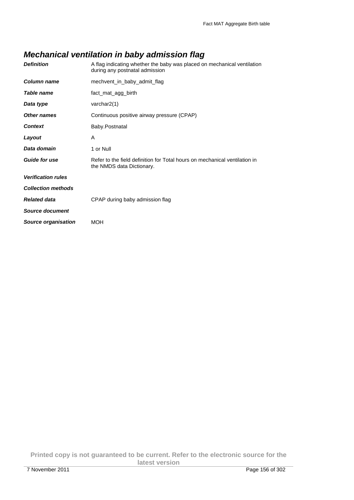## **Mechanical ventilation in baby admission flag**

| <b>Definition</b>         | A flag indicating whether the baby was placed on mechanical ventilation<br>during any postnatal admission |
|---------------------------|-----------------------------------------------------------------------------------------------------------|
| Column name               | mechvent_in_baby_admit_flag                                                                               |
| <b>Table name</b>         | fact_mat_agg_birth                                                                                        |
| Data type                 | varchar2(1)                                                                                               |
| Other names               | Continuous positive airway pressure (CPAP)                                                                |
| <b>Context</b>            | Baby.Postnatal                                                                                            |
| Layout                    | A                                                                                                         |
| Data domain               | 1 or Null                                                                                                 |
| <b>Guide for use</b>      | Refer to the field definition for Total hours on mechanical ventilation in<br>the NMDS data Dictionary.   |
| <b>Verification rules</b> |                                                                                                           |
| <b>Collection methods</b> |                                                                                                           |
| <b>Related data</b>       | CPAP during baby admission flag                                                                           |
| <b>Source document</b>    |                                                                                                           |
|                           |                                                                                                           |

**Printed copy is not guaranteed to be current. Refer to the electronic source for the latest version**  7 November 2011 Page 156 of 302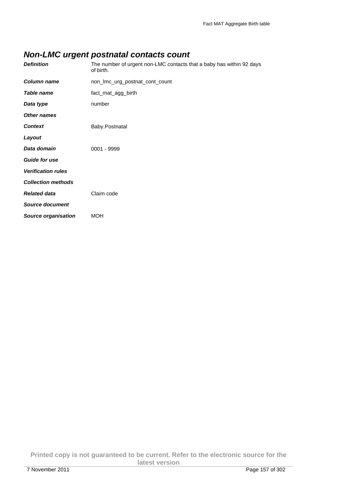## **Non-LMC urgent postnatal contacts count**

| <b>Definition</b>          | The number of urgent non-LMC contacts that a baby has within 92 days<br>of birth. |
|----------------------------|-----------------------------------------------------------------------------------|
| Column name                | non_lmc_urg_postnat_cont_count                                                    |
| <b>Table name</b>          | fact_mat_agg_birth                                                                |
| Data type                  | number                                                                            |
| <b>Other names</b>         |                                                                                   |
| <b>Context</b>             | Baby.Postnatal                                                                    |
| Layout                     |                                                                                   |
| Data domain                | 0001 - 9999                                                                       |
| <b>Guide for use</b>       |                                                                                   |
| <b>Verification rules</b>  |                                                                                   |
| <b>Collection methods</b>  |                                                                                   |
| <b>Related data</b>        | Claim code                                                                        |
| <b>Source document</b>     |                                                                                   |
| <b>Source organisation</b> | <b>MOH</b>                                                                        |

**Printed copy is not guaranteed to be current. Refer to the electronic source for the latest version**  7 November 2011 Page 157 of 302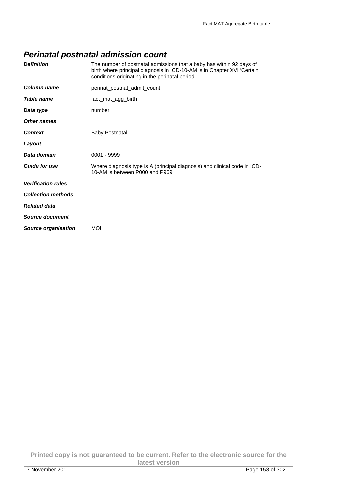## **Perinatal postnatal admission count**

| <b>Definition</b>          | The number of postnatal admissions that a baby has within 92 days of<br>birth where principal diagnosis in ICD-10-AM is in Chapter XVI 'Certain<br>conditions originating in the perinatal period'. |
|----------------------------|-----------------------------------------------------------------------------------------------------------------------------------------------------------------------------------------------------|
| Column name                | perinat postnat admit count                                                                                                                                                                         |
| Table name                 | fact_mat_agg_birth                                                                                                                                                                                  |
| Data type                  | number                                                                                                                                                                                              |
| Other names                |                                                                                                                                                                                                     |
| <b>Context</b>             | Baby.Postnatal                                                                                                                                                                                      |
| Layout                     |                                                                                                                                                                                                     |
| Data domain                | $0001 - 9999$                                                                                                                                                                                       |
| <b>Guide for use</b>       | Where diagnosis type is A (principal diagnosis) and clinical code in ICD-<br>10-AM is between P000 and P969                                                                                         |
| <b>Verification rules</b>  |                                                                                                                                                                                                     |
| <b>Collection methods</b>  |                                                                                                                                                                                                     |
| <b>Related data</b>        |                                                                                                                                                                                                     |
| Source document            |                                                                                                                                                                                                     |
| <b>Source organisation</b> | <b>MOH</b>                                                                                                                                                                                          |

**Printed copy is not guaranteed to be current. Refer to the electronic source for the latest version**  7 November 2011 Page 158 of 302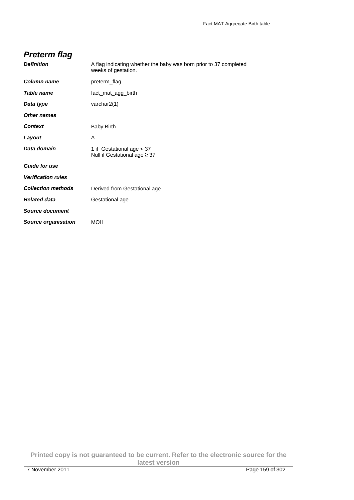| Preterm flag              |                                                                                          |
|---------------------------|------------------------------------------------------------------------------------------|
| <b>Definition</b>         | A flag indicating whether the baby was born prior to 37 completed<br>weeks of gestation. |
| Column name               | preterm_flag                                                                             |
| <b>Table name</b>         | fact_mat_agg_birth                                                                       |
| Data type                 | varchar $2(1)$                                                                           |
| Other names               |                                                                                          |
| Context                   | Baby.Birth                                                                               |
| Layout                    | A                                                                                        |
| Data domain               | 1 if Gestational age < 37<br>Null if Gestational age $\geq 37$                           |
| <b>Guide for use</b>      |                                                                                          |
| <b>Verification rules</b> |                                                                                          |
| <b>Collection methods</b> | Derived from Gestational age                                                             |
| <b>Related data</b>       | Gestational age                                                                          |
| Source document           |                                                                                          |
| Source organisation       | MOH                                                                                      |

**Printed copy is not guaranteed to be current. Refer to the electronic source for the latest version**  7 November 2011 Page 159 of 302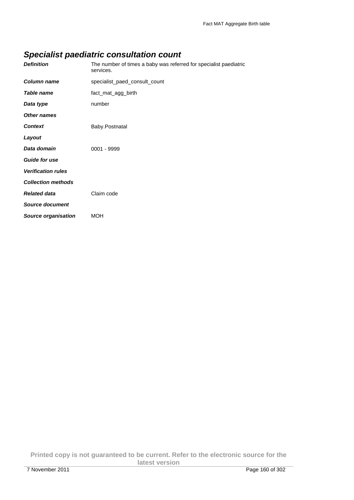# **Specialist paediatric consultation count**

| <b>Definition</b>          | The number of times a baby was referred for specialist paediatric<br>services. |
|----------------------------|--------------------------------------------------------------------------------|
| <b>Column name</b>         | specialist paed consult count                                                  |
| <b>Table name</b>          | fact_mat_agg_birth                                                             |
| Data type                  | number                                                                         |
| Other names                |                                                                                |
| <b>Context</b>             | Baby.Postnatal                                                                 |
| Layout                     |                                                                                |
| Data domain                | $0001 - 9999$                                                                  |
| <b>Guide for use</b>       |                                                                                |
| <b>Verification rules</b>  |                                                                                |
| <b>Collection methods</b>  |                                                                                |
| <b>Related data</b>        | Claim code                                                                     |
| <b>Source document</b>     |                                                                                |
| <b>Source organisation</b> | <b>MOH</b>                                                                     |

**Printed copy is not guaranteed to be current. Refer to the electronic source for the latest version**  7 November 2011 **Page 160 of 302**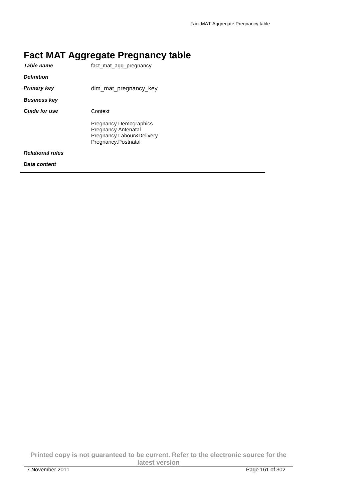|    | <b>Fact MAT Aggregate Pregnancy table</b> |
|----|-------------------------------------------|
| __ |                                           |

| Table name              | fact mat agg pregnancy                                                                            |
|-------------------------|---------------------------------------------------------------------------------------------------|
| <b>Definition</b>       |                                                                                                   |
| <b>Primary key</b>      | dim_mat_pregnancy_key                                                                             |
| <b>Business key</b>     |                                                                                                   |
| <b>Guide for use</b>    | Context                                                                                           |
|                         | Pregnancy.Demographics<br>Pregnancy.Antenatal<br>Pregnancy.Labour&Delivery<br>Pregnancy.Postnatal |
| <b>Relational rules</b> |                                                                                                   |
| Data content            |                                                                                                   |
|                         |                                                                                                   |

**Printed copy is not guaranteed to be current. Refer to the electronic source for the latest version**  7 November 2011 Page 161 of 302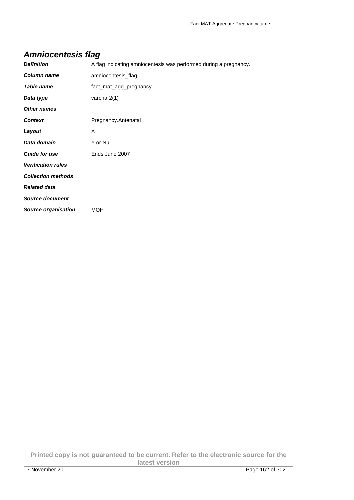## **Amniocentesis flag**

| <b>Definition</b>          | A flag indicating amniocentesis was performed during a pregnancy. |
|----------------------------|-------------------------------------------------------------------|
| Column name                | amniocentesis_flag                                                |
| <b>Table name</b>          | fact_mat_agg_pregnancy                                            |
| Data type                  | varchar2(1)                                                       |
| <b>Other names</b>         |                                                                   |
| <b>Context</b>             | Pregnancy.Antenatal                                               |
| Layout                     | A                                                                 |
| Data domain                | Y or Null                                                         |
| <b>Guide for use</b>       | Ends June 2007                                                    |
| <b>Verification rules</b>  |                                                                   |
| <b>Collection methods</b>  |                                                                   |
| <b>Related data</b>        |                                                                   |
| <b>Source document</b>     |                                                                   |
| <b>Source organisation</b> | <b>MOH</b>                                                        |

**Printed copy is not guaranteed to be current. Refer to the electronic source for the latest version**  7 November 2011 Page 162 of 302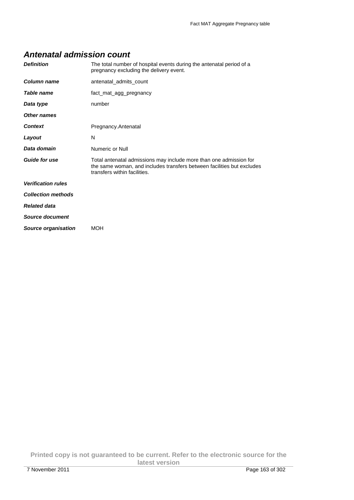#### **Antenatal admission count**

| <b>Definition</b>          | The total number of hospital events during the antenatal period of a<br>pregnancy excluding the delivery event.                                                              |
|----------------------------|------------------------------------------------------------------------------------------------------------------------------------------------------------------------------|
| Column name                | antenatal admits count                                                                                                                                                       |
| Table name                 | fact_mat_agg_pregnancy                                                                                                                                                       |
| Data type                  | number                                                                                                                                                                       |
| Other names                |                                                                                                                                                                              |
| <b>Context</b>             | Pregnancy.Antenatal                                                                                                                                                          |
| Layout                     | N                                                                                                                                                                            |
| Data domain                | Numeric or Null                                                                                                                                                              |
| <b>Guide for use</b>       | Total antenatal admissions may include more than one admission for<br>the same woman, and includes transfers between facilities but excludes<br>transfers within facilities. |
| <b>Verification rules</b>  |                                                                                                                                                                              |
| <b>Collection methods</b>  |                                                                                                                                                                              |
| <b>Related data</b>        |                                                                                                                                                                              |
| Source document            |                                                                                                                                                                              |
| <b>Source organisation</b> | <b>MOH</b>                                                                                                                                                                   |

**Printed copy is not guaranteed to be current. Refer to the electronic source for the latest version**  7 November 2011 Page 163 of 302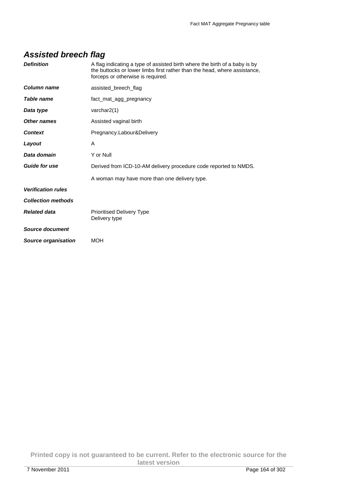## **Assisted breech flag**

| <b>Definition</b>         | A flag indicating a type of assisted birth where the birth of a baby is by<br>the buttocks or lower limbs first rather than the head, where assistance,<br>forceps or otherwise is required. |
|---------------------------|----------------------------------------------------------------------------------------------------------------------------------------------------------------------------------------------|
| Column name               | assisted_breech_flag                                                                                                                                                                         |
| Table name                | fact mat agg pregnancy                                                                                                                                                                       |
| Data type                 | varchar2(1)                                                                                                                                                                                  |
| Other names               | Assisted vaginal birth                                                                                                                                                                       |
| <b>Context</b>            | Pregnancy.Labour&Delivery                                                                                                                                                                    |
| Layout                    | A                                                                                                                                                                                            |
| Data domain               | Y or Null                                                                                                                                                                                    |
| <b>Guide for use</b>      | Derived from ICD-10-AM delivery procedure code reported to NMDS.                                                                                                                             |
|                           | A woman may have more than one delivery type.                                                                                                                                                |
| <b>Verification rules</b> |                                                                                                                                                                                              |
| <b>Collection methods</b> |                                                                                                                                                                                              |
| <b>Related data</b>       | <b>Prioritised Delivery Type</b><br>Delivery type                                                                                                                                            |
| <b>Source document</b>    |                                                                                                                                                                                              |
| Source organisation       | <b>MOH</b>                                                                                                                                                                                   |

**Printed copy is not guaranteed to be current. Refer to the electronic source for the latest version**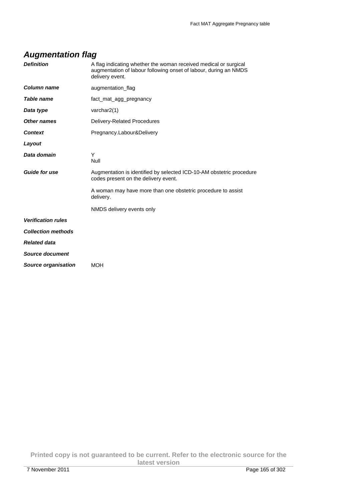| <b>Definition</b>          | A flag indicating whether the woman received medical or surgical<br>augmentation of labour following onset of labour, during an NMDS<br>delivery event. |
|----------------------------|---------------------------------------------------------------------------------------------------------------------------------------------------------|
| Column name                | augmentation_flag                                                                                                                                       |
| <b>Table name</b>          | fact_mat_agg_pregnancy                                                                                                                                  |
| Data type                  | varchar2(1)                                                                                                                                             |
| <b>Other names</b>         | Delivery-Related Procedures                                                                                                                             |
| <b>Context</b>             | Pregnancy.Labour&Delivery                                                                                                                               |
| Layout                     |                                                                                                                                                         |
| Data domain                | Υ<br><b>Null</b>                                                                                                                                        |
| <b>Guide for use</b>       | Augmentation is identified by selected ICD-10-AM obstetric procedure<br>codes present on the delivery event.                                            |
|                            | A woman may have more than one obstetric procedure to assist<br>delivery.                                                                               |
|                            | NMDS delivery events only                                                                                                                               |
| <b>Verification rules</b>  |                                                                                                                                                         |
| <b>Collection methods</b>  |                                                                                                                                                         |
| <b>Related data</b>        |                                                                                                                                                         |
| <b>Source document</b>     |                                                                                                                                                         |
| <b>Source organisation</b> | <b>MOH</b>                                                                                                                                              |
|                            |                                                                                                                                                         |

# **Augmentation flag**

**Printed copy is not guaranteed to be current. Refer to the electronic source for the latest version**  7 November 2011 Page 165 of 302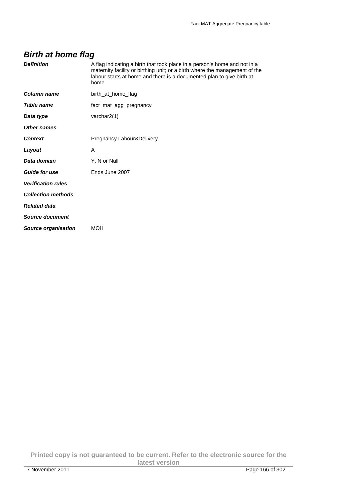## **Birth at home flag**

| <b>Definition</b>         | A flag indicating a birth that took place in a person's home and not in a<br>maternity facility or birthing unit; or a birth where the management of the<br>labour starts at home and there is a documented plan to give birth at<br>home |
|---------------------------|-------------------------------------------------------------------------------------------------------------------------------------------------------------------------------------------------------------------------------------------|
| Column name               | birth at home flag                                                                                                                                                                                                                        |
| Table name                | fact_mat_agg_pregnancy                                                                                                                                                                                                                    |
| Data type                 | varchar $2(1)$                                                                                                                                                                                                                            |
| Other names               |                                                                                                                                                                                                                                           |
| <b>Context</b>            | Pregnancy.Labour&Delivery                                                                                                                                                                                                                 |
| Layout                    | A                                                                                                                                                                                                                                         |
| Data domain               | Y, N or Null                                                                                                                                                                                                                              |
| <b>Guide for use</b>      | Ends June 2007                                                                                                                                                                                                                            |
| <b>Verification rules</b> |                                                                                                                                                                                                                                           |
| <b>Collection methods</b> |                                                                                                                                                                                                                                           |
| <b>Related data</b>       |                                                                                                                                                                                                                                           |
| Source document           |                                                                                                                                                                                                                                           |
| Source organisation       | <b>MOH</b>                                                                                                                                                                                                                                |

**Printed copy is not guaranteed to be current. Refer to the electronic source for the latest version**  7 November 2011 Page 166 of 302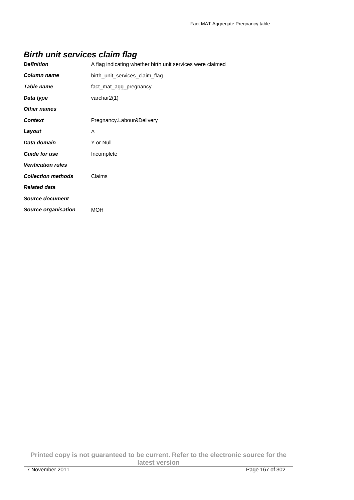# **Birth unit services claim flag**

| <b>Definition</b>         | A flag indicating whether birth unit services were claimed |
|---------------------------|------------------------------------------------------------|
| Column name               | birth_unit_services_claim_flag                             |
| Table name                | fact_mat_agg_pregnancy                                     |
| Data type                 | varchar $2(1)$                                             |
| <b>Other names</b>        |                                                            |
| <b>Context</b>            | Pregnancy.Labour&Delivery                                  |
| Layout                    | A                                                          |
| Data domain               | Y or Null                                                  |
| <b>Guide for use</b>      | Incomplete                                                 |
| <b>Verification rules</b> |                                                            |
| <b>Collection methods</b> | Claims                                                     |
| <b>Related data</b>       |                                                            |
| <b>Source document</b>    |                                                            |
| Source organisation       | MOH                                                        |
|                           |                                                            |

**Printed copy is not guaranteed to be current. Refer to the electronic source for the latest version**  7 November 2011 Page 167 of 302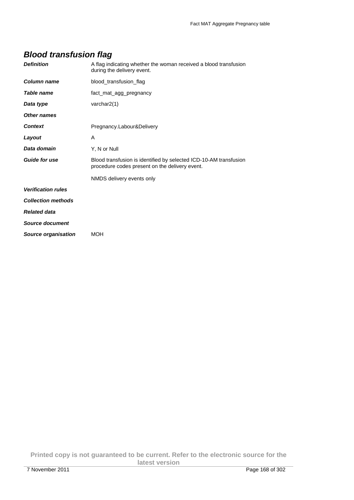## **Blood transfusion flag**

| <b>Definition</b>         | A flag indicating whether the woman received a blood transfusion<br>during the delivery event.                      |
|---------------------------|---------------------------------------------------------------------------------------------------------------------|
| Column name               | blood_transfusion_flag                                                                                              |
| Table name                | fact_mat_agg_pregnancy                                                                                              |
| Data type                 | varchar2(1)                                                                                                         |
| Other names               |                                                                                                                     |
| <b>Context</b>            | Pregnancy.Labour&Delivery                                                                                           |
| Layout                    | A                                                                                                                   |
| Data domain               | Y, N or Null                                                                                                        |
| <b>Guide for use</b>      | Blood transfusion is identified by selected ICD-10-AM transfusion<br>procedure codes present on the delivery event. |
|                           | NMDS delivery events only                                                                                           |
| <b>Verification rules</b> |                                                                                                                     |
| <b>Collection methods</b> |                                                                                                                     |
| <b>Related data</b>       |                                                                                                                     |
| <b>Source document</b>    |                                                                                                                     |
| Source organisation       | <b>MOH</b>                                                                                                          |

**Printed copy is not guaranteed to be current. Refer to the electronic source for the latest version**  7 November 2011 Page 168 of 302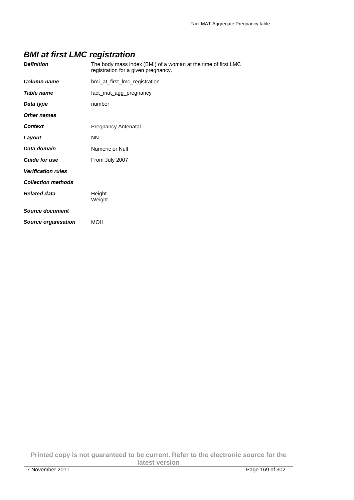## **BMI at first LMC registration**

| <b>Definition</b>          | The body mass index (BMI) of a woman at the time of first LMC<br>registration for a given pregnancy. |
|----------------------------|------------------------------------------------------------------------------------------------------|
| <b>Column name</b>         | bmi_at_first_lmc_registration                                                                        |
| <b>Table name</b>          | fact_mat_agg_pregnancy                                                                               |
| Data type                  | number                                                                                               |
| Other names                |                                                                                                      |
| <b>Context</b>             | Pregnancy.Antenatal                                                                                  |
| Layout                     | <b>NN</b>                                                                                            |
| Data domain                | Numeric or Null                                                                                      |
| <b>Guide for use</b>       | From July 2007                                                                                       |
| <b>Verification rules</b>  |                                                                                                      |
| <b>Collection methods</b>  |                                                                                                      |
| <b>Related data</b>        | Height<br>Weight                                                                                     |
| <b>Source document</b>     |                                                                                                      |
| <b>Source organisation</b> | <b>MOH</b>                                                                                           |

**Printed copy is not guaranteed to be current. Refer to the electronic source for the latest version**  7 November 2011 **Page 169 of 302**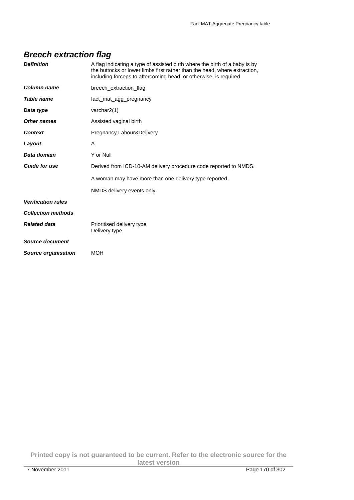## **Breech extraction flag**

| <b>Definition</b>          | A flag indicating a type of assisted birth where the birth of a baby is by<br>the buttocks or lower limbs first rather than the head, where extraction,<br>including forceps to aftercoming head, or otherwise, is required |
|----------------------------|-----------------------------------------------------------------------------------------------------------------------------------------------------------------------------------------------------------------------------|
| Column name                | breech_extraction_flag                                                                                                                                                                                                      |
| <b>Table name</b>          | fact mat agg pregnancy                                                                                                                                                                                                      |
| Data type                  | varchar2(1)                                                                                                                                                                                                                 |
| Other names                | Assisted vaginal birth                                                                                                                                                                                                      |
| <b>Context</b>             | Pregnancy.Labour&Delivery                                                                                                                                                                                                   |
| Layout                     | A                                                                                                                                                                                                                           |
| Data domain                | Y or Null                                                                                                                                                                                                                   |
| <b>Guide for use</b>       | Derived from ICD-10-AM delivery procedure code reported to NMDS.                                                                                                                                                            |
|                            | A woman may have more than one delivery type reported.                                                                                                                                                                      |
|                            | NMDS delivery events only                                                                                                                                                                                                   |
| <b>Verification rules</b>  |                                                                                                                                                                                                                             |
| <b>Collection methods</b>  |                                                                                                                                                                                                                             |
| <b>Related data</b>        | Prioritised delivery type<br>Delivery type                                                                                                                                                                                  |
| Source document            |                                                                                                                                                                                                                             |
| <b>Source organisation</b> | <b>MOH</b>                                                                                                                                                                                                                  |

**Printed copy is not guaranteed to be current. Refer to the electronic source for the latest version**  7 November 2011 Page 170 of 302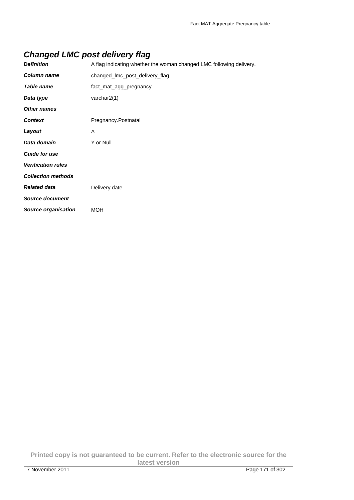## **Changed LMC post delivery flag**

| <b>Definition</b>          | A flag indicating whether the woman changed LMC following delivery. |
|----------------------------|---------------------------------------------------------------------|
| Column name                | changed_lmc_post_delivery_flag                                      |
| Table name                 | fact_mat_agg_pregnancy                                              |
| Data type                  | varchar $2(1)$                                                      |
| <b>Other names</b>         |                                                                     |
| <b>Context</b>             | Pregnancy.Postnatal                                                 |
| Layout                     | A                                                                   |
| Data domain                | Y or Null                                                           |
| <b>Guide for use</b>       |                                                                     |
| <b>Verification rules</b>  |                                                                     |
| <b>Collection methods</b>  |                                                                     |
| <b>Related data</b>        | Delivery date                                                       |
| <b>Source document</b>     |                                                                     |
| <b>Source organisation</b> | <b>MOH</b>                                                          |

**Printed copy is not guaranteed to be current. Refer to the electronic source for the latest version**  7 November 2011 Page 171 of 302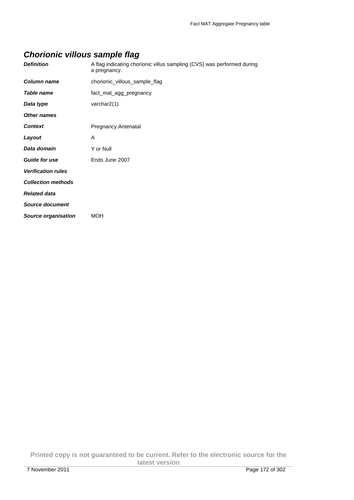# **Chorionic villous sample flag**

| <b>Definition</b>          | A flag indicating chorionic villus sampling (CVS) was performed during<br>a pregnancy. |  |
|----------------------------|----------------------------------------------------------------------------------------|--|
| Column name                | chorionic_villous_sample_flag                                                          |  |
| <b>Table name</b>          | fact_mat_agg_pregnancy                                                                 |  |
| Data type                  | varchar $2(1)$                                                                         |  |
| <b>Other names</b>         |                                                                                        |  |
| <b>Context</b>             | Pregnancy.Antenatal                                                                    |  |
| Layout                     | A                                                                                      |  |
| Data domain                | Y or Null                                                                              |  |
| <b>Guide for use</b>       | Ends June 2007                                                                         |  |
| <b>Verification rules</b>  |                                                                                        |  |
| <b>Collection methods</b>  |                                                                                        |  |
| <b>Related data</b>        |                                                                                        |  |
| <b>Source document</b>     |                                                                                        |  |
| <b>Source organisation</b> | <b>MOH</b>                                                                             |  |

**Printed copy is not guaranteed to be current. Refer to the electronic source for the latest version**  7 November 2011 Page 172 of 302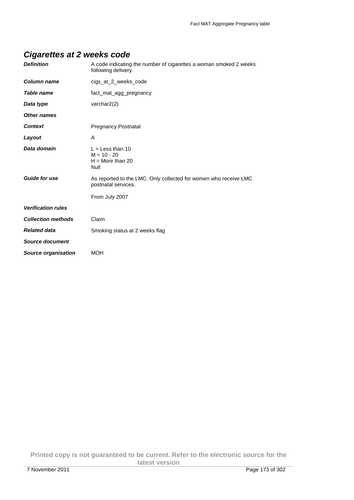## **Cigarettes at 2 weeks code**

| <b>Definition</b>          | A code indicating the number of cigarettes a woman smoked 2 weeks<br>following delivery. |
|----------------------------|------------------------------------------------------------------------------------------|
| <b>Column name</b>         | cigs_at_2_weeks_code                                                                     |
| Table name                 | fact mat agg pregnancy                                                                   |
| Data type                  | varchar $2(2)$                                                                           |
| <b>Other names</b>         |                                                                                          |
| <b>Context</b>             | Pregnancy.Postnatal                                                                      |
| Layout                     | A                                                                                        |
| Data domain                | $L =$ Less than 10<br>$M = 10 - 20$<br>$H = More than 20$<br><b>Null</b>                 |
| <b>Guide for use</b>       | As reported to the LMC. Only collected for women who receive LMC<br>postnatal services.  |
|                            | From July 2007                                                                           |
| <b>Verification rules</b>  |                                                                                          |
| <b>Collection methods</b>  | Claim                                                                                    |
| <b>Related data</b>        | Smoking status at 2 weeks flag                                                           |
| <b>Source document</b>     |                                                                                          |
| <b>Source organisation</b> | <b>MOH</b>                                                                               |

**Printed copy is not guaranteed to be current. Refer to the electronic source for the latest version**  7 November 2011 Page 173 of 302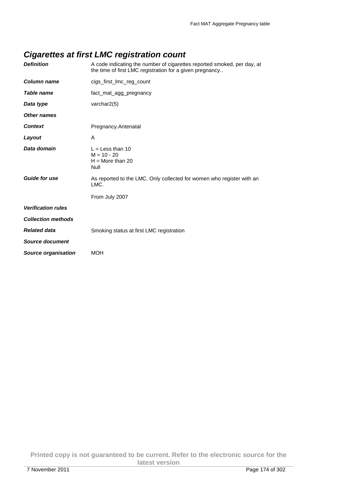## **Cigarettes at first LMC registration count**

| <b>Definition</b>          | A code indicating the number of cigarettes reported smoked, per day, at<br>the time of first LMC registration for a given pregnancy |
|----------------------------|-------------------------------------------------------------------------------------------------------------------------------------|
| <b>Column name</b>         | cigs_first_lmc_reg_count                                                                                                            |
| Table name                 | fact_mat_agg_pregnancy                                                                                                              |
| Data type                  | varchar $2(5)$                                                                                                                      |
| Other names                |                                                                                                                                     |
| <b>Context</b>             | Pregnancy.Antenatal                                                                                                                 |
| Layout                     | A                                                                                                                                   |
| Data domain                | $L =$ Less than 10<br>$M = 10 - 20$<br>$H =$ More than 20<br>Null                                                                   |
| <b>Guide for use</b>       | As reported to the LMC. Only collected for women who register with an<br>LMC.                                                       |
|                            | From July 2007                                                                                                                      |
| <b>Verification rules</b>  |                                                                                                                                     |
| <b>Collection methods</b>  |                                                                                                                                     |
| <b>Related data</b>        | Smoking status at first LMC registration                                                                                            |
| <b>Source document</b>     |                                                                                                                                     |
| <b>Source organisation</b> | MOH                                                                                                                                 |

**Printed copy is not guaranteed to be current. Refer to the electronic source for the latest version**  7 November 2011 Page 174 of 302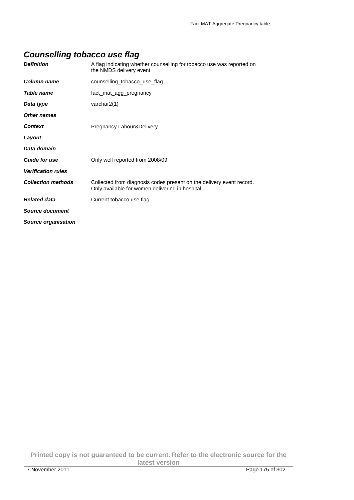## **Counselling tobacco use flag**

| <b>Definition</b>         | A flag indicating whether counselling for tobacco use was reported on<br>the NMDS delivery event                         |
|---------------------------|--------------------------------------------------------------------------------------------------------------------------|
| Column name               | counselling tobacco use flag                                                                                             |
| Table name                | fact_mat_agg_pregnancy                                                                                                   |
| Data type                 | varchar $2(1)$                                                                                                           |
| Other names               |                                                                                                                          |
| <b>Context</b>            | Pregnancy.Labour&Delivery                                                                                                |
| Layout                    |                                                                                                                          |
| Data domain               |                                                                                                                          |
| <b>Guide for use</b>      | Only well reported from 2008/09.                                                                                         |
| <b>Verification rules</b> |                                                                                                                          |
| <b>Collection methods</b> | Collected from diagnosis codes present on the delivery event record.<br>Only available for women delivering in hospital. |
| <b>Related data</b>       | Current tobacco use flag                                                                                                 |
| Source document           |                                                                                                                          |
| Source organisation       |                                                                                                                          |

**Printed copy is not guaranteed to be current. Refer to the electronic source for the latest version**  7 November 2011 Page 175 of 302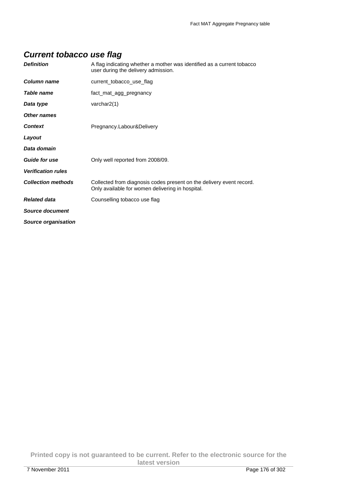## **Current tobacco use flag**

| <b>Definition</b>         | A flag indicating whether a mother was identified as a current tobacco<br>user during the delivery admission.            |
|---------------------------|--------------------------------------------------------------------------------------------------------------------------|
| Column name               | current tobacco use flag                                                                                                 |
| Table name                | fact_mat_agg_pregnancy                                                                                                   |
| Data type                 | varchar $2(1)$                                                                                                           |
| Other names               |                                                                                                                          |
| <b>Context</b>            | Pregnancy.Labour&Delivery                                                                                                |
| Layout                    |                                                                                                                          |
| Data domain               |                                                                                                                          |
| <b>Guide for use</b>      | Only well reported from 2008/09.                                                                                         |
| <b>Verification rules</b> |                                                                                                                          |
| <b>Collection methods</b> | Collected from diagnosis codes present on the delivery event record.<br>Only available for women delivering in hospital. |
| <b>Related data</b>       | Counselling tobacco use flag                                                                                             |
| Source document           |                                                                                                                          |
| Source organisation       |                                                                                                                          |

**Printed copy is not guaranteed to be current. Refer to the electronic source for the latest version**  7 November 2011 Page 176 of 302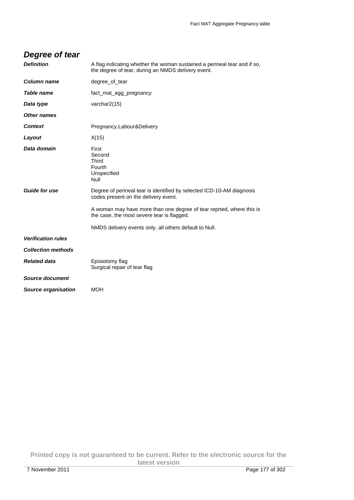| Degree of tear                      |                                                                                                                                                                                                                                                                                                                                                            |
|-------------------------------------|------------------------------------------------------------------------------------------------------------------------------------------------------------------------------------------------------------------------------------------------------------------------------------------------------------------------------------------------------------|
| <b>Definition</b>                   | A flag indicating whether the woman sustained a perineal tear and if so,<br>the degree of tear, during an NMDS delivery event.                                                                                                                                                                                                                             |
| Column name                         | degree_of_tear                                                                                                                                                                                                                                                                                                                                             |
| Table name                          | fact_mat_agg_pregnancy                                                                                                                                                                                                                                                                                                                                     |
| Data type                           | varchar2(15)                                                                                                                                                                                                                                                                                                                                               |
| Other names                         |                                                                                                                                                                                                                                                                                                                                                            |
| Context                             | Pregnancy.Labour&Delivery                                                                                                                                                                                                                                                                                                                                  |
| Layout                              | X(15)                                                                                                                                                                                                                                                                                                                                                      |
| Data domain<br><b>Guide for use</b> | First<br>Second<br>Third<br>Fourth<br>Unspecified<br>Null<br>Degree of perineal tear is identified by selected ICD-10-AM diagnosis<br>codes present on the delivery event.<br>A woman may have more than one degree of tear reprted, where this is<br>the case, the most severe tear is flagged.<br>NMDS delivery events only, all others default to Null. |
| <b>Verification rules</b>           |                                                                                                                                                                                                                                                                                                                                                            |
| <b>Collection methods</b>           |                                                                                                                                                                                                                                                                                                                                                            |
| <b>Related data</b>                 | Episiotomy flag<br>Surgical repair of tear flag                                                                                                                                                                                                                                                                                                            |
| <b>Source document</b>              |                                                                                                                                                                                                                                                                                                                                                            |
| <b>Source organisation</b>          | <b>MOH</b>                                                                                                                                                                                                                                                                                                                                                 |

**Printed copy is not guaranteed to be current. Refer to the electronic source for the latest version**  7 November 2011 Page 177 of 302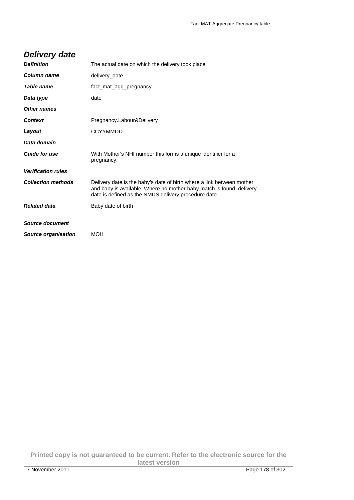## **Delivery date**

| <b>Definition</b>         | The actual date on which the delivery took place.                                                                                                                                                     |
|---------------------------|-------------------------------------------------------------------------------------------------------------------------------------------------------------------------------------------------------|
| Column name               | delivery_date                                                                                                                                                                                         |
| Table name                | fact mat agg pregnancy                                                                                                                                                                                |
| Data type                 | date                                                                                                                                                                                                  |
| Other names               |                                                                                                                                                                                                       |
| <b>Context</b>            | Pregnancy.Labour&Delivery                                                                                                                                                                             |
| Layout                    | <b>CCYYMMDD</b>                                                                                                                                                                                       |
| Data domain               |                                                                                                                                                                                                       |
| <b>Guide for use</b>      | With Mother's NHI number this forms a unique identifier for a<br>pregnancy.                                                                                                                           |
| <b>Verification rules</b> |                                                                                                                                                                                                       |
| <b>Collection methods</b> | Delivery date is the baby's date of birth where a link between mother<br>and baby is available. Where no mother-baby match is found, delivery<br>date is defined as the NMDS delivery procedure date. |
| <b>Related data</b>       | Baby date of birth                                                                                                                                                                                    |
| Source document           |                                                                                                                                                                                                       |
|                           |                                                                                                                                                                                                       |
| Source organisation       | <b>MOH</b>                                                                                                                                                                                            |

**Printed copy is not guaranteed to be current. Refer to the electronic source for the latest version**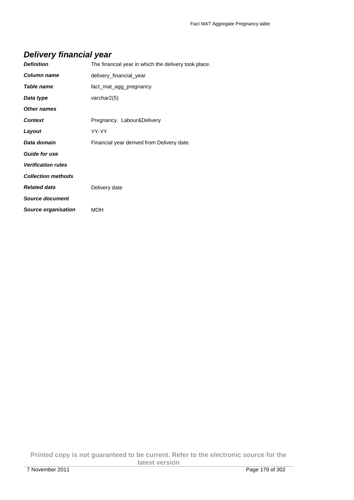## **Delivery financial year**

| <b>Definition</b>         | The financial year in which the delivery took place. |
|---------------------------|------------------------------------------------------|
| Column name               | delivery_financial_year                              |
| Table name                | fact mat agg pregnancy                               |
| Data type                 | varchar $2(5)$                                       |
| <b>Other names</b>        |                                                      |
| <b>Context</b>            | Pregnancy. Labour&Delivery                           |
| Layout                    | YY-YY                                                |
| Data domain               | Financial year derived from Delivery date.           |
| Guide for use             |                                                      |
| <b>Verification rules</b> |                                                      |
| <b>Collection methods</b> |                                                      |
| <b>Related data</b>       | Delivery date                                        |
| <b>Source document</b>    |                                                      |
| Source organisation       | MOH                                                  |

**Printed copy is not guaranteed to be current. Refer to the electronic source for the latest version**  7 November 2011 Page 179 of 302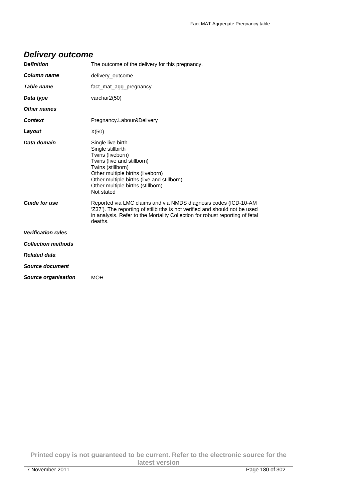| <b>Delivery outcome</b> |
|-------------------------|
|-------------------------|

| <b>Definition</b>         | The outcome of the delivery for this pregnancy.                                                                                                                                                                                                    |
|---------------------------|----------------------------------------------------------------------------------------------------------------------------------------------------------------------------------------------------------------------------------------------------|
| <b>Column name</b>        | delivery_outcome                                                                                                                                                                                                                                   |
| <b>Table name</b>         | fact mat agg pregnancy                                                                                                                                                                                                                             |
| Data type                 | varchar2(50)                                                                                                                                                                                                                                       |
| Other names               |                                                                                                                                                                                                                                                    |
| <b>Context</b>            | Pregnancy.Labour&Delivery                                                                                                                                                                                                                          |
| Layout                    | X(50)                                                                                                                                                                                                                                              |
| Data domain               | Single live birth<br>Single stillbirth<br>Twins (liveborn)<br>Twins (live and stillborn)<br>Twins (stillborn)<br>Other multiple births (liveborn)<br>Other multiple births (live and stillborn)<br>Other multiple births (stillborn)<br>Not stated |
| <b>Guide for use</b>      | Reported via LMC claims and via NMDS diagnosis codes (ICD-10-AM<br>'Z37'). The reporting of stillbirths is not verified and should not be used<br>in analysis. Refer to the Mortality Collection for robust reporting of fetal<br>deaths.          |
| <b>Verification rules</b> |                                                                                                                                                                                                                                                    |
| <b>Collection methods</b> |                                                                                                                                                                                                                                                    |
| <b>Related data</b>       |                                                                                                                                                                                                                                                    |
| <b>Source document</b>    |                                                                                                                                                                                                                                                    |
| Source organisation       | <b>MOH</b>                                                                                                                                                                                                                                         |
|                           |                                                                                                                                                                                                                                                    |

**Printed copy is not guaranteed to be current. Refer to the electronic source for the latest version**  7 November 2011 Page 180 of 302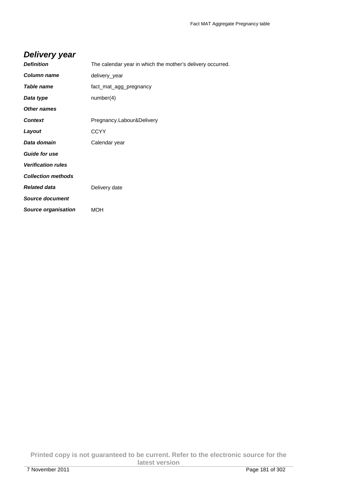### **Delivery year**

| <b>Definition</b>          | The calendar year in which the mother's delivery occurred. |
|----------------------------|------------------------------------------------------------|
| <b>Column name</b>         | delivery_year                                              |
| Table name                 | fact_mat_agg_pregnancy                                     |
| Data type                  | number(4)                                                  |
| <b>Other names</b>         |                                                            |
| <b>Context</b>             | Pregnancy.Labour&Delivery                                  |
| Layout                     | <b>CCYY</b>                                                |
| Data domain                | Calendar year                                              |
| <b>Guide for use</b>       |                                                            |
| <b>Verification rules</b>  |                                                            |
| <b>Collection methods</b>  |                                                            |
| <b>Related data</b>        | Delivery date                                              |
| <b>Source document</b>     |                                                            |
| <b>Source organisation</b> | MOH                                                        |

**Printed copy is not guaranteed to be current. Refer to the electronic source for the latest version**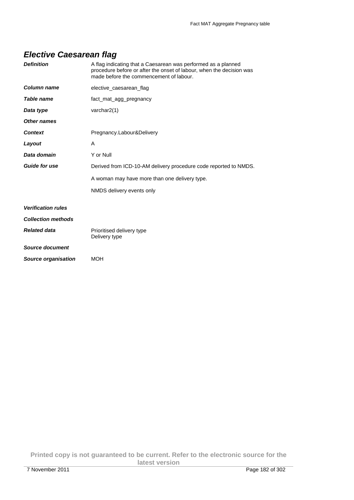### **Elective Caesarean flag**

| <b>Definition</b>          | A flag indicating that a Caesarean was performed as a planned<br>procedure before or after the onset of labour, when the decision was<br>made before the commencement of labour. |
|----------------------------|----------------------------------------------------------------------------------------------------------------------------------------------------------------------------------|
| Column name                | elective caesarean flag                                                                                                                                                          |
| Table name                 | fact mat agg pregnancy                                                                                                                                                           |
| Data type                  | varchar $2(1)$                                                                                                                                                                   |
| Other names                |                                                                                                                                                                                  |
| <b>Context</b>             | Pregnancy.Labour&Delivery                                                                                                                                                        |
| Layout                     | A                                                                                                                                                                                |
| Data domain                | Y or Null                                                                                                                                                                        |
| <b>Guide for use</b>       | Derived from ICD-10-AM delivery procedure code reported to NMDS.                                                                                                                 |
|                            | A woman may have more than one delivery type.                                                                                                                                    |
|                            | NMDS delivery events only                                                                                                                                                        |
| <b>Verification rules</b>  |                                                                                                                                                                                  |
| <b>Collection methods</b>  |                                                                                                                                                                                  |
| <b>Related data</b>        | Prioritised delivery type<br>Delivery type                                                                                                                                       |
| Source document            |                                                                                                                                                                                  |
| <b>Source organisation</b> | <b>MOH</b>                                                                                                                                                                       |

**Printed copy is not guaranteed to be current. Refer to the electronic source for the latest version**  7 November 2011 Page 182 of 302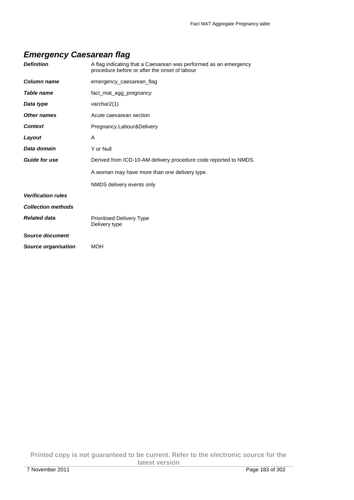### **Emergency Caesarean flag**

| <b>Definition</b>          | A flag indicating that a Caesarean was performed as an emergency<br>procedure before or after the onset of labour |
|----------------------------|-------------------------------------------------------------------------------------------------------------------|
| <b>Column name</b>         | emergency_caesarean_flag                                                                                          |
| Table name                 | fact_mat_agg_pregnancy                                                                                            |
| Data type                  | varchar2(1)                                                                                                       |
| <b>Other names</b>         | Acute caesarean section                                                                                           |
| <b>Context</b>             | Pregnancy.Labour&Delivery                                                                                         |
| Layout                     | A                                                                                                                 |
| Data domain                | Y or Null                                                                                                         |
| <b>Guide for use</b>       | Derived from ICD-10-AM delivery procedure code reported to NMDS.                                                  |
|                            | A woman may have more than one delivery type.                                                                     |
|                            | NMDS delivery events only                                                                                         |
| <b>Verification rules</b>  |                                                                                                                   |
| <b>Collection methods</b>  |                                                                                                                   |
| <b>Related data</b>        | <b>Prioritised Delivery Type</b><br>Delivery type                                                                 |
| Source document            |                                                                                                                   |
| <b>Source organisation</b> | <b>MOH</b>                                                                                                        |

**Printed copy is not guaranteed to be current. Refer to the electronic source for the latest version**  7 November 2011 Page 183 of 302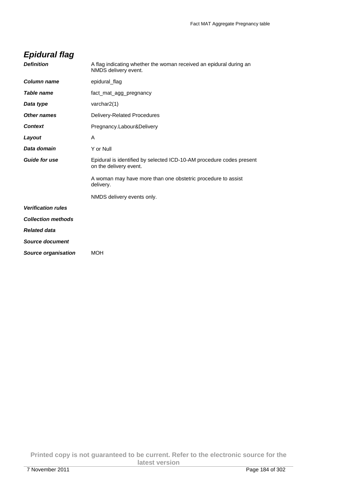|  | <b>Epidural flag</b> |
|--|----------------------|
|  |                      |

| <b>Definition</b>          | A flag indicating whether the woman received an epidural during an<br>NMDS delivery event.     |
|----------------------------|------------------------------------------------------------------------------------------------|
| Column name                | epidural_flag                                                                                  |
| Table name                 | fact_mat_agg_pregnancy                                                                         |
| Data type                  | varchar $2(1)$                                                                                 |
| Other names                | Delivery-Related Procedures                                                                    |
| <b>Context</b>             | Pregnancy.Labour&Delivery                                                                      |
| Layout                     | A                                                                                              |
| Data domain                | Y or Null                                                                                      |
| Guide for use              | Epidural is identified by selected ICD-10-AM procedure codes present<br>on the delivery event. |
|                            | A woman may have more than one obstetric procedure to assist<br>delivery.                      |
|                            | NMDS delivery events only.                                                                     |
| <b>Verification rules</b>  |                                                                                                |
| <b>Collection methods</b>  |                                                                                                |
| <b>Related data</b>        |                                                                                                |
| <b>Source document</b>     |                                                                                                |
| <b>Source organisation</b> | <b>MOH</b>                                                                                     |
|                            |                                                                                                |

**Printed copy is not guaranteed to be current. Refer to the electronic source for the latest version**  7 November 2011 Page 184 of 302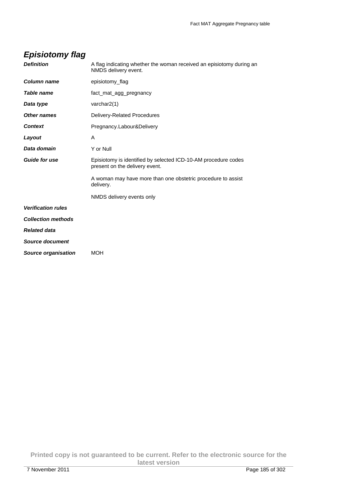# **Episiotomy flag**

| <b>Definition</b>          | A flag indicating whether the woman received an episiotomy during an<br>NMDS delivery event.     |
|----------------------------|--------------------------------------------------------------------------------------------------|
| <b>Column name</b>         | episiotomy_flag                                                                                  |
| Table name                 | fact_mat_agg_pregnancy                                                                           |
| Data type                  | varchar $2(1)$                                                                                   |
| Other names                | Delivery-Related Procedures                                                                      |
| <b>Context</b>             | Pregnancy.Labour&Delivery                                                                        |
| Layout                     | A                                                                                                |
| Data domain                | Y or Null                                                                                        |
| <b>Guide for use</b>       | Episiotomy is identified by selected ICD-10-AM procedure codes<br>present on the delivery event. |
|                            | A woman may have more than one obstetric procedure to assist<br>delivery.                        |
|                            | NMDS delivery events only                                                                        |
| <b>Verification rules</b>  |                                                                                                  |
| <b>Collection methods</b>  |                                                                                                  |
| <b>Related data</b>        |                                                                                                  |
| <b>Source document</b>     |                                                                                                  |
| <b>Source organisation</b> | MOH                                                                                              |
|                            |                                                                                                  |

**Printed copy is not guaranteed to be current. Refer to the electronic source for the latest version**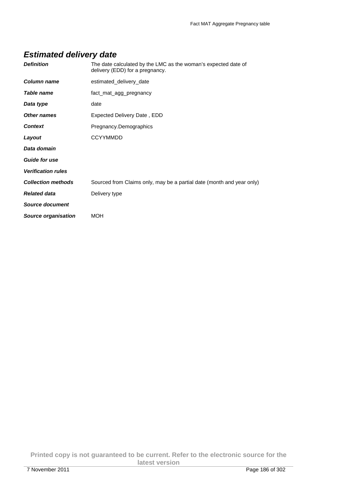# **Estimated delivery date**

| <b>Definition</b>         | The date calculated by the LMC as the woman's expected date of<br>delivery (EDD) for a pregnancy. |
|---------------------------|---------------------------------------------------------------------------------------------------|
| Column name               | estimated delivery date                                                                           |
| Table name                | fact_mat_agg_pregnancy                                                                            |
| Data type                 | date                                                                                              |
| <b>Other names</b>        | Expected Delivery Date, EDD                                                                       |
| <b>Context</b>            | Pregnancy.Demographics                                                                            |
| Layout                    | <b>CCYYMMDD</b>                                                                                   |
| Data domain               |                                                                                                   |
| <b>Guide for use</b>      |                                                                                                   |
| <b>Verification rules</b> |                                                                                                   |
| <b>Collection methods</b> | Sourced from Claims only, may be a partial date (month and year only)                             |
| <b>Related data</b>       | Delivery type                                                                                     |
| Source document           |                                                                                                   |
| Source organisation       | <b>MOH</b>                                                                                        |

**Printed copy is not guaranteed to be current. Refer to the electronic source for the latest version**  7 November 2011 Page 186 of 302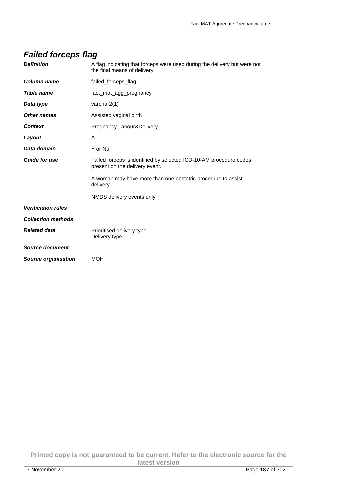### **Failed forceps flag**

| <b>Definition</b>          | A flag indicating that forceps were used during the delivery but were not<br>the final means of delivery. |
|----------------------------|-----------------------------------------------------------------------------------------------------------|
| <b>Column name</b>         | failed_forceps_flag                                                                                       |
| <b>Table name</b>          | fact mat agg pregnancy                                                                                    |
| Data type                  | varchar $2(1)$                                                                                            |
| <b>Other names</b>         | Assisted vaginal birth                                                                                    |
| <b>Context</b>             | Pregnancy.Labour&Delivery                                                                                 |
| Layout                     | A                                                                                                         |
| Data domain                | Y or Null                                                                                                 |
| <b>Guide for use</b>       | Failed forceps is identified by selected ICD-10-AM procedure codes<br>present on the delivery event.      |
|                            | A woman may have more than one obstetric procedure to assist<br>delivery.                                 |
|                            | NMDS delivery events only                                                                                 |
| <b>Verification rules</b>  |                                                                                                           |
| <b>Collection methods</b>  |                                                                                                           |
| <b>Related data</b>        | Prioritised delivery type<br>Delivery type                                                                |
| <b>Source document</b>     |                                                                                                           |
| <b>Source organisation</b> | <b>MOH</b>                                                                                                |

**Printed copy is not guaranteed to be current. Refer to the electronic source for the latest version**  7 November 2011 Page 187 of 302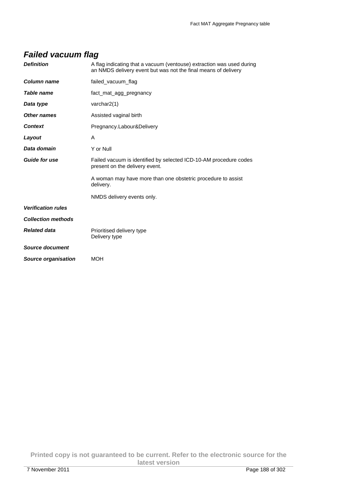### **Failed vacuum flag**

| <b>Definition</b>         | A flag indicating that a vacuum (ventouse) extraction was used during<br>an NMDS delivery event but was not the final means of delivery |
|---------------------------|-----------------------------------------------------------------------------------------------------------------------------------------|
| Column name               | failed_vacuum_flag                                                                                                                      |
| <b>Table name</b>         | fact mat agg pregnancy                                                                                                                  |
| Data type                 | varchar2(1)                                                                                                                             |
| Other names               | Assisted vaginal birth                                                                                                                  |
| <b>Context</b>            | Pregnancy.Labour&Delivery                                                                                                               |
| Layout                    | A                                                                                                                                       |
| Data domain               | Y or Null                                                                                                                               |
| <b>Guide for use</b>      | Failed vacuum is identified by selected ICD-10-AM procedure codes<br>present on the delivery event.                                     |
|                           | A woman may have more than one obstetric procedure to assist<br>delivery.                                                               |
|                           | NMDS delivery events only.                                                                                                              |
| <b>Verification rules</b> |                                                                                                                                         |
| <b>Collection methods</b> |                                                                                                                                         |
| <b>Related data</b>       | Prioritised delivery type<br>Delivery type                                                                                              |
| Source document           |                                                                                                                                         |
| Source organisation       | <b>MOH</b>                                                                                                                              |
|                           |                                                                                                                                         |

**Printed copy is not guaranteed to be current. Refer to the electronic source for the latest version**  7 November 2011 Page 188 of 302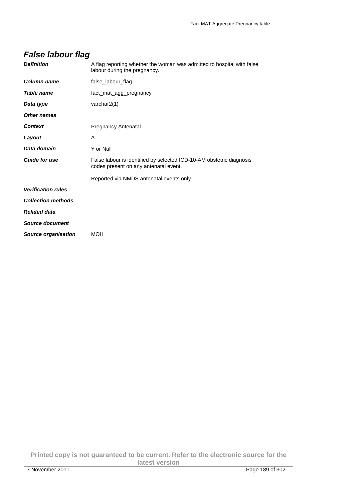| <b>Definition</b>          | A flag reporting whether the woman was admitted to hospital with false<br>labour during the pregnancy.        |
|----------------------------|---------------------------------------------------------------------------------------------------------------|
| <b>Column name</b>         | false_labour_flag                                                                                             |
| Table name                 | fact_mat_agg_pregnancy                                                                                        |
| Data type                  | varchar $2(1)$                                                                                                |
| <b>Other names</b>         |                                                                                                               |
| <b>Context</b>             | Pregnancy.Antenatal                                                                                           |
| Layout                     | A                                                                                                             |
| Data domain                | Y or Null                                                                                                     |
| <b>Guide for use</b>       | False labour is identified by selected ICD-10-AM obstetric diagnosis<br>codes present on any antenatal event. |
|                            | Reported via NMDS antenatal events only.                                                                      |
| <b>Verification rules</b>  |                                                                                                               |
| <b>Collection methods</b>  |                                                                                                               |
| <b>Related data</b>        |                                                                                                               |
| Source document            |                                                                                                               |
| <b>Source organisation</b> | MOH                                                                                                           |

**Printed copy is not guaranteed to be current. Refer to the electronic source for the latest version**  7 November 2011 Page 189 of 302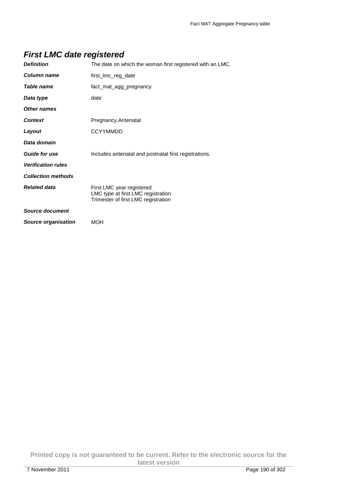### **First LMC date registered**

| <b>Definition</b>          | The date on which the woman first registered with an LMC.                                              |
|----------------------------|--------------------------------------------------------------------------------------------------------|
| Column name                | first_Imc_reg_date                                                                                     |
| Table name                 | fact_mat_agg_pregnancy                                                                                 |
| Data type                  | date                                                                                                   |
| <b>Other names</b>         |                                                                                                        |
| <b>Context</b>             | Pregnancy.Antenatal                                                                                    |
| Layout                     | <b>CCYYMMDD</b>                                                                                        |
| Data domain                |                                                                                                        |
| <b>Guide for use</b>       | Includes antenatal and postnatal first registrations.                                                  |
| <b>Verification rules</b>  |                                                                                                        |
| <b>Collection methods</b>  |                                                                                                        |
| <b>Related data</b>        | First LMC year registered<br>LMC type at first LMC registration<br>Trimester of first LMC registration |
| Source document            |                                                                                                        |
| <b>Source organisation</b> | MOH                                                                                                    |

**Printed copy is not guaranteed to be current. Refer to the electronic source for the latest version**  7 November 2011 Page 190 of 302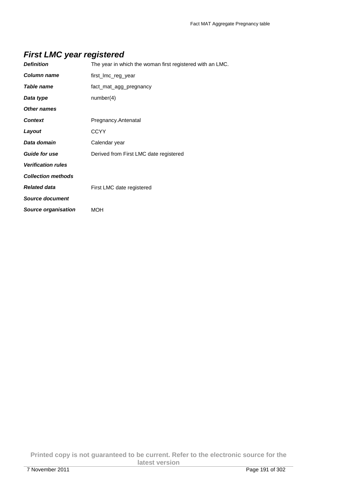### **First LMC year registered**

| <b>Definition</b>          | The year in which the woman first registered with an LMC. |
|----------------------------|-----------------------------------------------------------|
| <b>Column name</b>         | first_lmc_reg_year                                        |
| Table name                 | fact_mat_agg_pregnancy                                    |
| Data type                  | number(4)                                                 |
| <b>Other names</b>         |                                                           |
| <b>Context</b>             | Pregnancy.Antenatal                                       |
| Layout                     | <b>CCYY</b>                                               |
| Data domain                | Calendar year                                             |
| <b>Guide for use</b>       | Derived from First LMC date registered                    |
| <b>Verification rules</b>  |                                                           |
| <b>Collection methods</b>  |                                                           |
| <b>Related data</b>        | First LMC date registered                                 |
| Source document            |                                                           |
| <b>Source organisation</b> | MOH                                                       |
|                            |                                                           |

**Printed copy is not guaranteed to be current. Refer to the electronic source for the latest version**  7 November 2011 Page 191 of 302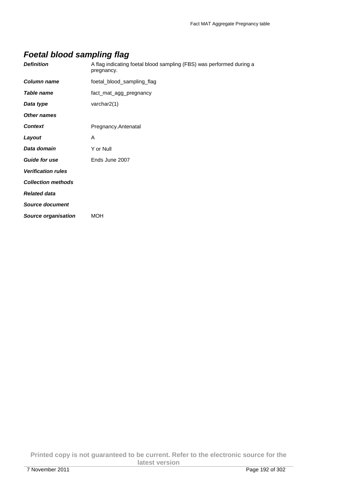### **Foetal blood sampling flag**

| <b>Definition</b>          | A flag indicating foetal blood sampling (FBS) was performed during a<br>pregnancy. |
|----------------------------|------------------------------------------------------------------------------------|
| <b>Column name</b>         | foetal_blood_sampling_flag                                                         |
| Table name                 | fact_mat_agg_pregnancy                                                             |
| Data type                  | varchar $2(1)$                                                                     |
| <b>Other names</b>         |                                                                                    |
| <b>Context</b>             | Pregnancy.Antenatal                                                                |
| Layout                     | A                                                                                  |
| Data domain                | Y or Null                                                                          |
| <b>Guide for use</b>       | Ends June 2007                                                                     |
| <b>Verification rules</b>  |                                                                                    |
| <b>Collection methods</b>  |                                                                                    |
| <b>Related data</b>        |                                                                                    |
| Source document            |                                                                                    |
| <b>Source organisation</b> | <b>MOH</b>                                                                         |

**Printed copy is not guaranteed to be current. Refer to the electronic source for the latest version**  7 November 2011 Page 192 of 302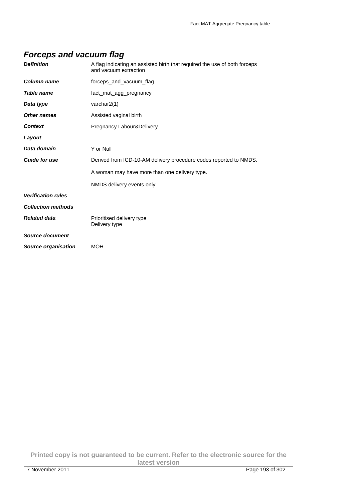### **Forceps and vacuum flag**

| <b>Definition</b>          | A flag indicating an assisted birth that required the use of both forceps<br>and vacuum extraction |
|----------------------------|----------------------------------------------------------------------------------------------------|
| Column name                | forceps_and_vacuum_flag                                                                            |
| Table name                 | fact_mat_agg_pregnancy                                                                             |
| Data type                  | varchar2(1)                                                                                        |
| <b>Other names</b>         | Assisted vaginal birth                                                                             |
| <b>Context</b>             | Pregnancy.Labour&Delivery                                                                          |
| Layout                     |                                                                                                    |
| Data domain                | Y or Null                                                                                          |
| <b>Guide for use</b>       | Derived from ICD-10-AM delivery procedure codes reported to NMDS.                                  |
|                            | A woman may have more than one delivery type.                                                      |
|                            | NMDS delivery events only                                                                          |
| <b>Verification rules</b>  |                                                                                                    |
| <b>Collection methods</b>  |                                                                                                    |
| <b>Related data</b>        | Prioritised delivery type<br>Delivery type                                                         |
| Source document            |                                                                                                    |
| <b>Source organisation</b> | <b>MOH</b>                                                                                         |

**Printed copy is not guaranteed to be current. Refer to the electronic source for the latest version**  7 November 2011 Page 193 of 302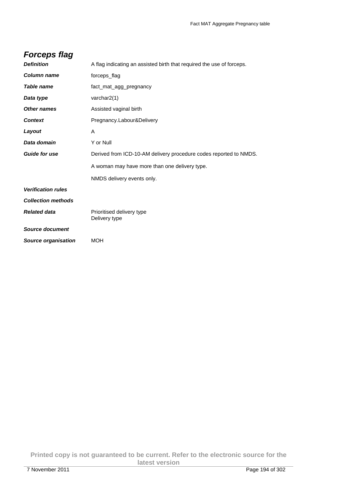## **Forceps flag**

| <b>Definition</b>          | A flag indicating an assisted birth that required the use of forceps. |
|----------------------------|-----------------------------------------------------------------------|
| <b>Column name</b>         | forceps_flag                                                          |
| Table name                 | fact_mat_agg_pregnancy                                                |
| Data type                  | varchar2(1)                                                           |
| <b>Other names</b>         | Assisted vaginal birth                                                |
| <b>Context</b>             | Pregnancy.Labour&Delivery                                             |
| Layout                     | A                                                                     |
| Data domain                | Y or Null                                                             |
| <b>Guide for use</b>       | Derived from ICD-10-AM delivery procedure codes reported to NMDS.     |
|                            | A woman may have more than one delivery type.                         |
|                            | NMDS delivery events only.                                            |
| <b>Verification rules</b>  |                                                                       |
| <b>Collection methods</b>  |                                                                       |
| <b>Related data</b>        | Prioritised delivery type<br>Delivery type                            |
| Source document            |                                                                       |
| <b>Source organisation</b> | <b>MOH</b>                                                            |
|                            |                                                                       |

**Printed copy is not guaranteed to be current. Refer to the electronic source for the latest version**  7 November 2011 Page 194 of 302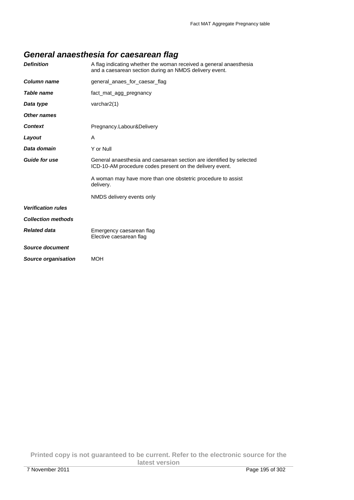# **General anaesthesia for caesarean flag**

| <b>Definition</b>          | A flag indicating whether the woman received a general anaesthesia<br>and a caesarean section during an NMDS delivery event.     |
|----------------------------|----------------------------------------------------------------------------------------------------------------------------------|
| Column name                | general_anaes_for_caesar_flag                                                                                                    |
| Table name                 | fact_mat_agg_pregnancy                                                                                                           |
| Data type                  | varchar $2(1)$                                                                                                                   |
| Other names                |                                                                                                                                  |
| <b>Context</b>             | Pregnancy.Labour&Delivery                                                                                                        |
| Layout                     | A                                                                                                                                |
| Data domain                | Y or Null                                                                                                                        |
| <b>Guide for use</b>       | General anaesthesia and caesarean section are identified by selected<br>ICD-10-AM procedure codes present on the delivery event. |
|                            | A woman may have more than one obstetric procedure to assist<br>delivery.                                                        |
|                            | NMDS delivery events only                                                                                                        |
| <b>Verification rules</b>  |                                                                                                                                  |
| <b>Collection methods</b>  |                                                                                                                                  |
| <b>Related data</b>        | Emergency caesarean flag<br>Elective caesarean flag                                                                              |
| <b>Source document</b>     |                                                                                                                                  |
| <b>Source organisation</b> | <b>MOH</b>                                                                                                                       |

**Printed copy is not guaranteed to be current. Refer to the electronic source for the latest version**  7 November 2011 Page 195 of 302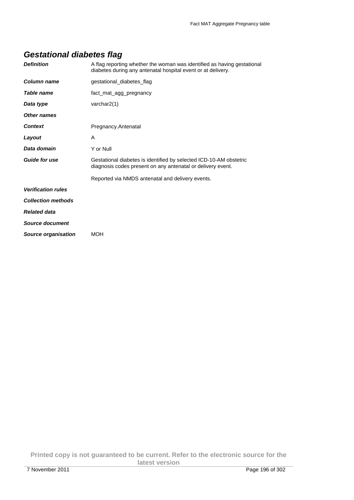### **Gestational diabetes flag**

| <b>Definition</b>          | A flag reporting whether the woman was identified as having gestational<br>diabetes during any antenatal hospital event or at delivery. |
|----------------------------|-----------------------------------------------------------------------------------------------------------------------------------------|
| Column name                | gestational_diabetes_flag                                                                                                               |
| Table name                 | fact_mat_agg_pregnancy                                                                                                                  |
| Data type                  | varchar $2(1)$                                                                                                                          |
| Other names                |                                                                                                                                         |
| <b>Context</b>             | Pregnancy.Antenatal                                                                                                                     |
| Layout                     | A                                                                                                                                       |
| Data domain                | Y or Null                                                                                                                               |
| <b>Guide for use</b>       | Gestational diabetes is identified by selected ICD-10-AM obstetric<br>diagnosis codes present on any antenatal or delivery event.       |
|                            | Reported via NMDS antenatal and delivery events.                                                                                        |
| <b>Verification rules</b>  |                                                                                                                                         |
| <b>Collection methods</b>  |                                                                                                                                         |
| <b>Related data</b>        |                                                                                                                                         |
| Source document            |                                                                                                                                         |
| <b>Source organisation</b> | MOH                                                                                                                                     |

**Printed copy is not guaranteed to be current. Refer to the electronic source for the latest version**  7 November 2011 Page 196 of 302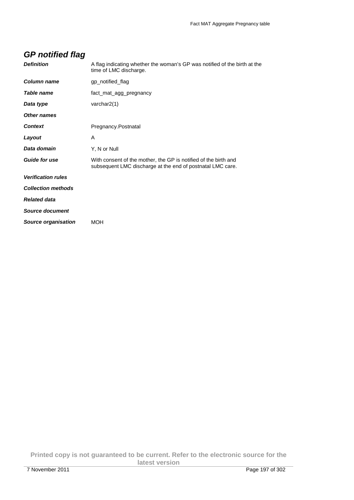| <b>GP</b> notified flag    |                                                                                                                               |
|----------------------------|-------------------------------------------------------------------------------------------------------------------------------|
| <b>Definition</b>          | A flag indicating whether the woman's GP was notified of the birth at the<br>time of LMC discharge.                           |
| Column name                | gp_notified_flag                                                                                                              |
| Table name                 | fact_mat_agg_pregnancy                                                                                                        |
| Data type                  | varchar $2(1)$                                                                                                                |
| <b>Other names</b>         |                                                                                                                               |
| <b>Context</b>             | Pregnancy.Postnatal                                                                                                           |
| Layout                     | A                                                                                                                             |
| Data domain                | Y, N or Null                                                                                                                  |
| <b>Guide for use</b>       | With consent of the mother, the GP is notified of the birth and<br>subsequent LMC discharge at the end of postnatal LMC care. |
| <b>Verification rules</b>  |                                                                                                                               |
| <b>Collection methods</b>  |                                                                                                                               |
| <b>Related data</b>        |                                                                                                                               |
| Source document            |                                                                                                                               |
| <b>Source organisation</b> | <b>MOH</b>                                                                                                                    |

#### **Printed copy is not guaranteed to be current. Refer to the electronic source for the latest version**  7 November 2011 Page 197 of 302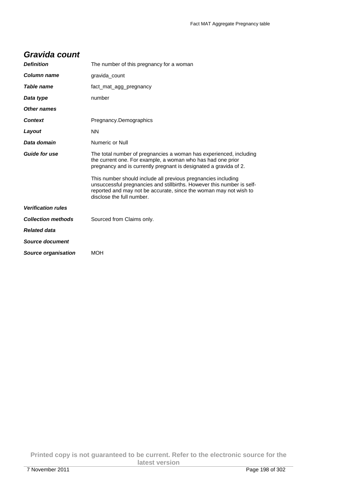#### **Gravida count**

| <b>Definition</b>          | The number of this pregnancy for a woman                                                                                                                                                                                                  |
|----------------------------|-------------------------------------------------------------------------------------------------------------------------------------------------------------------------------------------------------------------------------------------|
| Column name                | gravida_count                                                                                                                                                                                                                             |
| Table name                 | fact_mat_agg_pregnancy                                                                                                                                                                                                                    |
| Data type                  | number                                                                                                                                                                                                                                    |
| Other names                |                                                                                                                                                                                                                                           |
| <b>Context</b>             | Pregnancy.Demographics                                                                                                                                                                                                                    |
| Layout                     | <b>NN</b>                                                                                                                                                                                                                                 |
| Data domain                | Numeric or Null                                                                                                                                                                                                                           |
| <b>Guide for use</b>       | The total number of pregnancies a woman has experienced, including<br>the current one. For example, a woman who has had one prior<br>pregnancy and is currently pregnant is designated a gravida of 2.                                    |
|                            | This number should include all previous pregnancies including<br>unsuccessful pregnancies and stillbirths. However this number is self-<br>reported and may not be accurate, since the woman may not wish to<br>disclose the full number. |
| <b>Verification rules</b>  |                                                                                                                                                                                                                                           |
| <b>Collection methods</b>  | Sourced from Claims only.                                                                                                                                                                                                                 |
| <b>Related data</b>        |                                                                                                                                                                                                                                           |
| Source document            |                                                                                                                                                                                                                                           |
| <b>Source organisation</b> | <b>MOH</b>                                                                                                                                                                                                                                |

**Printed copy is not guaranteed to be current. Refer to the electronic source for the latest version**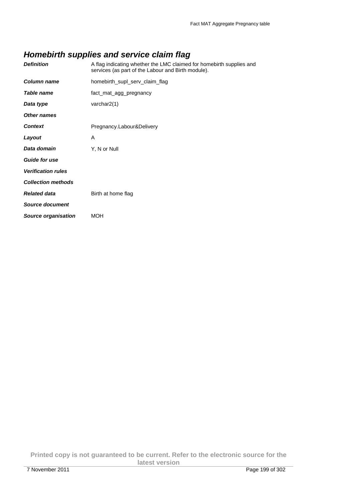### **Homebirth supplies and service claim flag**

| <b>Definition</b>         | A flag indicating whether the LMC claimed for homebirth supplies and<br>services (as part of the Labour and Birth module). |
|---------------------------|----------------------------------------------------------------------------------------------------------------------------|
| Column name               | homebirth_supl_serv_claim_flag                                                                                             |
| <b>Table name</b>         | fact_mat_agg_pregnancy                                                                                                     |
| Data type                 | varchar $2(1)$                                                                                                             |
| <b>Other names</b>        |                                                                                                                            |
| <b>Context</b>            | Pregnancy.Labour&Delivery                                                                                                  |
| Layout                    | A                                                                                                                          |
| Data domain               | Y, N or Null                                                                                                               |
| <b>Guide for use</b>      |                                                                                                                            |
| <b>Verification rules</b> |                                                                                                                            |
| <b>Collection methods</b> |                                                                                                                            |
| <b>Related data</b>       | Birth at home flag                                                                                                         |
| Source document           |                                                                                                                            |
| Source organisation       | <b>MOH</b>                                                                                                                 |
|                           |                                                                                                                            |

**Printed copy is not guaranteed to be current. Refer to the electronic source for the latest version**  7 November 2011 Page 199 of 302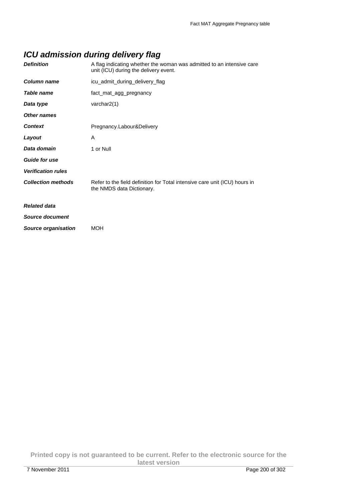### **ICU admission during delivery flag**

| <b>Definition</b>          | A flag indicating whether the woman was admitted to an intensive care<br>unit (ICU) during the delivery event. |
|----------------------------|----------------------------------------------------------------------------------------------------------------|
| Column name                | icu_admit_during_delivery_flag                                                                                 |
| Table name                 | fact_mat_agg_pregnancy                                                                                         |
| Data type                  | varchar2(1)                                                                                                    |
| <b>Other names</b>         |                                                                                                                |
| <b>Context</b>             | Pregnancy.Labour&Delivery                                                                                      |
| Layout                     | A                                                                                                              |
| Data domain                | 1 or Null                                                                                                      |
| <b>Guide for use</b>       |                                                                                                                |
| <b>Verification rules</b>  |                                                                                                                |
| <b>Collection methods</b>  | Refer to the field definition for Total intensive care unit (ICU) hours in<br>the NMDS data Dictionary.        |
| <b>Related data</b>        |                                                                                                                |
| Source document            |                                                                                                                |
| <b>Source organisation</b> | <b>MOH</b>                                                                                                     |
|                            |                                                                                                                |

**Printed copy is not guaranteed to be current. Refer to the electronic source for the latest version**  7 November 2011 Page 200 of 302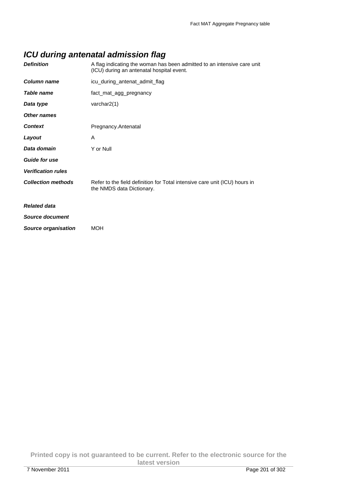### **ICU during antenatal admission flag**

| <b>Definition</b>          | A flag indicating the woman has been admitted to an intensive care unit<br>(ICU) during an antenatal hospital event. |
|----------------------------|----------------------------------------------------------------------------------------------------------------------|
| Column name                | icu_during_antenat_admit_flag                                                                                        |
| Table name                 | fact_mat_agg_pregnancy                                                                                               |
| Data type                  | varchar $2(1)$                                                                                                       |
| <b>Other names</b>         |                                                                                                                      |
| <b>Context</b>             | Pregnancy.Antenatal                                                                                                  |
| Layout                     | A                                                                                                                    |
| Data domain                | Y or Null                                                                                                            |
| <b>Guide for use</b>       |                                                                                                                      |
| <b>Verification rules</b>  |                                                                                                                      |
| <b>Collection methods</b>  | Refer to the field definition for Total intensive care unit (ICU) hours in<br>the NMDS data Dictionary.              |
| <b>Related data</b>        |                                                                                                                      |
| Source document            |                                                                                                                      |
| <b>Source organisation</b> | <b>MOH</b>                                                                                                           |
|                            |                                                                                                                      |

**Printed copy is not guaranteed to be current. Refer to the electronic source for the latest version**  7 November 2011 Page 201 of 302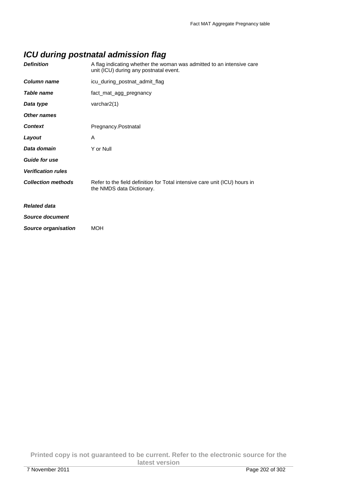### **ICU during postnatal admission flag**

| <b>Definition</b>          | A flag indicating whether the woman was admitted to an intensive care<br>unit (ICU) during any postnatal event. |
|----------------------------|-----------------------------------------------------------------------------------------------------------------|
| Column name                | icu_during_postnat_admit_flag                                                                                   |
| Table name                 | fact_mat_agg_pregnancy                                                                                          |
| Data type                  | varchar2(1)                                                                                                     |
| <b>Other names</b>         |                                                                                                                 |
| <b>Context</b>             | Pregnancy.Postnatal                                                                                             |
| Layout                     | A                                                                                                               |
| Data domain                | Y or Null                                                                                                       |
| <b>Guide for use</b>       |                                                                                                                 |
| <b>Verification rules</b>  |                                                                                                                 |
| <b>Collection methods</b>  | Refer to the field definition for Total intensive care unit (ICU) hours in<br>the NMDS data Dictionary.         |
| <b>Related data</b>        |                                                                                                                 |
| Source document            |                                                                                                                 |
| <b>Source organisation</b> | <b>MOH</b>                                                                                                      |
|                            |                                                                                                                 |

**Printed copy is not guaranteed to be current. Refer to the electronic source for the latest version**  7 November 2011 Page 202 of 302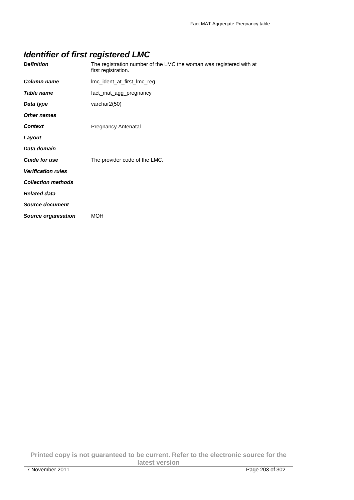# **Identifier of first registered LMC**

| <b>Definition</b>          | The registration number of the LMC the woman was registered with at<br>first registration. |
|----------------------------|--------------------------------------------------------------------------------------------|
| Column name                | Imc_ident_at_first_Imc_reg                                                                 |
| <b>Table name</b>          | fact_mat_agg_pregnancy                                                                     |
| Data type                  | varchar2(50)                                                                               |
| <b>Other names</b>         |                                                                                            |
| <b>Context</b>             | Pregnancy.Antenatal                                                                        |
| Layout                     |                                                                                            |
| Data domain                |                                                                                            |
| <b>Guide for use</b>       | The provider code of the LMC.                                                              |
| <b>Verification rules</b>  |                                                                                            |
| <b>Collection methods</b>  |                                                                                            |
| <b>Related data</b>        |                                                                                            |
| Source document            |                                                                                            |
| <b>Source organisation</b> | <b>MOH</b>                                                                                 |

**Printed copy is not guaranteed to be current. Refer to the electronic source for the latest version**  7 November 2011 Page 203 of 302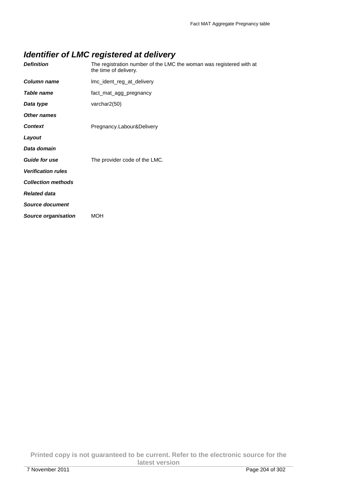### **Identifier of LMC registered at delivery**

| <b>Definition</b>          | The registration number of the LMC the woman was registered with at<br>the time of delivery. |
|----------------------------|----------------------------------------------------------------------------------------------|
| Column name                | Imc_ident_reg_at_delivery                                                                    |
| Table name                 | fact_mat_agg_pregnancy                                                                       |
| Data type                  | varchar2(50)                                                                                 |
| Other names                |                                                                                              |
| <b>Context</b>             | Pregnancy.Labour&Delivery                                                                    |
| Layout                     |                                                                                              |
| Data domain                |                                                                                              |
| <b>Guide for use</b>       | The provider code of the LMC.                                                                |
| <b>Verification rules</b>  |                                                                                              |
| <b>Collection methods</b>  |                                                                                              |
| <b>Related data</b>        |                                                                                              |
| <b>Source document</b>     |                                                                                              |
| <b>Source organisation</b> | <b>MOH</b>                                                                                   |

**Printed copy is not guaranteed to be current. Refer to the electronic source for the latest version**  7 November 2011 Page 204 of 302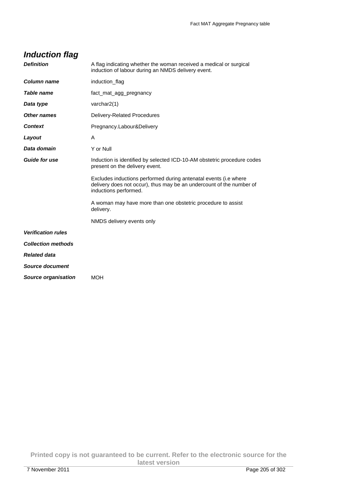| <b>Induction flag</b>     |                                                                                                                                                                   |
|---------------------------|-------------------------------------------------------------------------------------------------------------------------------------------------------------------|
| <b>Definition</b>         | A flag indicating whether the woman received a medical or surgical<br>induction of labour during an NMDS delivery event.                                          |
| <b>Column name</b>        | induction_flag                                                                                                                                                    |
| Table name                | fact_mat_agg_pregnancy                                                                                                                                            |
| Data type                 | varchar $2(1)$                                                                                                                                                    |
| <b>Other names</b>        | Delivery-Related Procedures                                                                                                                                       |
| <b>Context</b>            | Pregnancy.Labour&Delivery                                                                                                                                         |
| Layout                    | A                                                                                                                                                                 |
| Data domain               | Y or Null                                                                                                                                                         |
| <b>Guide for use</b>      | Induction is identified by selected ICD-10-AM obstetric procedure codes<br>present on the delivery event.                                                         |
|                           | Excludes inductions performed during antenatal events (i.e where<br>delivery does not occur), thus may be an undercount of the number of<br>inductions performed. |
|                           | A woman may have more than one obstetric procedure to assist<br>delivery.                                                                                         |
|                           | NMDS delivery events only                                                                                                                                         |
| <b>Verification rules</b> |                                                                                                                                                                   |
| <b>Collection methods</b> |                                                                                                                                                                   |
| <b>Related data</b>       |                                                                                                                                                                   |
| Source document           |                                                                                                                                                                   |
| Source organisation       | <b>MOH</b>                                                                                                                                                        |

**Printed copy is not guaranteed to be current. Refer to the electronic source for the latest version**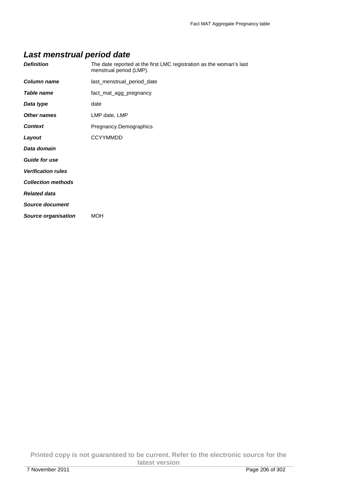### **Last menstrual period date**

| <b>Definition</b>          | The date reported at the first LMC registration as the woman's last<br>menstrual period (LMP). |
|----------------------------|------------------------------------------------------------------------------------------------|
| <b>Column name</b>         | last_menstrual_period_date                                                                     |
| Table name                 | fact_mat_agg_pregnancy                                                                         |
| Data type                  | date                                                                                           |
| <b>Other names</b>         | LMP date, LMP                                                                                  |
| <b>Context</b>             | Pregnancy.Demographics                                                                         |
| Layout                     | <b>CCYYMMDD</b>                                                                                |
| Data domain                |                                                                                                |
| <b>Guide for use</b>       |                                                                                                |
| <b>Verification rules</b>  |                                                                                                |
| <b>Collection methods</b>  |                                                                                                |
| <b>Related data</b>        |                                                                                                |
| Source document            |                                                                                                |
| <b>Source organisation</b> | <b>MOH</b>                                                                                     |
|                            |                                                                                                |

**Printed copy is not guaranteed to be current. Refer to the electronic source for the latest version**  7 November 2011 Page 206 of 302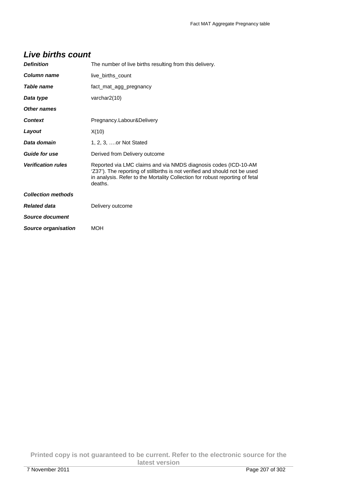#### **Live births count**

| <b>Definition</b>         | The number of live births resulting from this delivery.                                                                                                                                                                                   |
|---------------------------|-------------------------------------------------------------------------------------------------------------------------------------------------------------------------------------------------------------------------------------------|
| Column name               | live_births_count                                                                                                                                                                                                                         |
| Table name                | fact_mat_agg_pregnancy                                                                                                                                                                                                                    |
| Data type                 | varchar2(10)                                                                                                                                                                                                                              |
| Other names               |                                                                                                                                                                                                                                           |
| <b>Context</b>            | Pregnancy.Labour&Delivery                                                                                                                                                                                                                 |
| Layout                    | X(10)                                                                                                                                                                                                                                     |
| Data domain               | 1, 2, 3, or Not Stated                                                                                                                                                                                                                    |
| <b>Guide for use</b>      | Derived from Delivery outcome                                                                                                                                                                                                             |
| <b>Verification rules</b> | Reported via LMC claims and via NMDS diagnosis codes (ICD-10-AM<br>'Z37'). The reporting of stillbirths is not verified and should not be used<br>in analysis. Refer to the Mortality Collection for robust reporting of fetal<br>deaths. |
| <b>Collection methods</b> |                                                                                                                                                                                                                                           |
| <b>Related data</b>       | Delivery outcome                                                                                                                                                                                                                          |
| Source document           |                                                                                                                                                                                                                                           |
| Source organisation       | <b>MOH</b>                                                                                                                                                                                                                                |

**Printed copy is not guaranteed to be current. Refer to the electronic source for the latest version**  7 November 2011 Page 207 of 302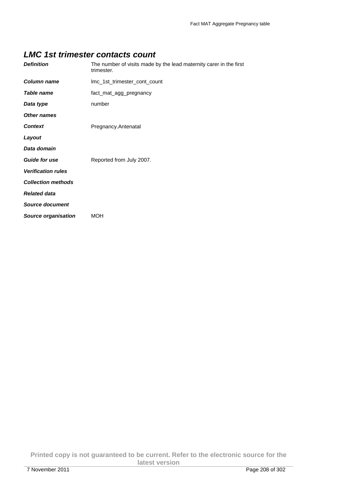#### **LMC 1st trimester contacts count**

| <b>Definition</b>         | The number of visits made by the lead maternity carer in the first<br>trimester. |
|---------------------------|----------------------------------------------------------------------------------|
| Column name               | Imc_1st_trimester_cont_count                                                     |
| <b>Table name</b>         | fact_mat_agg_pregnancy                                                           |
| Data type                 | number                                                                           |
| <b>Other names</b>        |                                                                                  |
| <b>Context</b>            | Pregnancy.Antenatal                                                              |
| Layout                    |                                                                                  |
| Data domain               |                                                                                  |
| <b>Guide for use</b>      | Reported from July 2007.                                                         |
| <b>Verification rules</b> |                                                                                  |
| <b>Collection methods</b> |                                                                                  |
| <b>Related data</b>       |                                                                                  |
| <b>Source document</b>    |                                                                                  |
| Source organisation       | MOH                                                                              |

**Printed copy is not guaranteed to be current. Refer to the electronic source for the latest version**  7 November 2011 Page 208 of 302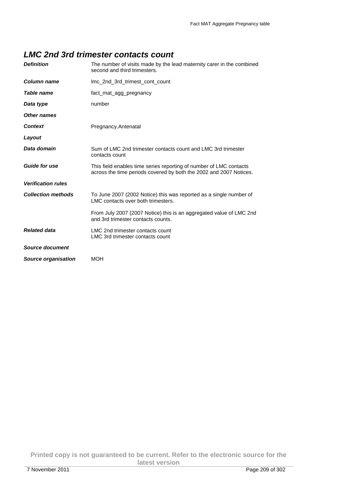#### **LMC 2nd 3rd trimester contacts count**

| <b>Definition</b>          | The number of visits made by the lead maternity carer in the combined<br>second and third trimesters.                                    |
|----------------------------|------------------------------------------------------------------------------------------------------------------------------------------|
| Column name                | Imc 2nd 3rd trimest cont count                                                                                                           |
| Table name                 | fact mat agg pregnancy                                                                                                                   |
| Data type                  | number                                                                                                                                   |
| Other names                |                                                                                                                                          |
| <b>Context</b>             | Pregnancy.Antenatal                                                                                                                      |
| Layout                     |                                                                                                                                          |
| Data domain                | Sum of LMC 2nd trimester contacts count and LMC 3rd trimester<br>contacts count                                                          |
| <b>Guide for use</b>       | This field enables time series reporting of number of LMC contacts<br>across the time periods covered by both the 2002 and 2007 Notices. |
| <b>Verification rules</b>  |                                                                                                                                          |
| <b>Collection methods</b>  | To June 2007 (2002 Notice) this was reported as a single number of<br>LMC contacts over both trimesters.                                 |
|                            | From July 2007 (2007 Notice) this is an aggregated value of LMC 2nd<br>and 3rd trimester contacts counts.                                |
| <b>Related data</b>        | LMC 2nd trimester contacts count<br>LMC 3rd trimester contacts count                                                                     |
| <b>Source document</b>     |                                                                                                                                          |
| <b>Source organisation</b> | <b>MOH</b>                                                                                                                               |

**Printed copy is not guaranteed to be current. Refer to the electronic source for the latest version**  7 November 2011 Page 209 of 302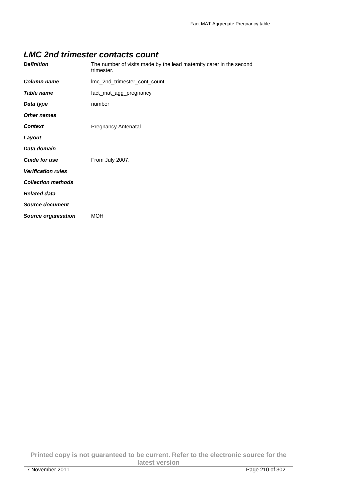#### **LMC 2nd trimester contacts count**

| <b>Definition</b>          | The number of visits made by the lead maternity carer in the second<br>trimester. |
|----------------------------|-----------------------------------------------------------------------------------|
| <b>Column name</b>         | Imc_2nd_trimester_cont_count                                                      |
| <b>Table name</b>          | fact_mat_agg_pregnancy                                                            |
| Data type                  | number                                                                            |
| <b>Other names</b>         |                                                                                   |
| <b>Context</b>             | Pregnancy.Antenatal                                                               |
| Layout                     |                                                                                   |
| Data domain                |                                                                                   |
| <b>Guide for use</b>       | From July 2007.                                                                   |
| <b>Verification rules</b>  |                                                                                   |
| <b>Collection methods</b>  |                                                                                   |
| <b>Related data</b>        |                                                                                   |
| <b>Source document</b>     |                                                                                   |
| <b>Source organisation</b> | <b>MOH</b>                                                                        |

**Printed copy is not guaranteed to be current. Refer to the electronic source for the latest version**  7 November 2011 Page 210 of 302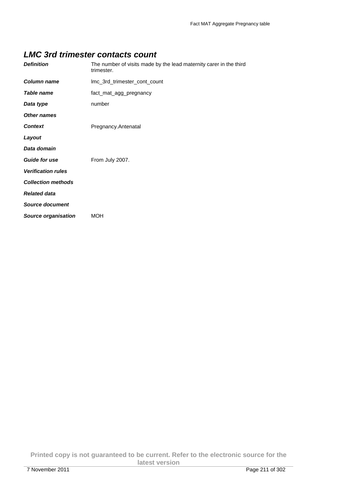#### **LMC 3rd trimester contacts count**

| <b>Definition</b>          | The number of visits made by the lead maternity carer in the third<br>trimester. |
|----------------------------|----------------------------------------------------------------------------------|
| <b>Column name</b>         | Imc_3rd_trimester_cont_count                                                     |
| <b>Table name</b>          | fact_mat_agg_pregnancy                                                           |
| Data type                  | number                                                                           |
| <b>Other names</b>         |                                                                                  |
| <b>Context</b>             | Pregnancy.Antenatal                                                              |
| Layout                     |                                                                                  |
| Data domain                |                                                                                  |
| <b>Guide for use</b>       | From July 2007.                                                                  |
| <b>Verification rules</b>  |                                                                                  |
| <b>Collection methods</b>  |                                                                                  |
| <b>Related data</b>        |                                                                                  |
| <b>Source document</b>     |                                                                                  |
| <b>Source organisation</b> | <b>MOH</b>                                                                       |

**Printed copy is not guaranteed to be current. Refer to the electronic source for the latest version**  7 November 2011 Page 211 of 302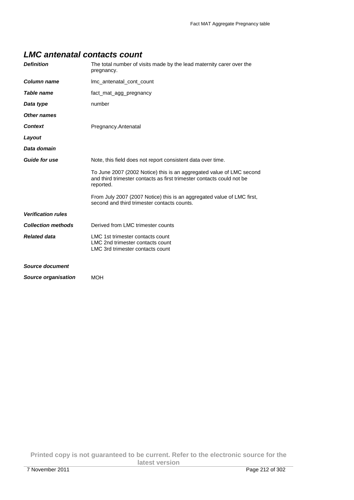#### **LMC antenatal contacts count**

| <b>Definition</b>          | The total number of visits made by the lead maternity carer over the<br>pregnancy.                                                                         |
|----------------------------|------------------------------------------------------------------------------------------------------------------------------------------------------------|
| <b>Column name</b>         | Imc_antenatal_cont_count                                                                                                                                   |
| <b>Table name</b>          | fact_mat_agg_pregnancy                                                                                                                                     |
| Data type                  | number                                                                                                                                                     |
| <b>Other names</b>         |                                                                                                                                                            |
| <b>Context</b>             | Pregnancy.Antenatal                                                                                                                                        |
| Layout                     |                                                                                                                                                            |
| Data domain                |                                                                                                                                                            |
| <b>Guide for use</b>       | Note, this field does not report consistent data over time.                                                                                                |
|                            | To June 2007 (2002 Notice) this is an aggregated value of LMC second<br>and third trimester contacts as first trimester contacts could not be<br>reported. |
|                            | From July 2007 (2007 Notice) this is an aggregated value of LMC first,<br>second and third trimester contacts counts.                                      |
| <b>Verification rules</b>  |                                                                                                                                                            |
| <b>Collection methods</b>  | Derived from LMC trimester counts                                                                                                                          |
| <b>Related data</b>        | LMC 1st trimester contacts count<br>LMC 2nd trimester contacts count<br>LMC 3rd trimester contacts count                                                   |
| Source document            |                                                                                                                                                            |
| <b>Source organisation</b> | <b>MOH</b>                                                                                                                                                 |

**Printed copy is not guaranteed to be current. Refer to the electronic source for the latest version**  7 November 2011 Page 212 of 302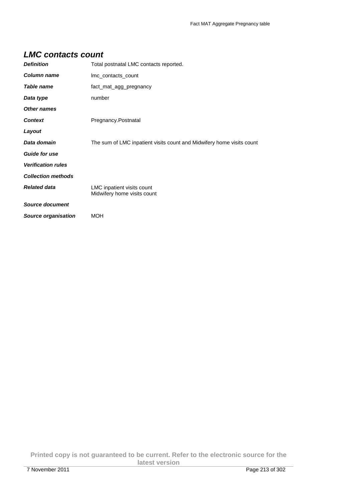#### **LMC contacts count**

| <b>Definition</b>          | Total postnatal LMC contacts reported.                                |
|----------------------------|-----------------------------------------------------------------------|
| Column name                | Imc_contacts_count                                                    |
| <b>Table name</b>          | fact_mat_agg_pregnancy                                                |
| Data type                  | number                                                                |
| <b>Other names</b>         |                                                                       |
| <b>Context</b>             | Pregnancy.Postnatal                                                   |
| Layout                     |                                                                       |
| Data domain                | The sum of LMC inpatient visits count and Midwifery home visits count |
| <b>Guide for use</b>       |                                                                       |
| <b>Verification rules</b>  |                                                                       |
| <b>Collection methods</b>  |                                                                       |
| <b>Related data</b>        | LMC inpatient visits count<br>Midwifery home visits count             |
| <b>Source document</b>     |                                                                       |
| <b>Source organisation</b> | <b>MOH</b>                                                            |

**Printed copy is not guaranteed to be current. Refer to the electronic source for the latest version**  7 November 2011 Page 213 of 302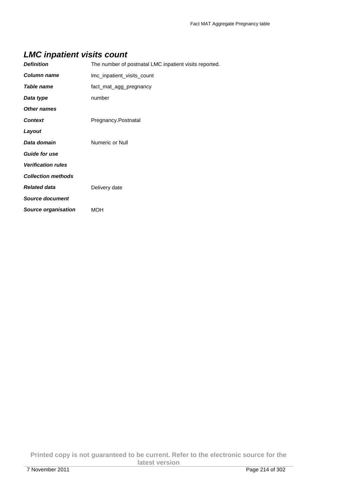### **LMC inpatient visits count**

| <b>Definition</b>          | The number of postnatal LMC inpatient visits reported. |
|----------------------------|--------------------------------------------------------|
| <b>Column name</b>         | Imc_inpatient_visits_count                             |
| <b>Table name</b>          | fact_mat_agg_pregnancy                                 |
| Data type                  | number                                                 |
| <b>Other names</b>         |                                                        |
| <b>Context</b>             | Pregnancy.Postnatal                                    |
| Layout                     |                                                        |
| Data domain                | Numeric or Null                                        |
| <b>Guide for use</b>       |                                                        |
| <b>Verification rules</b>  |                                                        |
| <b>Collection methods</b>  |                                                        |
| <b>Related data</b>        | Delivery date                                          |
| <b>Source document</b>     |                                                        |
| <b>Source organisation</b> | MOH                                                    |

**Printed copy is not guaranteed to be current. Refer to the electronic source for the latest version**  7 November 2011 Page 214 of 302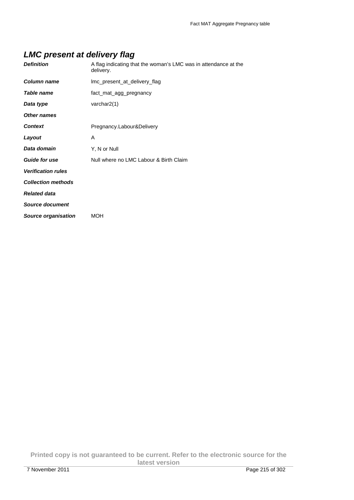### **LMC present at delivery flag**

| <b>Definition</b>         | A flag indicating that the woman's LMC was in attendance at the<br>delivery. |
|---------------------------|------------------------------------------------------------------------------|
| <b>Column name</b>        | Imc_present_at_delivery_flag                                                 |
| <b>Table name</b>         | fact_mat_agg_pregnancy                                                       |
| Data type                 | varchar $2(1)$                                                               |
| <b>Other names</b>        |                                                                              |
| <b>Context</b>            | Pregnancy.Labour&Delivery                                                    |
| Layout                    | A                                                                            |
| Data domain               | Y, N or Null                                                                 |
| <b>Guide for use</b>      | Null where no LMC Labour & Birth Claim                                       |
| <b>Verification rules</b> |                                                                              |
| <b>Collection methods</b> |                                                                              |
| <b>Related data</b>       |                                                                              |
| <b>Source document</b>    |                                                                              |
| Source organisation       | <b>MOH</b>                                                                   |

**Printed copy is not guaranteed to be current. Refer to the electronic source for the latest version**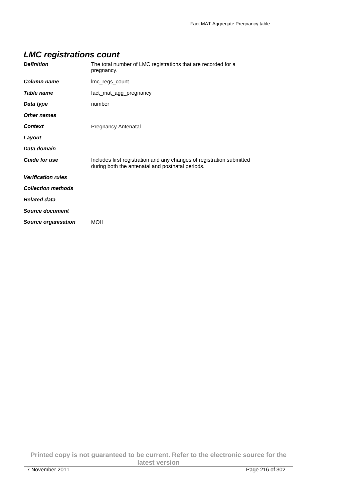# **LMC registrations count**

| <b>Definition</b>          | The total number of LMC registrations that are recorded for a<br>pregnancy.                                               |
|----------------------------|---------------------------------------------------------------------------------------------------------------------------|
| <b>Column name</b>         | Imc_regs_count                                                                                                            |
| Table name                 | fact_mat_agg_pregnancy                                                                                                    |
| Data type                  | number                                                                                                                    |
| Other names                |                                                                                                                           |
| <b>Context</b>             | Pregnancy.Antenatal                                                                                                       |
| Layout                     |                                                                                                                           |
| Data domain                |                                                                                                                           |
| <b>Guide for use</b>       | Includes first registration and any changes of registration submitted<br>during both the antenatal and postnatal periods. |
| <b>Verification rules</b>  |                                                                                                                           |
| <b>Collection methods</b>  |                                                                                                                           |
| <b>Related data</b>        |                                                                                                                           |
| <b>Source document</b>     |                                                                                                                           |
| <b>Source organisation</b> | MOH                                                                                                                       |

**Printed copy is not guaranteed to be current. Refer to the electronic source for the latest version**  7 November 2011 Page 216 of 302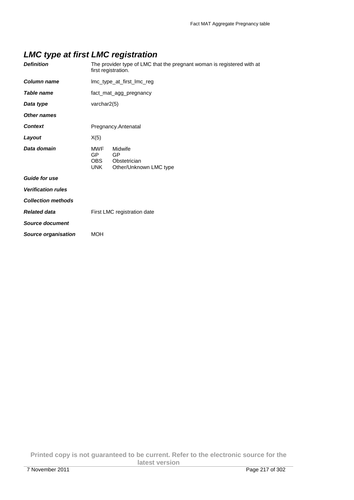# **LMC type at first LMC registration**

| <b>Definition</b>         | The provider type of LMC that the pregnant woman is registered with at<br>first registration.           |  |
|---------------------------|---------------------------------------------------------------------------------------------------------|--|
| <b>Column name</b>        | Imc_type_at_first_Imc_reg                                                                               |  |
| <b>Table name</b>         | fact_mat_agg_pregnancy                                                                                  |  |
| Data type                 | varchar2(5)                                                                                             |  |
| <b>Other names</b>        |                                                                                                         |  |
| <b>Context</b>            | Pregnancy.Antenatal                                                                                     |  |
| Layout                    | X(5)                                                                                                    |  |
| Data domain               | <b>MWF</b><br>Midwife<br><b>GP</b><br>GP<br>OBS<br>Obstetrician<br><b>UNK</b><br>Other/Unknown LMC type |  |
| Guide for use             |                                                                                                         |  |
| <b>Verification rules</b> |                                                                                                         |  |
| <b>Collection methods</b> |                                                                                                         |  |
| <b>Related data</b>       | First LMC registration date                                                                             |  |
| <b>Source document</b>    |                                                                                                         |  |
| Source organisation       | <b>MOH</b>                                                                                              |  |
|                           |                                                                                                         |  |

**Printed copy is not guaranteed to be current. Refer to the electronic source for the latest version**  7 November 2011 Page 217 of 302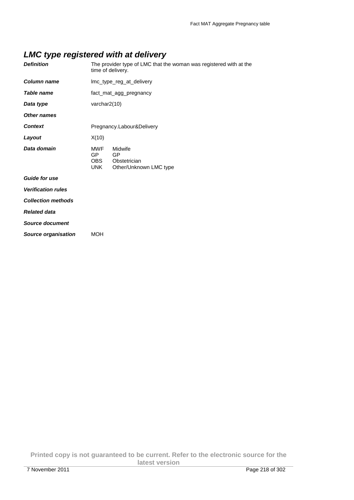## **LMC type registered with at delivery**

| <b>Definition</b>         |                                         | The provider type of LMC that the woman was registered with at the<br>time of delivery. |
|---------------------------|-----------------------------------------|-----------------------------------------------------------------------------------------|
| <b>Column name</b>        |                                         | Imc_type_reg_at_delivery                                                                |
| <b>Table name</b>         |                                         | fact_mat_agg_pregnancy                                                                  |
| Data type                 | varchar2(10)                            |                                                                                         |
| <b>Other names</b>        |                                         |                                                                                         |
| <b>Context</b>            |                                         | Pregnancy.Labour&Delivery                                                               |
| Layout                    | X(10)                                   |                                                                                         |
| Data domain               | <b>MWF</b><br>GP.<br>OBS.<br><b>UNK</b> | Midwife<br>GP<br>Obstetrician<br>Other/Unknown LMC type                                 |
| <b>Guide for use</b>      |                                         |                                                                                         |
| <b>Verification rules</b> |                                         |                                                                                         |
| <b>Collection methods</b> |                                         |                                                                                         |
| <b>Related data</b>       |                                         |                                                                                         |
| <b>Source document</b>    |                                         |                                                                                         |
| Source organisation       | <b>MOH</b>                              |                                                                                         |
|                           |                                         |                                                                                         |

**Printed copy is not guaranteed to be current. Refer to the electronic source for the latest version**  7 November 2011 Page 218 of 302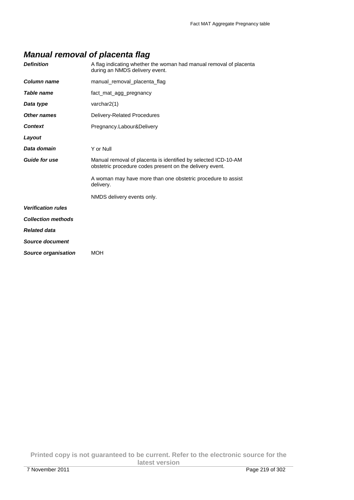## **Manual removal of placenta flag**

| <b>Definition</b>         | A flag indicating whether the woman had manual removal of placenta<br>during an NMDS delivery event.                       |
|---------------------------|----------------------------------------------------------------------------------------------------------------------------|
| Column name               | manual_removal_placenta_flag                                                                                               |
| Table name                | fact mat agg pregnancy                                                                                                     |
| Data type                 | varchar2(1)                                                                                                                |
| Other names               | Delivery-Related Procedures                                                                                                |
| <b>Context</b>            | Pregnancy.Labour&Delivery                                                                                                  |
| Layout                    |                                                                                                                            |
| Data domain               | Y or Null                                                                                                                  |
| <b>Guide for use</b>      | Manual removal of placenta is identified by selected ICD-10-AM<br>obstetric procedure codes present on the delivery event. |
|                           | A woman may have more than one obstetric procedure to assist<br>delivery.                                                  |
|                           | NMDS delivery events only.                                                                                                 |
| <b>Verification rules</b> |                                                                                                                            |
| <b>Collection methods</b> |                                                                                                                            |
| <b>Related data</b>       |                                                                                                                            |
| Source document           |                                                                                                                            |
| Source organisation       | <b>MOH</b>                                                                                                                 |
|                           |                                                                                                                            |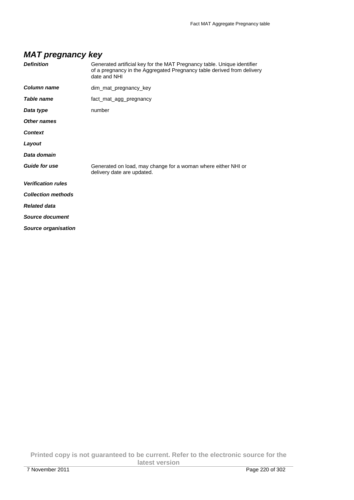## **MAT pregnancy key**

| <b>Definition</b>          | Generated artificial key for the MAT Pregnancy table. Unique identifier<br>of a pregnancy in the Aggregated Pregnancy table derived from delivery<br>date and NHI |
|----------------------------|-------------------------------------------------------------------------------------------------------------------------------------------------------------------|
| Column name                | dim_mat_pregnancy_key                                                                                                                                             |
| Table name                 | fact_mat_agg_pregnancy                                                                                                                                            |
| Data type                  | number                                                                                                                                                            |
| Other names                |                                                                                                                                                                   |
| <b>Context</b>             |                                                                                                                                                                   |
| Layout                     |                                                                                                                                                                   |
| Data domain                |                                                                                                                                                                   |
| <b>Guide for use</b>       | Generated on load, may change for a woman where either NHI or<br>delivery date are updated.                                                                       |
| <b>Verification rules</b>  |                                                                                                                                                                   |
| <b>Collection methods</b>  |                                                                                                                                                                   |
| <b>Related data</b>        |                                                                                                                                                                   |
| Source document            |                                                                                                                                                                   |
| <b>Source organisation</b> |                                                                                                                                                                   |

**Printed copy is not guaranteed to be current. Refer to the electronic source for the latest version**  7 November 2011 Page 220 of 302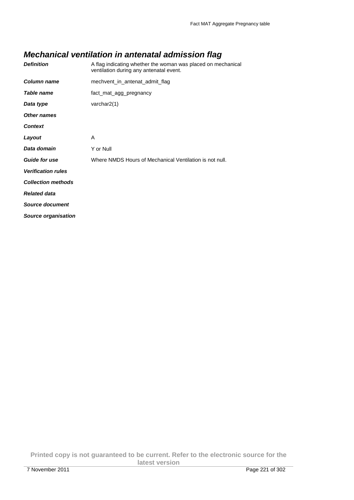# **Mechanical ventilation in antenatal admission flag**

| <b>Definition</b>          | A flag indicating whether the woman was placed on mechanical<br>ventilation during any antenatal event. |
|----------------------------|---------------------------------------------------------------------------------------------------------|
| Column name                | mechvent_in_antenat_admit_flag                                                                          |
| Table name                 | fact_mat_agg_pregnancy                                                                                  |
| Data type                  | varchar $2(1)$                                                                                          |
| <b>Other names</b>         |                                                                                                         |
| <b>Context</b>             |                                                                                                         |
| Layout                     | A                                                                                                       |
| Data domain                | Y or Null                                                                                               |
| <b>Guide for use</b>       | Where NMDS Hours of Mechanical Ventilation is not null.                                                 |
| <b>Verification rules</b>  |                                                                                                         |
| <b>Collection methods</b>  |                                                                                                         |
| <b>Related data</b>        |                                                                                                         |
| Source document            |                                                                                                         |
| <b>Source organisation</b> |                                                                                                         |

**Printed copy is not guaranteed to be current. Refer to the electronic source for the latest version**  7 November 2011 Page 221 of 302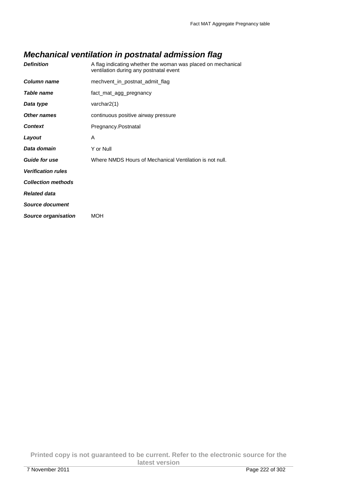## **Mechanical ventilation in postnatal admission flag**

| <b>Definition</b>          | A flag indicating whether the woman was placed on mechanical<br>ventilation during any postnatal event |
|----------------------------|--------------------------------------------------------------------------------------------------------|
| Column name                | mechvent in postnat admit flag                                                                         |
| <b>Table name</b>          | fact_mat_agg_pregnancy                                                                                 |
| Data type                  | varchar $2(1)$                                                                                         |
| Other names                | continuous positive airway pressure                                                                    |
| Context                    | Pregnancy.Postnatal                                                                                    |
| Layout                     | A                                                                                                      |
| Data domain                | Y or Null                                                                                              |
| <b>Guide for use</b>       | Where NMDS Hours of Mechanical Ventilation is not null.                                                |
| <b>Verification rules</b>  |                                                                                                        |
| <b>Collection methods</b>  |                                                                                                        |
| <b>Related data</b>        |                                                                                                        |
| <b>Source document</b>     |                                                                                                        |
| <b>Source organisation</b> | <b>MOH</b>                                                                                             |
|                            |                                                                                                        |

**Printed copy is not guaranteed to be current. Refer to the electronic source for the latest version**  7 November 2011 Page 222 of 302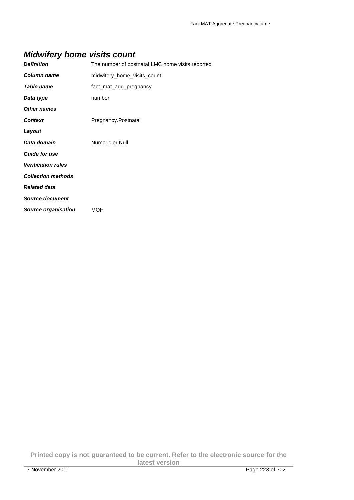# **Midwifery home visits count**

| <b>Definition</b>          | The number of postnatal LMC home visits reported |
|----------------------------|--------------------------------------------------|
| Column name                | midwifery_home_visits_count                      |
| Table name                 | fact_mat_agg_pregnancy                           |
| Data type                  | number                                           |
| <b>Other names</b>         |                                                  |
| <b>Context</b>             | Pregnancy.Postnatal                              |
| Layout                     |                                                  |
| Data domain                | Numeric or Null                                  |
| <b>Guide for use</b>       |                                                  |
| <b>Verification rules</b>  |                                                  |
| <b>Collection methods</b>  |                                                  |
| <b>Related data</b>        |                                                  |
| <b>Source document</b>     |                                                  |
| <b>Source organisation</b> | <b>MOH</b>                                       |

**Printed copy is not guaranteed to be current. Refer to the electronic source for the latest version**  7 November 2011 Page 223 of 302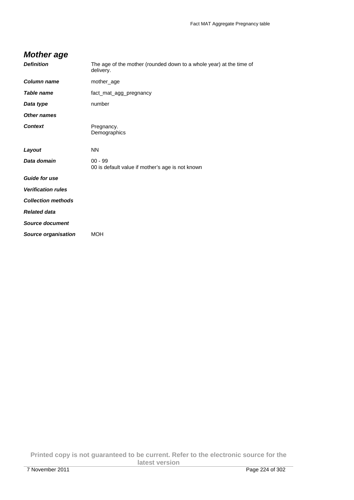## **Mother age**

| The age of the mother (rounded down to a whole year) at the time of<br>delivery. |
|----------------------------------------------------------------------------------|
| mother_age                                                                       |
| fact_mat_agg_pregnancy                                                           |
| number                                                                           |
|                                                                                  |
| Pregnancy.<br>Demographics                                                       |
| <b>NN</b>                                                                        |
| $00 - 99$<br>00 is default value if mother's age is not known                    |
|                                                                                  |
|                                                                                  |
|                                                                                  |
|                                                                                  |
|                                                                                  |
| <b>MOH</b>                                                                       |
|                                                                                  |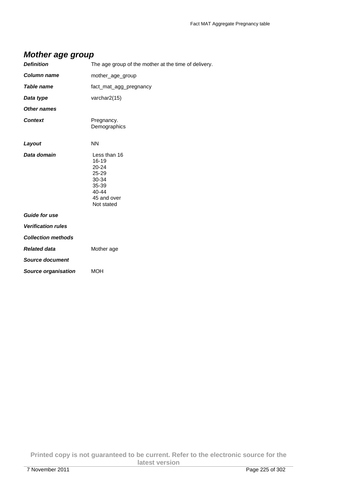#### **Mother age group**

| The age group of the mother at the time of delivery.                                                        |
|-------------------------------------------------------------------------------------------------------------|
| mother_age_group                                                                                            |
| fact_mat_agg_pregnancy                                                                                      |
| varchar2(15)                                                                                                |
|                                                                                                             |
| Pregnancy.<br>Demographics                                                                                  |
| <b>NN</b>                                                                                                   |
| Less than 16<br>$16 - 19$<br>$20 - 24$<br>25-29<br>30-34<br>35-39<br>$40 - 44$<br>45 and over<br>Not stated |
|                                                                                                             |
|                                                                                                             |
|                                                                                                             |
| Mother age                                                                                                  |
|                                                                                                             |
| <b>MOH</b>                                                                                                  |
|                                                                                                             |

**Printed copy is not guaranteed to be current. Refer to the electronic source for the latest version**  7 November 2011 Page 225 of 302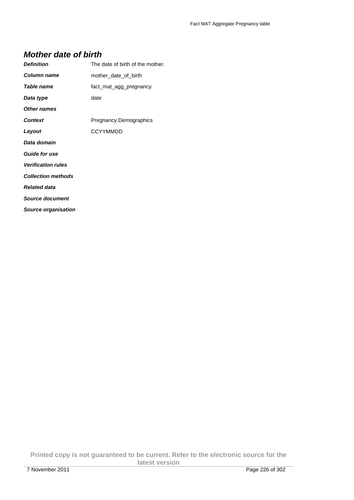#### **Mother date of birth**

| <b>Definition</b>          | The date of birth of the mother. |
|----------------------------|----------------------------------|
| <b>Column name</b>         | mother date of birth             |
| <i><b>Table name</b></i>   | fact_mat_agg_pregnancy           |
| Data type                  | date                             |
| Other names                |                                  |
| <b>Context</b>             | Pregnancy.Demographics           |
| Layout                     | <b>CCYYMMDD</b>                  |
| Data domain                |                                  |
| Guide for use              |                                  |
| <b>Verification rules</b>  |                                  |
| <b>Collection methods</b>  |                                  |
| <b>Related data</b>        |                                  |
| <b>Source document</b>     |                                  |
| <b>Source organisation</b> |                                  |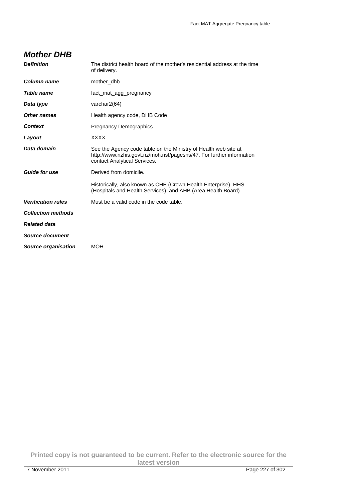#### **Mother DHB**

| <b>Definition</b>         | The district health board of the mother's residential address at the time<br>of delivery.                                                                               |
|---------------------------|-------------------------------------------------------------------------------------------------------------------------------------------------------------------------|
| Column name               | mother dhb                                                                                                                                                              |
| <b>Table name</b>         | fact mat agg pregnancy                                                                                                                                                  |
| Data type                 | varchar2(64)                                                                                                                                                            |
| <b>Other names</b>        | Health agency code, DHB Code                                                                                                                                            |
| <b>Context</b>            | Pregnancy.Demographics                                                                                                                                                  |
| Layout                    | <b>XXXX</b>                                                                                                                                                             |
| Data domain               | See the Agency code table on the Ministry of Health web site at<br>http://www.nzhis.govt.nz/moh.nsf/pagesns/47. For further information<br>contact Analytical Services. |
| <b>Guide for use</b>      | Derived from domicile.                                                                                                                                                  |
|                           | Historically, also known as CHE (Crown Health Enterprise), HHS<br>(Hospitals and Health Services) and AHB (Area Health Board)                                           |
| <b>Verification rules</b> | Must be a valid code in the code table.                                                                                                                                 |
| <b>Collection methods</b> |                                                                                                                                                                         |
| <b>Related data</b>       |                                                                                                                                                                         |
| Source document           |                                                                                                                                                                         |
| Source organisation       | <b>MOH</b>                                                                                                                                                              |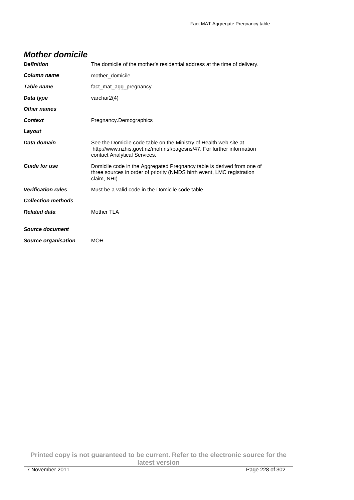| <b>Definition</b>         | The domicile of the mother's residential address at the time of delivery.                                                                                                 |
|---------------------------|---------------------------------------------------------------------------------------------------------------------------------------------------------------------------|
| Column name               | mother domicile                                                                                                                                                           |
| Table name                | fact mat agg pregnancy                                                                                                                                                    |
| Data type                 | varchar $2(4)$                                                                                                                                                            |
| Other names               |                                                                                                                                                                           |
| <b>Context</b>            | Pregnancy.Demographics                                                                                                                                                    |
| Layout                    |                                                                                                                                                                           |
| Data domain               | See the Domicile code table on the Ministry of Health web site at<br>http://www.nzhis.govt.nz/moh.nsf/pagesns/47. For further information<br>contact Analytical Services. |
| <b>Guide for use</b>      | Domicile code in the Aggregated Pregnancy table is derived from one of<br>three sources in order of priority (NMDS birth event, LMC registration<br>claim, NHI)           |
| <b>Verification rules</b> | Must be a valid code in the Domicile code table.                                                                                                                          |
| <b>Collection methods</b> |                                                                                                                                                                           |
| <b>Related data</b>       | Mother TLA                                                                                                                                                                |
| Source document           |                                                                                                                                                                           |
| Source organisation       | <b>MOH</b>                                                                                                                                                                |

#### **Mother domicile**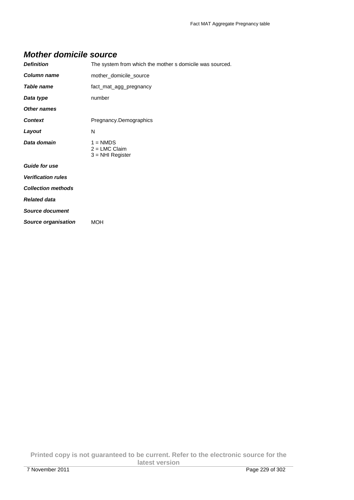#### **Mother domicile source**

| <b>Definition</b>          | The system from which the mother s domicile was sourced. |
|----------------------------|----------------------------------------------------------|
| <b>Column name</b>         | mother_domicile_source                                   |
| Table name                 | fact_mat_agg_pregnancy                                   |
| Data type                  | number                                                   |
| <b>Other names</b>         |                                                          |
| <b>Context</b>             | Pregnancy.Demographics                                   |
| Layout                     | N                                                        |
| Data domain                | $1 = NMDS$<br>$2 = LMC$ Claim<br>$3 = NHI$ Register      |
| <b>Guide for use</b>       |                                                          |
| <b>Verification rules</b>  |                                                          |
| <b>Collection methods</b>  |                                                          |
| <b>Related data</b>        |                                                          |
| <b>Source document</b>     |                                                          |
| <b>Source organisation</b> | MOH                                                      |

**Printed copy is not guaranteed to be current. Refer to the electronic source for the latest version**  7 November 2011 Page 229 of 302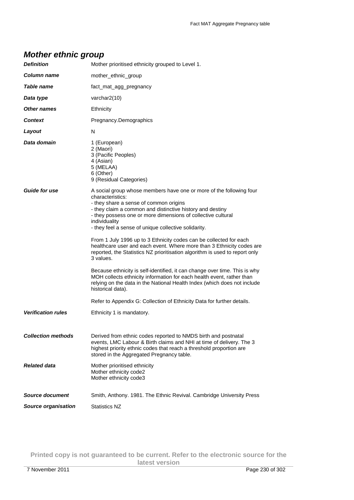## **Mother ethnic group**

| <b>Definition</b>          | Mother prioritised ethnicity grouped to Level 1.                                                                                                                                                                                                                                                                                        |
|----------------------------|-----------------------------------------------------------------------------------------------------------------------------------------------------------------------------------------------------------------------------------------------------------------------------------------------------------------------------------------|
| Column name                | mother_ethnic_group                                                                                                                                                                                                                                                                                                                     |
| Table name                 | fact_mat_agg_pregnancy                                                                                                                                                                                                                                                                                                                  |
| Data type                  | varchar $2(10)$                                                                                                                                                                                                                                                                                                                         |
| Other names                | Ethnicity                                                                                                                                                                                                                                                                                                                               |
| <b>Context</b>             | Pregnancy.Demographics                                                                                                                                                                                                                                                                                                                  |
| Layout                     | N                                                                                                                                                                                                                                                                                                                                       |
| Data domain                | 1 (European)<br>2 (Maori)<br>3 (Pacific Peoples)<br>4 (Asian)<br>5 (MELAA)<br>6 (Other)<br>9 (Residual Categories)                                                                                                                                                                                                                      |
| <b>Guide for use</b>       | A social group whose members have one or more of the following four<br>characteristics:<br>- they share a sense of common origins<br>- they claim a common and distinctive history and destiny<br>- they possess one or more dimensions of collective cultural<br>individuality<br>- they feel a sense of unique collective solidarity. |
|                            | From 1 July 1996 up to 3 Ethnicity codes can be collected for each<br>healthcare user and each event. Where more than 3 Ethnicity codes are<br>reported, the Statistics NZ prioritisation algorithm is used to report only<br>3 values.                                                                                                 |
|                            | Because ethnicity is self-identified, it can change over time. This is why<br>MOH collects ethnicity information for each health event, rather than<br>relying on the data in the National Health Index (which does not include<br>historical data).                                                                                    |
|                            | Refer to Appendix G: Collection of Ethnicity Data for further details.                                                                                                                                                                                                                                                                  |
| <b>Verification rules</b>  | Ethnicity 1 is mandatory.                                                                                                                                                                                                                                                                                                               |
| <b>Collection methods</b>  | Derived from ethnic codes reported to NMDS birth and postnatal<br>events, LMC Labour & Birth claims and NHI at time of delivery. The 3<br>highest priority ethnic codes that reach a threshold proportion are<br>stored in the Aggregated Pregnancy table.                                                                              |
| <b>Related data</b>        | Mother prioritised ethnicity<br>Mother ethnicity code2<br>Mother ethnicity code3                                                                                                                                                                                                                                                        |
| Source document            | Smith, Anthony. 1981. The Ethnic Revival. Cambridge University Press                                                                                                                                                                                                                                                                    |
| <b>Source organisation</b> | <b>Statistics NZ</b>                                                                                                                                                                                                                                                                                                                    |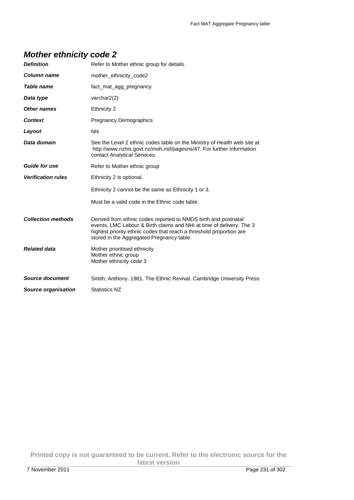# **Mother ethnicity code 2**

| <b>Definition</b>         | Refer to Mother ethnic group for details.                                                                                                                                                                                                                  |
|---------------------------|------------------------------------------------------------------------------------------------------------------------------------------------------------------------------------------------------------------------------------------------------------|
| <b>Column name</b>        | mother_ethnicity_code2                                                                                                                                                                                                                                     |
| Table name                | fact mat agg pregnancy                                                                                                                                                                                                                                     |
| Data type                 | varchar2(2)                                                                                                                                                                                                                                                |
| Other names               | Ethnicity 2                                                                                                                                                                                                                                                |
| <b>Context</b>            | Pregnancy.Demographics                                                                                                                                                                                                                                     |
| Layout                    | <b>NN</b>                                                                                                                                                                                                                                                  |
| Data domain               | See the Level 2 ethnic codes table on the Ministry of Health web site at<br>http://www.nzhis.govt.nz/moh.nsf/pagesns/47. For further information<br>contact Analytical Services.                                                                           |
| <b>Guide for use</b>      | Refer to Mother ethnic group                                                                                                                                                                                                                               |
| <b>Verification rules</b> | Ethnicity 2 is optional.                                                                                                                                                                                                                                   |
|                           | Ethnicity 2 cannot be the same as Ethnicity 1 or 3.                                                                                                                                                                                                        |
|                           | Must be a valid code in the Ethnic code table.                                                                                                                                                                                                             |
| <b>Collection methods</b> | Derived from ethnic codes reported to NMDS birth and postnatal<br>events, LMC Labour & Birth claims and NHI at time of delivery. The 3<br>highest priority ethnic codes that reach a threshold proportion are<br>stored in the Aggregated Pregnancy table. |
| <b>Related data</b>       | Mother prioritised ethnicity<br>Mother ethnic group<br>Mother ethnicity code 3                                                                                                                                                                             |
| <b>Source document</b>    | Smith, Anthony. 1981. The Ethnic Revival. Cambridge University Press                                                                                                                                                                                       |
| Source organisation       | <b>Statistics NZ</b>                                                                                                                                                                                                                                       |

**Printed copy is not guaranteed to be current. Refer to the electronic source for the latest version**  7 November 2011 Page 231 of 302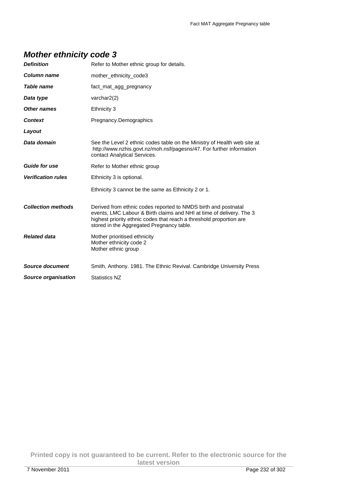# **Mother ethnicity code 3**

| <b>Definition</b>         | Refer to Mother ethnic group for details.                                                                                                                                                                                                                  |
|---------------------------|------------------------------------------------------------------------------------------------------------------------------------------------------------------------------------------------------------------------------------------------------------|
| Column name               | mother_ethnicity_code3                                                                                                                                                                                                                                     |
| Table name                | fact_mat_agg_pregnancy                                                                                                                                                                                                                                     |
| Data type                 | varchar $2(2)$                                                                                                                                                                                                                                             |
| Other names               | Ethnicity 3                                                                                                                                                                                                                                                |
| <b>Context</b>            | Pregnancy.Demographics                                                                                                                                                                                                                                     |
| Layout                    |                                                                                                                                                                                                                                                            |
| Data domain               | See the Level 2 ethnic codes table on the Ministry of Health web site at<br>http://www.nzhis.govt.nz/moh.nsf/pagesns/47. For further information<br>contact Analytical Services.                                                                           |
| <b>Guide for use</b>      | Refer to Mother ethnic group                                                                                                                                                                                                                               |
| <b>Verification rules</b> | Ethnicity 3 is optional.                                                                                                                                                                                                                                   |
|                           | Ethnicity 3 cannot be the same as Ethnicity 2 or 1.                                                                                                                                                                                                        |
| <b>Collection methods</b> | Derived from ethnic codes reported to NMDS birth and postnatal<br>events, LMC Labour & Birth claims and NHI at time of delivery. The 3<br>highest priority ethnic codes that reach a threshold proportion are<br>stored in the Aggregated Pregnancy table. |
| <b>Related data</b>       | Mother prioritised ethnicity<br>Mother ethnicity code 2<br>Mother ethnic group                                                                                                                                                                             |
| Source document           | Smith, Anthony. 1981. The Ethnic Revival. Cambridge University Press                                                                                                                                                                                       |
| Source organisation       | <b>Statistics NZ</b>                                                                                                                                                                                                                                       |

**Printed copy is not guaranteed to be current. Refer to the electronic source for the latest version**  7 November 2011 Page 232 of 302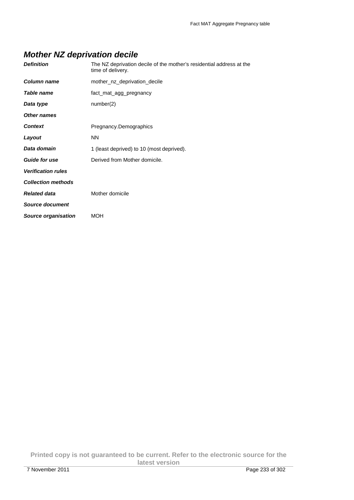## **Mother NZ deprivation decile**

| Column name<br>mother nz deprivation decile              |  |
|----------------------------------------------------------|--|
| Table name<br>fact_mat_agg_pregnancy                     |  |
| number(2)<br>Data type                                   |  |
| Other names                                              |  |
| <b>Context</b><br>Pregnancy.Demographics                 |  |
| Layout<br><b>NN</b>                                      |  |
| Data domain<br>1 (least deprived) to 10 (most deprived). |  |
| <b>Guide for use</b><br>Derived from Mother domicile.    |  |
| <b>Verification rules</b>                                |  |
| <b>Collection methods</b>                                |  |
| <b>Related data</b><br>Mother domicile                   |  |
| <b>Source document</b>                                   |  |
| <b>Source organisation</b><br><b>MOH</b>                 |  |

**Printed copy is not guaranteed to be current. Refer to the electronic source for the latest version**  7 November 2011 Page 233 of 302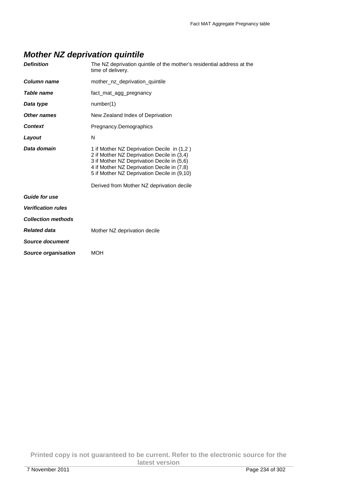## **Mother NZ deprivation quintile**

| <b>Definition</b>          | The NZ deprivation quintile of the mother's residential address at the<br>time of delivery.                                                                                                                                                                                      |
|----------------------------|----------------------------------------------------------------------------------------------------------------------------------------------------------------------------------------------------------------------------------------------------------------------------------|
| Column name                | mother nz deprivation quintile                                                                                                                                                                                                                                                   |
| Table name                 | fact mat agg pregnancy                                                                                                                                                                                                                                                           |
| Data type                  | number(1)                                                                                                                                                                                                                                                                        |
| Other names                | New Zealand Index of Deprivation                                                                                                                                                                                                                                                 |
| <b>Context</b>             | Pregnancy.Demographics                                                                                                                                                                                                                                                           |
| Layout                     | N                                                                                                                                                                                                                                                                                |
| Data domain                | 1 if Mother NZ Deprivation Decile in (1,2)<br>2 if Mother NZ Deprivation Decile in (3,4)<br>3 if Mother NZ Deprivation Decile in (5,6)<br>4 if Mother NZ Deprivation Decile in (7,8)<br>5 if Mother NZ Deprivation Decile in (9,10)<br>Derived from Mother NZ deprivation decile |
| <b>Guide for use</b>       |                                                                                                                                                                                                                                                                                  |
| <b>Verification rules</b>  |                                                                                                                                                                                                                                                                                  |
| <b>Collection methods</b>  |                                                                                                                                                                                                                                                                                  |
| <b>Related data</b>        | Mother NZ deprivation decile                                                                                                                                                                                                                                                     |
| Source document            |                                                                                                                                                                                                                                                                                  |
| <b>Source organisation</b> | <b>MOH</b>                                                                                                                                                                                                                                                                       |
|                            |                                                                                                                                                                                                                                                                                  |

**Printed copy is not guaranteed to be current. Refer to the electronic source for the latest version**  7 November 2011 Page 234 of 302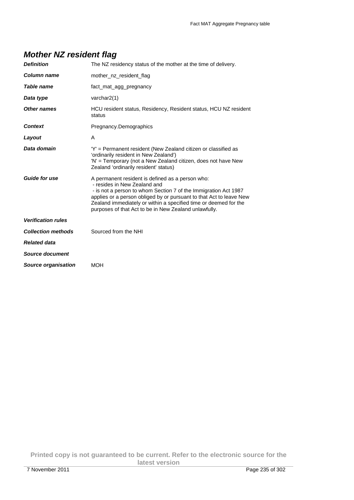| <b>Mother NZ resident flag</b> |  |  |  |  |
|--------------------------------|--|--|--|--|
|--------------------------------|--|--|--|--|

| <b>Definition</b>          | The NZ residency status of the mother at the time of delivery.                                                                                                                                                                                                                                                                                          |
|----------------------------|---------------------------------------------------------------------------------------------------------------------------------------------------------------------------------------------------------------------------------------------------------------------------------------------------------------------------------------------------------|
| Column name                | mother_nz_resident_flag                                                                                                                                                                                                                                                                                                                                 |
| Table name                 | fact_mat_agg_pregnancy                                                                                                                                                                                                                                                                                                                                  |
| Data type                  | varchar2(1)                                                                                                                                                                                                                                                                                                                                             |
| Other names                | HCU resident status, Residency, Resident status, HCU NZ resident<br>status                                                                                                                                                                                                                                                                              |
| <b>Context</b>             | Pregnancy.Demographics                                                                                                                                                                                                                                                                                                                                  |
| Layout                     | A                                                                                                                                                                                                                                                                                                                                                       |
| Data domain                | 'Y' = Permanent resident (New Zealand citizen or classified as<br>'ordinarily resident in New Zealand')<br>'N' = Temporary (not a New Zealand citizen, does not have New<br>Zealand 'ordinarily resident' status)                                                                                                                                       |
| <b>Guide for use</b>       | A permanent resident is defined as a person who:<br>- resides in New Zealand and<br>- is not a person to whom Section 7 of the Immigration Act 1987<br>applies or a person obliged by or pursuant to that Act to leave New<br>Zealand immediately or within a specified time or deemed for the<br>purposes of that Act to be in New Zealand unlawfully. |
| <b>Verification rules</b>  |                                                                                                                                                                                                                                                                                                                                                         |
| <b>Collection methods</b>  | Sourced from the NHI                                                                                                                                                                                                                                                                                                                                    |
| <b>Related data</b>        |                                                                                                                                                                                                                                                                                                                                                         |
| Source document            |                                                                                                                                                                                                                                                                                                                                                         |
| <b>Source organisation</b> | <b>MOH</b>                                                                                                                                                                                                                                                                                                                                              |
|                            |                                                                                                                                                                                                                                                                                                                                                         |

**Printed copy is not guaranteed to be current. Refer to the electronic source for the latest version**  7 November 2011 Page 235 of 302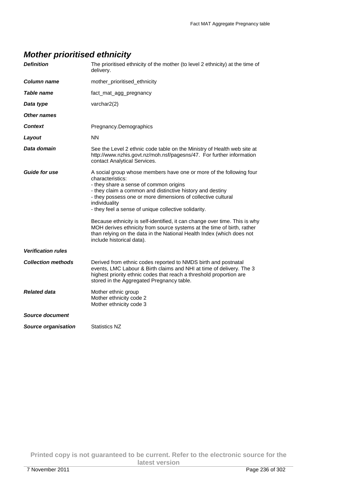## **Mother prioritised ethnicity**

| <b>Definition</b>          | The prioritised ethnicity of the mother (to level 2 ethnicity) at the time of<br>delivery.                                                                                                                                                                                                                                                                                                                                                                                                                                                                                                            |
|----------------------------|-------------------------------------------------------------------------------------------------------------------------------------------------------------------------------------------------------------------------------------------------------------------------------------------------------------------------------------------------------------------------------------------------------------------------------------------------------------------------------------------------------------------------------------------------------------------------------------------------------|
| Column name                | mother_prioritised_ethnicity                                                                                                                                                                                                                                                                                                                                                                                                                                                                                                                                                                          |
| Table name                 | fact mat agg pregnancy                                                                                                                                                                                                                                                                                                                                                                                                                                                                                                                                                                                |
| Data type                  | varchar $2(2)$                                                                                                                                                                                                                                                                                                                                                                                                                                                                                                                                                                                        |
| Other names                |                                                                                                                                                                                                                                                                                                                                                                                                                                                                                                                                                                                                       |
| Context                    | Pregnancy.Demographics                                                                                                                                                                                                                                                                                                                                                                                                                                                                                                                                                                                |
| Layout                     | <b>NN</b>                                                                                                                                                                                                                                                                                                                                                                                                                                                                                                                                                                                             |
| Data domain                | See the Level 2 ethnic code table on the Ministry of Health web site at<br>http://www.nzhis.govt.nz/moh.nsf/pagesns/47. For further information<br>contact Analytical Services.                                                                                                                                                                                                                                                                                                                                                                                                                       |
| <b>Guide for use</b>       | A social group whose members have one or more of the following four<br>characteristics:<br>- they share a sense of common origins<br>- they claim a common and distinctive history and destiny<br>- they possess one or more dimensions of collective cultural<br>individuality<br>- they feel a sense of unique collective solidarity.<br>Because ethnicity is self-identified, it can change over time. This is why<br>MOH derives ethnicity from source systems at the time of birth, rather<br>than relying on the data in the National Health Index (which does not<br>include historical data). |
| <b>Verification rules</b>  |                                                                                                                                                                                                                                                                                                                                                                                                                                                                                                                                                                                                       |
| <b>Collection methods</b>  | Derived from ethnic codes reported to NMDS birth and postnatal<br>events, LMC Labour & Birth claims and NHI at time of delivery. The 3<br>highest priority ethnic codes that reach a threshold proportion are<br>stored in the Aggregated Pregnancy table.                                                                                                                                                                                                                                                                                                                                            |
| <b>Related data</b>        | Mother ethnic group<br>Mother ethnicity code 2<br>Mother ethnicity code 3                                                                                                                                                                                                                                                                                                                                                                                                                                                                                                                             |
| Source document            |                                                                                                                                                                                                                                                                                                                                                                                                                                                                                                                                                                                                       |
| <b>Source organisation</b> | <b>Statistics NZ</b>                                                                                                                                                                                                                                                                                                                                                                                                                                                                                                                                                                                  |

**Printed copy is not guaranteed to be current. Refer to the electronic source for the latest version**  7 November 2011 Page 236 of 302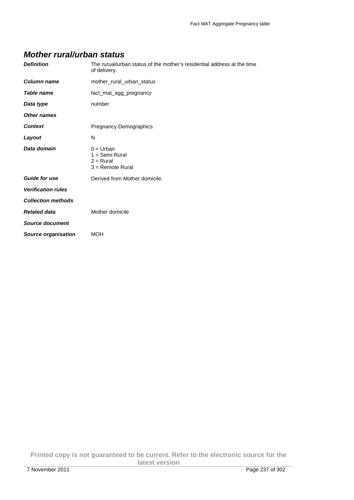#### **Mother rural/urban status**

| <b>Definition</b>          | The rurual/urban status of the mother's residential address at the time<br>of delivery. |
|----------------------------|-----------------------------------------------------------------------------------------|
| <b>Column name</b>         | mother rural urban status                                                               |
| <b>Table name</b>          | fact_mat_agg_pregnancy                                                                  |
| Data type                  | number                                                                                  |
| <b>Other names</b>         |                                                                                         |
| <b>Context</b>             | Pregnancy.Demographics                                                                  |
| Layout                     | N                                                                                       |
| Data domain                | $0 =$ Urban<br>$1 =$ Semi Rural<br>$2 =$ Rural<br>$3 =$ Remote Rural                    |
| <b>Guide for use</b>       | Derived from Mother domicile.                                                           |
| <b>Verification rules</b>  |                                                                                         |
| <b>Collection methods</b>  |                                                                                         |
| <b>Related data</b>        | Mother domicile                                                                         |
| <b>Source document</b>     |                                                                                         |
| <b>Source organisation</b> | <b>MOH</b>                                                                              |

**Printed copy is not guaranteed to be current. Refer to the electronic source for the latest version**  7 November 2011 Page 237 of 302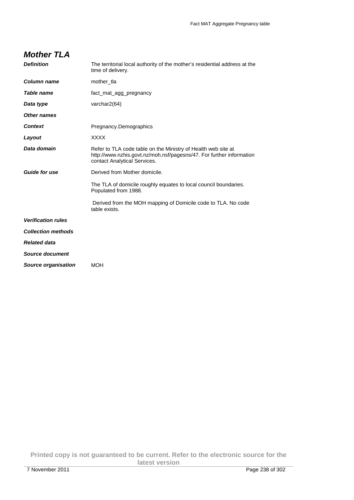#### **Mother TLA**

| <b>Definition</b>         | The territorial local authority of the mother's residential address at the<br>time of delivery.                                                                       |
|---------------------------|-----------------------------------------------------------------------------------------------------------------------------------------------------------------------|
| Column name               | mother tla                                                                                                                                                            |
| <b>Table name</b>         | fact mat agg pregnancy                                                                                                                                                |
| Data type                 | varchar2(64)                                                                                                                                                          |
| Other names               |                                                                                                                                                                       |
| <b>Context</b>            | Pregnancy.Demographics                                                                                                                                                |
| Layout                    | <b>XXXX</b>                                                                                                                                                           |
| Data domain               | Refer to TLA code table on the Ministry of Health web site at<br>http://www.nzhis.govt.nz/moh.nsf/pagesns/47. For further information<br>contact Analytical Services. |
| <b>Guide for use</b>      | Derived from Mother domicile.                                                                                                                                         |
|                           | The TLA of domicile roughly equates to local council boundaries.<br>Populated from 1988.                                                                              |
|                           | Derived from the MOH mapping of Domicile code to TLA. No code<br>table exists.                                                                                        |
| <b>Verification rules</b> |                                                                                                                                                                       |
| <b>Collection methods</b> |                                                                                                                                                                       |
| <b>Related data</b>       |                                                                                                                                                                       |
| Source document           |                                                                                                                                                                       |
| Source organisation       | MOH                                                                                                                                                                   |
|                           |                                                                                                                                                                       |

**Printed copy is not guaranteed to be current. Refer to the electronic source for the latest version**  7 November 2011 Page 238 of 302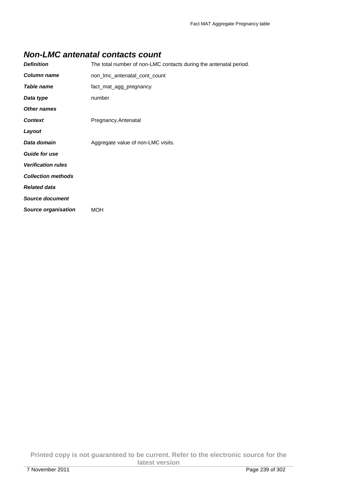#### **Non-LMC antenatal contacts count**

| <b>Definition</b>          | The total number of non-LMC contacts during the antenatal period. |
|----------------------------|-------------------------------------------------------------------|
| Column name                | non Imc antenatal cont count                                      |
| Table name                 | fact_mat_agg_pregnancy                                            |
| Data type                  | number                                                            |
| Other names                |                                                                   |
| <b>Context</b>             | Pregnancy.Antenatal                                               |
| Layout                     |                                                                   |
| Data domain                | Aggregate value of non-LMC visits.                                |
| <b>Guide for use</b>       |                                                                   |
| <b>Verification rules</b>  |                                                                   |
| <b>Collection methods</b>  |                                                                   |
| <b>Related data</b>        |                                                                   |
| <b>Source document</b>     |                                                                   |
| <b>Source organisation</b> | MOH                                                               |

**Printed copy is not guaranteed to be current. Refer to the electronic source for the latest version**  7 November 2011 Page 239 of 302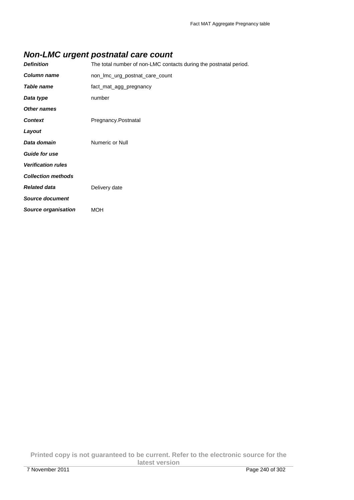## **Non-LMC urgent postnatal care count**

| <b>Definition</b>          | The total number of non-LMC contacts during the postnatal period. |
|----------------------------|-------------------------------------------------------------------|
| <b>Column name</b>         | non_Imc_urg_postnat_care_count                                    |
| Table name                 | fact_mat_agg_pregnancy                                            |
| Data type                  | number                                                            |
| Other names                |                                                                   |
| <b>Context</b>             | Pregnancy.Postnatal                                               |
| Layout                     |                                                                   |
| Data domain                | Numeric or Null                                                   |
| <b>Guide for use</b>       |                                                                   |
| <b>Verification rules</b>  |                                                                   |
| <b>Collection methods</b>  |                                                                   |
| <b>Related data</b>        | Delivery date                                                     |
| <b>Source document</b>     |                                                                   |
| <b>Source organisation</b> | <b>MOH</b>                                                        |

**Printed copy is not guaranteed to be current. Refer to the electronic source for the latest version**  7 November 2011 Page 240 of 302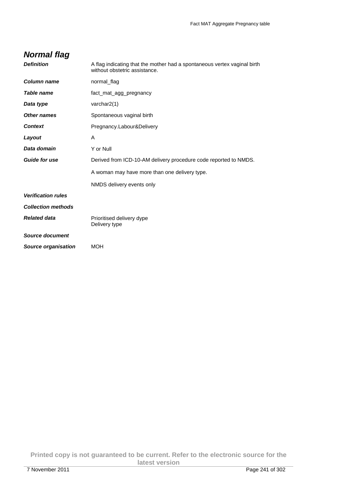## **Normal flag**

| <b>Definition</b>         | A flag indicating that the mother had a spontaneous vertex vaginal birth<br>without obstetric assistance. |
|---------------------------|-----------------------------------------------------------------------------------------------------------|
| <b>Column name</b>        | normal_flag                                                                                               |
| <b>Table name</b>         | fact mat agg pregnancy                                                                                    |
| Data type                 | varchar2(1)                                                                                               |
| <b>Other names</b>        | Spontaneous vaginal birth                                                                                 |
| <b>Context</b>            | Pregnancy.Labour&Delivery                                                                                 |
| Layout                    | A                                                                                                         |
| Data domain               | Y or Null                                                                                                 |
| <b>Guide for use</b>      | Derived from ICD-10-AM delivery procedure code reported to NMDS.                                          |
|                           | A woman may have more than one delivery type.                                                             |
|                           | NMDS delivery events only                                                                                 |
| <b>Verification rules</b> |                                                                                                           |
| <b>Collection methods</b> |                                                                                                           |
| <b>Related data</b>       | Prioritised delivery dype<br>Delivery type                                                                |
| <b>Source document</b>    |                                                                                                           |
| Source organisation       | <b>MOH</b>                                                                                                |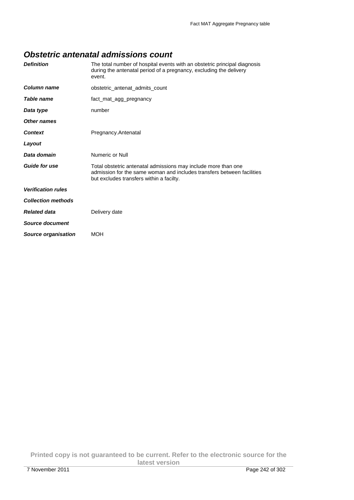#### **Obstetric antenatal admissions count**

| <b>Definition</b>         | The total number of hospital events with an obstetric principal diagnosis<br>during the antenatal period of a pregnancy, excluding the delivery<br>event. |
|---------------------------|-----------------------------------------------------------------------------------------------------------------------------------------------------------|
| Column name               | obstetric_antenat_admits_count                                                                                                                            |
| Table name                | fact mat agg pregnancy                                                                                                                                    |
| Data type                 | number                                                                                                                                                    |
| Other names               |                                                                                                                                                           |
| Context                   | Pregnancy.Antenatal                                                                                                                                       |
| Layout                    |                                                                                                                                                           |
| Data domain               | Numeric or Null                                                                                                                                           |
| <b>Guide for use</b>      | Total obstetric antenatal admissions may include more than one<br>admission for the same woman and includes transfers between facilities                  |
|                           | but excludes transfers within a facilty.                                                                                                                  |
| <b>Verification rules</b> |                                                                                                                                                           |
| <b>Collection methods</b> |                                                                                                                                                           |
| <b>Related data</b>       | Delivery date                                                                                                                                             |
| Source document           |                                                                                                                                                           |

**Printed copy is not guaranteed to be current. Refer to the electronic source for the latest version**  7 November 2011 Page 242 of 302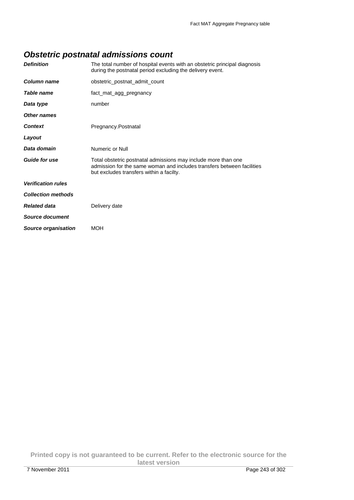## **Obstetric postnatal admissions count**

| <b>Definition</b>         | The total number of hospital events with an obstetric principal diagnosis<br>during the postnatal period excluding the delivery event.                                               |
|---------------------------|--------------------------------------------------------------------------------------------------------------------------------------------------------------------------------------|
| Column name               | obstetric_postnat_admit_count                                                                                                                                                        |
| Table name                | fact_mat_agg_pregnancy                                                                                                                                                               |
| Data type                 | number                                                                                                                                                                               |
| Other names               |                                                                                                                                                                                      |
| <b>Context</b>            | Pregnancy.Postnatal                                                                                                                                                                  |
| Layout                    |                                                                                                                                                                                      |
| Data domain               | Numeric or Null                                                                                                                                                                      |
| <b>Guide for use</b>      | Total obstetric postnatal admissions may include more than one<br>admission for the same woman and includes transfers between facilities<br>but excludes transfers within a facilty. |
| <b>Verification rules</b> |                                                                                                                                                                                      |
| <b>Collection methods</b> |                                                                                                                                                                                      |
| <b>Related data</b>       | Delivery date                                                                                                                                                                        |
| Source document           |                                                                                                                                                                                      |
| Source organisation       | <b>MOH</b>                                                                                                                                                                           |

**Printed copy is not guaranteed to be current. Refer to the electronic source for the latest version**  7 November 2011 Page 243 of 302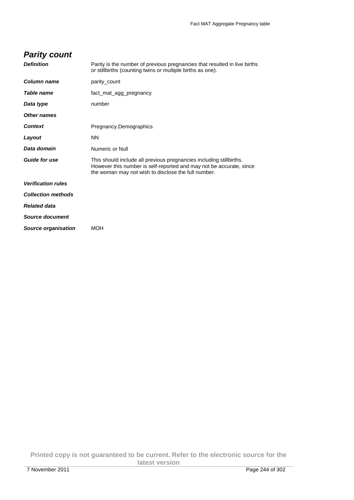| <b>Parity count</b>        |                                                                                                                                                                                                   |
|----------------------------|---------------------------------------------------------------------------------------------------------------------------------------------------------------------------------------------------|
| <b>Definition</b>          | Parity is the number of previous pregnancies that resulted in live births<br>or stillbirths (counting twins or multiple births as one).                                                           |
| Column name                | parity_count                                                                                                                                                                                      |
| Table name                 | fact_mat_agg_pregnancy                                                                                                                                                                            |
| Data type                  | number                                                                                                                                                                                            |
| Other names                |                                                                                                                                                                                                   |
| <b>Context</b>             | Pregnancy.Demographics                                                                                                                                                                            |
| Layout                     | <b>NN</b>                                                                                                                                                                                         |
| Data domain                | Numeric or Null                                                                                                                                                                                   |
| <b>Guide for use</b>       | This should include all previous pregnancies including stillbirths.<br>However this number is self-reported and may not be accurate, since<br>the woman may not wish to disclose the full number. |
| <b>Verification rules</b>  |                                                                                                                                                                                                   |
| <b>Collection methods</b>  |                                                                                                                                                                                                   |
| <b>Related data</b>        |                                                                                                                                                                                                   |
| Source document            |                                                                                                                                                                                                   |
| <b>Source organisation</b> | <b>MOH</b>                                                                                                                                                                                        |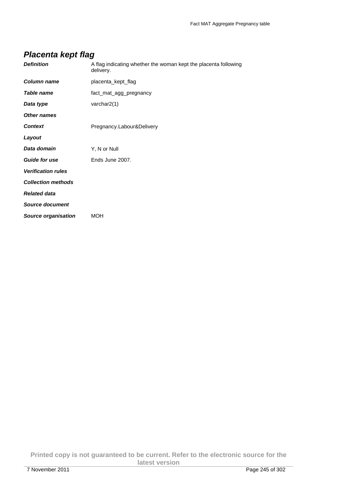## **Placenta kept flag**

| <b>Definition</b>         | A flag indicating whether the woman kept the placenta following<br>delivery. |
|---------------------------|------------------------------------------------------------------------------|
| Column name               | placenta_kept_flag                                                           |
| <b>Table name</b>         | fact_mat_agg_pregnancy                                                       |
| Data type                 | varchar2(1)                                                                  |
| Other names               |                                                                              |
| <b>Context</b>            | Pregnancy.Labour&Delivery                                                    |
| Layout                    |                                                                              |
| Data domain               | Y, N or Null                                                                 |
| <b>Guide for use</b>      | Ends June 2007.                                                              |
| <b>Verification rules</b> |                                                                              |
| <b>Collection methods</b> |                                                                              |
| <b>Related data</b>       |                                                                              |
| <b>Source document</b>    |                                                                              |
| Source organisation       | <b>MOH</b>                                                                   |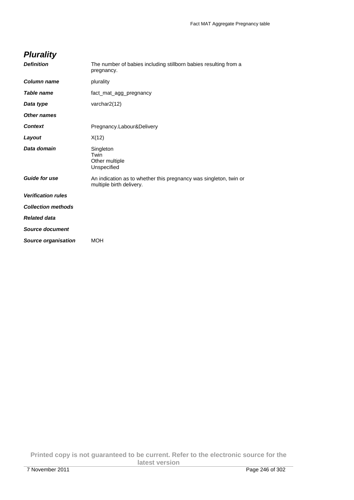## **Plurality**

| <b>Definition</b>          | The number of babies including stillborn babies resulting from a<br>pregnancy.                |
|----------------------------|-----------------------------------------------------------------------------------------------|
| <b>Column name</b>         | plurality                                                                                     |
| Table name                 | fact mat agg pregnancy                                                                        |
| Data type                  | varchar2(12)                                                                                  |
| <b>Other names</b>         |                                                                                               |
| <b>Context</b>             | Pregnancy.Labour&Delivery                                                                     |
| Layout                     | X(12)                                                                                         |
| Data domain                | Singleton<br>Twin<br>Other multiple<br>Unspecified                                            |
| <b>Guide for use</b>       | An indication as to whether this pregnancy was singleton, twin or<br>multiple birth delivery. |
| <b>Verification rules</b>  |                                                                                               |
| <b>Collection methods</b>  |                                                                                               |
| <b>Related data</b>        |                                                                                               |
| <b>Source document</b>     |                                                                                               |
| <b>Source organisation</b> | MOH                                                                                           |
|                            |                                                                                               |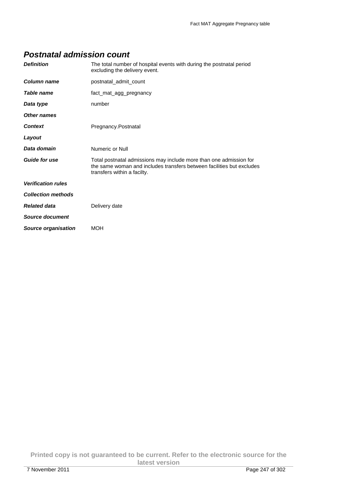#### **Postnatal admission count**

| <b>Definition</b>          | The total number of hospital events with during the postnatal period<br>excluding the delivery event.                                                                      |
|----------------------------|----------------------------------------------------------------------------------------------------------------------------------------------------------------------------|
| Column name                | postnatal_admit_count                                                                                                                                                      |
| Table name                 | fact mat agg pregnancy                                                                                                                                                     |
| Data type                  | number                                                                                                                                                                     |
| <b>Other names</b>         |                                                                                                                                                                            |
| <b>Context</b>             | Pregnancy.Postnatal                                                                                                                                                        |
| Layout                     |                                                                                                                                                                            |
| Data domain                | Numeric or Null                                                                                                                                                            |
| <b>Guide for use</b>       | Total postnatal admissions may include more than one admission for<br>the same woman and includes transfers between facilities but excludes<br>transfers within a facilty. |
| <b>Verification rules</b>  |                                                                                                                                                                            |
| <b>Collection methods</b>  |                                                                                                                                                                            |
| <b>Related data</b>        | Delivery date                                                                                                                                                              |
| Source document            |                                                                                                                                                                            |
| <b>Source organisation</b> | <b>MOH</b>                                                                                                                                                                 |

**Printed copy is not guaranteed to be current. Refer to the electronic source for the latest version**  7 November 2011 Page 247 of 302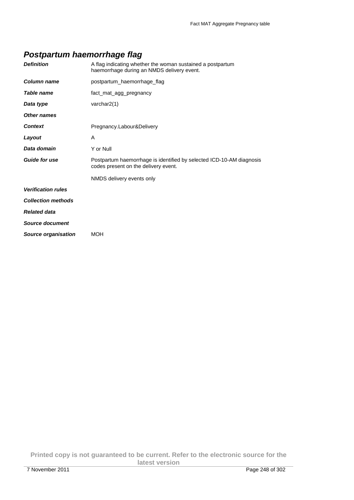## **Postpartum haemorrhage flag**

| <b>Definition</b>          | A flag indicating whether the woman sustained a postpartum<br>haemorrhage during an NMDS delivery event.     |
|----------------------------|--------------------------------------------------------------------------------------------------------------|
| Column name                | postpartum haemorrhage flag                                                                                  |
| Table name                 | fact_mat_agg_pregnancy                                                                                       |
| Data type                  | varchar2(1)                                                                                                  |
| <b>Other names</b>         |                                                                                                              |
| <b>Context</b>             | Pregnancy.Labour&Delivery                                                                                    |
| Layout                     | A                                                                                                            |
| Data domain                | Y or Null                                                                                                    |
| <b>Guide for use</b>       | Postpartum haemorrhage is identified by selected ICD-10-AM diagnosis<br>codes present on the delivery event. |
|                            | NMDS delivery events only                                                                                    |
| <b>Verification rules</b>  |                                                                                                              |
| <b>Collection methods</b>  |                                                                                                              |
| <b>Related data</b>        |                                                                                                              |
| <b>Source document</b>     |                                                                                                              |
| <b>Source organisation</b> | <b>MOH</b>                                                                                                   |

**Printed copy is not guaranteed to be current. Refer to the electronic source for the latest version**  7 November 2011 Page 248 of 302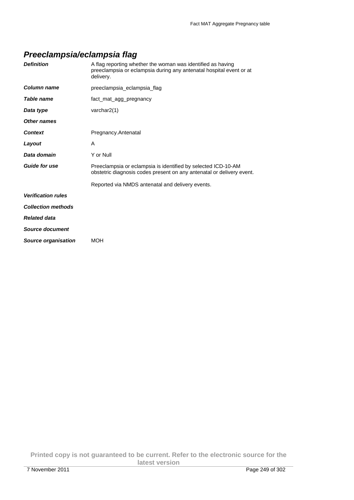## **Preeclampsia/eclampsia flag**

| <b>Definition</b>         | A flag reporting whether the woman was identified as having<br>preeclampsia or eclampsia during any antenatal hospital event or at<br>delivery. |
|---------------------------|-------------------------------------------------------------------------------------------------------------------------------------------------|
| Column name               | preeclampsia_eclampsia_flag                                                                                                                     |
| Table name                | fact_mat_agg_pregnancy                                                                                                                          |
| Data type                 | varchar $2(1)$                                                                                                                                  |
| Other names               |                                                                                                                                                 |
| <b>Context</b>            | Pregnancy.Antenatal                                                                                                                             |
| Layout                    | A                                                                                                                                               |
| Data domain               | Y or Null                                                                                                                                       |
| <b>Guide for use</b>      | Preeclampsia or eclampsia is identified by selected ICD-10-AM<br>obstetric diagnosis codes present on any antenatal or delivery event.          |
|                           | Reported via NMDS antenatal and delivery events.                                                                                                |
| <b>Verification rules</b> |                                                                                                                                                 |
| <b>Collection methods</b> |                                                                                                                                                 |
| <b>Related data</b>       |                                                                                                                                                 |
| Source document           |                                                                                                                                                 |
| Source organisation       | <b>MOH</b>                                                                                                                                      |

**Printed copy is not guaranteed to be current. Refer to the electronic source for the latest version**  7 November 2011 Page 249 of 302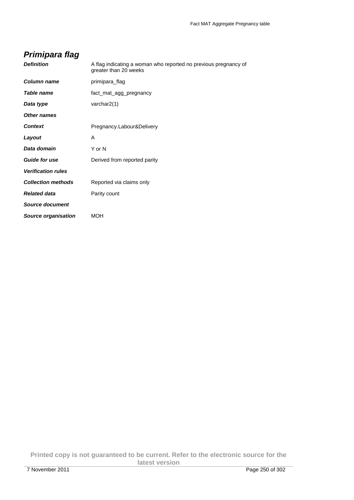## **Primipara flag**

| Column name<br>primipara_flag                         |  |
|-------------------------------------------------------|--|
|                                                       |  |
| Table name<br>fact_mat_agg_pregnancy                  |  |
| varchar2(1)<br>Data type                              |  |
| Other names                                           |  |
| Pregnancy.Labour&Delivery<br><b>Context</b>           |  |
| Layout<br>A                                           |  |
| Data domain<br>Y or N                                 |  |
| <b>Guide for use</b><br>Derived from reported parity  |  |
| <b>Verification rules</b>                             |  |
| <b>Collection methods</b><br>Reported via claims only |  |
| Related data<br>Parity count                          |  |
| <b>Source document</b>                                |  |
| <b>Source organisation</b><br>MOH                     |  |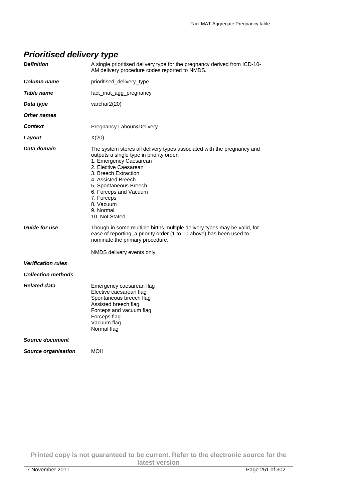# **Prioritised delivery type**

| <b>Definition</b>          | A single prioritised delivery type for the pregnancy derived from ICD-10-<br>AM delivery procedure codes reported to NMDS.                                                                                                                                                                                                      |
|----------------------------|---------------------------------------------------------------------------------------------------------------------------------------------------------------------------------------------------------------------------------------------------------------------------------------------------------------------------------|
| Column name                | prioritised_delivery_type                                                                                                                                                                                                                                                                                                       |
| Table name                 | fact_mat_agg_pregnancy                                                                                                                                                                                                                                                                                                          |
| Data type                  | varchar2(20)                                                                                                                                                                                                                                                                                                                    |
| <b>Other names</b>         |                                                                                                                                                                                                                                                                                                                                 |
| <b>Context</b>             | Pregnancy.Labour&Delivery                                                                                                                                                                                                                                                                                                       |
| Layout                     | X(20)                                                                                                                                                                                                                                                                                                                           |
| Data domain                | The system stores all delivery types associated with the pregnancy and<br>outputs a single type in priority order:<br>1. Emergency Caesarean<br>2. Elective Caesarean<br>3. Breech Extraction<br>4. Assisted Breech<br>5. Spontaneous Breech<br>6. Forceps and Vacuum<br>7. Forceps<br>8. Vacuum<br>9. Normal<br>10. Not Stated |
| <b>Guide for use</b>       | Though in some multiple births multiple delivery types may be valid, for<br>ease of reporting, a priority order (1 to 10 above) has been used to<br>nominate the primary procedure.<br>NMDS delivery events only                                                                                                                |
| <b>Verification rules</b>  |                                                                                                                                                                                                                                                                                                                                 |
| <b>Collection methods</b>  |                                                                                                                                                                                                                                                                                                                                 |
| <b>Related data</b>        | Emergency caesarean flag<br>Elective caesarean flag<br>Spontaneous breech flag<br>Assisted breech flag<br>Forceps and vacuum flag<br>Forceps flag<br>Vacuum flag<br>Normal flag                                                                                                                                                 |
| <b>Source document</b>     |                                                                                                                                                                                                                                                                                                                                 |
| <b>Source organisation</b> | MOH                                                                                                                                                                                                                                                                                                                             |
|                            |                                                                                                                                                                                                                                                                                                                                 |

**Printed copy is not guaranteed to be current. Refer to the electronic source for the latest version**  7 November 2011 Page 251 of 302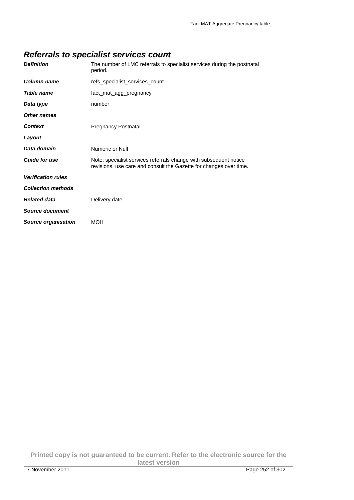## **Referrals to specialist services count**

| <b>Definition</b>         | The number of LMC referrals to specialist services during the postnatal<br>period. |
|---------------------------|------------------------------------------------------------------------------------|
| <b>Column name</b>        | refs specialist services count                                                     |
| Table name                | fact mat agg pregnancy                                                             |
| Data type                 | number                                                                             |
| Other names               |                                                                                    |
| <b>Context</b>            | Pregnancy.Postnatal                                                                |
| Layout                    |                                                                                    |
| Data domain               | Numeric or Null                                                                    |
| <b>Guide for use</b>      | Note: specialist services referrals change with subsequent notice                  |
|                           | revisions, use care and consult the Gazette for changes over time.                 |
| <b>Verification rules</b> |                                                                                    |
| <b>Collection methods</b> |                                                                                    |
| <b>Related data</b>       | Delivery date                                                                      |
| Source document           |                                                                                    |

**Printed copy is not guaranteed to be current. Refer to the electronic source for the latest version**  7 November 2011 Page 252 of 302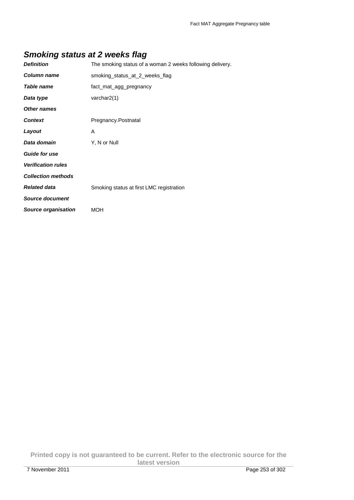### **Smoking status at 2 weeks flag**

| <b>Definition</b>         | The smoking status of a woman 2 weeks following delivery. |
|---------------------------|-----------------------------------------------------------|
| Column name               | smoking status at 2 weeks flag                            |
| Table name                | fact_mat_agg_pregnancy                                    |
| Data type                 | varchar2(1)                                               |
| Other names               |                                                           |
| <b>Context</b>            | Pregnancy.Postnatal                                       |
| Layout                    | A                                                         |
| Data domain               | Y, N or Null                                              |
| <b>Guide for use</b>      |                                                           |
| <b>Verification rules</b> |                                                           |
| <b>Collection methods</b> |                                                           |
| <b>Related data</b>       | Smoking status at first LMC registration                  |
| Source document           |                                                           |
| Source organisation       | MOH                                                       |
|                           |                                                           |

**Printed copy is not guaranteed to be current. Refer to the electronic source for the latest version**  7 November 2011 Page 253 of 302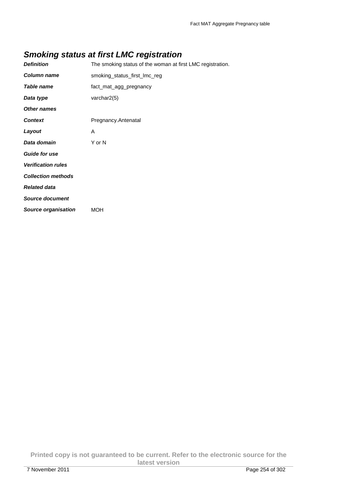### **Smoking status at first LMC registration**

| <b>Definition</b>          | The smoking status of the woman at first LMC registration. |
|----------------------------|------------------------------------------------------------|
| Column name                | smoking_status_first_lmc_reg                               |
| Table name                 | fact_mat_agg_pregnancy                                     |
| Data type                  | varchar2(5)                                                |
| <b>Other names</b>         |                                                            |
| <b>Context</b>             | Pregnancy.Antenatal                                        |
| Layout                     | A                                                          |
| Data domain                | Y or N                                                     |
| <b>Guide for use</b>       |                                                            |
| <b>Verification rules</b>  |                                                            |
| <b>Collection methods</b>  |                                                            |
| <b>Related data</b>        |                                                            |
| <b>Source document</b>     |                                                            |
| <b>Source organisation</b> | <b>MOH</b>                                                 |

**Printed copy is not guaranteed to be current. Refer to the electronic source for the latest version**  7 November 2011 Page 254 of 302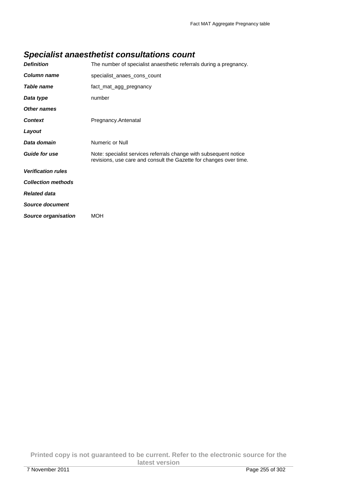### **Specialist anaesthetist consultations count**

| <b>Definition</b>         | The number of specialist anaesthetic referrals during a pregnancy.                                                                      |
|---------------------------|-----------------------------------------------------------------------------------------------------------------------------------------|
| Column name               | specialist anaes cons count                                                                                                             |
| Table name                | fact_mat_agg_pregnancy                                                                                                                  |
| Data type                 | number                                                                                                                                  |
| Other names               |                                                                                                                                         |
| <b>Context</b>            | Pregnancy.Antenatal                                                                                                                     |
| Layout                    |                                                                                                                                         |
| Data domain               | Numeric or Null                                                                                                                         |
| <b>Guide for use</b>      | Note: specialist services referrals change with subsequent notice<br>revisions, use care and consult the Gazette for changes over time. |
| <b>Verification rules</b> |                                                                                                                                         |
| <b>Collection methods</b> |                                                                                                                                         |
| <b>Related data</b>       |                                                                                                                                         |
| <b>Source document</b>    |                                                                                                                                         |
| Source organisation       | MOH                                                                                                                                     |

**Printed copy is not guaranteed to be current. Refer to the electronic source for the latest version**  7 November 2011 Page 255 of 302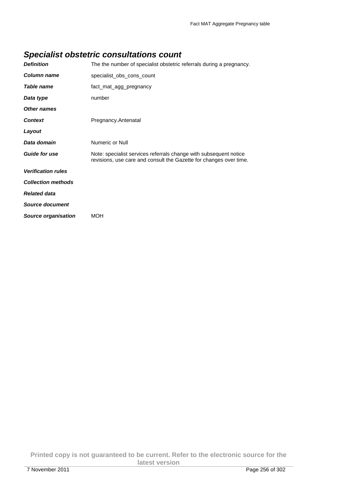### **Specialist obstetric consultations count**

| <b>Definition</b>         | The the number of specialist obstetric referrals during a pregnancy.                                                                    |
|---------------------------|-----------------------------------------------------------------------------------------------------------------------------------------|
| Column name               | specialist obs cons count                                                                                                               |
| Table name                | fact_mat_agg_pregnancy                                                                                                                  |
| Data type                 | number                                                                                                                                  |
| Other names               |                                                                                                                                         |
| <b>Context</b>            | Pregnancy.Antenatal                                                                                                                     |
| Layout                    |                                                                                                                                         |
| Data domain               | Numeric or Null                                                                                                                         |
| <b>Guide for use</b>      | Note: specialist services referrals change with subsequent notice<br>revisions, use care and consult the Gazette for changes over time. |
| <b>Verification rules</b> |                                                                                                                                         |
| <b>Collection methods</b> |                                                                                                                                         |
| <b>Related data</b>       |                                                                                                                                         |
| <b>Source document</b>    |                                                                                                                                         |
| Source organisation       | <b>MOH</b>                                                                                                                              |

**Printed copy is not guaranteed to be current. Refer to the electronic source for the latest version**  7 November 2011 Page 256 of 302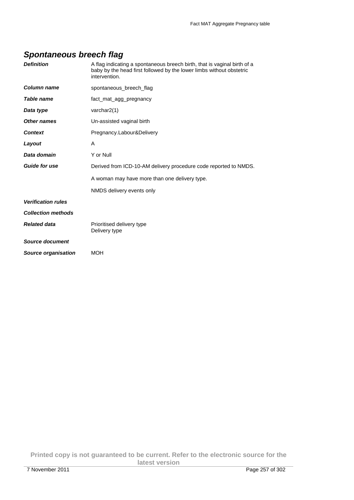### **Spontaneous breech flag**

| <b>Definition</b>         | A flag indicating a spontaneous breech birth, that is vaginal birth of a<br>baby by the head first followed by the lower limbs without obstetric<br>intervention. |
|---------------------------|-------------------------------------------------------------------------------------------------------------------------------------------------------------------|
| Column name               | spontaneous_breech_flag                                                                                                                                           |
| Table name                | fact mat agg pregnancy                                                                                                                                            |
| Data type                 | varchar2(1)                                                                                                                                                       |
| Other names               | Un-assisted vaginal birth                                                                                                                                         |
| <b>Context</b>            | Pregnancy.Labour&Delivery                                                                                                                                         |
| Layout                    | A                                                                                                                                                                 |
| Data domain               | Y or Null                                                                                                                                                         |
| <b>Guide for use</b>      | Derived from ICD-10-AM delivery procedure code reported to NMDS.                                                                                                  |
|                           | A woman may have more than one delivery type.                                                                                                                     |
|                           | NMDS delivery events only                                                                                                                                         |
| <b>Verification rules</b> |                                                                                                                                                                   |
| <b>Collection methods</b> |                                                                                                                                                                   |
| <b>Related data</b>       | Prioritised delivery type<br>Delivery type                                                                                                                        |
| Source document           |                                                                                                                                                                   |
| Source organisation       | <b>MOH</b>                                                                                                                                                        |

**Printed copy is not guaranteed to be current. Refer to the electronic source for the latest version**  7 November 2011 Page 257 of 302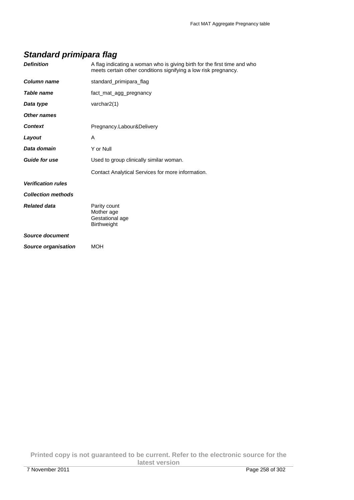### **Standard primipara flag**

| <b>Definition</b>          | A flag indicating a woman who is giving birth for the first time and who<br>meets certain other conditions signifying a low risk pregnancy. |
|----------------------------|---------------------------------------------------------------------------------------------------------------------------------------------|
| <b>Column name</b>         | standard_primipara_flag                                                                                                                     |
| Table name                 | fact_mat_agg_pregnancy                                                                                                                      |
| Data type                  | varchar2(1)                                                                                                                                 |
| Other names                |                                                                                                                                             |
| <b>Context</b>             | Pregnancy.Labour&Delivery                                                                                                                   |
| Layout                     | A                                                                                                                                           |
| Data domain                | Y or Null                                                                                                                                   |
| <b>Guide for use</b>       | Used to group clinically similar woman.                                                                                                     |
|                            | Contact Analytical Services for more information.                                                                                           |
| <b>Verification rules</b>  |                                                                                                                                             |
| <b>Collection methods</b>  |                                                                                                                                             |
| <b>Related data</b>        | Parity count<br>Mother age<br>Gestational age<br><b>Birthweight</b>                                                                         |
| Source document            |                                                                                                                                             |
| <b>Source organisation</b> | <b>MOH</b>                                                                                                                                  |
|                            |                                                                                                                                             |

**Printed copy is not guaranteed to be current. Refer to the electronic source for the latest version**  7 November 2011 **Page 258 of 302**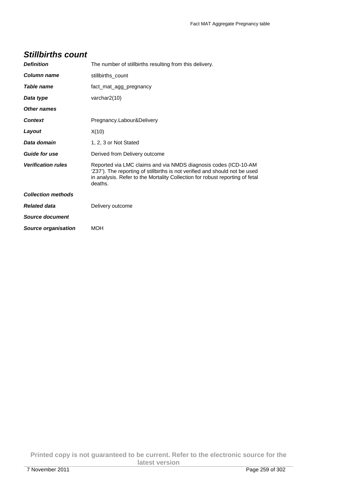| <b>Stillbirths count</b> |  |
|--------------------------|--|
|--------------------------|--|

| <b>Definition</b>         | The number of stillbirths resulting from this delivery.                                                                                                                                                                                   |
|---------------------------|-------------------------------------------------------------------------------------------------------------------------------------------------------------------------------------------------------------------------------------------|
| Column name               | stillbirths_count                                                                                                                                                                                                                         |
| <b>Table name</b>         | fact_mat_agg_pregnancy                                                                                                                                                                                                                    |
| Data type                 | varchar $2(10)$                                                                                                                                                                                                                           |
| <b>Other names</b>        |                                                                                                                                                                                                                                           |
| <b>Context</b>            | Pregnancy.Labour&Delivery                                                                                                                                                                                                                 |
| Layout                    | X(10)                                                                                                                                                                                                                                     |
| Data domain               | 1, 2, 3 or Not Stated                                                                                                                                                                                                                     |
| <b>Guide for use</b>      | Derived from Delivery outcome                                                                                                                                                                                                             |
| <b>Verification rules</b> | Reported via LMC claims and via NMDS diagnosis codes (ICD-10-AM<br>'Z37'). The reporting of stillbirths is not verified and should not be used<br>in analysis. Refer to the Mortality Collection for robust reporting of fetal<br>deaths. |
| <b>Collection methods</b> |                                                                                                                                                                                                                                           |
| <b>Related data</b>       | Delivery outcome                                                                                                                                                                                                                          |
| Source document           |                                                                                                                                                                                                                                           |
| Source organisation       | <b>MOH</b>                                                                                                                                                                                                                                |

**Printed copy is not guaranteed to be current. Refer to the electronic source for the latest version**  7 November 2011 Page 259 of 302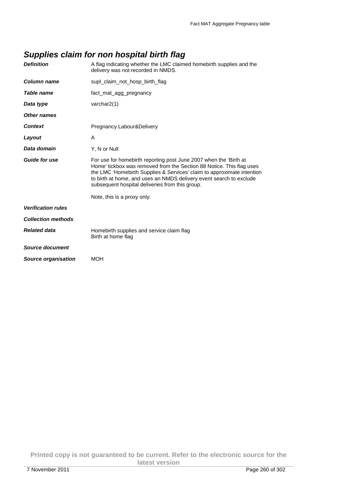## **Supplies claim for non hospital birth flag**

| <b>Definition</b>          | A flag indicating whether the LMC claimed homebirth supplies and the<br>delivery was not recorded in NMDS.                                                                                                                                                                                                                                    |
|----------------------------|-----------------------------------------------------------------------------------------------------------------------------------------------------------------------------------------------------------------------------------------------------------------------------------------------------------------------------------------------|
| Column name                | supl_claim_not_hosp_birth_flag                                                                                                                                                                                                                                                                                                                |
| Table name                 | fact mat agg pregnancy                                                                                                                                                                                                                                                                                                                        |
| Data type                  | varchar $2(1)$                                                                                                                                                                                                                                                                                                                                |
| Other names                |                                                                                                                                                                                                                                                                                                                                               |
| <b>Context</b>             | Pregnancy.Labour&Delivery                                                                                                                                                                                                                                                                                                                     |
| Layout                     | A                                                                                                                                                                                                                                                                                                                                             |
| Data domain                | Y, N or Null                                                                                                                                                                                                                                                                                                                                  |
| <b>Guide for use</b>       | For use for homebirth reporting post June 2007 when the 'Birth at<br>Home' tickbox was removed from the Section 88 Notice. This flag uses<br>the LMC 'Homebirth Supplies & Services' claim to approximate intention<br>to birth at home, and uses an NMDS delivery event search to exclude<br>subsequent hospital deliveries from this group. |
|                            | Note, this is a proxy only.                                                                                                                                                                                                                                                                                                                   |
| <b>Verification rules</b>  |                                                                                                                                                                                                                                                                                                                                               |
| <b>Collection methods</b>  |                                                                                                                                                                                                                                                                                                                                               |
| <b>Related data</b>        | Homebirth supplies and service claim flag<br>Birth at home flag                                                                                                                                                                                                                                                                               |
| Source document            |                                                                                                                                                                                                                                                                                                                                               |
| <b>Source organisation</b> | <b>MOH</b>                                                                                                                                                                                                                                                                                                                                    |

**Printed copy is not guaranteed to be current. Refer to the electronic source for the latest version**  7 November 2011 Page 260 of 302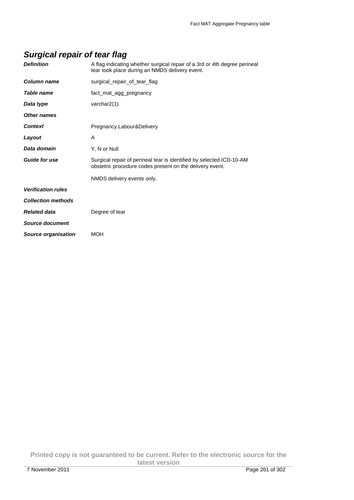### **Surgical repair of tear flag**

| <b>Definition</b>          | A flag indicating whether surgical repair of a 3rd or 4th degree perineal<br>tear took place during an NMDS delivery event.      |
|----------------------------|----------------------------------------------------------------------------------------------------------------------------------|
| Column name                | surgical_repair_of_tear_flag                                                                                                     |
| <b>Table name</b>          | fact_mat_agg_pregnancy                                                                                                           |
| Data type                  | varchar $2(1)$                                                                                                                   |
| Other names                |                                                                                                                                  |
| <b>Context</b>             | Pregnancy.Labour&Delivery                                                                                                        |
| Layout                     | A                                                                                                                                |
| Data domain                | Y, N or Null                                                                                                                     |
| <b>Guide for use</b>       | Surgical repair of perineal tear is identified by selected ICD-10-AM<br>obstetric procedure codes present on the delivery event. |
|                            | NMDS delivery events only.                                                                                                       |
| <b>Verification rules</b>  |                                                                                                                                  |
| <b>Collection methods</b>  |                                                                                                                                  |
| <b>Related data</b>        | Degree of tear                                                                                                                   |
| <b>Source document</b>     |                                                                                                                                  |
| <b>Source organisation</b> | <b>MOH</b>                                                                                                                       |
|                            |                                                                                                                                  |

**Printed copy is not guaranteed to be current. Refer to the electronic source for the latest version**  7 November 2011 Page 261 of 302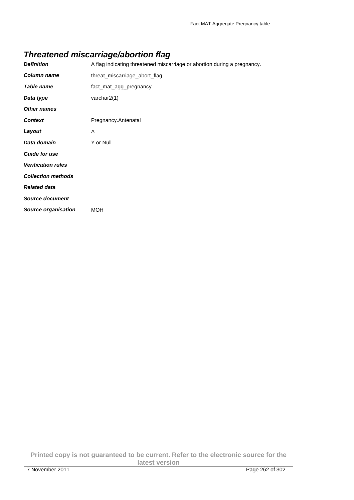### **Threatened miscarriage/abortion flag**

| <b>Definition</b>          | A flag indicating threatened miscarriage or abortion during a pregnancy. |
|----------------------------|--------------------------------------------------------------------------|
| <b>Column name</b>         | threat_miscarriage_abort_flag                                            |
| Table name                 | fact_mat_agg_pregnancy                                                   |
| Data type                  | varchar $2(1)$                                                           |
| <b>Other names</b>         |                                                                          |
| <b>Context</b>             | Pregnancy.Antenatal                                                      |
| Layout                     | A                                                                        |
| Data domain                | Y or Null                                                                |
| <b>Guide for use</b>       |                                                                          |
| <b>Verification rules</b>  |                                                                          |
| <b>Collection methods</b>  |                                                                          |
| <b>Related data</b>        |                                                                          |
| <b>Source document</b>     |                                                                          |
| <b>Source organisation</b> | <b>MOH</b>                                                               |

**Printed copy is not guaranteed to be current. Refer to the electronic source for the latest version**  7 November 2011 Page 262 of 302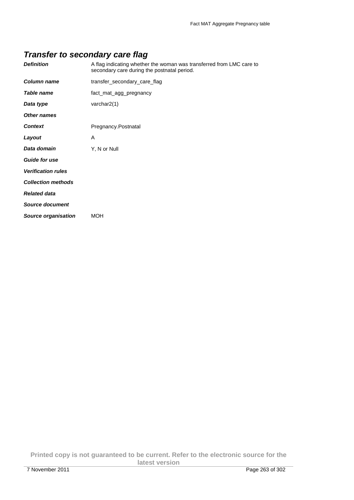### **Transfer to secondary care flag**

| <b>Definition</b>          | A flag indicating whether the woman was transferred from LMC care to<br>secondary care during the postnatal period. |
|----------------------------|---------------------------------------------------------------------------------------------------------------------|
| <b>Column name</b>         | transfer_secondary_care_flag                                                                                        |
| Table name                 | fact_mat_agg_pregnancy                                                                                              |
| Data type                  | varchar2(1)                                                                                                         |
| <b>Other names</b>         |                                                                                                                     |
| <b>Context</b>             | Pregnancy.Postnatal                                                                                                 |
| Layout                     | A                                                                                                                   |
| Data domain                | Y, N or Null                                                                                                        |
| <b>Guide for use</b>       |                                                                                                                     |
| <b>Verification rules</b>  |                                                                                                                     |
| <b>Collection methods</b>  |                                                                                                                     |
| <b>Related data</b>        |                                                                                                                     |
| Source document            |                                                                                                                     |
| <b>Source organisation</b> | <b>MOH</b>                                                                                                          |
|                            |                                                                                                                     |

**Printed copy is not guaranteed to be current. Refer to the electronic source for the latest version**  7 November 2011 Page 263 of 302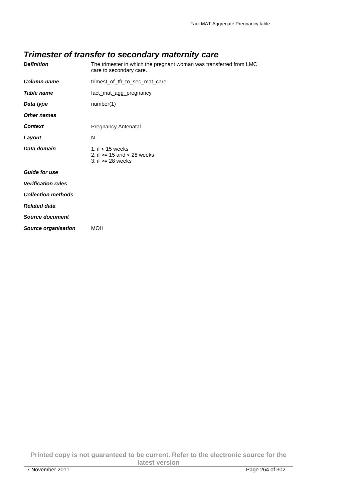### **Trimester of transfer to secondary maternity care**

| <b>Definition</b>          | The trimester in which the pregnant woman was transferred from LMC<br>care to secondary care. |
|----------------------------|-----------------------------------------------------------------------------------------------|
| <b>Column name</b>         | trimest_of_tfr_to_sec_mat_care                                                                |
| Table name                 | fact_mat_agg_pregnancy                                                                        |
| Data type                  | number(1)                                                                                     |
| <b>Other names</b>         |                                                                                               |
| <b>Context</b>             | Pregnancy.Antenatal                                                                           |
| Layout                     | N                                                                                             |
| Data domain                | 1, if $<$ 15 weeks<br>2, if $>= 15$ and $< 28$ weeks<br>3, if $>= 28$ weeks                   |
| <b>Guide for use</b>       |                                                                                               |
| <b>Verification rules</b>  |                                                                                               |
| <b>Collection methods</b>  |                                                                                               |
| <b>Related data</b>        |                                                                                               |
| <b>Source document</b>     |                                                                                               |
| <b>Source organisation</b> | <b>MOH</b>                                                                                    |
|                            |                                                                                               |

**Printed copy is not guaranteed to be current. Refer to the electronic source for the latest version**  7 November 2011 Page 264 of 302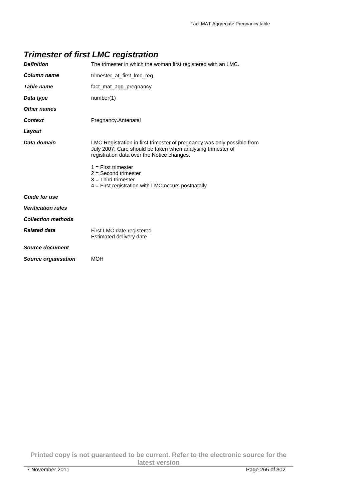### **Trimester of first LMC registration**

| <b>Definition</b>          | The trimester in which the woman first registered with an LMC.                                                                                                                       |  |
|----------------------------|--------------------------------------------------------------------------------------------------------------------------------------------------------------------------------------|--|
| <b>Column name</b>         | trimester at first Imc reg                                                                                                                                                           |  |
| Table name                 | fact mat agg pregnancy                                                                                                                                                               |  |
| Data type                  | number(1)                                                                                                                                                                            |  |
| Other names                |                                                                                                                                                                                      |  |
| <b>Context</b>             | Pregnancy.Antenatal                                                                                                                                                                  |  |
| Layout                     |                                                                                                                                                                                      |  |
| Data domain                | LMC Registration in first trimester of pregnancy was only possible from<br>July 2007. Care should be taken when analysing trimester of<br>registration data over the Notice changes. |  |
|                            | $1 =$ First trimester<br>$2 =$ Second trimester<br>$3 =$ Third trimester<br>$4$ = First registration with LMC occurs postnatally                                                     |  |
| <b>Guide for use</b>       |                                                                                                                                                                                      |  |
| <b>Verification rules</b>  |                                                                                                                                                                                      |  |
| <b>Collection methods</b>  |                                                                                                                                                                                      |  |
| <b>Related data</b>        | First LMC date registered<br>Estimated delivery date                                                                                                                                 |  |
| Source document            |                                                                                                                                                                                      |  |
| <b>Source organisation</b> | MOH                                                                                                                                                                                  |  |
|                            |                                                                                                                                                                                      |  |

**Printed copy is not guaranteed to be current. Refer to the electronic source for the latest version**  7 November 2011 Page 265 of 302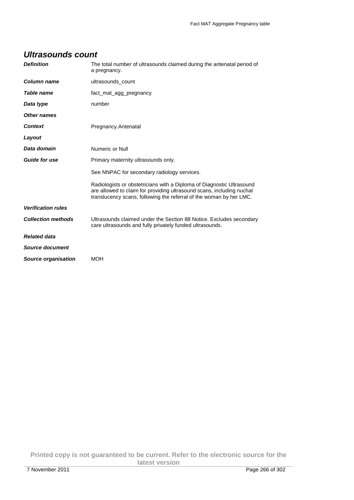#### **Ultrasounds count**

| <b>Definition</b>          | The total number of ultrasounds claimed during the antenatal period of<br>a pregnancy.                                                                                                                                |  |
|----------------------------|-----------------------------------------------------------------------------------------------------------------------------------------------------------------------------------------------------------------------|--|
| Column name                | ultrasounds count                                                                                                                                                                                                     |  |
| Table name                 | fact_mat_agg_pregnancy                                                                                                                                                                                                |  |
| Data type                  | number                                                                                                                                                                                                                |  |
| Other names                |                                                                                                                                                                                                                       |  |
| <b>Context</b>             | Pregnancy.Antenatal                                                                                                                                                                                                   |  |
| Layout                     |                                                                                                                                                                                                                       |  |
| Data domain                | Numeric or Null                                                                                                                                                                                                       |  |
| <b>Guide for use</b>       | Primary maternity ultrasounds only.                                                                                                                                                                                   |  |
|                            | See NNPAC for secondary radiology services.                                                                                                                                                                           |  |
|                            | Radiologists or obstetricians with a Diploma of Diagnostic Ultrasound<br>are allowed to claim for providing ultrasound scans, including nuchal<br>translucency scans, following the referral of the woman by her LMC. |  |
| <b>Verification rules</b>  |                                                                                                                                                                                                                       |  |
| <b>Collection methods</b>  | Ultrasounds claimed under the Section 88 Notice. Excludes secondary<br>care ultrasounds and fully privately funded ultrasounds.                                                                                       |  |
| <b>Related data</b>        |                                                                                                                                                                                                                       |  |
| Source document            |                                                                                                                                                                                                                       |  |
| <b>Source organisation</b> | <b>MOH</b>                                                                                                                                                                                                            |  |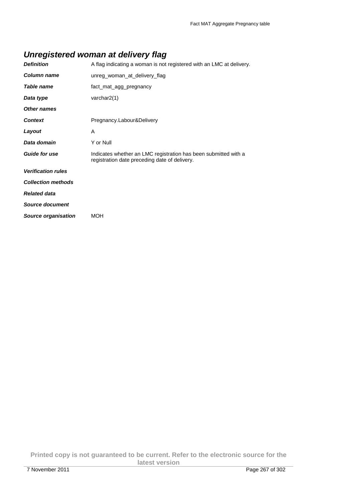### **Unregistered woman at delivery flag**

| <b>Definition</b>          | A flag indicating a woman is not registered with an LMC at delivery.                                             |  |
|----------------------------|------------------------------------------------------------------------------------------------------------------|--|
| Column name                | unreg_woman_at_delivery_flag                                                                                     |  |
| Table name                 | fact_mat_agg_pregnancy                                                                                           |  |
| Data type                  | varchar2(1)                                                                                                      |  |
| <b>Other names</b>         |                                                                                                                  |  |
| <b>Context</b>             | Pregnancy.Labour&Delivery                                                                                        |  |
| Layout                     | A                                                                                                                |  |
| Data domain                | Y or Null                                                                                                        |  |
| <b>Guide for use</b>       | Indicates whether an LMC registration has been submitted with a<br>registration date preceding date of delivery. |  |
| <b>Verification rules</b>  |                                                                                                                  |  |
| <b>Collection methods</b>  |                                                                                                                  |  |
| <b>Related data</b>        |                                                                                                                  |  |
| <b>Source document</b>     |                                                                                                                  |  |
| <b>Source organisation</b> | <b>MOH</b>                                                                                                       |  |

**Printed copy is not guaranteed to be current. Refer to the electronic source for the latest version**  7 November 2011 Page 267 of 302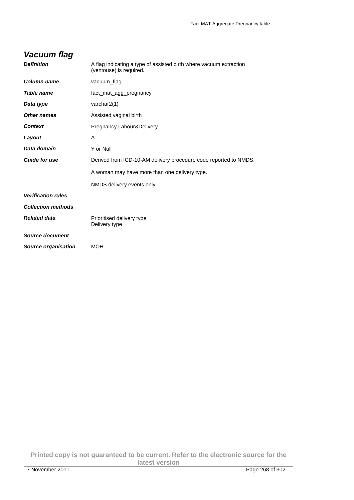| Vacuum flag                |                                                                                               |  |
|----------------------------|-----------------------------------------------------------------------------------------------|--|
| <b>Definition</b>          | A flag indicating a type of assisted birth where vacuum extraction<br>(ventouse) is required. |  |
| Column name                | vacuum_flag                                                                                   |  |
| Table name                 | fact_mat_agg_pregnancy                                                                        |  |
| Data type                  | varchar2(1)                                                                                   |  |
| Other names                | Assisted vaginal birth                                                                        |  |
| <b>Context</b>             | Pregnancy.Labour&Delivery                                                                     |  |
| Layout                     | A                                                                                             |  |
| Data domain                | Y or Null                                                                                     |  |
| <b>Guide for use</b>       | Derived from ICD-10-AM delivery procedure code reported to NMDS.                              |  |
|                            | A woman may have more than one delivery type.                                                 |  |
|                            | NMDS delivery events only                                                                     |  |
| <b>Verification rules</b>  |                                                                                               |  |
| <b>Collection methods</b>  |                                                                                               |  |
| <b>Related data</b>        | Prioritised delivery type<br>Delivery type                                                    |  |
| Source document            |                                                                                               |  |
| <b>Source organisation</b> | <b>MOH</b>                                                                                    |  |

**Printed copy is not guaranteed to be current. Refer to the electronic source for the latest version**  7 November 2011 Page 268 of 302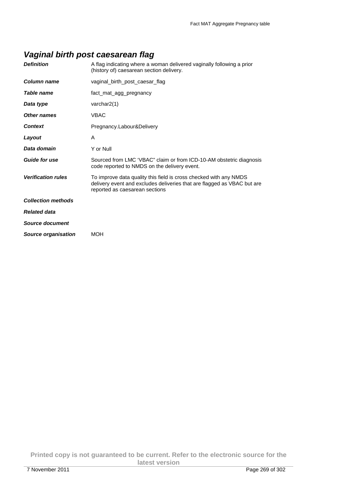### **Vaginal birth post caesarean flag**

| <b>Definition</b>         | A flag indicating where a woman delivered vaginally following a prior<br>(history of) caesarean section delivery.                                                              |
|---------------------------|--------------------------------------------------------------------------------------------------------------------------------------------------------------------------------|
| Column name               | vaginal birth post caesar flag                                                                                                                                                 |
| Table name                | fact_mat_agg_pregnancy                                                                                                                                                         |
| Data type                 | varchar $2(1)$                                                                                                                                                                 |
| Other names               | <b>VBAC</b>                                                                                                                                                                    |
| <b>Context</b>            | Pregnancy.Labour&Delivery                                                                                                                                                      |
| Layout                    | A                                                                                                                                                                              |
| Data domain               | Y or Null                                                                                                                                                                      |
| <b>Guide for use</b>      | Sourced from LMC 'VBAC" claim or from ICD-10-AM obstetric diagnosis<br>code reported to NMDS on the delivery event.                                                            |
| <b>Verification rules</b> | To improve data quality this field is cross checked with any NMDS<br>delivery event and excludes deliveries that are flagged as VBAC but are<br>reported as caesarean sections |
| <b>Collection methods</b> |                                                                                                                                                                                |
| <b>Related data</b>       |                                                                                                                                                                                |
| Source document           |                                                                                                                                                                                |
| Source organisation       | <b>MOH</b>                                                                                                                                                                     |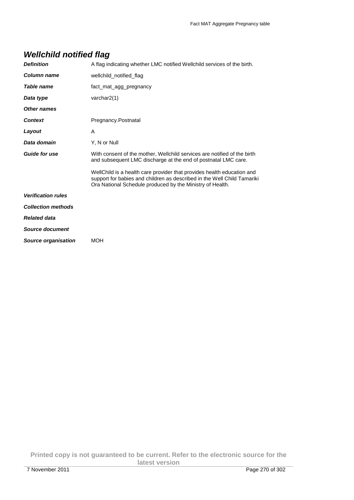## **Wellchild notified flag**

| A flag indicating whether LMC notified Wellchild services of the birth.                                                                                                                                        |  |
|----------------------------------------------------------------------------------------------------------------------------------------------------------------------------------------------------------------|--|
| wellchild_notified_flag                                                                                                                                                                                        |  |
| fact mat agg pregnancy                                                                                                                                                                                         |  |
| varchar $2(1)$                                                                                                                                                                                                 |  |
|                                                                                                                                                                                                                |  |
| Pregnancy.Postnatal                                                                                                                                                                                            |  |
| A                                                                                                                                                                                                              |  |
| Y, N or Null                                                                                                                                                                                                   |  |
| With consent of the mother, Wellchild services are notified of the birth<br>and subsequent LMC discharge at the end of postnatal LMC care.                                                                     |  |
| WellChild is a health care provider that provides health education and<br>support for babies and children as described in the Well Child Tamariki<br>Ora National Schedule produced by the Ministry of Health. |  |
|                                                                                                                                                                                                                |  |
|                                                                                                                                                                                                                |  |
|                                                                                                                                                                                                                |  |
|                                                                                                                                                                                                                |  |
| <b>MOH</b>                                                                                                                                                                                                     |  |
|                                                                                                                                                                                                                |  |

**Printed copy is not guaranteed to be current. Refer to the electronic source for the latest version**  7 November 2011 Page 270 of 302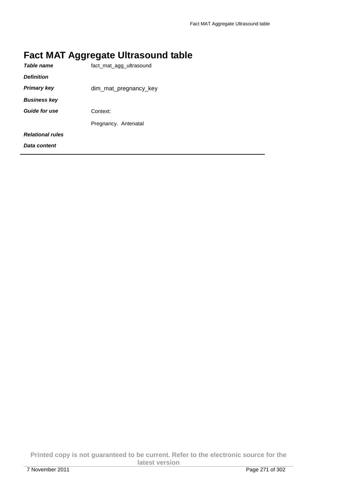# **Fact MAT Aggregate Ultrasound table**

| Table name              | fact_mat_agg_ultrasound |  |
|-------------------------|-------------------------|--|
| <b>Definition</b>       |                         |  |
| <b>Primary key</b>      | dim_mat_pregnancy_key   |  |
| <b>Business key</b>     |                         |  |
| <b>Guide for use</b>    | Context:                |  |
|                         | Pregnancy. Antenatal    |  |
| <b>Relational rules</b> |                         |  |
| Data content            |                         |  |

**Printed copy is not guaranteed to be current. Refer to the electronic source for the latest version**  7 November 2011 Page 271 of 302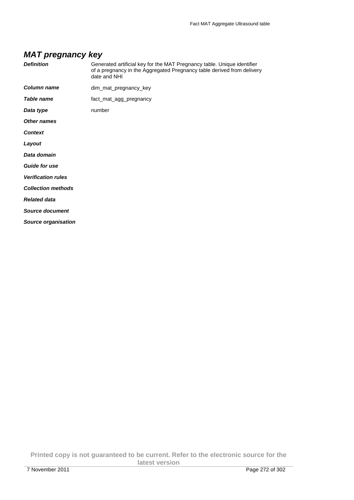### **MAT pregnancy key**

| <b>Definition</b>          | Generated artificial key for the MAT Pregnancy table. Unique identifier<br>of a pregnancy in the Aggregated Pregnancy table derived from delivery<br>date and NHI |
|----------------------------|-------------------------------------------------------------------------------------------------------------------------------------------------------------------|
| <b>Column name</b>         | dim_mat_pregnancy_key                                                                                                                                             |
| Table name                 | fact_mat_agg_pregnancy                                                                                                                                            |
| Data type                  | number                                                                                                                                                            |
| <b>Other names</b>         |                                                                                                                                                                   |
| <b>Context</b>             |                                                                                                                                                                   |
| Layout                     |                                                                                                                                                                   |
| Data domain                |                                                                                                                                                                   |
| <b>Guide for use</b>       |                                                                                                                                                                   |
| <b>Verification rules</b>  |                                                                                                                                                                   |
| <b>Collection methods</b>  |                                                                                                                                                                   |
| <b>Related data</b>        |                                                                                                                                                                   |
| <b>Source document</b>     |                                                                                                                                                                   |
| <b>Source organisation</b> |                                                                                                                                                                   |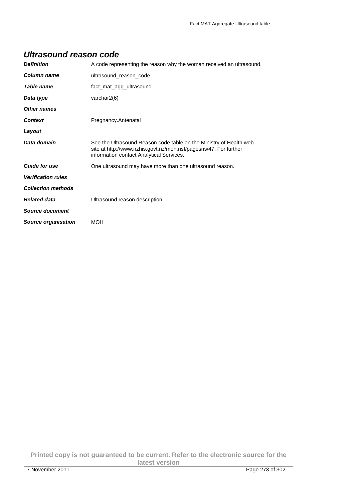#### **Ultrasound reason code**

| <b>Definition</b>          | A code representing the reason why the woman received an ultrasound.                                                                                                               |  |
|----------------------------|------------------------------------------------------------------------------------------------------------------------------------------------------------------------------------|--|
| Column name                | ultrasound_reason_code                                                                                                                                                             |  |
| Table name                 | fact_mat_agg_ultrasound                                                                                                                                                            |  |
| Data type                  | varchar $2(6)$                                                                                                                                                                     |  |
| Other names                |                                                                                                                                                                                    |  |
| <b>Context</b>             | Pregnancy.Antenatal                                                                                                                                                                |  |
| Layout                     |                                                                                                                                                                                    |  |
| Data domain                | See the Ultrasound Reason code table on the Ministry of Health web<br>site at http://www.nzhis.govt.nz/moh.nsf/pagesns/47. For further<br>information contact Analytical Services. |  |
| <b>Guide for use</b>       | One ultrasound may have more than one ultrasound reason.                                                                                                                           |  |
| <b>Verification rules</b>  |                                                                                                                                                                                    |  |
| <b>Collection methods</b>  |                                                                                                                                                                                    |  |
| <b>Related data</b>        | Ultrasound reason description                                                                                                                                                      |  |
| Source document            |                                                                                                                                                                                    |  |
| <b>Source organisation</b> | <b>MOH</b>                                                                                                                                                                         |  |

**Printed copy is not guaranteed to be current. Refer to the electronic source for the latest version**  7 November 2011 Page 273 of 302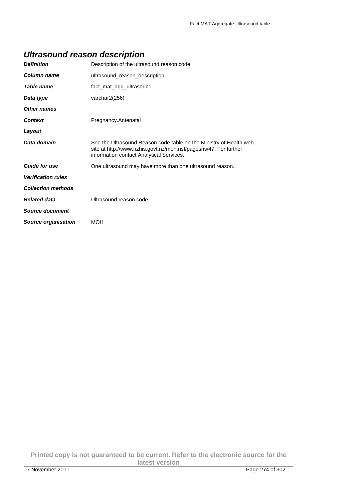### **Ultrasound reason description**

| <b>Definition</b>          | Description of the ultrasound reason code                                                                                                                                          |  |
|----------------------------|------------------------------------------------------------------------------------------------------------------------------------------------------------------------------------|--|
| Column name                | ultrasound reason description                                                                                                                                                      |  |
| Table name                 | fact_mat_agg_ultrasound                                                                                                                                                            |  |
| Data type                  | varchar2(256)                                                                                                                                                                      |  |
| Other names                |                                                                                                                                                                                    |  |
| <b>Context</b>             | Pregnancy.Antenatal                                                                                                                                                                |  |
| Layout                     |                                                                                                                                                                                    |  |
| Data domain                | See the Ultrasound Reason code table on the Ministry of Health web<br>site at http://www.nzhis.govt.nz/moh.nsf/pagesns/47. For further<br>information contact Analytical Services. |  |
| <b>Guide for use</b>       | One ultrasound may have more than one ultrasound reason                                                                                                                            |  |
| <b>Verification rules</b>  |                                                                                                                                                                                    |  |
| <b>Collection methods</b>  |                                                                                                                                                                                    |  |
| <b>Related data</b>        | Ultrasound reason code                                                                                                                                                             |  |
| Source document            |                                                                                                                                                                                    |  |
| <b>Source organisation</b> | <b>MOH</b>                                                                                                                                                                         |  |

**Printed copy is not guaranteed to be current. Refer to the electronic source for the latest version**  7 November 2011 Page 274 of 302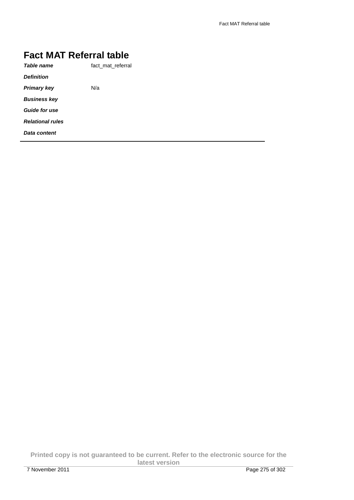# **Fact MAT Referral table**

| Table name              | fact mat referral |
|-------------------------|-------------------|
| <b>Definition</b>       |                   |
| Primary key             | N/a               |
| <b>Business key</b>     |                   |
| <b>Guide for use</b>    |                   |
| <b>Relational rules</b> |                   |
| Data content            |                   |
|                         |                   |

**Printed copy is not guaranteed to be current. Refer to the electronic source for the latest version**  7 November 2011 Page 275 of 302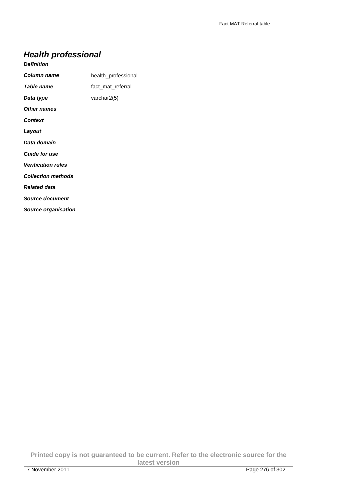## **Health professional**

#### **Definition**

| <b>Column name</b>         | health professional |
|----------------------------|---------------------|
| <b>Table name</b>          | fact_mat_referral   |
| Data type                  | varchar $2(5)$      |
| <b>Other names</b>         |                     |
| <b>Context</b>             |                     |
| Layout                     |                     |
| Data domain                |                     |
| <b>Guide for use</b>       |                     |
| <b>Verification rules</b>  |                     |
| <b>Collection methods</b>  |                     |
| <b>Related data</b>        |                     |
| Source document            |                     |
| <b>Source organisation</b> |                     |

**Printed copy is not guaranteed to be current. Refer to the electronic source for the latest version**  7 November 2011 Page 276 of 302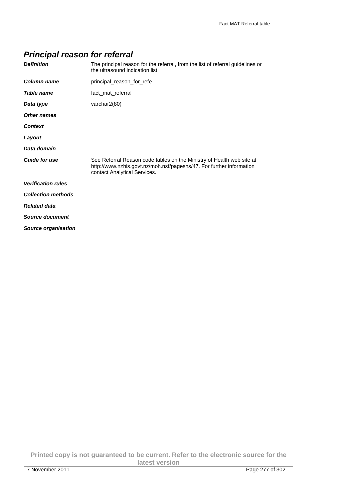## **Principal reason for referral**

| The principal reason for the referral, from the list of referral guidelines or<br>the ultrasound indication list                                                              |
|-------------------------------------------------------------------------------------------------------------------------------------------------------------------------------|
| principal reason for refe                                                                                                                                                     |
| fact_mat_referral                                                                                                                                                             |
| varchar2(80)                                                                                                                                                                  |
|                                                                                                                                                                               |
|                                                                                                                                                                               |
|                                                                                                                                                                               |
|                                                                                                                                                                               |
| See Referral Reason code tables on the Ministry of Health web site at<br>http://www.nzhis.govt.nz/moh.nsf/pagesns/47. For further information<br>contact Analytical Services. |
|                                                                                                                                                                               |
|                                                                                                                                                                               |
|                                                                                                                                                                               |
|                                                                                                                                                                               |
|                                                                                                                                                                               |
|                                                                                                                                                                               |

**Printed copy is not guaranteed to be current. Refer to the electronic source for the latest version**  7 November 2011 Page 277 of 302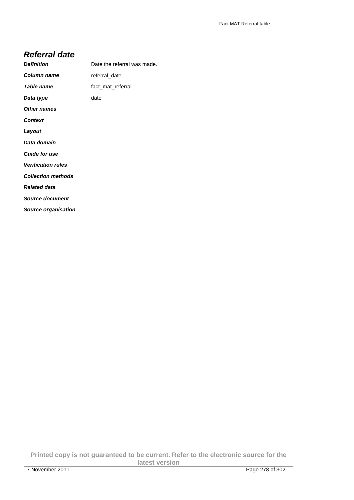#### **Referral date**

| <b>Definition</b>          | Date the referral was made. |
|----------------------------|-----------------------------|
| Column name                | referral_date               |
| Table name                 | fact mat referral           |
| Data type                  | date                        |
| <b>Other names</b>         |                             |
| <b>Context</b>             |                             |
| Layout                     |                             |
| Data domain                |                             |
| <b>Guide for use</b>       |                             |
| <b>Verification rules</b>  |                             |
| <b>Collection methods</b>  |                             |
| <b>Related data</b>        |                             |
| Source document            |                             |
| <b>Source organisation</b> |                             |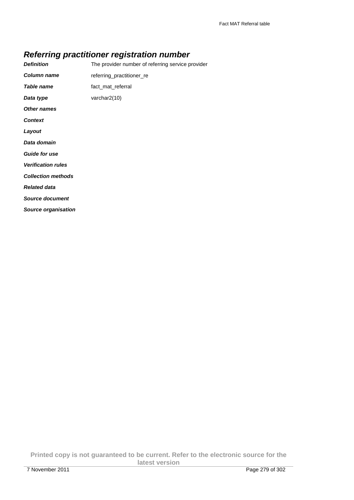## **Referring practitioner registration number**

| <b>Definition</b>          | The provider number of referring service provider |
|----------------------------|---------------------------------------------------|
| <b>Column name</b>         | referring_practitioner_re                         |
| Table name                 | fact mat referral                                 |
| Data type                  | varchar2(10)                                      |
| <b>Other names</b>         |                                                   |
| <b>Context</b>             |                                                   |
| Layout                     |                                                   |
| Data domain                |                                                   |
| <b>Guide for use</b>       |                                                   |
| <b>Verification rules</b>  |                                                   |
| <b>Collection methods</b>  |                                                   |
| <b>Related data</b>        |                                                   |
| <b>Source document</b>     |                                                   |
| <b>Source organisation</b> |                                                   |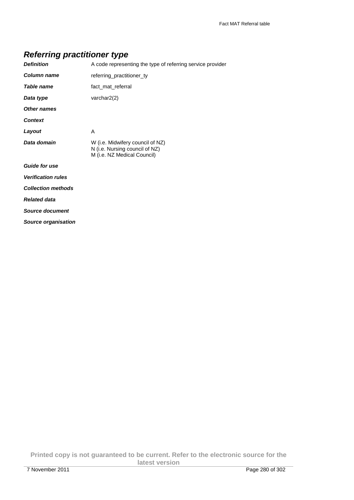### **Referring practitioner type**

| <b>Definition</b>          | A code representing the type of referring service provider                                        |
|----------------------------|---------------------------------------------------------------------------------------------------|
| <b>Column name</b>         | referring_practitioner_ty                                                                         |
| <b>Table name</b>          | fact mat referral                                                                                 |
| Data type                  | varchar2(2)                                                                                       |
| <b>Other names</b>         |                                                                                                   |
| <b>Context</b>             |                                                                                                   |
| Layout                     | A                                                                                                 |
| Data domain                | W (i.e. Midwifery council of NZ)<br>N (i.e. Nursing council of NZ)<br>M (i.e. NZ Medical Council) |
| <b>Guide for use</b>       |                                                                                                   |
| <b>Verification rules</b>  |                                                                                                   |
| <b>Collection methods</b>  |                                                                                                   |
| <b>Related data</b>        |                                                                                                   |
| <b>Source document</b>     |                                                                                                   |
| <b>Source organisation</b> |                                                                                                   |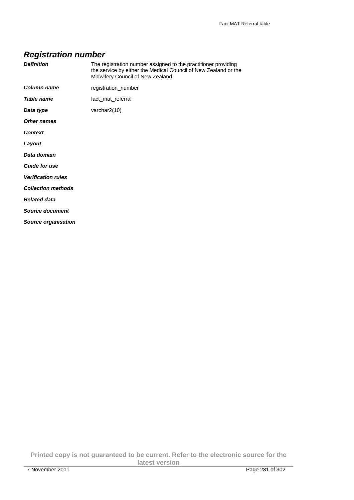# **Registration number**

| <b>Definition</b>          | The registration number assigned to the practitioner providing<br>the service by either the Medical Council of New Zealand or the<br>Midwifery Council of New Zealand. |
|----------------------------|------------------------------------------------------------------------------------------------------------------------------------------------------------------------|
| Column name                | registration_number                                                                                                                                                    |
| Table name                 | fact_mat_referral                                                                                                                                                      |
| Data type                  | varchar2(10)                                                                                                                                                           |
| Other names                |                                                                                                                                                                        |
| <b>Context</b>             |                                                                                                                                                                        |
| Layout                     |                                                                                                                                                                        |
| Data domain                |                                                                                                                                                                        |
| <b>Guide for use</b>       |                                                                                                                                                                        |
| <b>Verification rules</b>  |                                                                                                                                                                        |
| <b>Collection methods</b>  |                                                                                                                                                                        |
| <b>Related data</b>        |                                                                                                                                                                        |
| Source document            |                                                                                                                                                                        |
| <b>Source organisation</b> |                                                                                                                                                                        |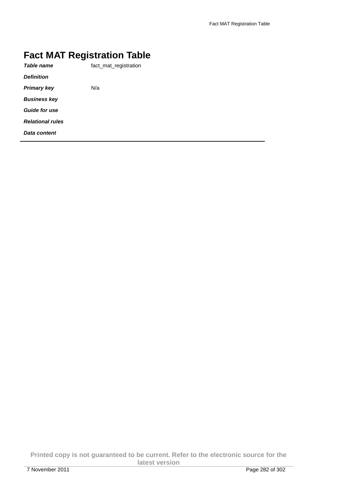# **Fact MAT Registration Table**

| Table name              | fact mat registration |
|-------------------------|-----------------------|
| <b>Definition</b>       |                       |
| Primary key             | N/a                   |
| <b>Business kev</b>     |                       |
| <b>Guide for use</b>    |                       |
| <b>Relational rules</b> |                       |
| Data content            |                       |
|                         |                       |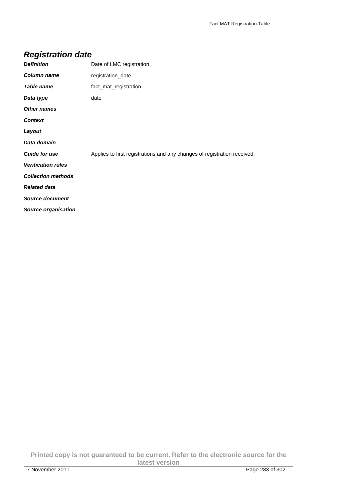# **Registration date**

| <b>Definition</b>          | Date of LMC registration                                                 |
|----------------------------|--------------------------------------------------------------------------|
| <b>Column name</b>         | registration date                                                        |
| <b>Table name</b>          | fact_mat_registration                                                    |
| Data type                  | date                                                                     |
| Other names                |                                                                          |
| <b>Context</b>             |                                                                          |
| Layout                     |                                                                          |
| Data domain                |                                                                          |
| <b>Guide for use</b>       | Applies to first registrations and any changes of registration received. |
| <b>Verification rules</b>  |                                                                          |
| <b>Collection methods</b>  |                                                                          |
| <b>Related data</b>        |                                                                          |
| <b>Source document</b>     |                                                                          |
| <b>Source organisation</b> |                                                                          |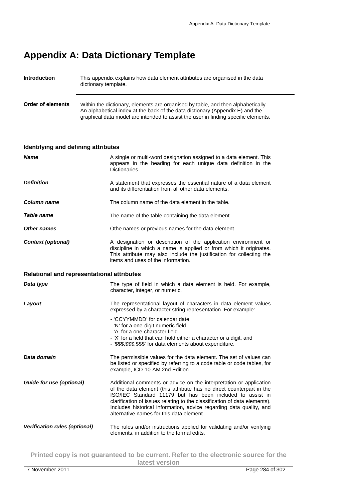# **Appendix A: Data Dictionary Template**

| Introduction      | This appendix explains how data element attributes are organised in the data<br>dictionary template.                                                                                                                                                    |
|-------------------|---------------------------------------------------------------------------------------------------------------------------------------------------------------------------------------------------------------------------------------------------------|
| Order of elements | Within the dictionary, elements are organised by table, and then alphabetically.<br>An alphabetical index at the back of the data dictionary (Appendix E) and the<br>graphical data model are intended to assist the user in finding specific elements. |

#### **Identifying and defining attributes**

| <b>Name</b>                                       | A single or multi-word designation assigned to a data element. This<br>appears in the heading for each unique data definition in the<br>Dictionaries.                                                                                                                                                                                                                                                   |  |
|---------------------------------------------------|---------------------------------------------------------------------------------------------------------------------------------------------------------------------------------------------------------------------------------------------------------------------------------------------------------------------------------------------------------------------------------------------------------|--|
| <b>Definition</b>                                 | A statement that expresses the essential nature of a data element<br>and its differentiation from all other data elements.                                                                                                                                                                                                                                                                              |  |
| Column name                                       | The column name of the data element in the table.                                                                                                                                                                                                                                                                                                                                                       |  |
| Table name                                        | The name of the table containing the data element.                                                                                                                                                                                                                                                                                                                                                      |  |
| <b>Other names</b>                                | Othe names or previous names for the data element                                                                                                                                                                                                                                                                                                                                                       |  |
| <b>Context (optional)</b>                         | A designation or description of the application environment or<br>discipline in which a name is applied or from which it originates.<br>This attribute may also include the justification for collecting the<br>items and uses of the information.                                                                                                                                                      |  |
| <b>Relational and representational attributes</b> |                                                                                                                                                                                                                                                                                                                                                                                                         |  |
| Data type                                         | The type of field in which a data element is held. For example,<br>character, integer, or numeric.                                                                                                                                                                                                                                                                                                      |  |
| Layout                                            | The representational layout of characters in data element values<br>expressed by a character string representation. For example:                                                                                                                                                                                                                                                                        |  |
|                                                   | - 'CCYYMMDD' for calendar date<br>- 'N' for a one-digit numeric field<br>- 'A' for a one-character field<br>- 'X' for a field that can hold either a character or a digit, and<br>- '\$\$\$,\$\$\$,\$\$\$' for data elements about expenditure.                                                                                                                                                         |  |
| Data domain                                       | The permissible values for the data element. The set of values can<br>be listed or specified by referring to a code table or code tables, for<br>example, ICD-10-AM 2nd Edition.                                                                                                                                                                                                                        |  |
| <b>Guide for use (optional)</b>                   | Additional comments or advice on the interpretation or application<br>of the data element (this attribute has no direct counterpart in the<br>ISO/IEC Standard 11179 but has been included to assist in<br>clarification of issues relating to the classification of data elements).<br>Includes historical information, advice regarding data quality, and<br>alternative names for this data element. |  |
| <b>Verification rules (optional)</b>              | The rules and/or instructions applied for validating and/or verifying<br>elements, in addition to the formal edits.                                                                                                                                                                                                                                                                                     |  |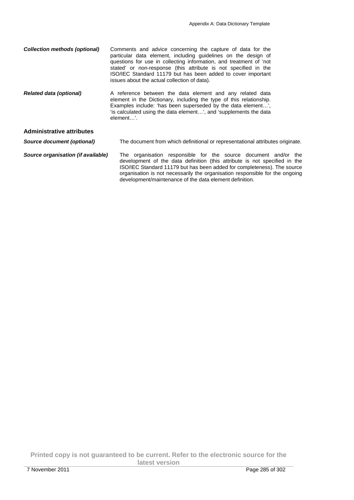organisation is not necessarily the organisation responsible for the ongoing

development/maintenance of the data element definition.

| <b>Collection methods (optional)</b> | Comments and advice concerning the capture of data for the<br>particular data element, including guidelines on the design of<br>questions for use in collecting information, and treatment of 'not<br>stated' or non-response (this attribute is not specified in the<br>ISO/IEC Standard 11179 but has been added to cover important<br>issues about the actual collection of data). |  |
|--------------------------------------|---------------------------------------------------------------------------------------------------------------------------------------------------------------------------------------------------------------------------------------------------------------------------------------------------------------------------------------------------------------------------------------|--|
| <b>Related data (optional)</b>       | A reference between the data element and any related data<br>element in the Dictionary, including the type of this relationship.<br>Examples include: 'has been superseded by the data element',<br>'is calculated using the data element', and 'supplements the data<br>element'.                                                                                                    |  |
| <b>Administrative attributes</b>     |                                                                                                                                                                                                                                                                                                                                                                                       |  |
| Source document (optional)           | The document from which definitional or representational attributes originate.                                                                                                                                                                                                                                                                                                        |  |
| Source organisation (if available)   | The organisation responsible for the source document and/or the<br>development of the data definition (this attribute is not specified in the<br>ISO/IEC Standard 11179 but has been added for completeness). The source                                                                                                                                                              |  |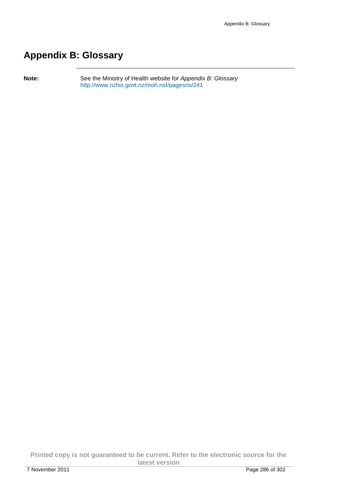# **Appendix B: Glossary**

Note: See the Ministry of Health website for Appendix B: Glossary http://www.nzhis.govt.nz/moh.nsf/pagesns/241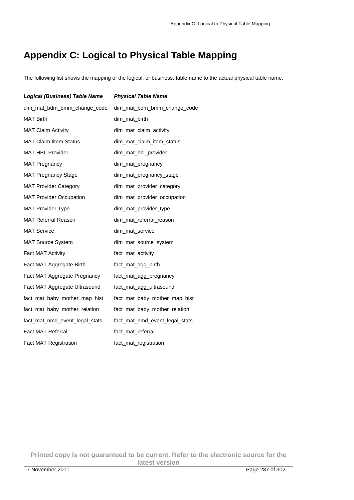# **Appendix C: Logical to Physical Table Mapping**

The following list shows the mapping of the logical, or business, table name to the actual physical table name.

| <b>Logical (Business) Table Name</b> | <b>Physical Table Name</b>     |
|--------------------------------------|--------------------------------|
| dim_mat_bdm_bmm_change_code          | dim_mat_bdm_bmm_change_code    |
| <b>MAT Birth</b>                     | dim_mat_birth                  |
| <b>MAT Claim Activity</b>            | dim_mat_claim_activity         |
| <b>MAT Claim litem Status</b>        | dim_mat_claim_item_status      |
| <b>MAT HBL Provider</b>              | dim_mat_hbl_provider           |
| <b>MAT Pregnancy</b>                 | dim_mat_pregnancy              |
| <b>MAT Pregnancy Stage</b>           | dim_mat_pregnancy_stage        |
| <b>MAT Provider Category</b>         | dim_mat_provider_category      |
| <b>MAT Provider Occupation</b>       | dim_mat_provider_occupation    |
| <b>MAT Provider Type</b>             | dim_mat_provider_type          |
| <b>MAT Referral Reason</b>           | dim_mat_referral_reason        |
| <b>MAT Service</b>                   | dim_mat_service                |
| <b>MAT Source System</b>             | dim_mat_source_system          |
| Fact MAT Activity                    | fact_mat_activity              |
| Fact MAT Aggregate Birth             | fact_mat_agg_birth             |
| Fact MAT Aggregate Pregnancy         | fact_mat_agg_pregnancy         |
| Fact MAT Aggregate Ultrasound        | fact_mat_agg_ultrasound        |
| fact_mat_baby_mother_map_hist        | fact_mat_baby_mother_map_hist  |
| fact_mat_baby_mother_relation        | fact_mat_baby_mother_relation  |
| fact_mat_nmd_event_legal_stats       | fact_mat_nmd_event_legal_stats |
| <b>Fact MAT Referral</b>             | fact_mat_referral              |
| <b>Fact MAT Registration</b>         | fact_mat_registration          |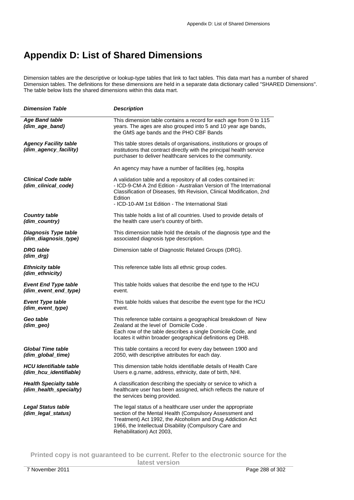# **Appendix D: List of Shared Dimensions**

Dimension tables are the descriptive or lookup-type tables that link to fact tables. This data mart has a number of shared Dimension tables. The definitions for these dimensions are held in a separate data dictionary called "SHARED Dimensions". The table below lists the shared dimensions within this data mart.

| <b>Dimension Table</b>                                  | <b>Description</b>                                                                                                                                                                                                                                                           |
|---------------------------------------------------------|------------------------------------------------------------------------------------------------------------------------------------------------------------------------------------------------------------------------------------------------------------------------------|
| <b>Age Band table</b><br>(dim_age_band)                 | This dimension table contains a record for each age from 0 to 115<br>years. The ages are also grouped into 5 and 10 year age bands,<br>the GMS age bands and the PHO CBF Bands                                                                                               |
| <b>Agency Facility table</b><br>(dim_agency_facility)   | This table stores details of organisations, institutions or groups of<br>institutions that contract directly with the principal health service<br>purchaser to deliver healthcare services to the community.                                                                 |
|                                                         | An agency may have a number of facilities (eg, hospita                                                                                                                                                                                                                       |
| <b>Clinical Code table</b><br>(dim clinical code)       | A validation table and a repository of all codes contained in:<br>- ICD-9-CM-A 2nd Edition - Australian Version of The International<br>Classification of Diseases, 9th Revision, Clinical Modification, 2nd<br>Edition<br>- ICD-10-AM 1st Edition - The International Stati |
| <b>Country table</b><br>(dim_country)                   | This table holds a list of all countries. Used to provide details of<br>the health care user's country of birth.                                                                                                                                                             |
| <b>Diagnosis Type table</b><br>(dim_diagnosis_type)     | This dimension table hold the details of the diagnosis type and the<br>associated diagnosis type description.                                                                                                                                                                |
| <b>DRG</b> table<br>$(dim_drg)$                         | Dimension table of Diagnostic Related Groups (DRG).                                                                                                                                                                                                                          |
| <b>Ethnicity table</b><br>(dim_ethnicity)               | This reference table lists all ethnic group codes.                                                                                                                                                                                                                           |
| <b>Event End Type table</b><br>(dim_event_end_type)     | This table holds values that describe the end type to the HCU<br>event.                                                                                                                                                                                                      |
| <b>Event Type table</b><br>(dim_event_type)             | This table holds values that describe the event type for the HCU<br>event.                                                                                                                                                                                                   |
| Geo table<br>(dim_geo)                                  | This reference table contains a geographical breakdown of New<br>Zealand at the level of Domicile Code.<br>Each row of the table describes a single Domicile Code, and<br>locates it within broader geographical definitions eg DHB.                                         |
| <b>Global Time table</b><br>(dim global time)           | This table contains a record for every day between 1900 and<br>2050, with descriptive attributes for each day.                                                                                                                                                               |
| <b>HCU</b> Identifiable table<br>(dim_hcu_identifiable) | This dimension table holds identifiable details of Health Care<br>Users e.g. name, address, ethnicity, date of birth, NHI.                                                                                                                                                   |
| <b>Health Specialty table</b><br>(dim_health_specialty) | A classification describing the specialty or service to which a<br>healthcare user has been assigned, which reflects the nature of<br>the services being provided.                                                                                                           |
| <b>Legal Status table</b><br>(dim_legal_status)         | The legal status of a healthcare user under the appropriate<br>section of the Mental Health (Compulsory Assessment and<br>Treatment) Act 1992, the Alcoholism and Drug Addiction Act<br>1966, the Intellectual Disability (Compulsory Care and<br>Rehabilitation) Act 2003,  |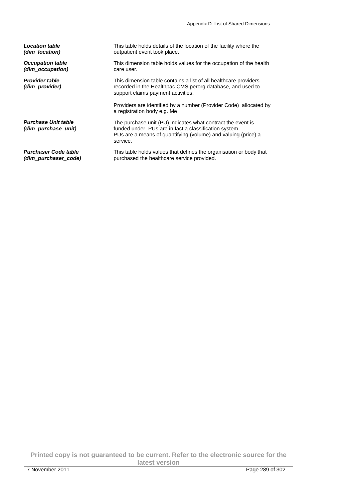| <b>Location table</b>                             | This table holds details of the location of the facility where the                                                                                                                                 |  |
|---------------------------------------------------|----------------------------------------------------------------------------------------------------------------------------------------------------------------------------------------------------|--|
| (dim location)                                    | outpatient event took place.                                                                                                                                                                       |  |
| <b>Occupation table</b>                           | This dimension table holds values for the occupation of the health                                                                                                                                 |  |
| (dim_occupation)                                  | care user.                                                                                                                                                                                         |  |
| <b>Provider table</b><br>(dim provider)           | This dimension table contains a list of all healthcare providers<br>recorded in the Healthpac CMS perorg database, and used to<br>support claims payment activities.                               |  |
|                                                   | Providers are identified by a number (Provider Code) allocated by<br>a registration body e.g. Me                                                                                                   |  |
| <b>Purchase Unit table</b><br>(dim purchase unit) | The purchase unit (PU) indicates what contract the event is<br>funded under. PUs are in fact a classification system.<br>PUs are a means of quantifying (volume) and valuing (price) a<br>service. |  |
| <b>Purchaser Code table</b>                       | This table holds values that defines the organisation or body that                                                                                                                                 |  |
| (dim purchaser code)                              | purchased the healthcare service provided.                                                                                                                                                         |  |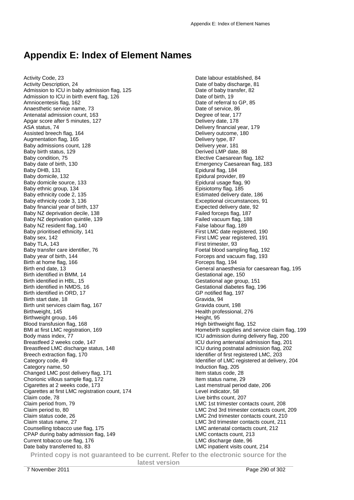## **Appendix E: Index of Element Names**

Activity Code, 23 Activity Description, 24 Admission to ICU in baby admission flag, 125 Admission to ICU in birth event flag, 126 Amniocentesis flag, 162 Anaesthetic service name, 73 Antenatal admission count, 163 Apgar score after 5 minutes, 127 ASA status, 74 Assisted breech flag, 164 Augmentation flag, 165 Baby admissions count, 128 Baby birth status, 129 Baby condition, 75 Baby date of birth, 130 Baby DHB, 131 Baby domicile, 132 Baby domicile source, 133 Baby ethnic group, 134 Baby ethnicity code 2, 135 Baby ethnicity code 3, 136 Baby financial year of birth, 137 Baby NZ deprivation decile, 138 Baby NZ deprivation quintile, 139 Baby NZ resident flag, 140 Baby prioritised ethnicity, 141 Baby sex, 142 Baby TLA, 143 Baby transfer care identifier, 76 Baby year of birth, 144 Birth at home flag, 166 Birth end date, 13 Birth identified in BMM, 14 Birth identified in HBL, 15 Birth identified in NMDS, 16 Birth identified in ORD, 17 Birth start date, 18 Birth unit services claim flag, 167 Birthweight, 145 Birthweight group, 146 Blood transfusion flag, 168 BMI at first LMC registration, 169 Body mass index, 77 Breastfeed 2 weeks code, 147 Breastfeed LMC discharge status, 148 Breech extraction flag, 170 Category code, 49 Category name, 50 Changed LMC post delivery flag, 171 Chorionic villous sample flag, 172 Cigarettes at 2 weeks code, 173 Cigarettes at first LMC registration count, 174 Claim code, 78 Claim period from, 79 Claim period to, 80 Claim status code, 26 Claim status name, 27 Counselling tobacco use flag, 175 CPAP during baby admission flag, 149 Current tobacco use flag, 176 Date baby transferred to, 83

Date labour established, 84 Date of baby discharge, 81 Date of baby transfer, 82 Date of birth, 19 Date of referral to GP, 85 Date of service, 86 Degree of tear, 177 Delivery date, 178 Delivery financial year, 179 Delivery outcome, 180 Delivery type, 87 Delivery year, 181 Derived LMP date, 88 Elective Caesarean flag, 182 Emergency Caesarean flag, 183 Epidural flag, 184 Epidural provider, 89 Epidural usage flag, 90 Episiotomy flag, 185 Estimated delivery date, 186 Exceptional circumstances, 91 Expected delivery date, 92 Failed forceps flag, 187 Failed vacuum flag, 188 False labour flag, 189 First LMC date registered, 190 First LMC year registered, 191 First trimester, 93 Foetal blood sampling flag, 192 Forceps and vacuum flag, 193 Forceps flag, 194 General anaesthesia for caesarean flag, 195 Gestational age, 150 Gestational age group, 151 Gestational diabetes flag, 196 GP notified flag, 197 Gravida, 94 Gravida count, 198 Health professional, 276 Height, 95 High birthweight flag, 152 Homebirth supplies and service claim flag, 199 ICU admission during delivery flag, 200 ICU during antenatal admission flag, 201 ICU during postnatal admission flag, 202 Identifier of first registered LMC, 203 Identifier of LMC registered at delivery, 204 Induction flag, 205 Item status code, 28 Item status name, 29 Last menstrual period date, 206 Level indicator, 58 Live births count, 207 LMC 1st trimester contacts count, 208 LMC 2nd 3rd trimester contacts count, 209 LMC 2nd trimester contacts count, 210 LMC 3rd trimester contacts count, 211 LMC antenatal contacts count, 212 LMC contacts count, 213 LMC discharge date, 96 LMC inpatient visits count, 214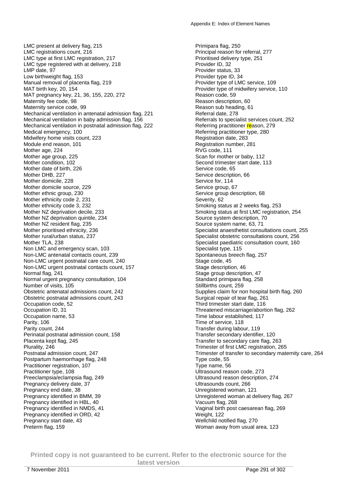LMC present at delivery flag, 215 LMC registrations count, 216 LMC type at first LMC registration, 217 LMC type registered with at delivery, 218 LMP date, 97 Low birthweight flag, 153 Manual removal of placenta flag, 219 MAT birth key, 20, 154 MAT pregnancy key, 21, 36, 155, 220, 272 Maternity fee code, 98 Maternity service code, 99 Mechanical ventilation in antenatal admission flag, 221 Mechanical ventilation in baby admission flag, 156 Mechanical ventilation in postnatal admission flag, 222 Medical emergency, 100 Midwifery home visits count, 223 Module end reason, 101 Mother age, 224 Mother age group, 225 Mother condition, 102 Mother date of birth, 226 Mother DHB, 227 Mother domicile, 228 Mother domicile source, 229 Mother ethnic group, 230 Mother ethnicity code 2, 231 Mother ethnicity code 3, 232 Mother NZ deprivation decile, 233 Mother NZ deprivation quintile, 234 Mother NZ resident flag, 235 Mother prioritised ethnicity, 236 Mother rural/urban status, 237 Mother TLA, 238 Non LMC and emergency scan, 103 Non-LMC antenatal contacts count, 239 Non-LMC urgent postnatal care count, 240 Non-LMC urgent postnatal contacts count, 157 Normal flag, 241 Normal urgent pregnancy consultation, 104 Number of visits, 105 Obstetric antenatal admissions count, 242 Obstetric postnatal admissions count, 243 Occupation code, 52 Occupation ID, 31 Occupation name, 53 Parity, 106 Parity count, 244 Perinatal postnatal admission count, 158 Placenta kept flag, 245 Plurality, 246 Postnatal admission count, 247 Postpartum haemorrhage flag, 248 Practitioner registration, 107 Practitioner type, 108 Preeclampsia/eclampsia flag, 249 Pregnancy delivery date, 37 Pregnancy end date, 38 Pregnancy identified in BMM, 39 Pregnancy identified in HBL, 40 Pregnancy identified in NMDS, 41 Pregnancy identified in ORD, 42 Pregnancy start date, 43 Preterm flag, 159

Primipara flag, 250 Principal reason for referral, 277 Prioritised delivery type, 251 Provider ID, 32 Provider status, 33 Provider type ID, 34 Provider type of LMC service, 109 Provider type of midwifery service, 110 Reason code, 59 Reason description, 60 Reason sub heading, 61 Referral date, 278 Referrals to specialist services count, 252 Referring practitioner reason, 279 Referring practitioner type, 280 Registration date, 283 Registration number, 281 RVG code, 111 Scan for mother or baby, 112 Second trimester start date, 113 Service code, 65 Service description, 66 Service for, 114 Service group, 67 Service group description, 68 Severity, 62 Smoking status at 2 weeks flag, 253 Smoking status at first LMC registration, 254 Source system description, 70 Source system name, 63, 71 Specialist anaesthetist consultations count, 255 Specialist obstetric consultations count, 256 Specialist paediatric consultation count, 160 Specialist type, 115 Spontaneous breech flag, 257 Stage code, 45 Stage description, 46 Stage group description, 47 Standard primipara flag, 258 Stillbirths count, 259 Supplies claim for non hospital birth flag, 260 Surgical repair of tear flag, 261 Third trimester start date, 116 Threatened miscarriage/abortion flag, 262 Time labour established, 117 Time of service, 118 Transfer during labour, 119 Transfer secondary identifier, 120 Transfer to secondary care flag, 263 Trimester of first LMC registration, 265 Trimester of transfer to secondary maternity care, 264 Type code, 55 Type name, 56 Ultrasound reason code, 273 Ultrasound reason description, 274 Ultrasounds count, 266 Unregistered woman, 121 Unregistered woman at delivery flag, 267 Vacuum flag, 268 Vaginal birth post caesarean flag, 269 Weight, 122 Wellchild notified flag, 270 Woman away from usual area, 123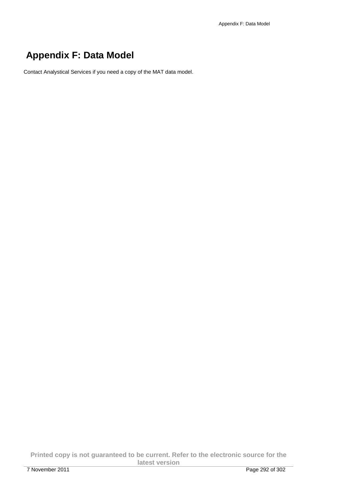## **Appendix F: Data Model**

Contact Analystical Services if you need a copy of the MAT data model.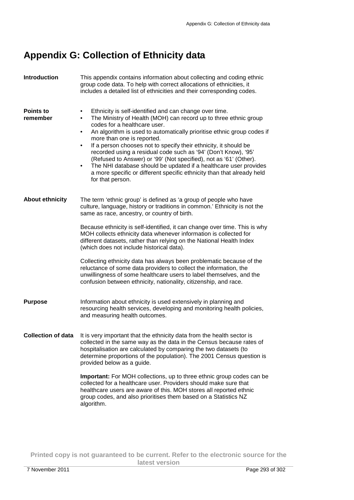## **Appendix G: Collection of Ethnicity data**

| Introduction                 | This appendix contains information about collecting and coding ethnic<br>group code data. To help with correct allocations of ethnicities, it<br>includes a detailed list of ethnicities and their corresponding codes.                                                                                                                                                                                                                                                                                                                                                                                                                                                                                                                                        |  |
|------------------------------|----------------------------------------------------------------------------------------------------------------------------------------------------------------------------------------------------------------------------------------------------------------------------------------------------------------------------------------------------------------------------------------------------------------------------------------------------------------------------------------------------------------------------------------------------------------------------------------------------------------------------------------------------------------------------------------------------------------------------------------------------------------|--|
| <b>Points to</b><br>remember | Ethnicity is self-identified and can change over time.<br>٠<br>The Ministry of Health (MOH) can record up to three ethnic group<br>$\bullet$<br>codes for a healthcare user.<br>An algorithm is used to automatically prioritise ethnic group codes if<br>$\bullet$<br>more than one is reported.<br>If a person chooses not to specify their ethnicity, it should be<br>$\bullet$<br>recorded using a residual code such as '94' (Don't Know), '95'<br>(Refused to Answer) or '99' (Not specified), not as '61' (Other).<br>The NHI database should be updated if a healthcare user provides<br>$\bullet$<br>a more specific or different specific ethnicity than that already held<br>for that person.                                                       |  |
| <b>About ethnicity</b>       | The term 'ethnic group' is defined as 'a group of people who have<br>culture, language, history or traditions in common.' Ethnicity is not the<br>same as race, ancestry, or country of birth.<br>Because ethnicity is self-identified, it can change over time. This is why<br>MOH collects ethnicity data whenever information is collected for<br>different datasets, rather than relying on the National Health Index<br>(which does not include historical data).<br>Collecting ethnicity data has always been problematic because of the<br>reluctance of some data providers to collect the information, the<br>unwillingness of some healthcare users to label themselves, and the<br>confusion between ethnicity, nationality, citizenship, and race. |  |
| <b>Purpose</b>               | Information about ethnicity is used extensively in planning and<br>resourcing health services, developing and monitoring health policies,<br>and measuring health outcomes.                                                                                                                                                                                                                                                                                                                                                                                                                                                                                                                                                                                    |  |
| <b>Collection of data</b>    | It is very important that the ethnicity data from the health sector is<br>collected in the same way as the data in the Census because rates of<br>hospitalisation are calculated by comparing the two datasets (to<br>determine proportions of the population). The 2001 Census question is<br>provided below as a guide.<br>Important: For MOH collections, up to three ethnic group codes can be<br>collected for a healthcare user. Providers should make sure that<br>healthcare users are aware of this. MOH stores all reported ethnic<br>group codes, and also prioritises them based on a Statistics NZ<br>algorithm.                                                                                                                                  |  |
|                              |                                                                                                                                                                                                                                                                                                                                                                                                                                                                                                                                                                                                                                                                                                                                                                |  |

**Printed copy is not guaranteed to be current. Refer to the electronic source for the latest version**  7 November 2011 Page 293 of 302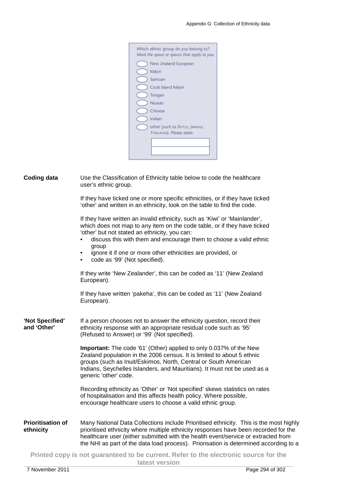| Which ethnic group do you belong to?<br>Mark the space or spaces that apply to you. |
|-------------------------------------------------------------------------------------|
| New Zealand European                                                                |
| Māori                                                                               |
| Samoan                                                                              |
| Cook Island Mäori                                                                   |
| Tongan                                                                              |
| Niuean                                                                              |
| Chinese                                                                             |
| Indian                                                                              |
| other (such as DUTCH, JAPANESE,<br>TOKELALIAN), Please state:                       |
|                                                                                     |

**Coding data** Use the Classification of Ethnicity table below to code the healthcare user's ethnic group.

> If they have ticked one or more specific ethnicities, or if they have ticked 'other' and written in an ethnicity, look on the table to find the code.

> If they have written an invalid ethnicity, such as 'Kiwi' or 'Mainlander', which does not map to any item on the code table, or if they have ticked 'other' but not stated an ethnicity, you can:

- discuss this with them and encourage them to choose a valid ethnic group
- ignore it if one or more other ethnicities are provided, or
- code as '99' (Not specified).

If they write 'New Zealander', this can be coded as '11' (New Zealand European).

If they have written 'pakeha', this can be coded as '11' (New Zealand European).

**'Not Specified' and 'Other'**  If a person chooses not to answer the ethnicity question, record their ethnicity response with an appropriate residual code such as '95' (Refused to Answer) or '99' (Not specified).

> **Important:** The code '61' (Other) applied to only 0.037% of the New Zealand population in the 2006 census. It is limited to about 5 ethnic groups (such as Inuit/Eskimos, North, Central or South American Indians, Seychelles Islanders, and Mauritians). It must not be used as a generic 'other' code.

> Recording ethnicity as 'Other' or 'Not specified' skews statistics on rates of hospitalisation and this affects health policy. Where possible, encourage healthcare users to choose a valid ethnic group.

**Prioritisation of ethnicity**  Many National Data Collections include Prioritised ethnicity. This is the most highly prioritised ethnicity where multiple ethnicity responses have been recorded for the healthcare user (either submitted with the health event/service or extracted from the NHI as part of the data load process). Priorisation is determined according to a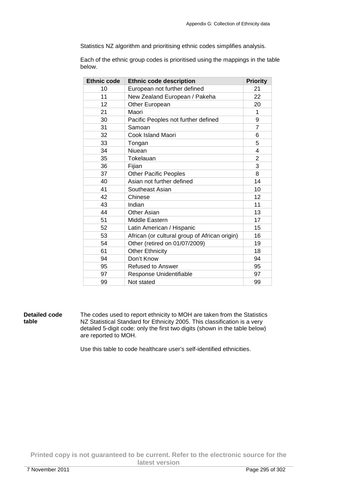Statistics NZ algorithm and prioritising ethnic codes simplifies analysis.

Each of the ethnic group codes is prioritised using the mappings in the table below.

| <b>Ethnic code</b> | <b>Ethnic code description</b>                | <b>Priority</b> |
|--------------------|-----------------------------------------------|-----------------|
| 10                 | European not further defined                  | 21              |
| 11                 | New Zealand European / Pakeha                 | 22              |
| 12                 | Other European                                | 20              |
| 21                 | Maori                                         | 1               |
| 30                 | Pacific Peoples not further defined           | 9               |
| 31                 | Samoan                                        | 7               |
| 32                 | Cook Island Maori                             | 6               |
| 33                 | Tongan                                        | 5               |
| 34                 | Niuean                                        | 4               |
| 35                 | Tokelauan                                     | $\overline{2}$  |
| 36                 | Fijian                                        | 3               |
| 37                 | <b>Other Pacific Peoples</b>                  | 8               |
| 40                 | Asian not further defined                     | 14              |
| 41                 | Southeast Asian                               | 10              |
| 42                 | Chinese                                       | 12              |
| 43                 | Indian                                        | 11              |
| 44                 | Other Asian                                   | 13              |
| 51                 | Middle Eastern                                | 17              |
| 52                 | Latin American / Hispanic                     | 15              |
| 53                 | African (or cultural group of African origin) | 16              |
| 54                 | Other (retired on 01/07/2009)                 | 19              |
| 61                 | <b>Other Ethnicity</b>                        | 18              |
| 94                 | Don't Know                                    | 94              |
| 95                 | <b>Refused to Answer</b>                      | 95              |
| 97                 | Response Unidentifiable                       | 97              |
| 99                 | Not stated                                    | 99              |

**Detailed code table**  The codes used to report ethnicity to MOH are taken from the Statistics NZ Statistical Standard for Ethnicity 2005. This classification is a very detailed 5-digit code: only the first two digits (shown in the table below) are reported to MOH.

Use this table to code healthcare user's self-identified ethnicities.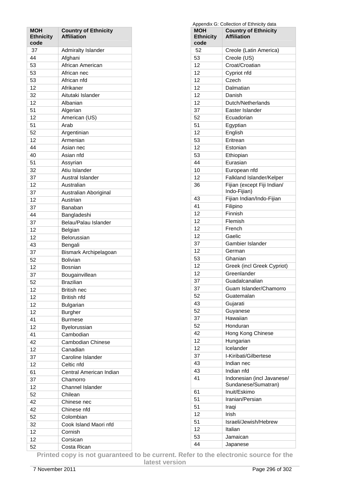| MOH<br><b>Ethnicity</b><br>code | <b>Country of Ethnicity</b><br><b>Affiliation</b> |
|---------------------------------|---------------------------------------------------|
| 37                              | Admiralty Islander                                |
| 44                              | Afghani                                           |
| 53                              | African American                                  |
| 53                              | African nec                                       |
| 53                              | African nfd                                       |
| 12                              | Afrikaner                                         |
| 32                              | Aitutaki Islander                                 |
| 12                              | Albanian                                          |
| 51                              | Algerian                                          |
| 12                              | American (US)                                     |
| 51                              | Arab                                              |
| 52                              | Argentinian                                       |
| 12                              | Armenian                                          |
| 44                              | Asian nec                                         |
| 40                              | Asian nfd                                         |
|                                 |                                                   |
| 51                              | Assyrian                                          |
| 32                              | Atiu Islander                                     |
| 37                              | Austral Islander                                  |
| 12                              | Australian                                        |
| 37                              | Australian Aboriginal                             |
| 12                              | Austrian                                          |
| 37                              | Banaban                                           |
| 44                              | Bangladeshi                                       |
| 37                              | Belau/Palau Islander                              |
| 12                              | Belgian                                           |
| 12                              | Belorussian                                       |
| 43                              | Bengali                                           |
| 37                              | Bismark Archipelagoan                             |
| 52                              | <b>Bolivian</b>                                   |
| 12                              | Bosnian                                           |
| 37                              | Bougainvillean                                    |
| 52                              | <b>Brazilian</b>                                  |
| 12                              | <b>British nec</b>                                |
| 12                              | British nfd                                       |
| 12                              | <b>Bulgarian</b>                                  |
| 12                              | Burgher                                           |
| 41                              | <b>Burmese</b>                                    |
| 12                              | Byelorussian                                      |
| 41                              | Cambodian                                         |
| 42                              | <b>Cambodian Chinese</b>                          |
| 12                              | Canadian                                          |
| 37                              | Caroline Islander                                 |
| 12                              | Celtic nfd                                        |
| 61                              | Central American Indian                           |
| 37                              | Chamorro                                          |
| 12                              | <b>Channel Islander</b>                           |
| 52                              | Chilean                                           |
|                                 |                                                   |
| 42                              | Chinese nec                                       |
| 42                              | Chinese nfd                                       |
| 52                              | Colombian                                         |
| 32                              | Cook Island Maori nfd                             |
| 12                              | Cornish                                           |
| 12                              | Corsican                                          |
| 52                              | Costa Rican                                       |

| Appendix G: Collection of Ethnicity data |                                                   |  |
|------------------------------------------|---------------------------------------------------|--|
| <b>MOH</b><br><b>Ethnicity</b>           | <b>Country of Ethnicity</b><br><b>Affiliation</b> |  |
| code                                     |                                                   |  |
| 52                                       | Creole (Latin America)                            |  |
| 53                                       | Creole (US)                                       |  |
| 12                                       | Croat/Croatian                                    |  |
| 12                                       | Cypriot nfd                                       |  |
| 12                                       | Czech                                             |  |
| 12                                       | Dalmatian                                         |  |
| 12                                       | Danish                                            |  |
| 12                                       | Dutch/Netherlands                                 |  |
| 37                                       | Easter Islander                                   |  |
| 52                                       | Ecuadorian                                        |  |
| 51                                       | Egyptian                                          |  |
| 12                                       | English                                           |  |
| 53                                       | Eritrean                                          |  |
| 12                                       | Estonian                                          |  |
| 53                                       | Ethiopian                                         |  |
| 44                                       | Eurasian                                          |  |
| 10                                       | European nfd                                      |  |
| 12                                       | Falkland Islander/Kelper                          |  |
| 36                                       | Fijian (except Fiji Indian/                       |  |
|                                          | Indo-Fijian)                                      |  |
| 43                                       | Fijian Indian/Indo-Fijian                         |  |
| 41                                       | Filipino                                          |  |
| 12                                       | Finnish                                           |  |
| 12                                       | Flemish                                           |  |
| 12                                       | French                                            |  |
| 12                                       | Gaelic                                            |  |
| 37                                       | Gambier Islander                                  |  |
| 12                                       | German                                            |  |
| 53                                       | Ghanian                                           |  |
| 12                                       | Greek (incl Greek Cypriot)                        |  |
| 12                                       | Greenlander                                       |  |
| 37                                       | Guadalcanalian                                    |  |
| 37                                       | Guam Islander/Chamorro                            |  |
| 52                                       | Guatemalan                                        |  |
| 43                                       | Gujarati                                          |  |
| 52                                       | Guyanese                                          |  |
| 37                                       | Hawaiian                                          |  |
| 52                                       | Honduran                                          |  |
| 42                                       | Hong Kong Chinese                                 |  |
| 12                                       | Hungarian                                         |  |
| 12                                       | Icelander                                         |  |
| 37                                       | I-Kiribati/Gilbertese                             |  |
| 43                                       | Indian nec                                        |  |
| 43                                       | Indian nfd                                        |  |
| 41                                       | Indonesian (incl Javanese/<br>Sundanese/Sumatran) |  |
| 61                                       | Inuit/Eskimo                                      |  |
| 51                                       | Iranian/Persian                                   |  |
| 51                                       | Iraqi                                             |  |
| 12                                       | Irish                                             |  |
| 51                                       | Israeli/Jewish/Hebrew                             |  |
| 12                                       | Italian                                           |  |
| 53                                       | Jamaican                                          |  |
| 44                                       | Japanese                                          |  |
|                                          |                                                   |  |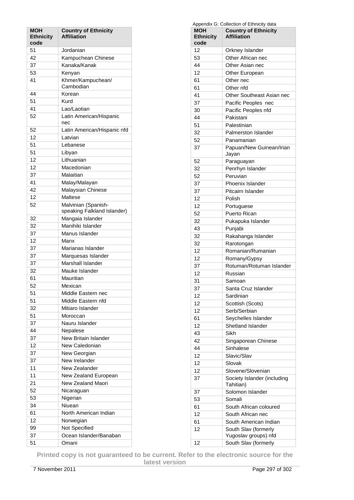| <b>MOH</b><br><b>Ethnicity</b><br>code | <b>Country of Ethnicity</b><br><b>Affiliation</b>  |
|----------------------------------------|----------------------------------------------------|
| 51                                     | Jordanian                                          |
| 42                                     | Kampuchean Chinese                                 |
| 37                                     | Kanaka/Kanak                                       |
| 53                                     | Kenyan                                             |
| 41                                     | Khmer/Kampuchean/                                  |
| 44                                     | Cambodian<br>Korean                                |
| 51                                     | Kurd                                               |
| 41                                     | Lao/Laotian                                        |
| 52                                     | Latin American/Hispanic<br>nec                     |
| 52                                     | Latin American/Hispanic nfd                        |
| 12                                     | Latvian                                            |
| 51                                     | Lebanese                                           |
| 51                                     | Libyan                                             |
| 12                                     | Lithuanian                                         |
| 12                                     | Macedonian                                         |
| 37                                     | Malaitian                                          |
| 41                                     | Malay/Malayan                                      |
| 42                                     |                                                    |
|                                        | Malaysian Chinese                                  |
| 12                                     | Maltese                                            |
| 52                                     | Malvinian (Spanish-<br>speaking Falkland Islander) |
| 32                                     | Mangaia Islander                                   |
| 32                                     | Manihiki Islander                                  |
| 37                                     | Manus Islander                                     |
| 12                                     | Manx                                               |
| 37                                     | Marianas Islander                                  |
| 37                                     | Marquesas Islander                                 |
| 37                                     | Marshall Islander                                  |
| 32                                     | Mauke Islander                                     |
| 61                                     | Mauritian                                          |
| 52                                     | Mexican                                            |
| 51                                     | Middle Eastern nec                                 |
| 51                                     | Middle Eastern nfd                                 |
| 32                                     | Mitiaro Islander                                   |
| 51                                     | Moroccan                                           |
| 37                                     | Nauru Islander                                     |
| 44                                     | Nepalese                                           |
| 37                                     | New Britain Islander                               |
| 12                                     | New Caledonian                                     |
| 37                                     | New Georgian                                       |
|                                        |                                                    |
| 37                                     | New Irelander                                      |
| 11                                     | New Zealander                                      |
| 11                                     | New Zealand European                               |
| 21                                     | New Zealand Maori                                  |
| 52                                     | Nicaraguan                                         |
| 53                                     | Nigerian                                           |
| 34                                     | Niuean                                             |
| 61                                     | North American Indian                              |
| 12                                     | Norwegian                                          |
| 99                                     | Not Specified                                      |
| 37                                     | Ocean Islander/Banaban                             |
| 51                                     | Omani                                              |

| Appendix G: Collection of Ethnicity data  |                                          |  |
|-------------------------------------------|------------------------------------------|--|
| <b>MOH</b><br><b>Country of Ethnicity</b> |                                          |  |
| <b>Ethnicity</b>                          | <b>Affiliation</b>                       |  |
| code                                      |                                          |  |
| 12                                        | Orkney Islander                          |  |
| 53                                        | Other African nec                        |  |
| 44                                        | Other Asian nec                          |  |
| 12                                        | Other European                           |  |
| 61                                        | Other nec                                |  |
| 61                                        | Other nfd                                |  |
| 41                                        | Other Southeast Asian nec                |  |
| 37                                        | Pacific Peoples nec                      |  |
| 30                                        | Pacific Peoples nfd                      |  |
| 44                                        | Pakistani                                |  |
| 51                                        | Palestinian                              |  |
| 32                                        | <b>Palmerston Islander</b>               |  |
| 52                                        | Panamanian                               |  |
| 37                                        | Papuan/New Guinean/Irian                 |  |
|                                           | Jayan                                    |  |
| 52                                        | Paraguayan                               |  |
| 32                                        | Penrhyn Islander                         |  |
| 52                                        | Peruvian                                 |  |
| 37                                        | Phoenix Islander                         |  |
| 37                                        | Pitcairn Islander                        |  |
|                                           |                                          |  |
| 12                                        | Polish                                   |  |
| 12                                        | Portuguese                               |  |
| 52                                        | <b>Puerto Rican</b>                      |  |
| 32                                        | Pukapuka Islander                        |  |
| 43                                        | Punjabi                                  |  |
| 32                                        | Rakahanga Islander                       |  |
| 32                                        | Rarotongan                               |  |
| 12                                        | Romanian/Rumanian                        |  |
| 12                                        | Romany/Gypsy                             |  |
| 37                                        | Rotuman/Rotuman Islander                 |  |
| 12                                        | Russian                                  |  |
| 31                                        | Samoan                                   |  |
| 37                                        | Santa Cruz Islander                      |  |
| 12                                        | Sardinian                                |  |
| 12                                        | Scottish (Scots)                         |  |
| 12                                        | Serb/Serbian                             |  |
| 61                                        | Seychelles Islander                      |  |
| 12                                        | Shetland Islander                        |  |
| 43                                        | Sikh                                     |  |
| 42                                        | Singaporean Chinese                      |  |
| 44                                        | Sinhalese                                |  |
| 12                                        | Slavic/Slav                              |  |
|                                           |                                          |  |
| 12                                        | Slovak                                   |  |
| 12                                        | Slovene/Slovenian                        |  |
| 37                                        | Society Islander (including<br>Tahitian) |  |
| 37                                        | Solomon Islander                         |  |
| 53                                        | Somali                                   |  |
| 61                                        | South African coloured                   |  |
| 12                                        | South African nec                        |  |
| 61                                        | South American Indian                    |  |
| 12                                        | South Slav (formerly                     |  |
|                                           | Yugoslav groups) nfd                     |  |
| 12                                        | South Slav (formerly                     |  |
|                                           |                                          |  |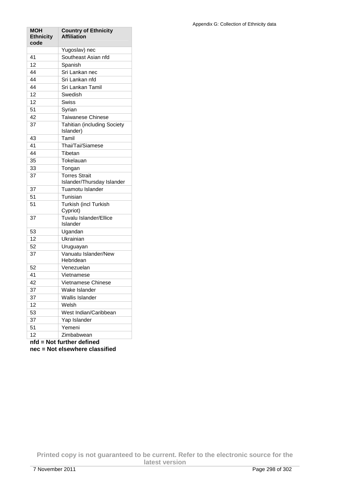| MOH<br><b>Ethnicity</b><br>code | <b>Country of Ethnicity</b><br><b>Affiliation</b>  |
|---------------------------------|----------------------------------------------------|
|                                 | Yugoslav) nec                                      |
| 41                              | Southeast Asian nfd                                |
| 12                              | Spanish                                            |
| 44                              | Sri Lankan nec                                     |
| 44                              | Sri Lankan nfd                                     |
| 44                              | Sri Lankan Tamil                                   |
| 12                              | Swedish                                            |
| 12                              | Swiss                                              |
| 51                              | Syrian                                             |
| 42                              | <b>Taiwanese Chinese</b>                           |
| 37                              | <b>Tahitian (including Society</b><br>Islander)    |
| 43                              | Tamil                                              |
| 41                              | Thai/Tai/Siamese                                   |
| 44                              | Tibetan                                            |
| 35                              | Tokelauan                                          |
| 33                              | Tongan                                             |
| 37                              | <b>Torres Strait</b><br>Islander/Thursday Islander |
| 37                              | Tuamotu Islander                                   |
| 51                              | Tunisian                                           |
| 51                              | Turkish (incl Turkish<br>Cypriot)                  |
| 37                              | Tuvalu Islander/Ellice<br>Islander                 |
| 53                              | Ugandan                                            |
| 12                              | Ukrainian                                          |
| 52                              | Uruguayan                                          |
| 37                              | Vanuatu Islander/New<br>Hebridean                  |
| 52                              | Venezuelan                                         |
| 41                              | Vietnamese                                         |
| 42                              | Vietnamese Chinese                                 |
| 37                              | Wake Islander                                      |
| 37                              | Wallis Islander                                    |
| 12                              | Welsh                                              |
| 53                              | West Indian/Caribbean                              |
| 37                              | Yap Islander                                       |
| 51                              | Yemeni                                             |
| 12                              | Zimbabwean                                         |
| nfd                             | Not further defined                                |

**nfd = Not further defined** 

**nec = Not elsewhere classified**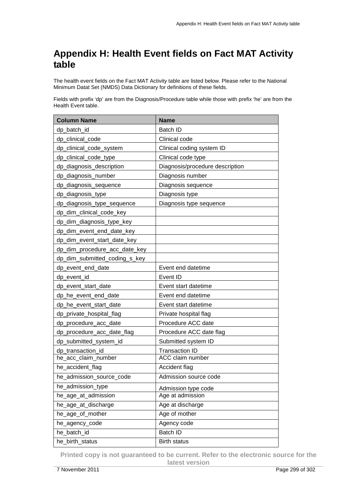## **Appendix H: Health Event fields on Fact MAT Activity table**

The health event fields on the Fact MAT Activity table are listed below. Please refer to the National Minimum Datat Set (NMDS) Data Dictionary for definitions of these fields.

Fields with prefix 'dp' are from the Diagnosis/Procedure table while those with prefix 'he' are from the Health Event table.

| <b>Column Name</b>            | <b>Name</b>                     |
|-------------------------------|---------------------------------|
| dp_batch_id                   | Batch ID                        |
| dp_clinical_code              | Clinical code                   |
| dp_clinical_code_system       | Clinical coding system ID       |
| dp_clinical_code_type         | Clinical code type              |
| dp_diagnosis_description      | Diagnosis/procedure description |
| dp_diagnosis_number           | Diagnosis number                |
| dp_diagnosis_sequence         | Diagnosis sequence              |
| dp_diagnosis_type             | Diagnosis type                  |
| dp_diagnosis_type_sequence    | Diagnosis type sequence         |
| dp_dim_clinical_code_key      |                                 |
| dp_dim_diagnosis_type_key     |                                 |
| dp_dim_event_end_date_key     |                                 |
| dp_dim_event_start_date_key   |                                 |
| dp_dim_procedure_acc_date_key |                                 |
| dp_dim_submitted_coding_s_key |                                 |
| dp_event_end_date             | Event end datetime              |
| dp event id                   | Event ID                        |
| dp_event_start_date           | Event start datetime            |
| dp_he_event_end_date          | Event end datetime              |
| dp_he_event_start_date        | Event start datetime            |
| dp_private_hospital_flag      | Private hospital flag           |
| dp_procedure_acc_date         | Procedure ACC date              |
| dp_procedure_acc_date_flag    | Procedure ACC date flag         |
| dp_submitted_system_id        | Submitted system ID             |
| dp_transaction_id             | <b>Transaction ID</b>           |
| he_acc_claim_number           | ACC claim number                |
| he_accident_flag              | Accident flag                   |
| he_admission_source_code      | Admission source code           |
| he_admission_type             | Admission type code             |
| he_age_at_admission           | Age at admission                |
| he_age_at_discharge           | Age at discharge                |
| he_age_of_mother              | Age of mother                   |
| he_agency_code                | Agency code                     |
| he_batch_id                   | <b>Batch ID</b>                 |
| he_birth_status               | <b>Birth status</b>             |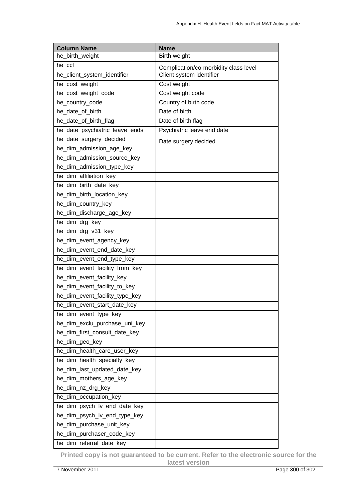| <b>Column Name</b>             | <b>Name</b>                           |
|--------------------------------|---------------------------------------|
| he_birth_weight                | Birth weight                          |
| he_ccl                         | Complication/co-morbidity class level |
| he_client_system_identifier    | Client system identifier              |
| he_cost_weight                 | Cost weight                           |
| he_cost_weight_code            | Cost weight code                      |
| he_country_code                | Country of birth code                 |
| he_date_of_birth               | Date of birth                         |
| he_date_of_birth_flag          | Date of birth flag                    |
| he_date_psychiatric_leave_ends | Psychiatric leave end date            |
| he_date_surgery_decided        | Date surgery decided                  |
| he_dim_admission_age_key       |                                       |
| he_dim_admission_source_key    |                                       |
| he_dim_admission_type_key      |                                       |
| he_dim_affiliation_key         |                                       |
| he_dim_birth_date_key          |                                       |
| he dim birth location key      |                                       |
| he_dim_country_key             |                                       |
| he_dim_discharge_age_key       |                                       |
| he_dim_drg_key                 |                                       |
| he_dim_drg_v31_key             |                                       |
| he_dim_event_agency_key        |                                       |
| he_dim_event_end_date_key      |                                       |
| he_dim_event_end_type_key      |                                       |
| he_dim_event_facility_from_key |                                       |
| he_dim_event_facility_key      |                                       |
| he_dim_event_facility_to_key   |                                       |
| he_dim_event_facility_type_key |                                       |
| he_dim_event_start_date_key    |                                       |
| he_dim_event_type_key          |                                       |
| he_dim_exclu_purchase_uni_key  |                                       |
| he_dim_first_consult_date_key  |                                       |
| he_dim_geo_key                 |                                       |
| he_dim_health_care_user_key    |                                       |
| he_dim_health_specialty_key    |                                       |
| he_dim_last_updated_date_key   |                                       |
| he_dim_mothers_age_key         |                                       |
| he_dim_nz_drg_key              |                                       |
| he_dim_occupation_key          |                                       |
| he_dim_psych_lv_end_date_key   |                                       |
| he_dim_psych_lv_end_type_key   |                                       |
| he_dim_purchase_unit_key       |                                       |
| he_dim_purchaser_code_key      |                                       |
| he_dim_referral_date_key       |                                       |

**Printed copy is not guaranteed to be current. Refer to the electronic source for the latest version**  7 November 2011 Page 300 of 302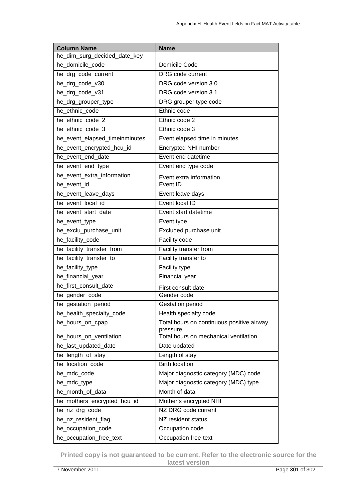| <b>Column Name</b>             | <b>Name</b>                                       |
|--------------------------------|---------------------------------------------------|
| he_dim_surg_decided_date_key   |                                                   |
| he_domicile_code               | Domicile Code                                     |
| he_drg_code_current            | DRG code current                                  |
| he_drg_code_v30                | DRG code version 3.0                              |
| he_drg_code_v31                | DRG code version 3.1                              |
| he_drg_grouper_type            | DRG grouper type code                             |
| he_ethnic_code                 | Ethnic code                                       |
| he_ethnic_code_2               | Ethnic code 2                                     |
| he_ethnic_code_3               | Ethnic code 3                                     |
| he_event_elapsed_timeinminutes | Event elapsed time in minutes                     |
| he_event_encrypted_hcu_id      | Encrypted NHI number                              |
| he_event_end_date              | Event end datetime                                |
| he_event_end_type              | Event end type code                               |
| he_event_extra_information     | Event extra information                           |
| he_event_id                    | Event ID                                          |
| he_event_leave_days            | Event leave days                                  |
| he_event_local_id              | Event local ID                                    |
| he_event_start_date            | Event start datetime                              |
| he_event_type                  | Event type                                        |
| he_exclu_purchase_unit         | Excluded purchase unit                            |
| he_facility_code               | Facility code                                     |
| he_facility_transfer_from      | Facility transfer from                            |
| he_facility_transfer_to        | Facility transfer to                              |
| he_facility_type               | Facility type                                     |
| he_financial_year              | Financial year                                    |
| he_first_consult_date          | First consult date                                |
| he_gender_code                 | Gender code                                       |
| he_gestation_period            | <b>Gestation period</b>                           |
| he_health_specialty_code       | Health specialty code                             |
| he_hours_on_cpap               | Total hours on continuous positive airway         |
| he_hours_on_ventilation        | pressure<br>Total hours on mechanical ventilation |
| he_last_updated_date           | Date updated                                      |
| he_length_of_stay              | Length of stay                                    |
| he_location_code               | <b>Birth location</b>                             |
| he_mdc_code                    | Major diagnostic category (MDC) code              |
| he_mdc_type                    | Major diagnostic category (MDC) type              |
| he_month_of_data               | Month of data                                     |
| he_mothers_encrypted_hcu_id    | Mother's encrypted NHI                            |
| he_nz_drg_code                 | NZ DRG code current                               |
| he_nz_resident_flag            | NZ resident status                                |
| he_occupation_code             | Occupation code                                   |
| he_occupation_free_text        | Occupation free-text                              |